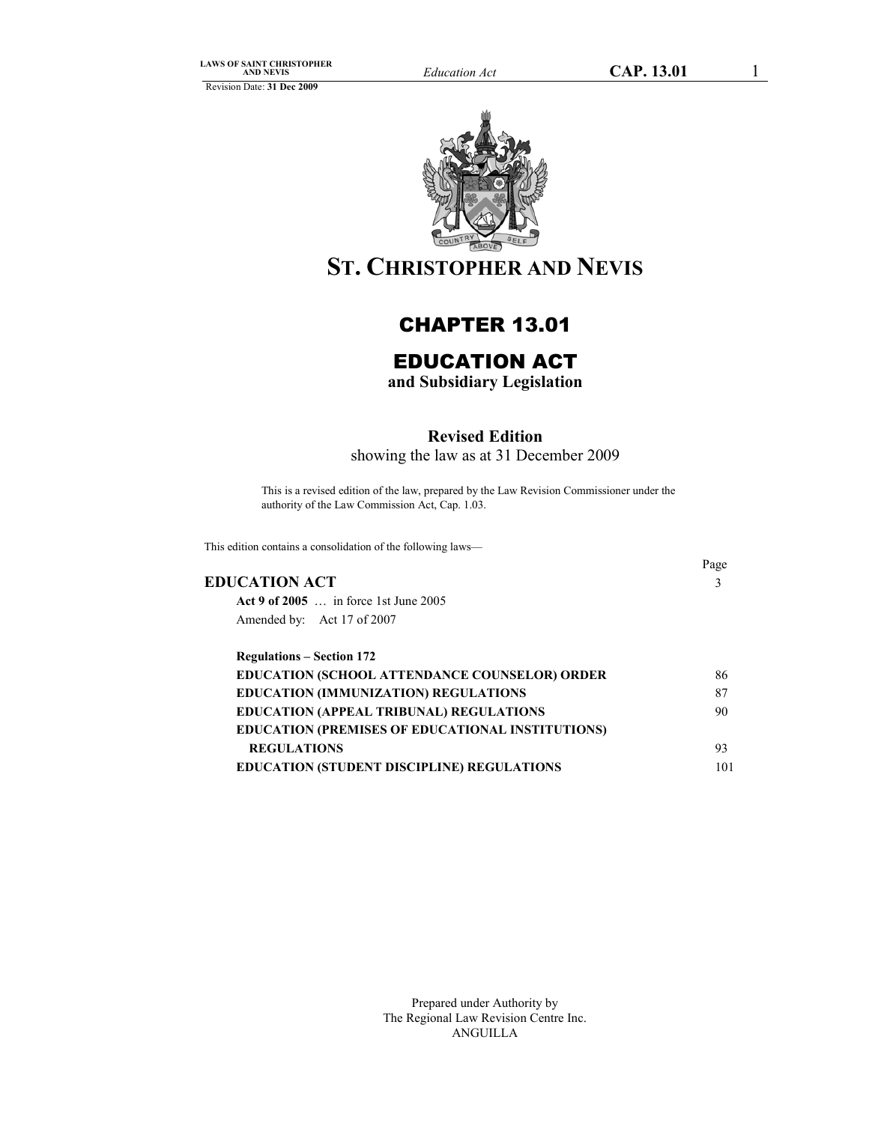

# **ST. CHRISTOPHER AND NEVIS**

# CHAPTER 13.01

# EDUCATION ACT

**and Subsidiary Legislation** 

# **Revised Edition**

showing the law as at 31 December 2009

This is a revised edition of the law, prepared by the Law Revision Commissioner under the authority of the Law Commission Act, Cap. 1.03.

This edition contains a consolidation of the following laws—

# **EDUCATION ACT** 3

Page

| Act 9 of 2005  in force 1st June 2005 |
|---------------------------------------|
| Amended by: Act 17 of 2007            |

| <b>Regulations – Section 172</b>                        |     |
|---------------------------------------------------------|-----|
| EDUCATION (SCHOOL ATTENDANCE COUNSELOR) ORDER           | 86  |
| <b>EDUCATION (IMMUNIZATION) REGULATIONS</b>             | 87  |
| <b>EDUCATION (APPEAL TRIBUNAL) REGULATIONS</b>          | 90  |
| <b>EDUCATION (PREMISES OF EDUCATIONAL INSTITUTIONS)</b> |     |
| <b>REGULATIONS</b>                                      | 93  |
| <b>EDUCATION (STUDENT DISCIPLINE) REGULATIONS</b>       | 101 |

Prepared under Authority by The Regional Law Revision Centre Inc. ANGUILLA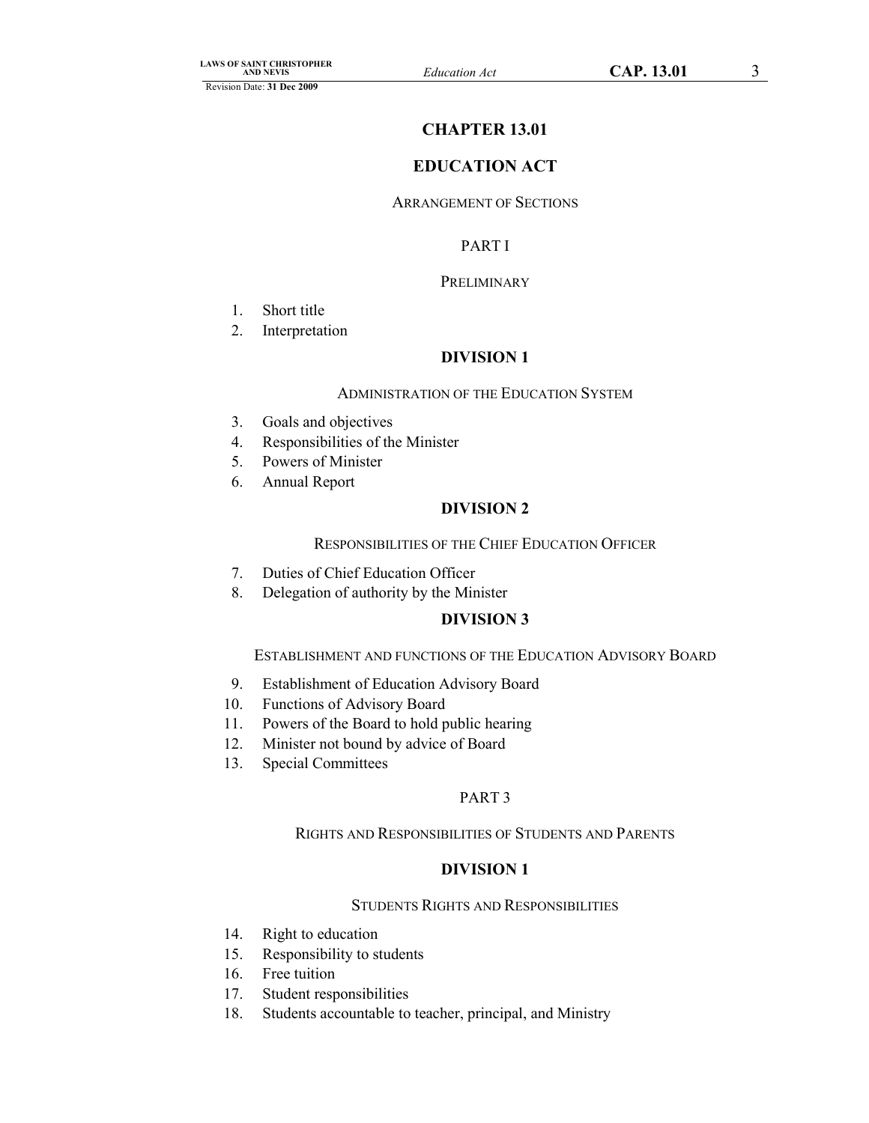# **CHAPTER 13.01**

# **EDUCATION ACT**

# ARRANGEMENT OF SECTIONS

# PART I

# **PRELIMINARY**

- 1. Short title
- 2. Interpretation

# **DIVISION 1**

#### ADMINISTRATION OF THE EDUCATION SYSTEM

- 3. Goals and objectives
- 4. Responsibilities of the Minister
- 5. Powers of Minister
- 6. Annual Report

# **DIVISION 2**

### RESPONSIBILITIES OF THE CHIEF EDUCATION OFFICER

- 7. Duties of Chief Education Officer
- 8. Delegation of authority by the Minister

# **DIVISION 3**

# ESTABLISHMENT AND FUNCTIONS OF THE EDUCATION ADVISORY BOARD

- 9. Establishment of Education Advisory Board
- 10. Functions of Advisory Board
- 11. Powers of the Board to hold public hearing
- 12. Minister not bound by advice of Board
- 13. Special Committees

### PART 3

# RIGHTS AND RESPONSIBILITIES OF STUDENTS AND PARENTS

# **DIVISION 1**

# STUDENTS RIGHTS AND RESPONSIBILITIES

- 14. Right to education
- 15. Responsibility to students
- 16. Free tuition
- 17. Student responsibilities
- 18. Students accountable to teacher, principal, and Ministry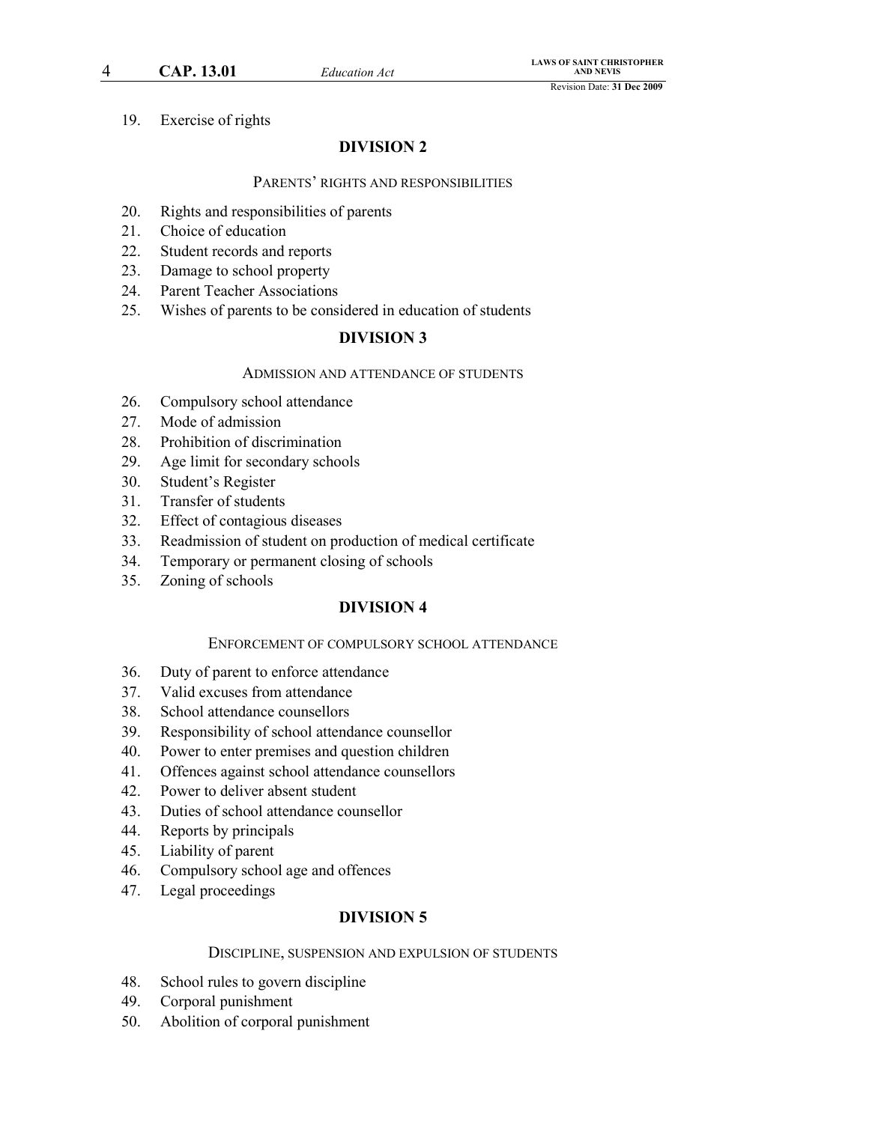4 **CAP. 13.01** *Education Act*

19. Exercise of rights

# **DIVISION 2**

#### PARENTS' RIGHTS AND RESPONSIBILITIES

- 20. Rights and responsibilities of parents
- 21. Choice of education
- 22. Student records and reports
- 23. Damage to school property
- 24. Parent Teacher Associations
- 25. Wishes of parents to be considered in education of students

# **DIVISION 3**

#### ADMISSION AND ATTENDANCE OF STUDENTS

- 26. Compulsory school attendance
- 27. Mode of admission
- 28. Prohibition of discrimination
- 29. Age limit for secondary schools
- 30. Student's Register
- 31. Transfer of students
- 32. Effect of contagious diseases
- 33. Readmission of student on production of medical certificate
- 34. Temporary or permanent closing of schools
- 35. Zoning of schools

# **DIVISION 4**

#### ENFORCEMENT OF COMPULSORY SCHOOL ATTENDANCE

- 36. Duty of parent to enforce attendance
- 37. Valid excuses from attendance
- 38. School attendance counsellors
- 39. Responsibility of school attendance counsellor
- 40. Power to enter premises and question children
- 41. Offences against school attendance counsellors
- 42. Power to deliver absent student
- 43. Duties of school attendance counsellor
- 44. Reports by principals
- 45. Liability of parent
- 46. Compulsory school age and offences
- 47. Legal proceedings

### **DIVISION 5**

### DISCIPLINE, SUSPENSION AND EXPULSION OF STUDENTS

- 48. School rules to govern discipline
- 49. Corporal punishment
- 50. Abolition of corporal punishment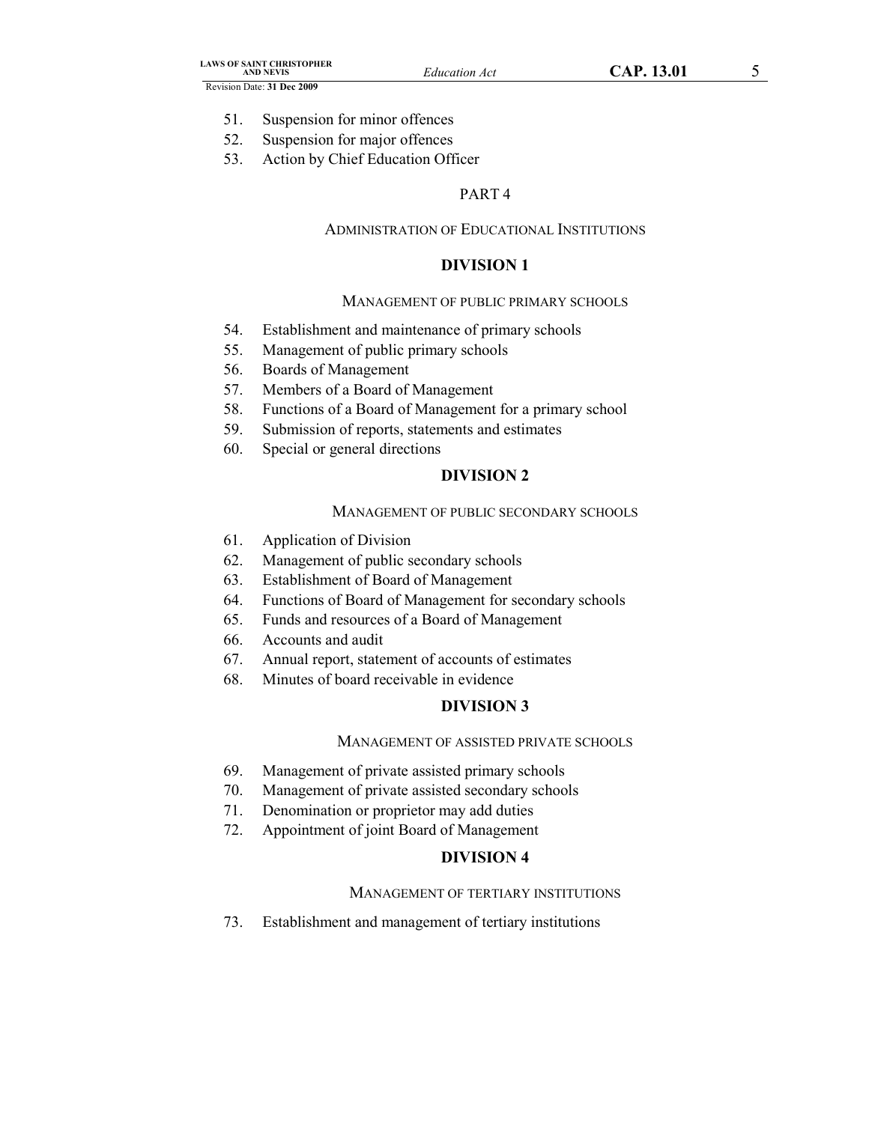- 51. Suspension for minor offences
- 52. Suspension for major offences
- 53. Action by Chief Education Officer

# PART 4

#### ADMINISTRATION OF EDUCATIONAL INSTITUTIONS

# **DIVISION 1**

#### MANAGEMENT OF PUBLIC PRIMARY SCHOOLS

- 54. Establishment and maintenance of primary schools
- 55. Management of public primary schools
- 56. Boards of Management
- 57. Members of a Board of Management
- 58. Functions of a Board of Management for a primary school
- 59. Submission of reports, statements and estimates
- 60. Special or general directions

# **DIVISION 2**

#### MANAGEMENT OF PUBLIC SECONDARY SCHOOLS

- 61. Application of Division
- 62. Management of public secondary schools
- 63. Establishment of Board of Management
- 64. Functions of Board of Management for secondary schools
- 65. Funds and resources of a Board of Management
- 66. Accounts and audit
- 67. Annual report, statement of accounts of estimates
- 68. Minutes of board receivable in evidence

# **DIVISION 3**

### MANAGEMENT OF ASSISTED PRIVATE SCHOOLS

- 69. Management of private assisted primary schools
- 70. Management of private assisted secondary schools
- 71. Denomination or proprietor may add duties
- 72. Appointment of joint Board of Management

# **DIVISION 4**

#### MANAGEMENT OF TERTIARY INSTITUTIONS

73. Establishment and management of tertiary institutions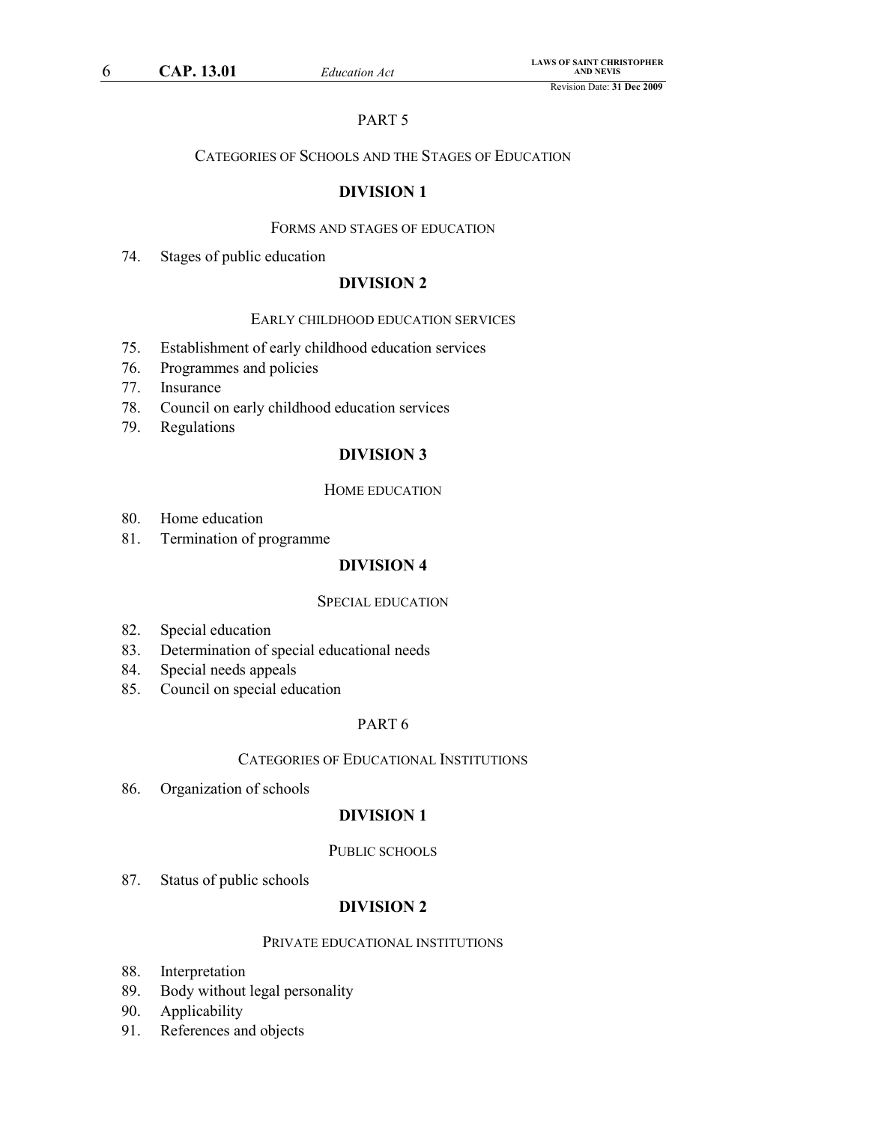# PART 5

# CATEGORIES OF SCHOOLS AND THE STAGES OF EDUCATION

# **DIVISION 1**

# FORMS AND STAGES OF EDUCATION

74. Stages of public education

# **DIVISION 2**

# EARLY CHILDHOOD EDUCATION SERVICES

- 75. Establishment of early childhood education services
- 76. Programmes and policies
- 77. Insurance
- 78. Council on early childhood education services
- 79. Regulations

# **DIVISION 3**

# HOME EDUCATION

- 80. Home education
- 81. Termination of programme

# **DIVISION 4**

### SPECIAL EDUCATION

- 82. Special education
- 83. Determination of special educational needs
- 84. Special needs appeals
- 85. Council on special education

# PART 6

### CATEGORIES OF EDUCATIONAL INSTITUTIONS

86. Organization of schools

# **DIVISION 1**

# PUBLIC SCHOOLS

87. Status of public schools

# **DIVISION 2**

### PRIVATE EDUCATIONAL INSTITUTIONS

- 88. Interpretation
- 89. Body without legal personality
- 90. Applicability
- 91. References and objects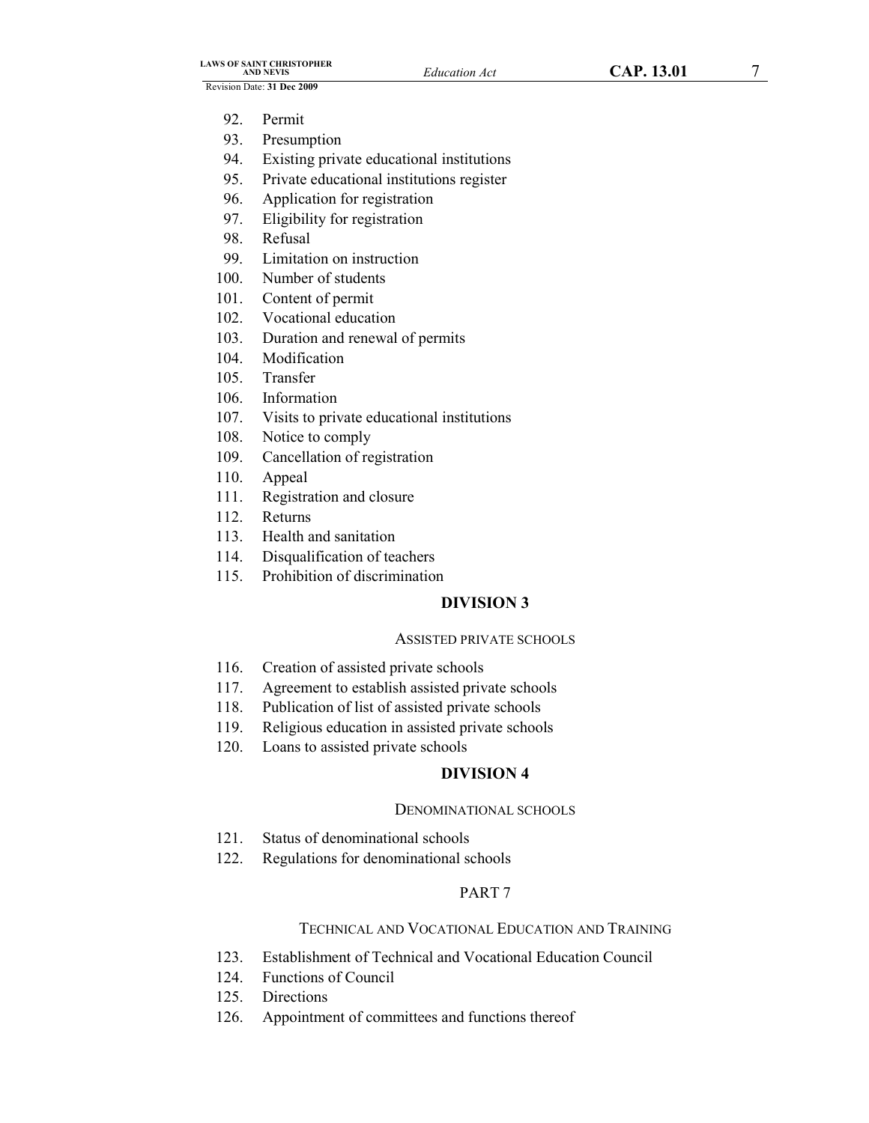- 92. Permit
- 93. Presumption
- 94. Existing private educational institutions
- 95. Private educational institutions register
- 96. Application for registration
- 97. Eligibility for registration
- 98. Refusal
- 99. Limitation on instruction
- 100. Number of students
- 101. Content of permit
- 102. Vocational education
- 103. Duration and renewal of permits
- 104. Modification
- 105. Transfer
- 106. Information
- 107. Visits to private educational institutions
- 108. Notice to comply
- 109. Cancellation of registration
- 110. Appeal
- 111. Registration and closure
- 112. Returns
- 113. Health and sanitation
- 114. Disqualification of teachers
- 115. Prohibition of discrimination

# **DIVISION 3**

### ASSISTED PRIVATE SCHOOLS

- 116. Creation of assisted private schools
- 117. Agreement to establish assisted private schools
- 118. Publication of list of assisted private schools
- 119. Religious education in assisted private schools
- 120. Loans to assisted private schools

# **DIVISION 4**

### DENOMINATIONAL SCHOOLS

- 121. Status of denominational schools
- 122. Regulations for denominational schools

# PART 7

# TECHNICAL AND VOCATIONAL EDUCATION AND TRAINING

- 123. Establishment of Technical and Vocational Education Council
- 124. Functions of Council
- 125. Directions
- 126. Appointment of committees and functions thereof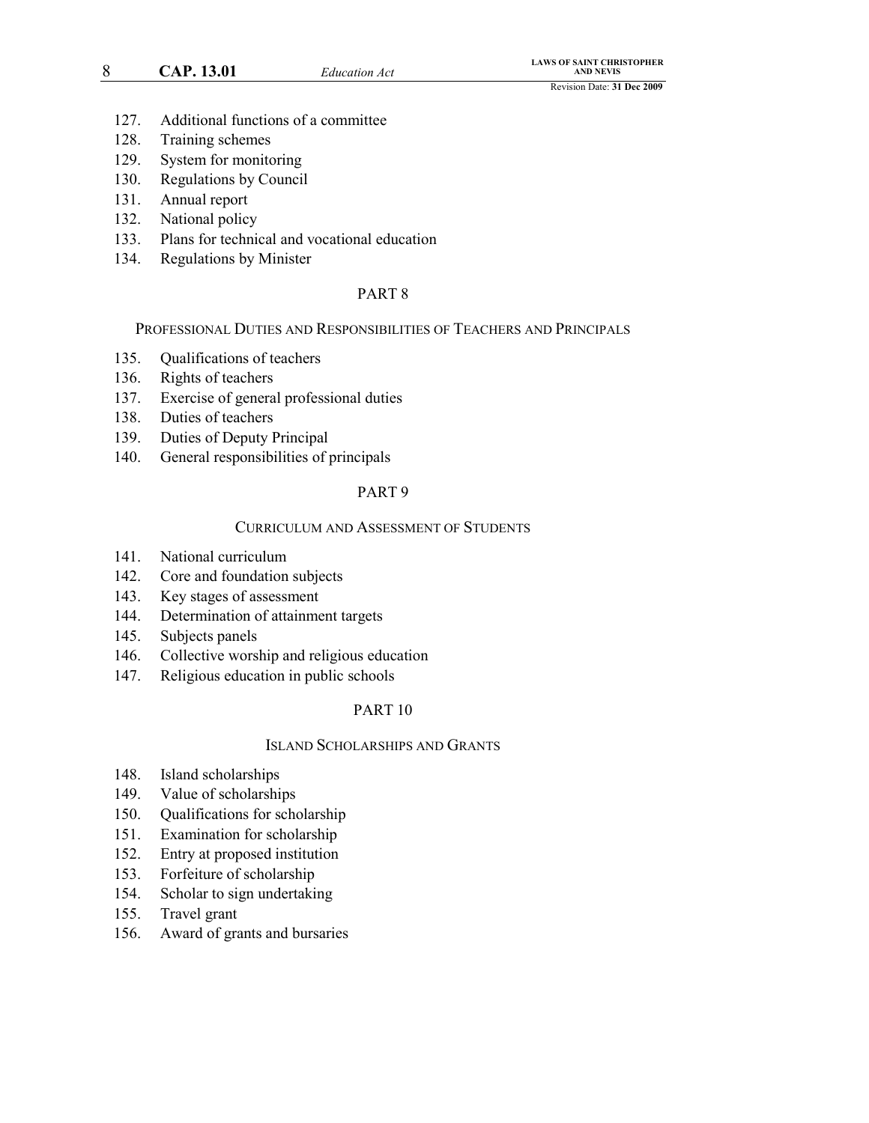#### 8 **CAP. 13.01** *Education Act*

- 127. Additional functions of a committee
- 128. Training schemes
- 129. System for monitoring
- 130. Regulations by Council
- 131. Annual report
- 132. National policy
- 133. Plans for technical and vocational education
- 134. Regulations by Minister

### PART 8

PROFESSIONAL DUTIES AND RESPONSIBILITIES OF TEACHERS AND PRINCIPALS

- 135. Qualifications of teachers
- 136. Rights of teachers
- 137. Exercise of general professional duties
- 138. Duties of teachers
- 139. Duties of Deputy Principal
- 140. General responsibilities of principals

# PART 9

#### CURRICULUM AND ASSESSMENT OF STUDENTS

- 141. National curriculum
- 142. Core and foundation subjects
- 143. Key stages of assessment
- 144. Determination of attainment targets
- 145. Subjects panels
- 146. Collective worship and religious education
- 147. Religious education in public schools

### PART 10

### ISLAND SCHOLARSHIPS AND GRANTS

- 148. Island scholarships
- 149. Value of scholarships
- 150. Qualifications for scholarship
- 151. Examination for scholarship
- 152. Entry at proposed institution
- 153. Forfeiture of scholarship
- 154. Scholar to sign undertaking
- 155. Travel grant
- 156. Award of grants and bursaries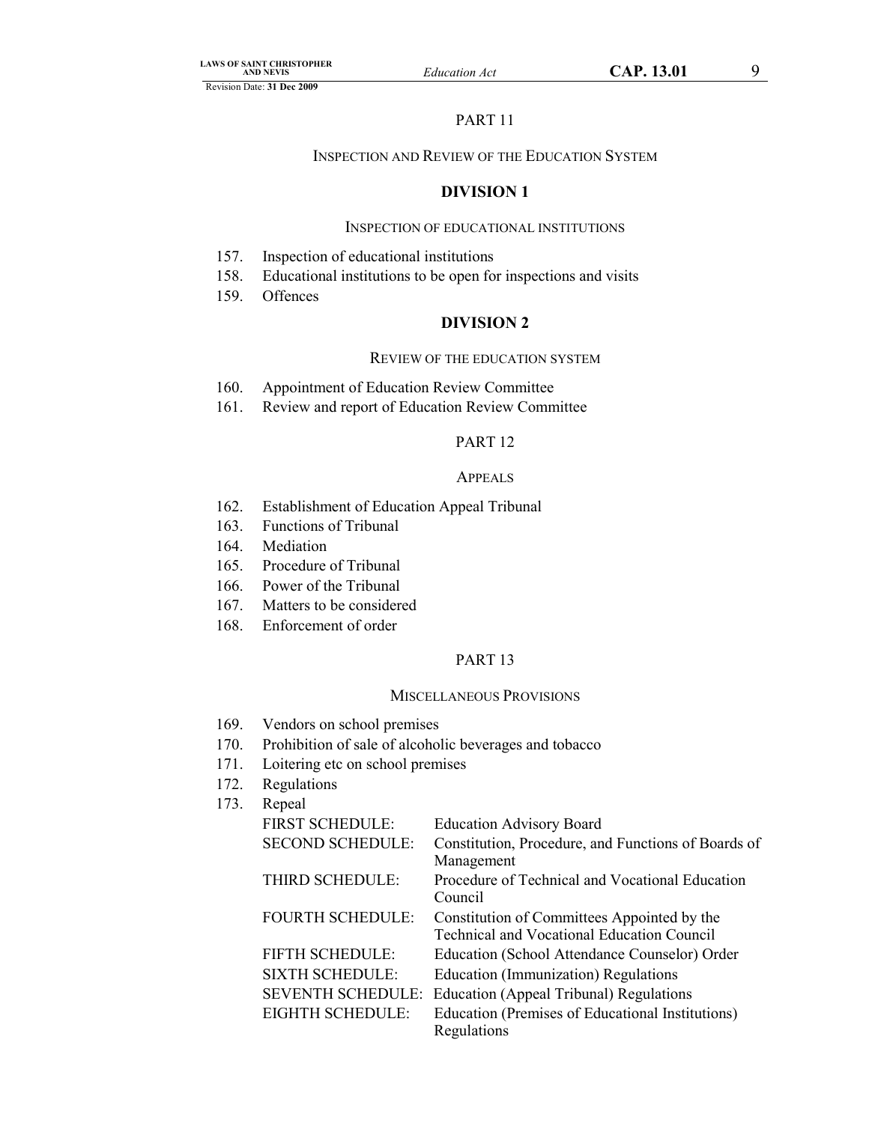# PART 11

# INSPECTION AND REVIEW OF THE EDUCATION SYSTEM

# **DIVISION 1**

### INSPECTION OF EDUCATIONAL INSTITUTIONS

- 157. Inspection of educational institutions
- 158. Educational institutions to be open for inspections and visits
- 159. Offences

# **DIVISION 2**

#### REVIEW OF THE EDUCATION SYSTEM

- 160. Appointment of Education Review Committee
- 161. Review and report of Education Review Committee

# PART 12

#### APPEALS

- 162. Establishment of Education Appeal Tribunal
- 163. Functions of Tribunal
- 164. Mediation
- 165. Procedure of Tribunal
- 166. Power of the Tribunal
- 167. Matters to be considered
- 168. Enforcement of order

# PART 13

### MISCELLANEOUS PROVISIONS

- 169. Vendors on school premises
- 170. Prohibition of sale of alcoholic beverages and tobacco
- 171. Loitering etc on school premises
- 172. Regulations
- 173. Repeal

| repear                  |                                                                                                  |
|-------------------------|--------------------------------------------------------------------------------------------------|
| <b>FIRST SCHEDULE:</b>  | <b>Education Advisory Board</b>                                                                  |
| <b>SECOND SCHEDULE:</b> | Constitution, Procedure, and Functions of Boards of<br>Management                                |
| THIRD SCHEDULE:         | Procedure of Technical and Vocational Education<br>Council                                       |
| <b>FOURTH SCHEDULE:</b> | Constitution of Committees Appointed by the<br><b>Technical and Vocational Education Council</b> |
| <b>FIFTH SCHEDULE:</b>  | Education (School Attendance Counselor) Order                                                    |
| <b>SIXTH SCHEDULE:</b>  | <b>Education (Immunization) Regulations</b>                                                      |
|                         | <b>SEVENTH SCHEDULE: Education (Appeal Tribunal) Regulations</b>                                 |
| EIGHTH SCHEDULE:        | Education (Premises of Educational Institutions)                                                 |
|                         | Regulations                                                                                      |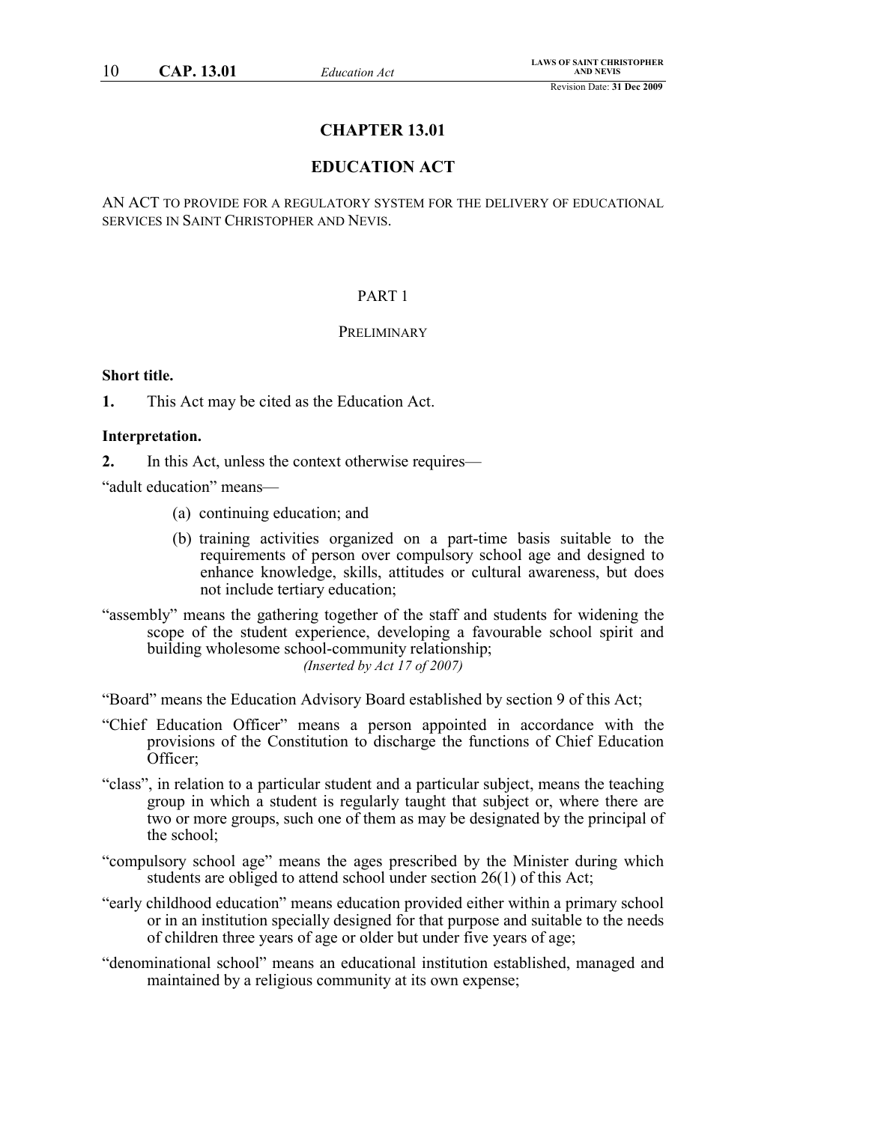# **CHAPTER 13.01**

# **EDUCATION ACT**

AN ACT TO PROVIDE FOR A REGULATORY SYSTEM FOR THE DELIVERY OF EDUCATIONAL SERVICES IN SAINT CHRISTOPHER AND NEVIS.

### PART 1

#### PRELIMINARY

# **Short title.**

**1.** This Act may be cited as the Education Act.

### **Interpretation.**

**2.** In this Act, unless the context otherwise requires—

"adult education" means—

- (a) continuing education; and
- (b) training activities organized on a part-time basis suitable to the requirements of person over compulsory school age and designed to enhance knowledge, skills, attitudes or cultural awareness, but does not include tertiary education;
- "assembly" means the gathering together of the staff and students for widening the scope of the student experience, developing a favourable school spirit and building wholesome school-community relationship; *(Inserted by Act 17 of 2007)*

"Board" means the Education Advisory Board established by section 9 of this Act;

- "Chief Education Officer" means a person appointed in accordance with the provisions of the Constitution to discharge the functions of Chief Education Officer;
- "class", in relation to a particular student and a particular subject, means the teaching group in which a student is regularly taught that subject or, where there are two or more groups, such one of them as may be designated by the principal of the school;
- "compulsory school age" means the ages prescribed by the Minister during which students are obliged to attend school under section 26(1) of this Act;
- "early childhood education" means education provided either within a primary school or in an institution specially designed for that purpose and suitable to the needs of children three years of age or older but under five years of age;
- "denominational school" means an educational institution established, managed and maintained by a religious community at its own expense;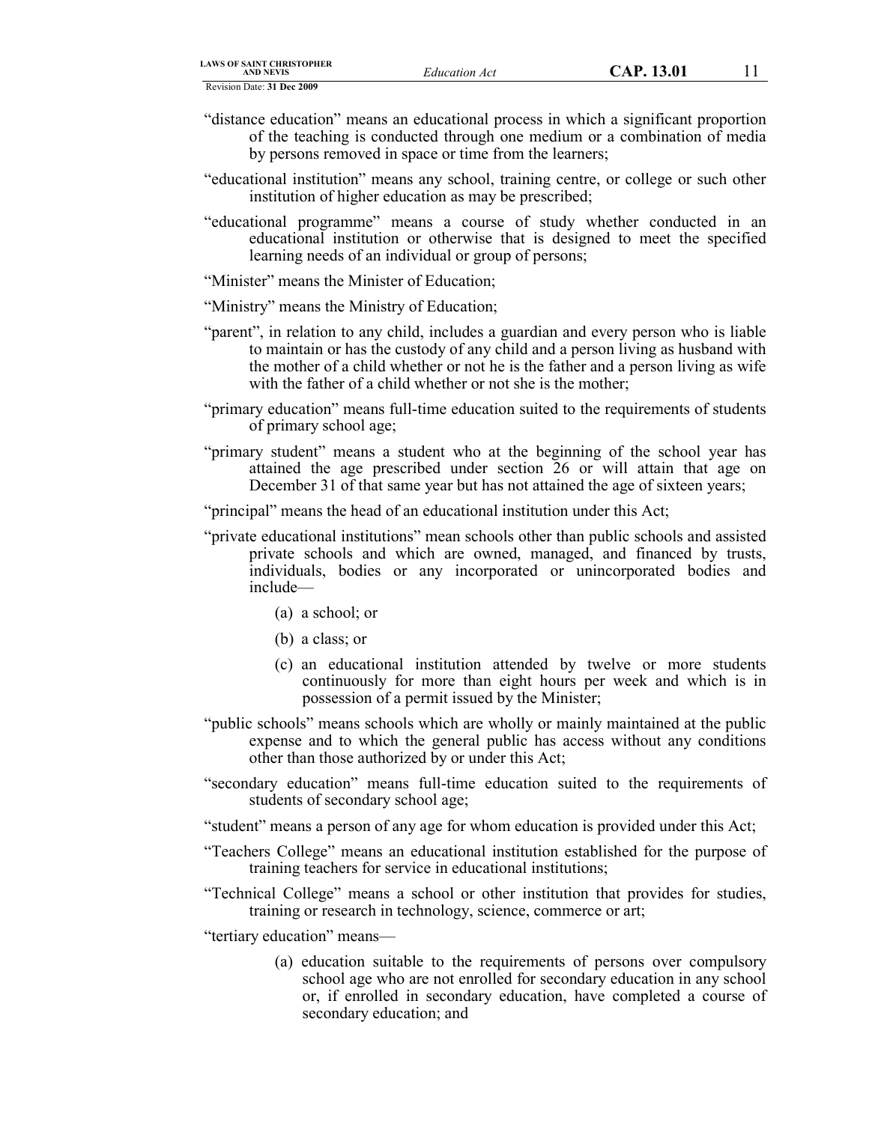- "distance education" means an educational process in which a significant proportion of the teaching is conducted through one medium or a combination of media by persons removed in space or time from the learners;
- "educational institution" means any school, training centre, or college or such other institution of higher education as may be prescribed;
- "educational programme" means a course of study whether conducted in an educational institution or otherwise that is designed to meet the specified learning needs of an individual or group of persons;
- "Minister" means the Minister of Education;

"Ministry" means the Ministry of Education;

- "parent", in relation to any child, includes a guardian and every person who is liable to maintain or has the custody of any child and a person living as husband with the mother of a child whether or not he is the father and a person living as wife with the father of a child whether or not she is the mother;
- "primary education" means full-time education suited to the requirements of students of primary school age;
- "primary student" means a student who at the beginning of the school year has attained the age prescribed under section 26 or will attain that age on December 31 of that same year but has not attained the age of sixteen years;
- "principal" means the head of an educational institution under this Act;
- "private educational institutions" mean schools other than public schools and assisted private schools and which are owned, managed, and financed by trusts, individuals, bodies or any incorporated or unincorporated bodies and include—
	- (a) a school; or
	- (b) a class; or
	- (c) an educational institution attended by twelve or more students continuously for more than eight hours per week and which is in possession of a permit issued by the Minister;
- "public schools" means schools which are wholly or mainly maintained at the public expense and to which the general public has access without any conditions other than those authorized by or under this Act;
- "secondary education" means full-time education suited to the requirements of students of secondary school age;
- "student" means a person of any age for whom education is provided under this Act;
- "Teachers College" means an educational institution established for the purpose of training teachers for service in educational institutions;
- "Technical College" means a school or other institution that provides for studies, training or research in technology, science, commerce or art;

"tertiary education" means—

(a) education suitable to the requirements of persons over compulsory school age who are not enrolled for secondary education in any school or, if enrolled in secondary education, have completed a course of secondary education; and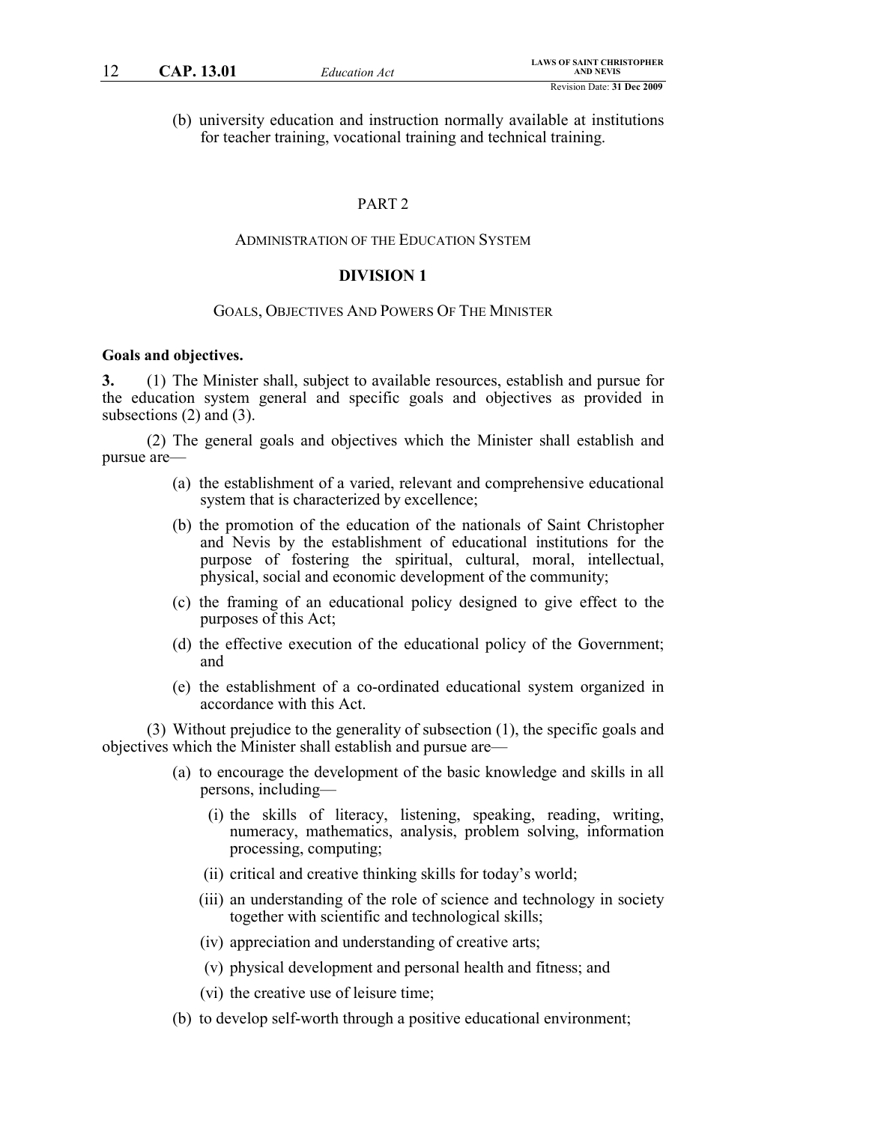(b) university education and instruction normally available at institutions for teacher training, vocational training and technical training.

### PART 2

#### ADMINISTRATION OF THE EDUCATION SYSTEM

# **DIVISION 1**

#### GOALS, OBJECTIVES AND POWERS OF THE MINISTER

#### **Goals and objectives.**

**3.** (1) The Minister shall, subject to available resources, establish and pursue for the education system general and specific goals and objectives as provided in subsections (2) and (3).

(2) The general goals and objectives which the Minister shall establish and pursue are—

- (a) the establishment of a varied, relevant and comprehensive educational system that is characterized by excellence;
- (b) the promotion of the education of the nationals of Saint Christopher and Nevis by the establishment of educational institutions for the purpose of fostering the spiritual, cultural, moral, intellectual, physical, social and economic development of the community;
- (c) the framing of an educational policy designed to give effect to the purposes of this Act;
- (d) the effective execution of the educational policy of the Government; and
- (e) the establishment of a co-ordinated educational system organized in accordance with this Act.

(3) Without prejudice to the generality of subsection (1), the specific goals and objectives which the Minister shall establish and pursue are—

- (a) to encourage the development of the basic knowledge and skills in all persons, including—
	- (i) the skills of literacy, listening, speaking, reading, writing, numeracy, mathematics, analysis, problem solving, information processing, computing;
	- (ii) critical and creative thinking skills for today's world;
	- (iii) an understanding of the role of science and technology in society together with scientific and technological skills;
	- (iv) appreciation and understanding of creative arts;
	- (v) physical development and personal health and fitness; and
	- (vi) the creative use of leisure time;
- (b) to develop self-worth through a positive educational environment;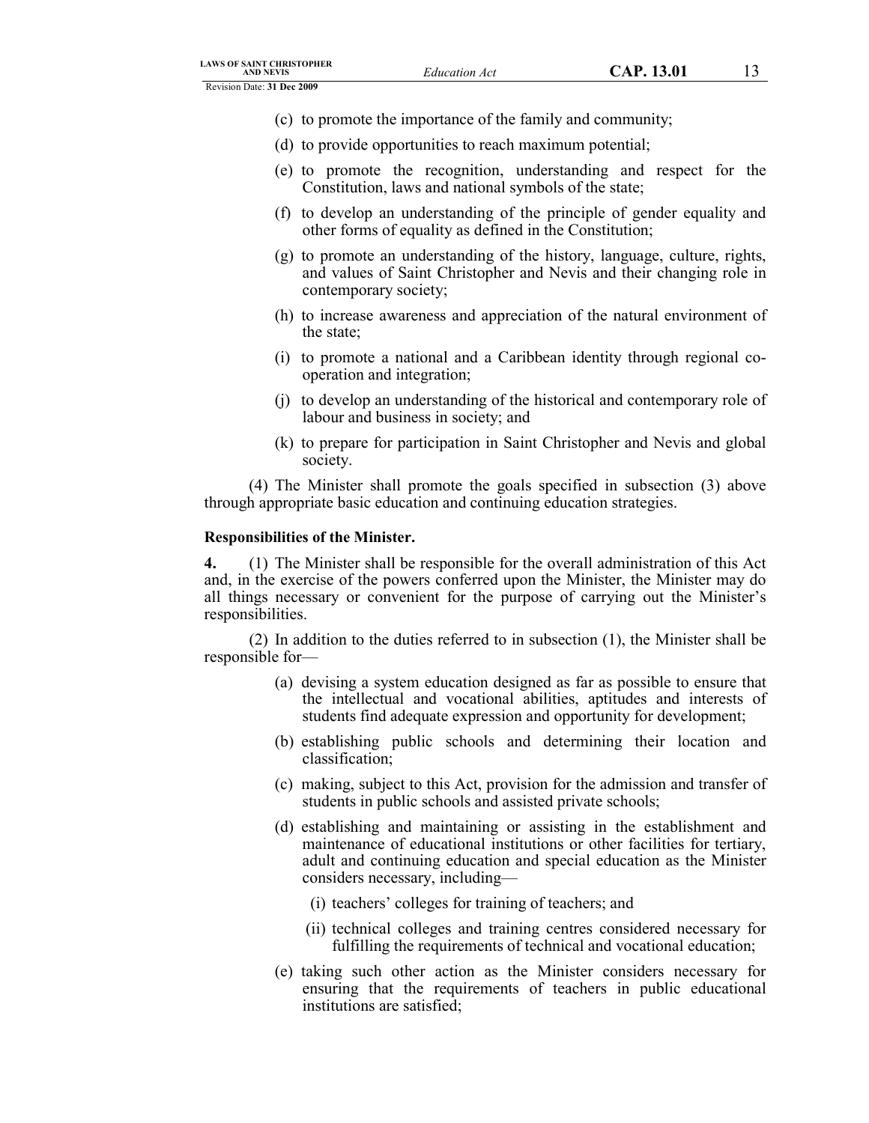- (c) to promote the importance of the family and community;
- (d) to provide opportunities to reach maximum potential;
- (e) to promote the recognition, understanding and respect for the Constitution, laws and national symbols of the state;
- (f) to develop an understanding of the principle of gender equality and other forms of equality as defined in the Constitution;
- (g) to promote an understanding of the history, language, culture, rights, and values of Saint Christopher and Nevis and their changing role in contemporary society;
- (h) to increase awareness and appreciation of the natural environment of the state;
- (i) to promote a national and a Caribbean identity through regional cooperation and integration;
- (j) to develop an understanding of the historical and contemporary role of labour and business in society; and
- (k) to prepare for participation in Saint Christopher and Nevis and global society.

(4) The Minister shall promote the goals specified in subsection (3) above through appropriate basic education and continuing education strategies.

### **Responsibilities of the Minister.**

**4.** (1) The Minister shall be responsible for the overall administration of this Act and, in the exercise of the powers conferred upon the Minister, the Minister may do all things necessary or convenient for the purpose of carrying out the Minister's responsibilities.

(2) In addition to the duties referred to in subsection (1), the Minister shall be responsible for—

- (a) devising a system education designed as far as possible to ensure that the intellectual and vocational abilities, aptitudes and interests of students find adequate expression and opportunity for development;
- (b) establishing public schools and determining their location and classification;
- (c) making, subject to this Act, provision for the admission and transfer of students in public schools and assisted private schools;
- (d) establishing and maintaining or assisting in the establishment and maintenance of educational institutions or other facilities for tertiary, adult and continuing education and special education as the Minister considers necessary, including—
	- (i) teachers' colleges for training of teachers; and
	- (ii) technical colleges and training centres considered necessary for fulfilling the requirements of technical and vocational education;
- (e) taking such other action as the Minister considers necessary for ensuring that the requirements of teachers in public educational institutions are satisfied;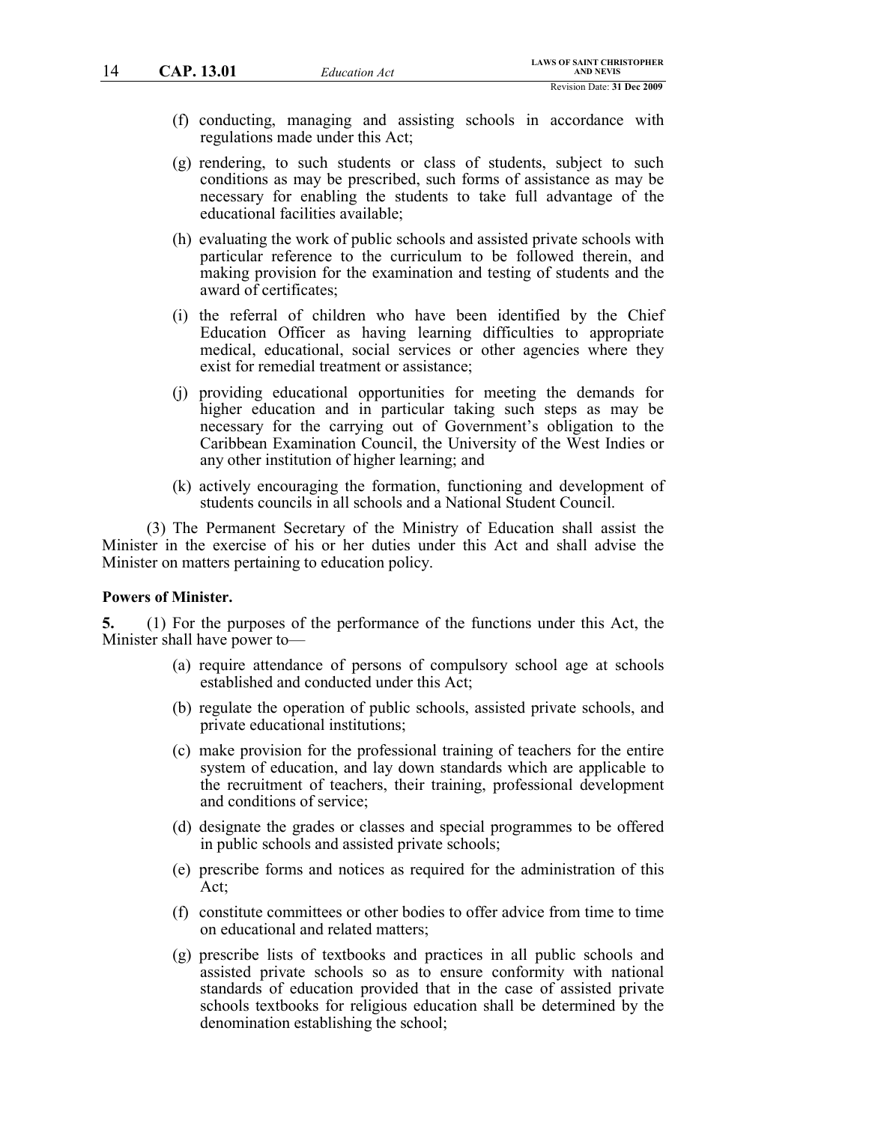- (f) conducting, managing and assisting schools in accordance with regulations made under this Act;
- (g) rendering, to such students or class of students, subject to such conditions as may be prescribed, such forms of assistance as may be necessary for enabling the students to take full advantage of the educational facilities available;
- (h) evaluating the work of public schools and assisted private schools with particular reference to the curriculum to be followed therein, and making provision for the examination and testing of students and the award of certificates;
- (i) the referral of children who have been identified by the Chief Education Officer as having learning difficulties to appropriate medical, educational, social services or other agencies where they exist for remedial treatment or assistance;
- (j) providing educational opportunities for meeting the demands for higher education and in particular taking such steps as may be necessary for the carrying out of Government's obligation to the Caribbean Examination Council, the University of the West Indies or any other institution of higher learning; and
- (k) actively encouraging the formation, functioning and development of students councils in all schools and a National Student Council.

(3) The Permanent Secretary of the Ministry of Education shall assist the Minister in the exercise of his or her duties under this Act and shall advise the Minister on matters pertaining to education policy.

#### **Powers of Minister.**

**5.** (1) For the purposes of the performance of the functions under this Act, the Minister shall have power to—

- (a) require attendance of persons of compulsory school age at schools established and conducted under this Act;
- (b) regulate the operation of public schools, assisted private schools, and private educational institutions;
- (c) make provision for the professional training of teachers for the entire system of education, and lay down standards which are applicable to the recruitment of teachers, their training, professional development and conditions of service;
- (d) designate the grades or classes and special programmes to be offered in public schools and assisted private schools;
- (e) prescribe forms and notices as required for the administration of this Act;
- (f) constitute committees or other bodies to offer advice from time to time on educational and related matters;
- (g) prescribe lists of textbooks and practices in all public schools and assisted private schools so as to ensure conformity with national standards of education provided that in the case of assisted private schools textbooks for religious education shall be determined by the denomination establishing the school;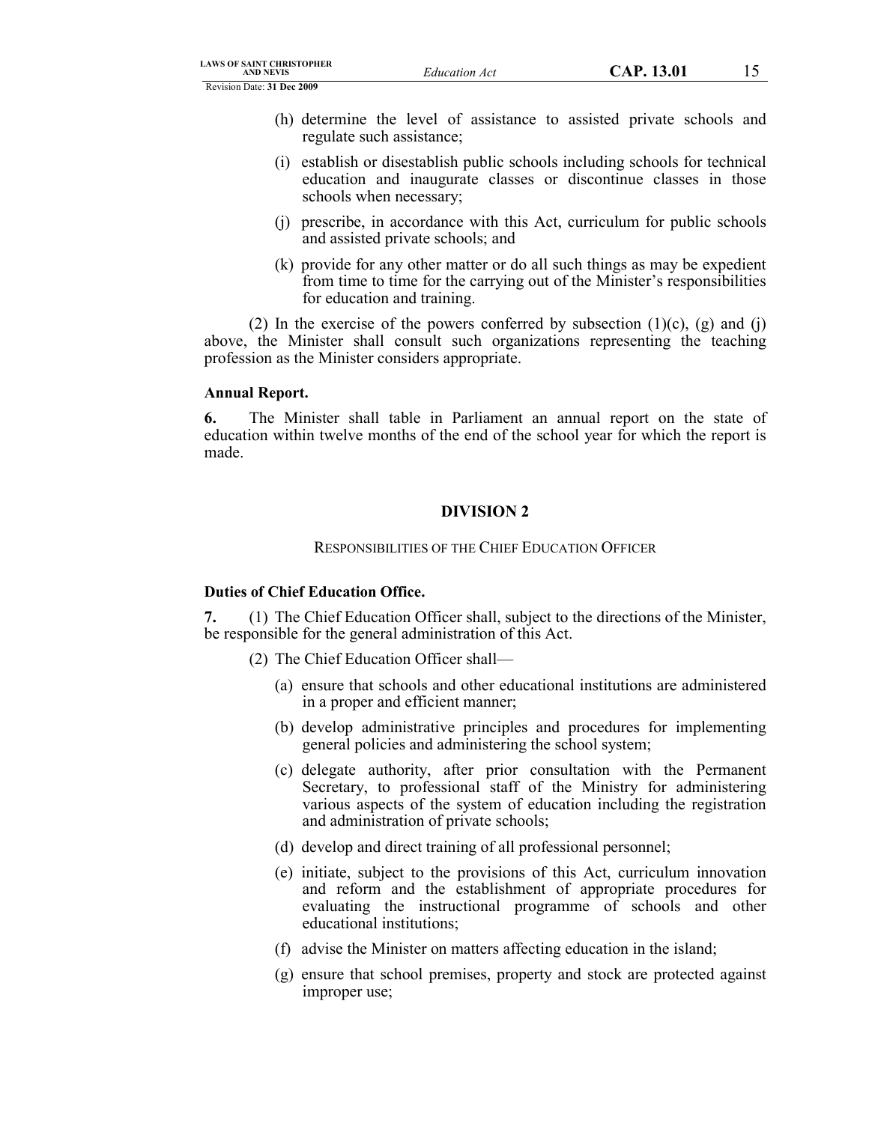- (h) determine the level of assistance to assisted private schools and regulate such assistance;
- (i) establish or disestablish public schools including schools for technical education and inaugurate classes or discontinue classes in those schools when necessary;
- (j) prescribe, in accordance with this Act, curriculum for public schools and assisted private schools; and
- (k) provide for any other matter or do all such things as may be expedient from time to time for the carrying out of the Minister's responsibilities for education and training.

(2) In the exercise of the powers conferred by subsection  $(1)(c)$ ,  $(g)$  and  $(i)$ above, the Minister shall consult such organizations representing the teaching profession as the Minister considers appropriate.

#### **Annual Report.**

**6.** The Minister shall table in Parliament an annual report on the state of education within twelve months of the end of the school year for which the report is made.

# **DIVISION 2**

#### RESPONSIBILITIES OF THE CHIEF EDUCATION OFFICER

### **Duties of Chief Education Office.**

**7.** (1) The Chief Education Officer shall, subject to the directions of the Minister, be responsible for the general administration of this Act.

- (2) The Chief Education Officer shall—
	- (a) ensure that schools and other educational institutions are administered in a proper and efficient manner;
	- (b) develop administrative principles and procedures for implementing general policies and administering the school system;
	- (c) delegate authority, after prior consultation with the Permanent Secretary, to professional staff of the Ministry for administering various aspects of the system of education including the registration and administration of private schools;
	- (d) develop and direct training of all professional personnel;
	- (e) initiate, subject to the provisions of this Act, curriculum innovation and reform and the establishment of appropriate procedures for evaluating the instructional programme of schools and other educational institutions;
	- (f) advise the Minister on matters affecting education in the island;
	- (g) ensure that school premises, property and stock are protected against improper use;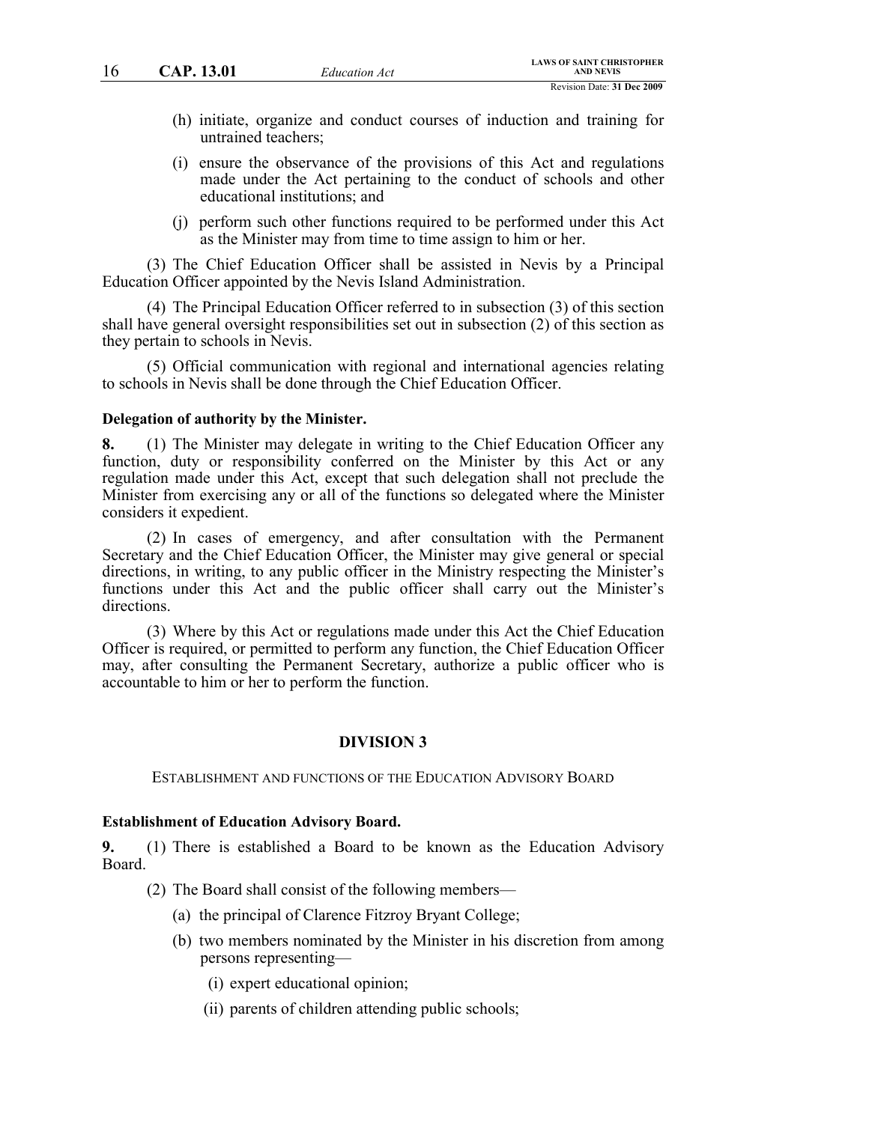- (h) initiate, organize and conduct courses of induction and training for untrained teachers;
- (i) ensure the observance of the provisions of this Act and regulations made under the Act pertaining to the conduct of schools and other educational institutions; and
- (j) perform such other functions required to be performed under this Act as the Minister may from time to time assign to him or her.

(3) The Chief Education Officer shall be assisted in Nevis by a Principal Education Officer appointed by the Nevis Island Administration.

(4) The Principal Education Officer referred to in subsection (3) of this section shall have general oversight responsibilities set out in subsection (2) of this section as they pertain to schools in Nevis.

(5) Official communication with regional and international agencies relating to schools in Nevis shall be done through the Chief Education Officer.

#### **Delegation of authority by the Minister.**

**8.** (1) The Minister may delegate in writing to the Chief Education Officer any function, duty or responsibility conferred on the Minister by this Act or any regulation made under this Act, except that such delegation shall not preclude the Minister from exercising any or all of the functions so delegated where the Minister considers it expedient.

(2) In cases of emergency, and after consultation with the Permanent Secretary and the Chief Education Officer, the Minister may give general or special directions, in writing, to any public officer in the Ministry respecting the Minister's functions under this Act and the public officer shall carry out the Minister's directions.

(3) Where by this Act or regulations made under this Act the Chief Education Officer is required, or permitted to perform any function, the Chief Education Officer may, after consulting the Permanent Secretary, authorize a public officer who is accountable to him or her to perform the function.

### **DIVISION 3**

#### ESTABLISHMENT AND FUNCTIONS OF THE EDUCATION ADVISORY BOARD

#### **Establishment of Education Advisory Board.**

**9.** (1) There is established a Board to be known as the Education Advisory Board.

(2) The Board shall consist of the following members—

- (a) the principal of Clarence Fitzroy Bryant College;
- (b) two members nominated by the Minister in his discretion from among persons representing—
	- (i) expert educational opinion;
	- (ii) parents of children attending public schools;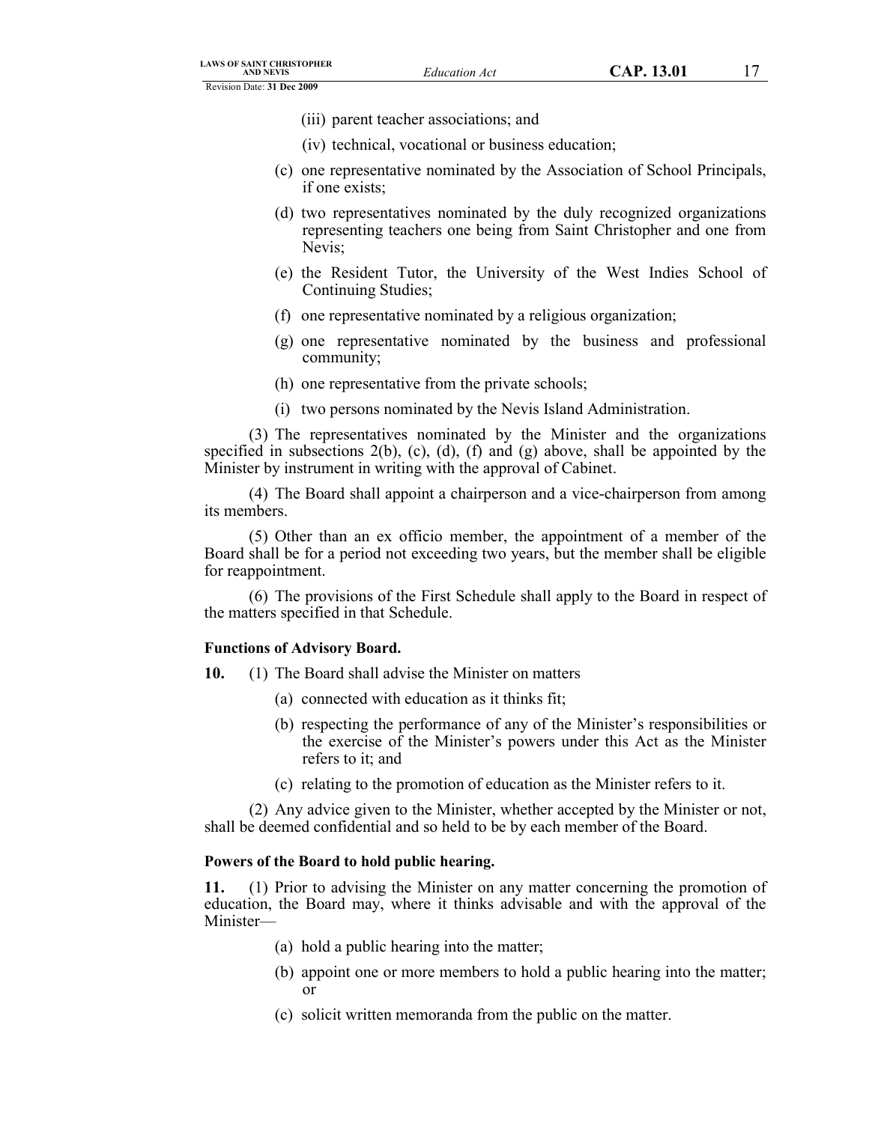- (iii) parent teacher associations; and
- (iv) technical, vocational or business education;
- (c) one representative nominated by the Association of School Principals, if one exists;
- (d) two representatives nominated by the duly recognized organizations representing teachers one being from Saint Christopher and one from Nevis;
- (e) the Resident Tutor, the University of the West Indies School of Continuing Studies;
- (f) one representative nominated by a religious organization;
- (g) one representative nominated by the business and professional community;
- (h) one representative from the private schools;
- (i) two persons nominated by the Nevis Island Administration.

(3) The representatives nominated by the Minister and the organizations specified in subsections  $2(b)$ , (c), (d), (f) and (g) above, shall be appointed by the Minister by instrument in writing with the approval of Cabinet.

(4) The Board shall appoint a chairperson and a vice-chairperson from among its members.

(5) Other than an ex officio member, the appointment of a member of the Board shall be for a period not exceeding two years, but the member shall be eligible for reappointment.

(6) The provisions of the First Schedule shall apply to the Board in respect of the matters specified in that Schedule.

#### **Functions of Advisory Board.**

- **10.** (1) The Board shall advise the Minister on matters
	- (a) connected with education as it thinks fit;
	- (b) respecting the performance of any of the Minister's responsibilities or the exercise of the Minister's powers under this Act as the Minister refers to it; and
	- (c) relating to the promotion of education as the Minister refers to it.

(2) Any advice given to the Minister, whether accepted by the Minister or not, shall be deemed confidential and so held to be by each member of the Board.

### **Powers of the Board to hold public hearing.**

**11.** (1) Prior to advising the Minister on any matter concerning the promotion of education, the Board may, where it thinks advisable and with the approval of the Minister—

- (a) hold a public hearing into the matter;
- (b) appoint one or more members to hold a public hearing into the matter; or
- (c) solicit written memoranda from the public on the matter.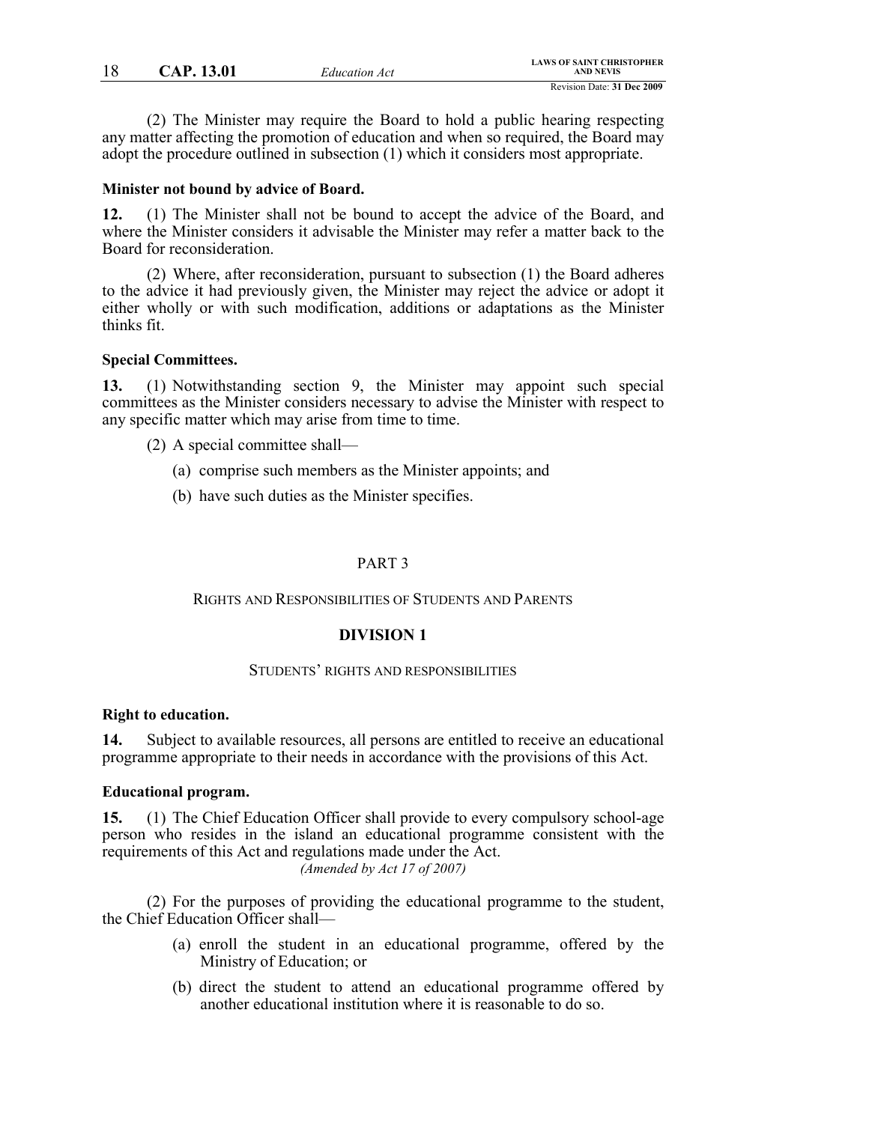(2) The Minister may require the Board to hold a public hearing respecting any matter affecting the promotion of education and when so required, the Board may adopt the procedure outlined in subsection (1) which it considers most appropriate.

#### **Minister not bound by advice of Board.**

**12.** (1) The Minister shall not be bound to accept the advice of the Board, and where the Minister considers it advisable the Minister may refer a matter back to the Board for reconsideration.

(2) Where, after reconsideration, pursuant to subsection (1) the Board adheres to the advice it had previously given, the Minister may reject the advice or adopt it either wholly or with such modification, additions or adaptations as the Minister thinks fit.

#### **Special Committees.**

**13.** (1) Notwithstanding section 9, the Minister may appoint such special committees as the Minister considers necessary to advise the Minister with respect to any specific matter which may arise from time to time.

- (2) A special committee shall—
	- (a) comprise such members as the Minister appoints; and
	- (b) have such duties as the Minister specifies.

### PART 3

#### RIGHTS AND RESPONSIBILITIES OF STUDENTS AND PARENTS

# **DIVISION 1**

### STUDENTS' RIGHTS AND RESPONSIBILITIES

#### **Right to education.**

**14.** Subject to available resources, all persons are entitled to receive an educational programme appropriate to their needs in accordance with the provisions of this Act.

### **Educational program.**

**15.** (1) The Chief Education Officer shall provide to every compulsory school-age person who resides in the island an educational programme consistent with the requirements of this Act and regulations made under the Act. *(Amended by Act 17 of 2007)*

(2) For the purposes of providing the educational programme to the student, the Chief Education Officer shall—

- (a) enroll the student in an educational programme, offered by the Ministry of Education; or
- (b) direct the student to attend an educational programme offered by another educational institution where it is reasonable to do so.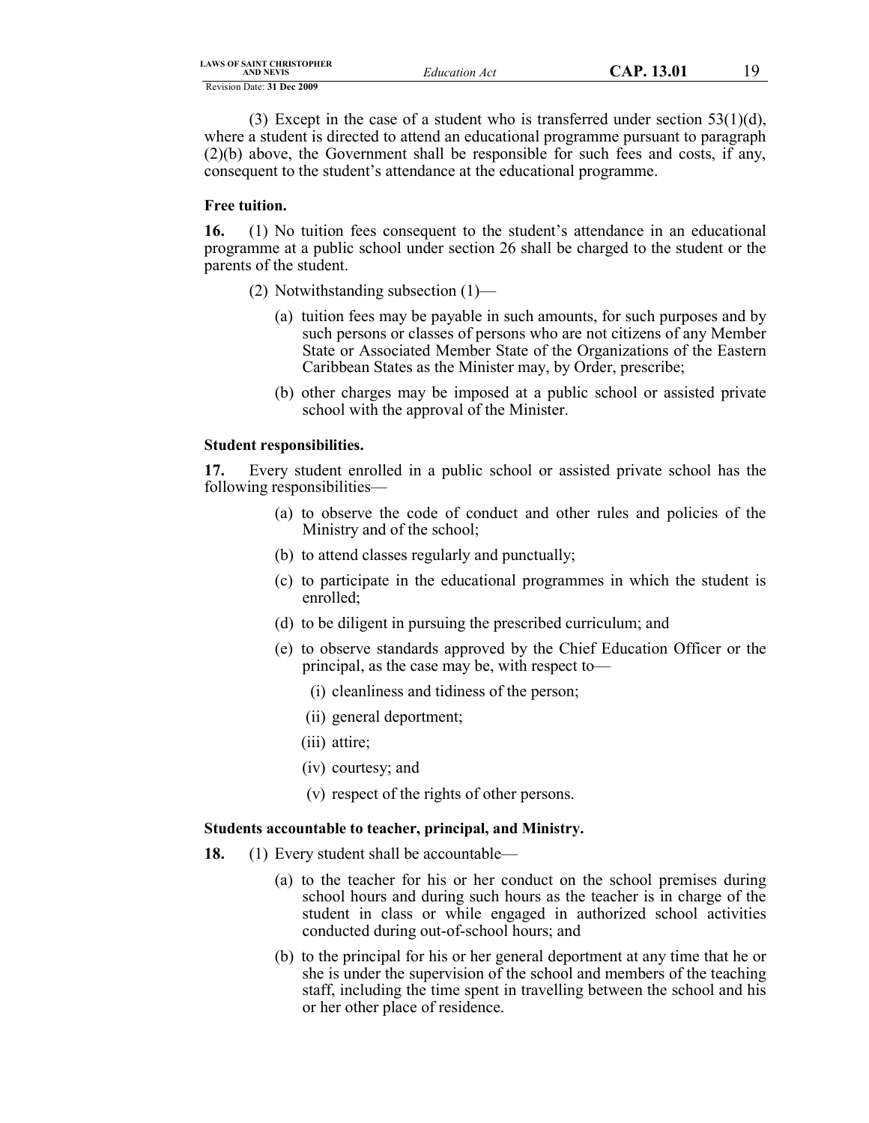| <b>LAWS OF SAINT CHRISTOPHER</b> |
|----------------------------------|
| <b>AND NEVIS</b>                 |

(3) Except in the case of a student who is transferred under section  $53(1)(d)$ , where a student is directed to attend an educational programme pursuant to paragraph (2)(b) above, the Government shall be responsible for such fees and costs, if any, consequent to the student's attendance at the educational programme.

# **Free tuition.**

**16.** (1) No tuition fees consequent to the student's attendance in an educational programme at a public school under section 26 shall be charged to the student or the parents of the student.

- (2) Notwithstanding subsection (1)—
	- (a) tuition fees may be payable in such amounts, for such purposes and by such persons or classes of persons who are not citizens of any Member State or Associated Member State of the Organizations of the Eastern Caribbean States as the Minister may, by Order, prescribe;
	- (b) other charges may be imposed at a public school or assisted private school with the approval of the Minister.

# **Student responsibilities.**

**17.** Every student enrolled in a public school or assisted private school has the following responsibilities—

- (a) to observe the code of conduct and other rules and policies of the Ministry and of the school;
- (b) to attend classes regularly and punctually;
- (c) to participate in the educational programmes in which the student is enrolled;
- (d) to be diligent in pursuing the prescribed curriculum; and
- (e) to observe standards approved by the Chief Education Officer or the principal, as the case may be, with respect to—
	- (i) cleanliness and tidiness of the person;
	- (ii) general deportment;
	- (iii) attire;
	- (iv) courtesy; and
	- (v) respect of the rights of other persons.

# **Students accountable to teacher, principal, and Ministry.**

- **18.** (1) Every student shall be accountable—
	- (a) to the teacher for his or her conduct on the school premises during school hours and during such hours as the teacher is in charge of the student in class or while engaged in authorized school activities conducted during out-of-school hours; and
	- (b) to the principal for his or her general deportment at any time that he or she is under the supervision of the school and members of the teaching staff, including the time spent in travelling between the school and his or her other place of residence.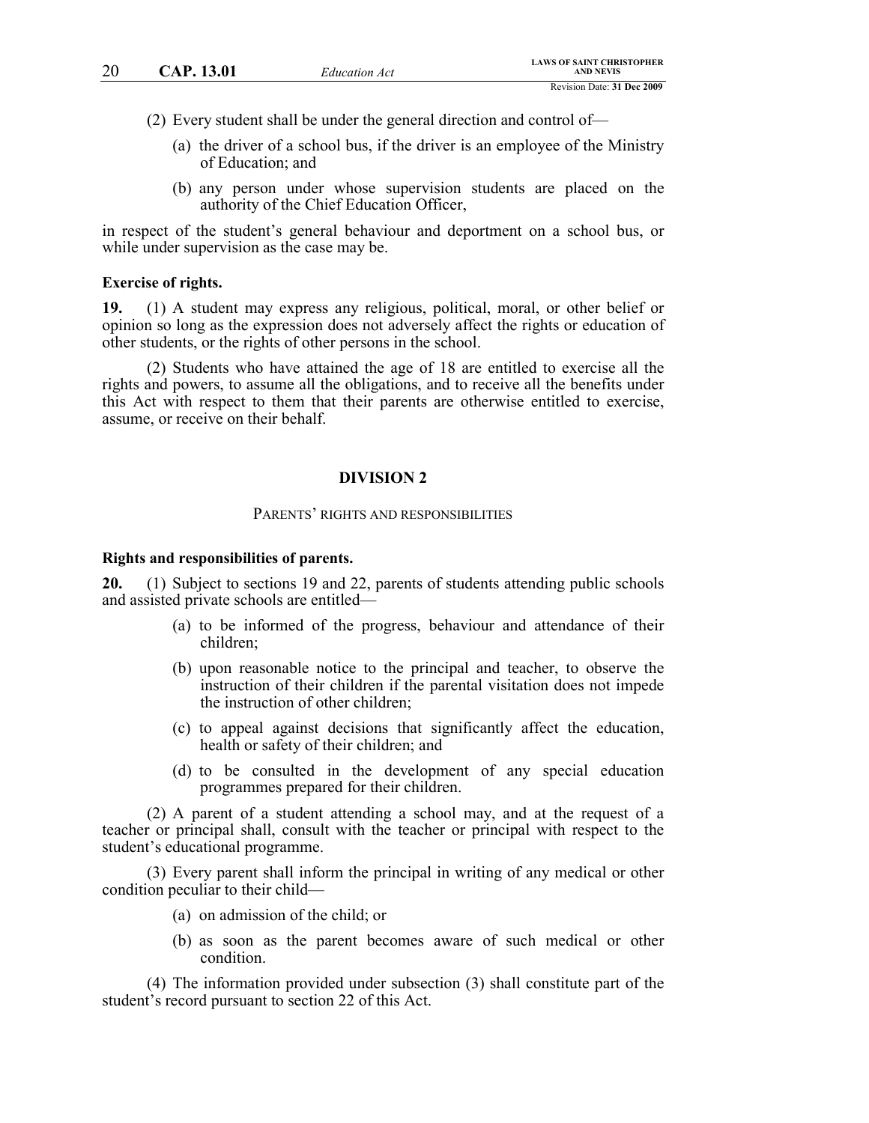(2) Every student shall be under the general direction and control of—

- (a) the driver of a school bus, if the driver is an employee of the Ministry of Education; and
- (b) any person under whose supervision students are placed on the authority of the Chief Education Officer,

in respect of the student's general behaviour and deportment on a school bus, or while under supervision as the case may be.

#### **Exercise of rights.**

**19.** (1) A student may express any religious, political, moral, or other belief or opinion so long as the expression does not adversely affect the rights or education of other students, or the rights of other persons in the school.

(2) Students who have attained the age of 18 are entitled to exercise all the rights and powers, to assume all the obligations, and to receive all the benefits under this Act with respect to them that their parents are otherwise entitled to exercise, assume, or receive on their behalf.

#### **DIVISION 2**

#### PARENTS' RIGHTS AND RESPONSIBILITIES

#### **Rights and responsibilities of parents.**

**20.** (1) Subject to sections 19 and 22, parents of students attending public schools and assisted private schools are entitled—

- (a) to be informed of the progress, behaviour and attendance of their children;
- (b) upon reasonable notice to the principal and teacher, to observe the instruction of their children if the parental visitation does not impede the instruction of other children;
- (c) to appeal against decisions that significantly affect the education, health or safety of their children; and
- (d) to be consulted in the development of any special education programmes prepared for their children.

(2) A parent of a student attending a school may, and at the request of a teacher or principal shall, consult with the teacher or principal with respect to the student's educational programme.

(3) Every parent shall inform the principal in writing of any medical or other condition peculiar to their child—

- (a) on admission of the child; or
- (b) as soon as the parent becomes aware of such medical or other condition.

(4) The information provided under subsection (3) shall constitute part of the student's record pursuant to section 22 of this Act.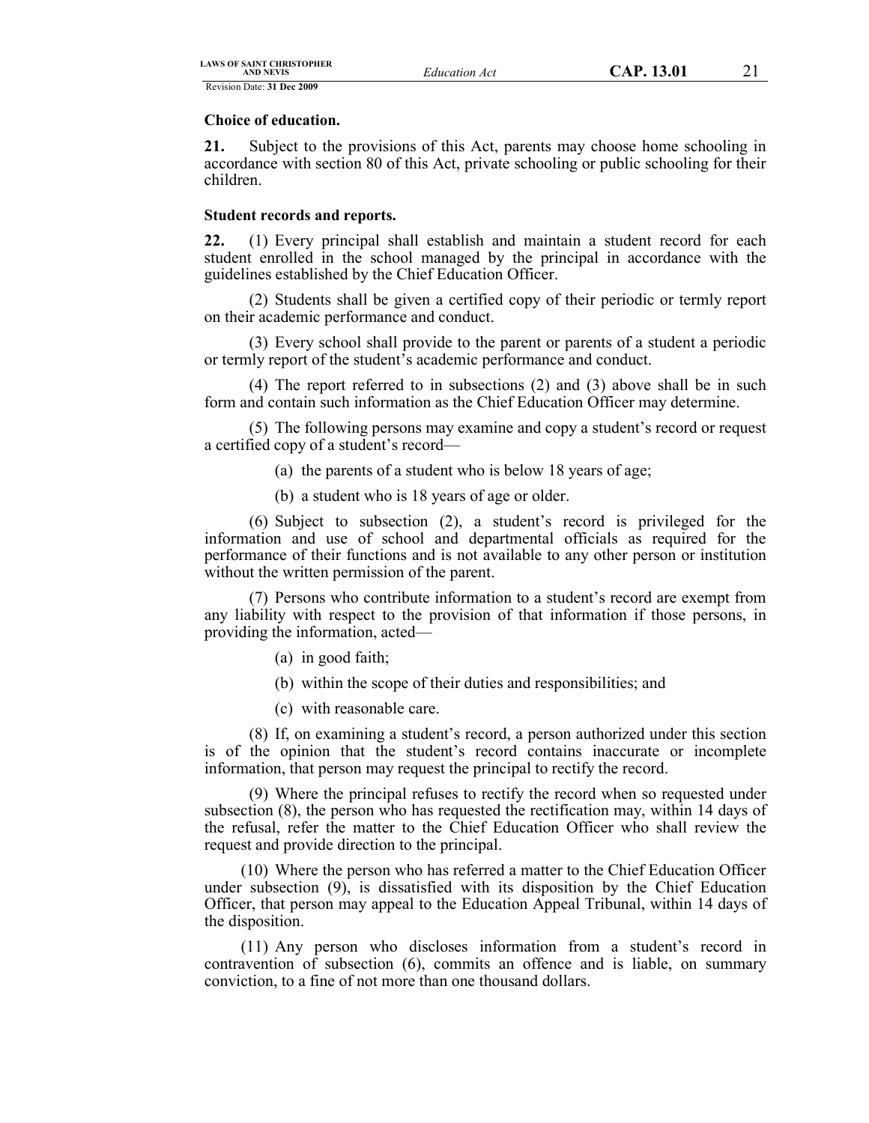### **Choice of education.**

**21.** Subject to the provisions of this Act, parents may choose home schooling in accordance with section 80 of this Act, private schooling or public schooling for their children.

# **Student records and reports.**

**22.** (1) Every principal shall establish and maintain a student record for each student enrolled in the school managed by the principal in accordance with the guidelines established by the Chief Education Officer.

(2) Students shall be given a certified copy of their periodic or termly report on their academic performance and conduct.

(3) Every school shall provide to the parent or parents of a student a periodic or termly report of the student's academic performance and conduct.

(4) The report referred to in subsections (2) and (3) above shall be in such form and contain such information as the Chief Education Officer may determine.

(5) The following persons may examine and copy a student's record or request a certified copy of a student's record—

(a) the parents of a student who is below 18 years of age;

(b) a student who is 18 years of age or older.

(6) Subject to subsection (2), a student's record is privileged for the information and use of school and departmental officials as required for the performance of their functions and is not available to any other person or institution without the written permission of the parent.

(7) Persons who contribute information to a student's record are exempt from any liability with respect to the provision of that information if those persons, in providing the information, acted—

- (a) in good faith;
- (b) within the scope of their duties and responsibilities; and
- (c) with reasonable care.

(8) If, on examining a student's record, a person authorized under this section is of the opinion that the student's record contains inaccurate or incomplete information, that person may request the principal to rectify the record.

(9) Where the principal refuses to rectify the record when so requested under subsection (8), the person who has requested the rectification may, within 14 days of the refusal, refer the matter to the Chief Education Officer who shall review the request and provide direction to the principal.

(10) Where the person who has referred a matter to the Chief Education Officer under subsection (9), is dissatisfied with its disposition by the Chief Education Officer, that person may appeal to the Education Appeal Tribunal, within 14 days of the disposition.

(11) Any person who discloses information from a student's record in contravention of subsection (6), commits an offence and is liable, on summary conviction, to a fine of not more than one thousand dollars.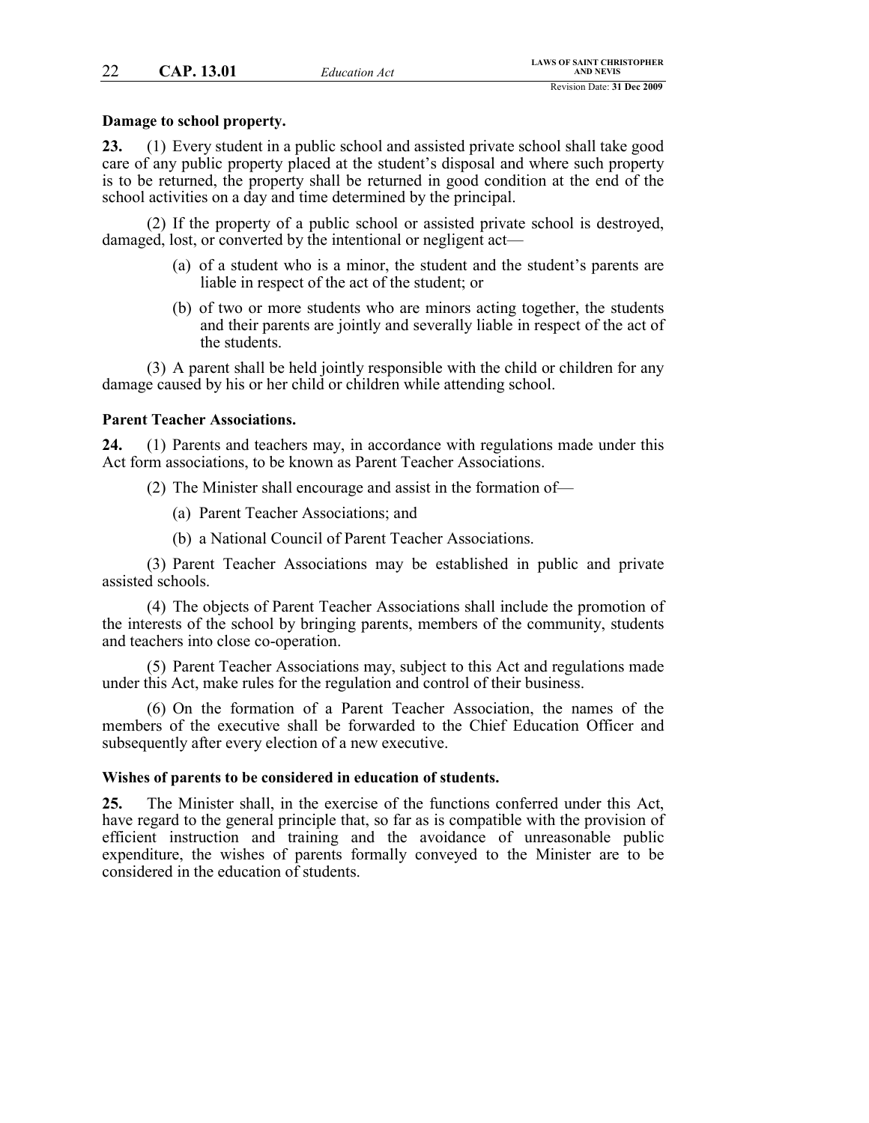# **Damage to school property.**

**23.** (1) Every student in a public school and assisted private school shall take good care of any public property placed at the student's disposal and where such property is to be returned, the property shall be returned in good condition at the end of the school activities on a day and time determined by the principal.

(2) If the property of a public school or assisted private school is destroyed, damaged, lost, or converted by the intentional or negligent act—

- (a) of a student who is a minor, the student and the student's parents are liable in respect of the act of the student; or
- (b) of two or more students who are minors acting together, the students and their parents are jointly and severally liable in respect of the act of the students.

(3) A parent shall be held jointly responsible with the child or children for any damage caused by his or her child or children while attending school.

# **Parent Teacher Associations.**

**24.** (1) Parents and teachers may, in accordance with regulations made under this Act form associations, to be known as Parent Teacher Associations.

(2) The Minister shall encourage and assist in the formation of—

- (a) Parent Teacher Associations; and
- (b) a National Council of Parent Teacher Associations.

(3) Parent Teacher Associations may be established in public and private assisted schools.

(4) The objects of Parent Teacher Associations shall include the promotion of the interests of the school by bringing parents, members of the community, students and teachers into close co-operation.

(5) Parent Teacher Associations may, subject to this Act and regulations made under this Act, make rules for the regulation and control of their business.

(6) On the formation of a Parent Teacher Association, the names of the members of the executive shall be forwarded to the Chief Education Officer and subsequently after every election of a new executive.

#### **Wishes of parents to be considered in education of students.**

**25.** The Minister shall, in the exercise of the functions conferred under this Act, have regard to the general principle that, so far as is compatible with the provision of efficient instruction and training and the avoidance of unreasonable public expenditure, the wishes of parents formally conveyed to the Minister are to be considered in the education of students.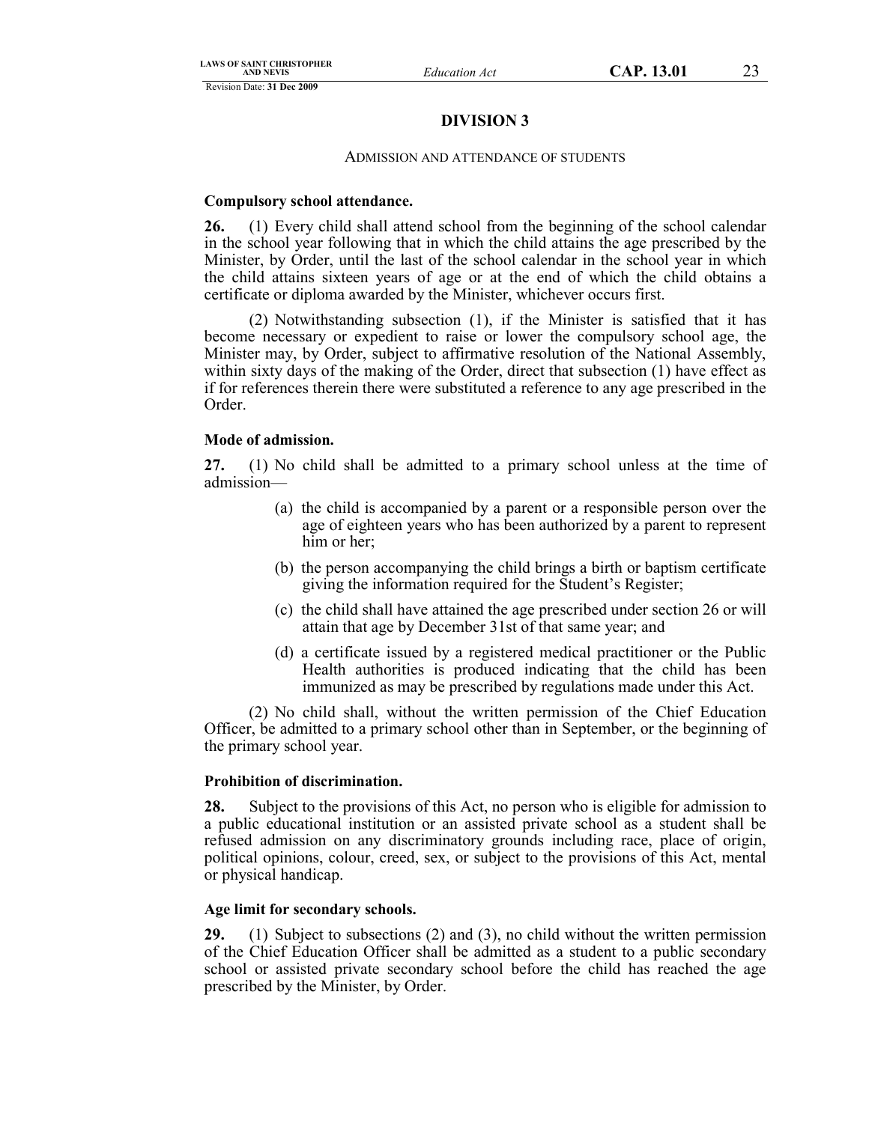# **DIVISION 3**

### ADMISSION AND ATTENDANCE OF STUDENTS

# **Compulsory school attendance.**

**26.** (1) Every child shall attend school from the beginning of the school calendar in the school year following that in which the child attains the age prescribed by the Minister, by Order, until the last of the school calendar in the school year in which the child attains sixteen years of age or at the end of which the child obtains a certificate or diploma awarded by the Minister, whichever occurs first.

(2) Notwithstanding subsection (1), if the Minister is satisfied that it has become necessary or expedient to raise or lower the compulsory school age, the Minister may, by Order, subject to affirmative resolution of the National Assembly, within sixty days of the making of the Order, direct that subsection (1) have effect as if for references therein there were substituted a reference to any age prescribed in the Order.

# **Mode of admission.**

**27.** (1) No child shall be admitted to a primary school unless at the time of admission—

- (a) the child is accompanied by a parent or a responsible person over the age of eighteen years who has been authorized by a parent to represent him or her;
- (b) the person accompanying the child brings a birth or baptism certificate giving the information required for the Student's Register;
- (c) the child shall have attained the age prescribed under section 26 or will attain that age by December 31st of that same year; and
- (d) a certificate issued by a registered medical practitioner or the Public Health authorities is produced indicating that the child has been immunized as may be prescribed by regulations made under this Act.

(2) No child shall, without the written permission of the Chief Education Officer, be admitted to a primary school other than in September, or the beginning of the primary school year.

# **Prohibition of discrimination.**

**28.** Subject to the provisions of this Act, no person who is eligible for admission to a public educational institution or an assisted private school as a student shall be refused admission on any discriminatory grounds including race, place of origin, political opinions, colour, creed, sex, or subject to the provisions of this Act, mental or physical handicap.

### **Age limit for secondary schools.**

**29.** (1) Subject to subsections (2) and (3), no child without the written permission of the Chief Education Officer shall be admitted as a student to a public secondary school or assisted private secondary school before the child has reached the age prescribed by the Minister, by Order.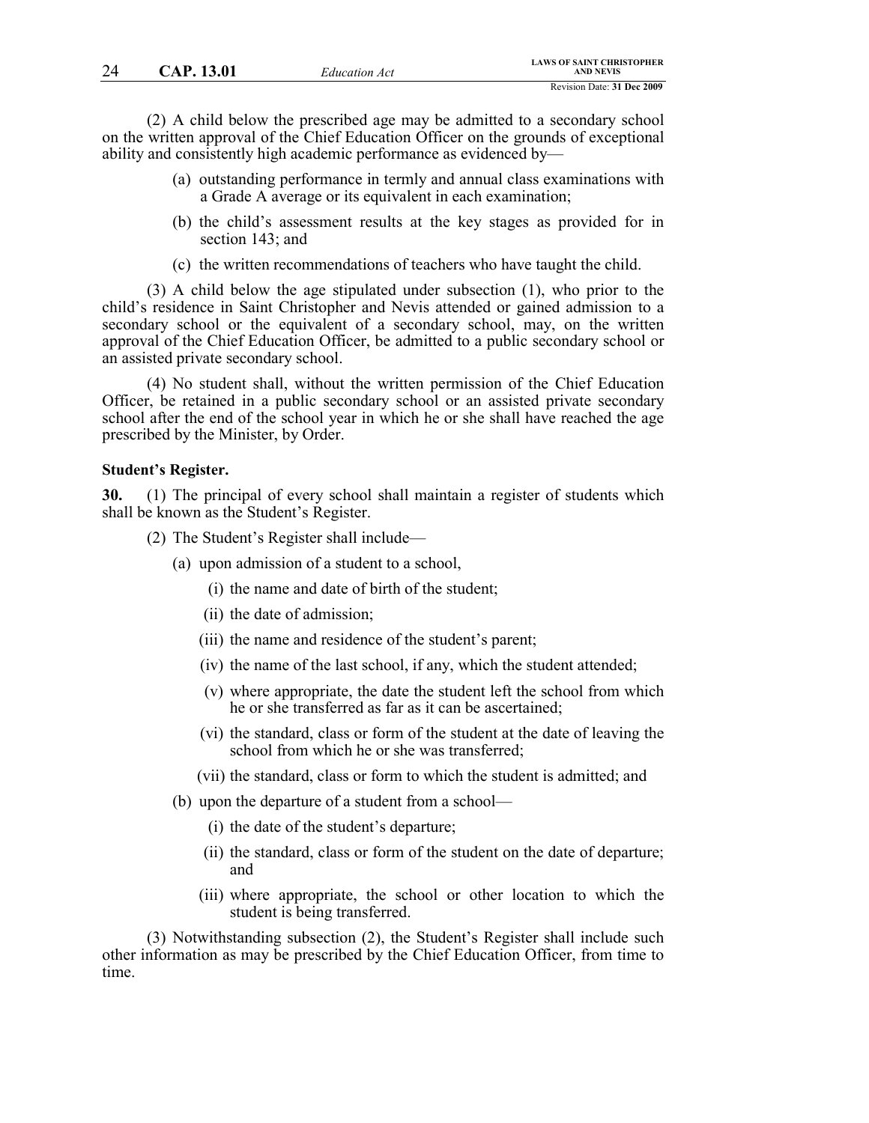(2) A child below the prescribed age may be admitted to a secondary school on the written approval of the Chief Education Officer on the grounds of exceptional ability and consistently high academic performance as evidenced by—

- (a) outstanding performance in termly and annual class examinations with a Grade A average or its equivalent in each examination;
- (b) the child's assessment results at the key stages as provided for in section 143; and
- (c) the written recommendations of teachers who have taught the child.

(3) A child below the age stipulated under subsection (1), who prior to the child's residence in Saint Christopher and Nevis attended or gained admission to a secondary school or the equivalent of a secondary school, may, on the written approval of the Chief Education Officer, be admitted to a public secondary school or an assisted private secondary school.

(4) No student shall, without the written permission of the Chief Education Officer, be retained in a public secondary school or an assisted private secondary school after the end of the school year in which he or she shall have reached the age prescribed by the Minister, by Order.

#### **Student's Register.**

**30.** (1) The principal of every school shall maintain a register of students which shall be known as the Student's Register.

- (2) The Student's Register shall include—
	- (a) upon admission of a student to a school,
		- (i) the name and date of birth of the student;
		- (ii) the date of admission;
		- (iii) the name and residence of the student's parent;
		- (iv) the name of the last school, if any, which the student attended;
		- (v) where appropriate, the date the student left the school from which he or she transferred as far as it can be ascertained;
		- (vi) the standard, class or form of the student at the date of leaving the school from which he or she was transferred;
		- (vii) the standard, class or form to which the student is admitted; and
	- (b) upon the departure of a student from a school—
		- (i) the date of the student's departure;
		- (ii) the standard, class or form of the student on the date of departure; and
		- (iii) where appropriate, the school or other location to which the student is being transferred.

(3) Notwithstanding subsection (2), the Student's Register shall include such other information as may be prescribed by the Chief Education Officer, from time to time.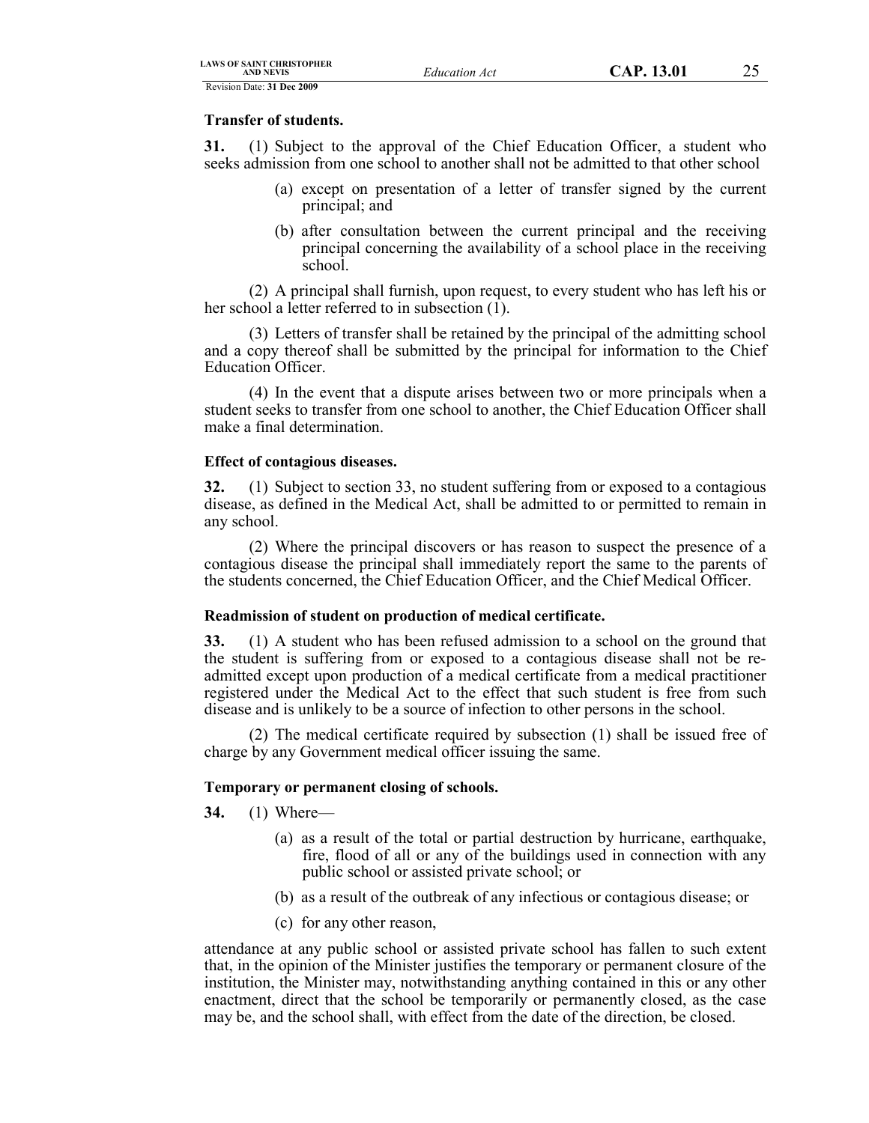### **Transfer of students.**

**31.** (1) Subject to the approval of the Chief Education Officer, a student who seeks admission from one school to another shall not be admitted to that other school

- (a) except on presentation of a letter of transfer signed by the current principal; and
- (b) after consultation between the current principal and the receiving principal concerning the availability of a school place in the receiving school.

(2) A principal shall furnish, upon request, to every student who has left his or her school a letter referred to in subsection (1).

(3) Letters of transfer shall be retained by the principal of the admitting school and a copy thereof shall be submitted by the principal for information to the Chief Education Officer.

(4) In the event that a dispute arises between two or more principals when a student seeks to transfer from one school to another, the Chief Education Officer shall make a final determination.

#### **Effect of contagious diseases.**

**32.** (1) Subject to section 33, no student suffering from or exposed to a contagious disease, as defined in the Medical Act, shall be admitted to or permitted to remain in any school.

(2) Where the principal discovers or has reason to suspect the presence of a contagious disease the principal shall immediately report the same to the parents of the students concerned, the Chief Education Officer, and the Chief Medical Officer.

### **Readmission of student on production of medical certificate.**

**33.** (1) A student who has been refused admission to a school on the ground that the student is suffering from or exposed to a contagious disease shall not be readmitted except upon production of a medical certificate from a medical practitioner registered under the Medical Act to the effect that such student is free from such disease and is unlikely to be a source of infection to other persons in the school.

(2) The medical certificate required by subsection (1) shall be issued free of charge by any Government medical officer issuing the same.

### **Temporary or permanent closing of schools.**

- **34.** (1) Where—
	- (a) as a result of the total or partial destruction by hurricane, earthquake, fire, flood of all or any of the buildings used in connection with any public school or assisted private school; or
	- (b) as a result of the outbreak of any infectious or contagious disease; or
	- (c) for any other reason,

attendance at any public school or assisted private school has fallen to such extent that, in the opinion of the Minister justifies the temporary or permanent closure of the institution, the Minister may, notwithstanding anything contained in this or any other enactment, direct that the school be temporarily or permanently closed, as the case may be, and the school shall, with effect from the date of the direction, be closed.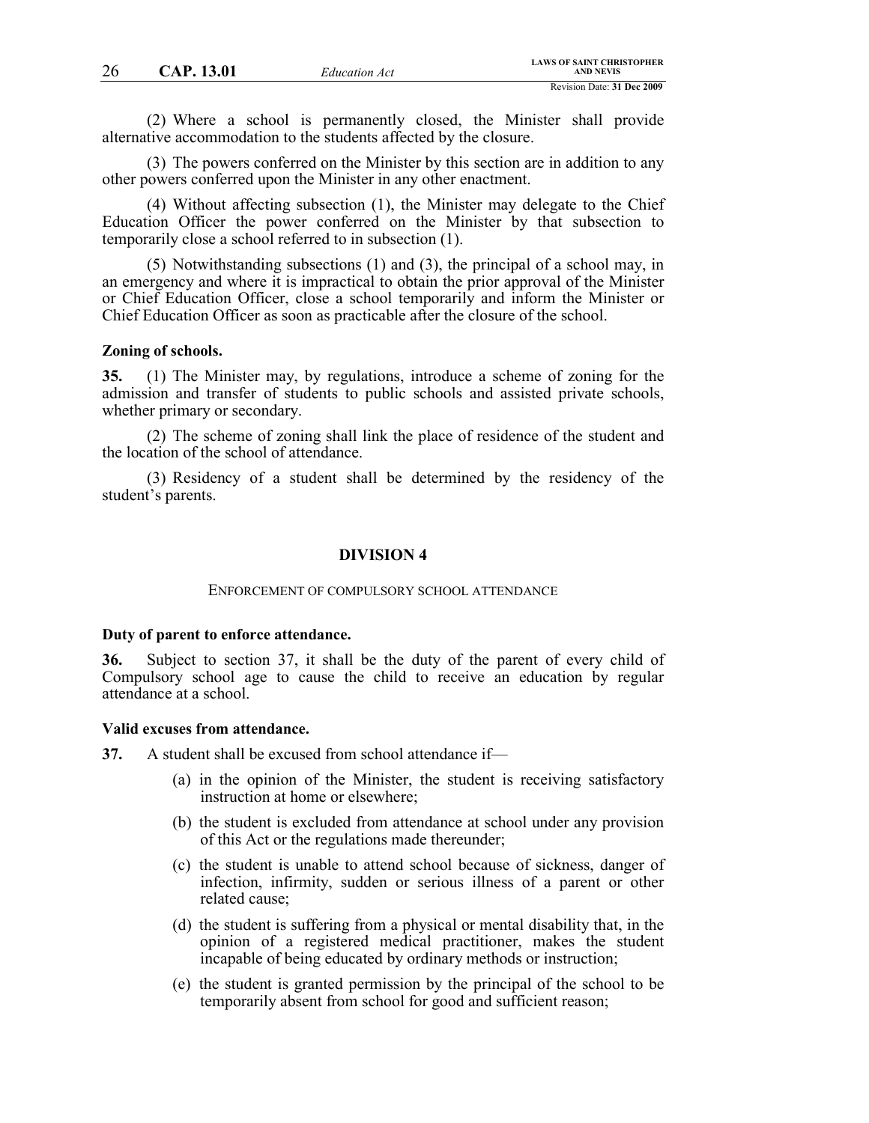(2) Where a school is permanently closed, the Minister shall provide alternative accommodation to the students affected by the closure.

(3) The powers conferred on the Minister by this section are in addition to any other powers conferred upon the Minister in any other enactment.

(4) Without affecting subsection (1), the Minister may delegate to the Chief Education Officer the power conferred on the Minister by that subsection to temporarily close a school referred to in subsection (1).

(5) Notwithstanding subsections (1) and (3), the principal of a school may, in an emergency and where it is impractical to obtain the prior approval of the Minister or Chief Education Officer, close a school temporarily and inform the Minister or Chief Education Officer as soon as practicable after the closure of the school.

#### **Zoning of schools.**

**35.** (1) The Minister may, by regulations, introduce a scheme of zoning for the admission and transfer of students to public schools and assisted private schools, whether primary or secondary.

(2) The scheme of zoning shall link the place of residence of the student and the location of the school of attendance.

(3) Residency of a student shall be determined by the residency of the student's parents.

#### **DIVISION 4**

#### ENFORCEMENT OF COMPULSORY SCHOOL ATTENDANCE

#### **Duty of parent to enforce attendance.**

**36.** Subject to section 37, it shall be the duty of the parent of every child of Compulsory school age to cause the child to receive an education by regular attendance at a school.

#### **Valid excuses from attendance.**

**37.** A student shall be excused from school attendance if—

- (a) in the opinion of the Minister, the student is receiving satisfactory instruction at home or elsewhere;
- (b) the student is excluded from attendance at school under any provision of this Act or the regulations made thereunder;
- (c) the student is unable to attend school because of sickness, danger of infection, infirmity, sudden or serious illness of a parent or other related cause;
- (d) the student is suffering from a physical or mental disability that, in the opinion of a registered medical practitioner, makes the student incapable of being educated by ordinary methods or instruction;
- (e) the student is granted permission by the principal of the school to be temporarily absent from school for good and sufficient reason;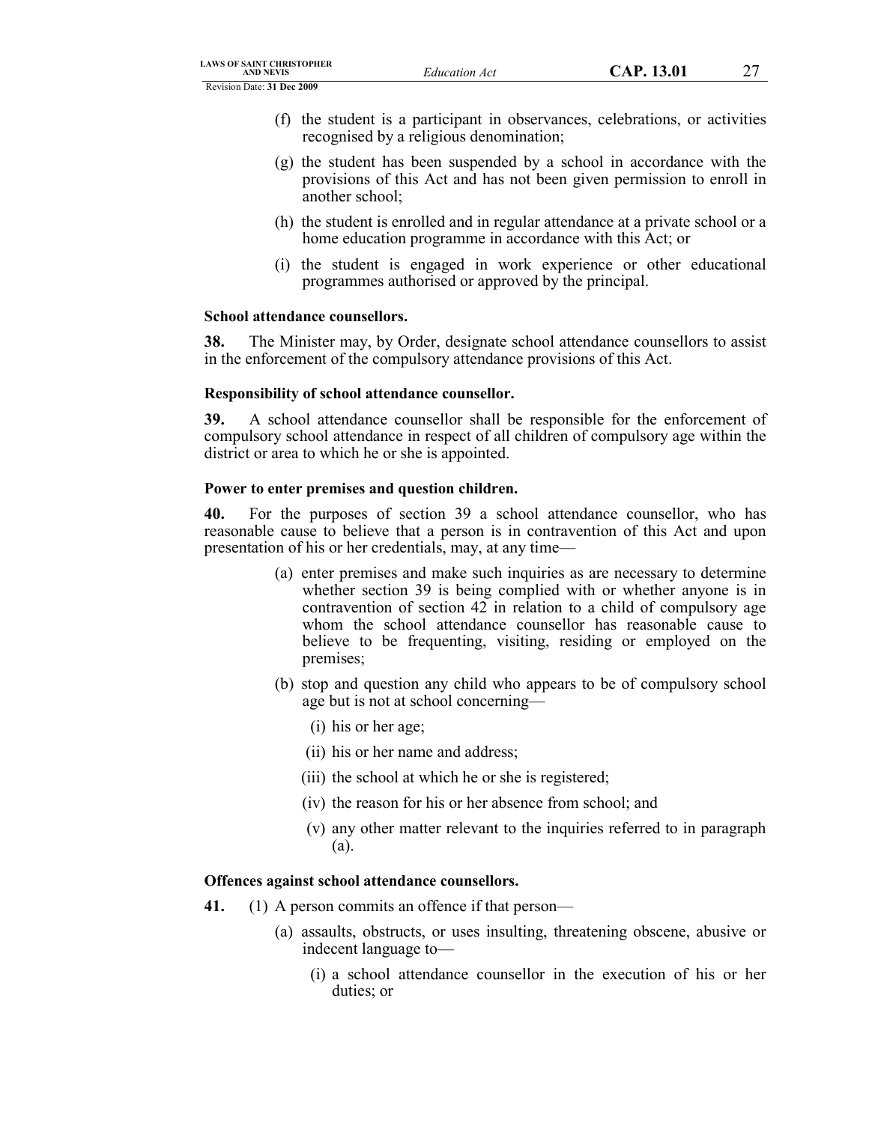- (f) the student is a participant in observances, celebrations, or activities recognised by a religious denomination;
- (g) the student has been suspended by a school in accordance with the provisions of this Act and has not been given permission to enroll in another school;
- (h) the student is enrolled and in regular attendance at a private school or a home education programme in accordance with this Act; or
- (i) the student is engaged in work experience or other educational programmes authorised or approved by the principal.

# **School attendance counsellors.**

**38.** The Minister may, by Order, designate school attendance counsellors to assist in the enforcement of the compulsory attendance provisions of this Act.

# **Responsibility of school attendance counsellor.**

**39.** A school attendance counsellor shall be responsible for the enforcement of compulsory school attendance in respect of all children of compulsory age within the district or area to which he or she is appointed.

# **Power to enter premises and question children.**

**40.** For the purposes of section 39 a school attendance counsellor, who has reasonable cause to believe that a person is in contravention of this Act and upon presentation of his or her credentials, may, at any time—

- (a) enter premises and make such inquiries as are necessary to determine whether section 39 is being complied with or whether anyone is in contravention of section 42 in relation to a child of compulsory age whom the school attendance counsellor has reasonable cause to believe to be frequenting, visiting, residing or employed on the premises;
- (b) stop and question any child who appears to be of compulsory school age but is not at school concerning—
	- (i) his or her age;
	- (ii) his or her name and address;
	- (iii) the school at which he or she is registered;
	- (iv) the reason for his or her absence from school; and
	- (v) any other matter relevant to the inquiries referred to in paragraph (a).

# **Offences against school attendance counsellors.**

- **41.** (1) A person commits an offence if that person—
	- (a) assaults, obstructs, or uses insulting, threatening obscene, abusive or indecent language to—
		- (i) a school attendance counsellor in the execution of his or her duties; or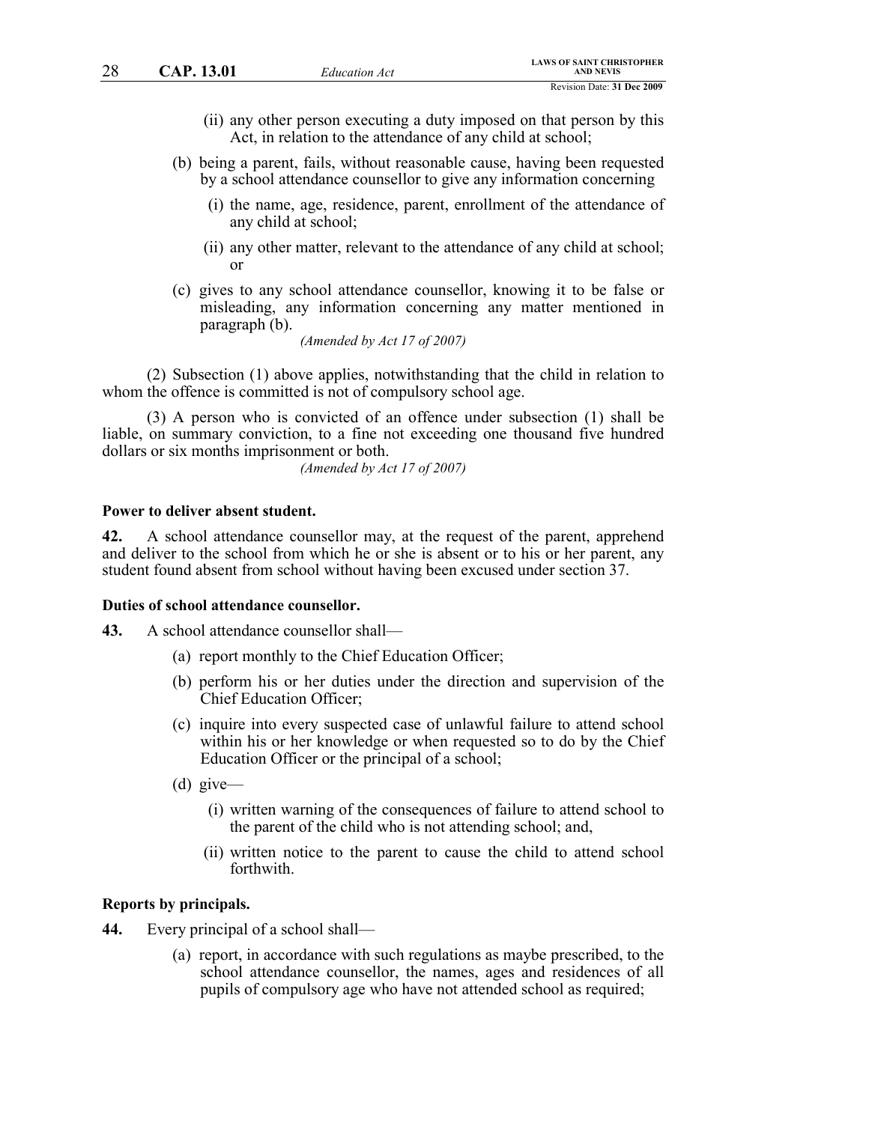- (ii) any other person executing a duty imposed on that person by this Act, in relation to the attendance of any child at school;
- (b) being a parent, fails, without reasonable cause, having been requested by a school attendance counsellor to give any information concerning
	- (i) the name, age, residence, parent, enrollment of the attendance of any child at school;
	- (ii) any other matter, relevant to the attendance of any child at school; or
- (c) gives to any school attendance counsellor, knowing it to be false or misleading, any information concerning any matter mentioned in paragraph (b).

*(Amended by Act 17 of 2007)*

(2) Subsection (1) above applies, notwithstanding that the child in relation to whom the offence is committed is not of compulsory school age.

(3) A person who is convicted of an offence under subsection (1) shall be liable, on summary conviction, to a fine not exceeding one thousand five hundred dollars or six months imprisonment or both.

*(Amended by Act 17 of 2007)*

### **Power to deliver absent student.**

**42.** A school attendance counsellor may, at the request of the parent, apprehend and deliver to the school from which he or she is absent or to his or her parent, any student found absent from school without having been excused under section 37.

#### **Duties of school attendance counsellor.**

- **43.** A school attendance counsellor shall—
	- (a) report monthly to the Chief Education Officer;
	- (b) perform his or her duties under the direction and supervision of the Chief Education Officer;
	- (c) inquire into every suspected case of unlawful failure to attend school within his or her knowledge or when requested so to do by the Chief Education Officer or the principal of a school;
	- (d) give—
		- (i) written warning of the consequences of failure to attend school to the parent of the child who is not attending school; and,
		- (ii) written notice to the parent to cause the child to attend school forthwith.

#### **Reports by principals.**

- **44.** Every principal of a school shall—
	- (a) report, in accordance with such regulations as maybe prescribed, to the school attendance counsellor, the names, ages and residences of all pupils of compulsory age who have not attended school as required;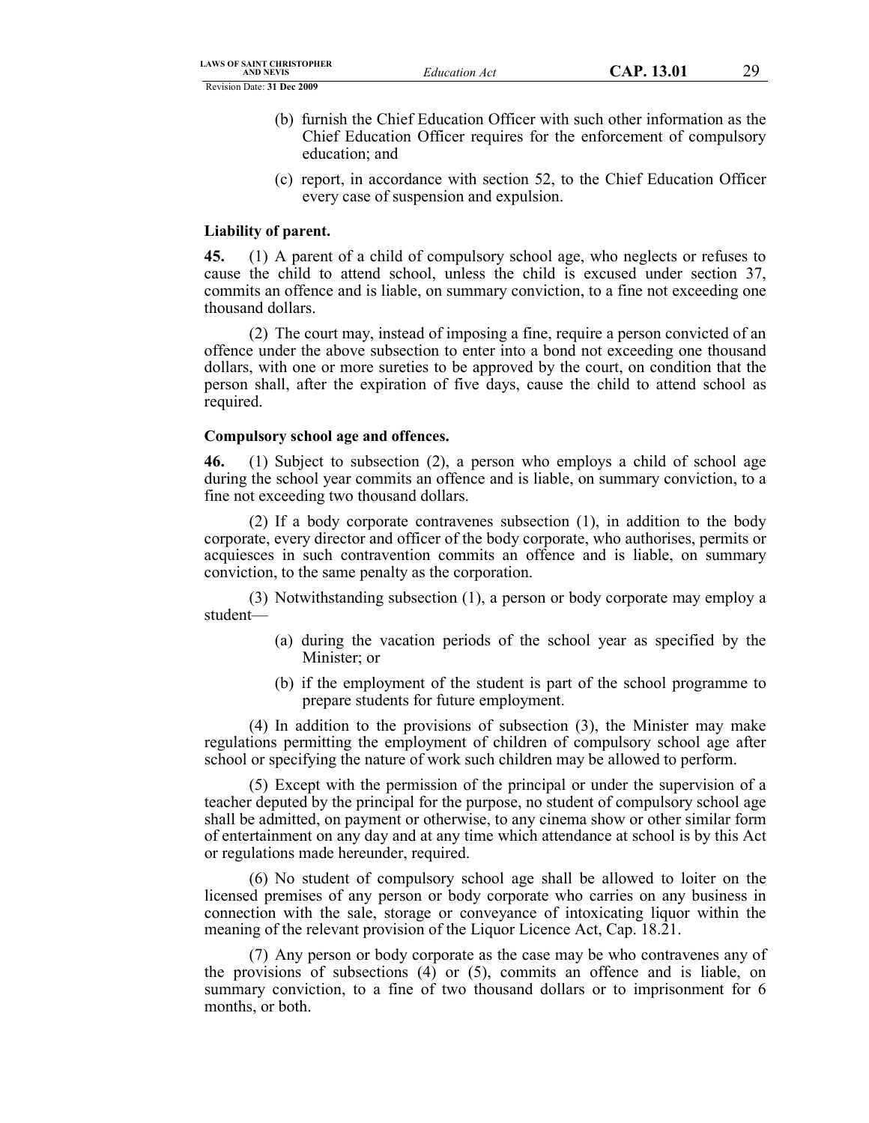- (b) furnish the Chief Education Officer with such other information as the Chief Education Officer requires for the enforcement of compulsory education; and
- (c) report, in accordance with section 52, to the Chief Education Officer every case of suspension and expulsion.

#### **Liability of parent.**

**45.** (1) A parent of a child of compulsory school age, who neglects or refuses to cause the child to attend school, unless the child is excused under section 37, commits an offence and is liable, on summary conviction, to a fine not exceeding one thousand dollars.

(2) The court may, instead of imposing a fine, require a person convicted of an offence under the above subsection to enter into a bond not exceeding one thousand dollars, with one or more sureties to be approved by the court, on condition that the person shall, after the expiration of five days, cause the child to attend school as required.

#### **Compulsory school age and offences.**

**46.** (1) Subject to subsection (2), a person who employs a child of school age during the school year commits an offence and is liable, on summary conviction, to a fine not exceeding two thousand dollars.

(2) If a body corporate contravenes subsection (1), in addition to the body corporate, every director and officer of the body corporate, who authorises, permits or acquiesces in such contravention commits an offence and is liable, on summary conviction, to the same penalty as the corporation.

(3) Notwithstanding subsection (1), a person or body corporate may employ a student—

- (a) during the vacation periods of the school year as specified by the Minister; or
- (b) if the employment of the student is part of the school programme to prepare students for future employment.

(4) In addition to the provisions of subsection (3), the Minister may make regulations permitting the employment of children of compulsory school age after school or specifying the nature of work such children may be allowed to perform.

(5) Except with the permission of the principal or under the supervision of a teacher deputed by the principal for the purpose, no student of compulsory school age shall be admitted, on payment or otherwise, to any cinema show or other similar form of entertainment on any day and at any time which attendance at school is by this Act or regulations made hereunder, required.

(6) No student of compulsory school age shall be allowed to loiter on the licensed premises of any person or body corporate who carries on any business in connection with the sale, storage or conveyance of intoxicating liquor within the meaning of the relevant provision of the Liquor Licence Act, Cap. 18.21.

(7) Any person or body corporate as the case may be who contravenes any of the provisions of subsections (4) or (5), commits an offence and is liable, on summary conviction, to a fine of two thousand dollars or to imprisonment for 6 months, or both.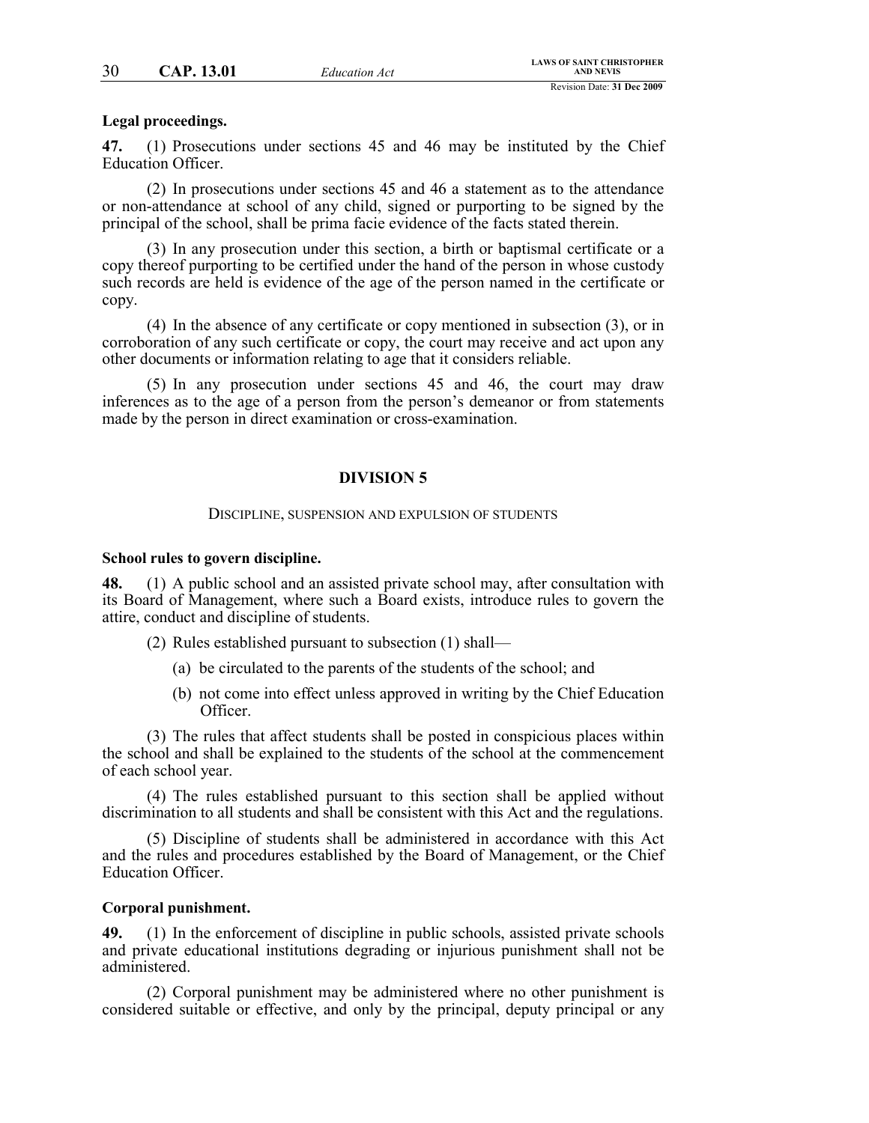#### **Legal proceedings.**

**47.** (1) Prosecutions under sections 45 and 46 may be instituted by the Chief Education Officer.

(2) In prosecutions under sections 45 and 46 a statement as to the attendance or non-attendance at school of any child, signed or purporting to be signed by the principal of the school, shall be prima facie evidence of the facts stated therein.

(3) In any prosecution under this section, a birth or baptismal certificate or a copy thereof purporting to be certified under the hand of the person in whose custody such records are held is evidence of the age of the person named in the certificate or copy.

(4) In the absence of any certificate or copy mentioned in subsection (3), or in corroboration of any such certificate or copy, the court may receive and act upon any other documents or information relating to age that it considers reliable.

(5) In any prosecution under sections 45 and 46, the court may draw inferences as to the age of a person from the person's demeanor or from statements made by the person in direct examination or cross-examination.

#### **DIVISION 5**

#### DISCIPLINE, SUSPENSION AND EXPULSION OF STUDENTS

#### **School rules to govern discipline.**

**48.** (1) A public school and an assisted private school may, after consultation with its Board of Management, where such a Board exists, introduce rules to govern the attire, conduct and discipline of students.

(2) Rules established pursuant to subsection (1) shall—

- (a) be circulated to the parents of the students of the school; and
- (b) not come into effect unless approved in writing by the Chief Education Officer.

(3) The rules that affect students shall be posted in conspicious places within the school and shall be explained to the students of the school at the commencement of each school year.

(4) The rules established pursuant to this section shall be applied without discrimination to all students and shall be consistent with this Act and the regulations.

(5) Discipline of students shall be administered in accordance with this Act and the rules and procedures established by the Board of Management, or the Chief Education Officer.

#### **Corporal punishment.**

**49.** (1) In the enforcement of discipline in public schools, assisted private schools and private educational institutions degrading or injurious punishment shall not be administered.

(2) Corporal punishment may be administered where no other punishment is considered suitable or effective, and only by the principal, deputy principal or any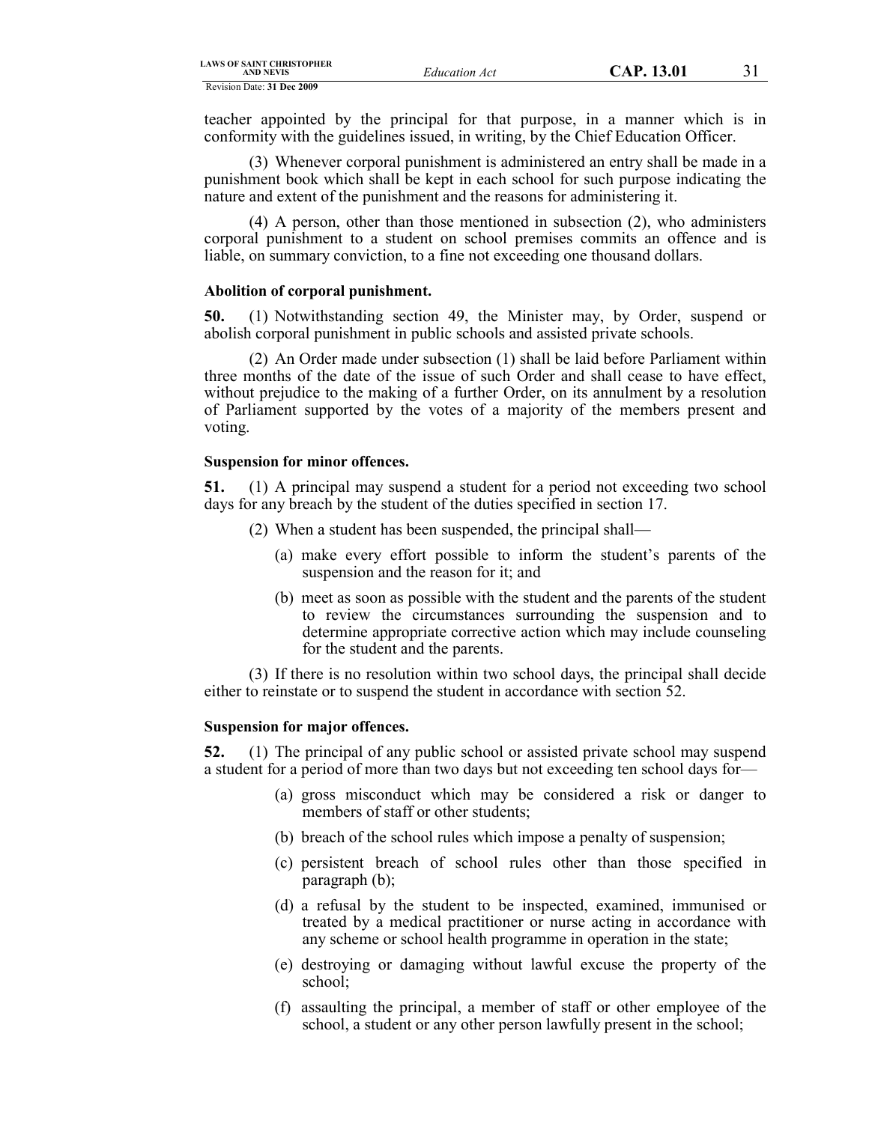teacher appointed by the principal for that purpose, in a manner which is in conformity with the guidelines issued, in writing, by the Chief Education Officer.

(3) Whenever corporal punishment is administered an entry shall be made in a punishment book which shall be kept in each school for such purpose indicating the nature and extent of the punishment and the reasons for administering it.

(4) A person, other than those mentioned in subsection (2), who administers corporal punishment to a student on school premises commits an offence and is liable, on summary conviction, to a fine not exceeding one thousand dollars.

### **Abolition of corporal punishment.**

**50.** (1) Notwithstanding section 49, the Minister may, by Order, suspend or abolish corporal punishment in public schools and assisted private schools.

(2) An Order made under subsection (1) shall be laid before Parliament within three months of the date of the issue of such Order and shall cease to have effect, without prejudice to the making of a further Order, on its annulment by a resolution of Parliament supported by the votes of a majority of the members present and voting.

#### **Suspension for minor offences.**

**51.** (1) A principal may suspend a student for a period not exceeding two school days for any breach by the student of the duties specified in section 17.

- (2) When a student has been suspended, the principal shall—
	- (a) make every effort possible to inform the student's parents of the suspension and the reason for it; and
	- (b) meet as soon as possible with the student and the parents of the student to review the circumstances surrounding the suspension and to determine appropriate corrective action which may include counseling for the student and the parents.

(3) If there is no resolution within two school days, the principal shall decide either to reinstate or to suspend the student in accordance with section 52.

#### **Suspension for major offences.**

**52.** (1) The principal of any public school or assisted private school may suspend a student for a period of more than two days but not exceeding ten school days for—

- (a) gross misconduct which may be considered a risk or danger to members of staff or other students;
- (b) breach of the school rules which impose a penalty of suspension;
- (c) persistent breach of school rules other than those specified in paragraph (b);
- (d) a refusal by the student to be inspected, examined, immunised or treated by a medical practitioner or nurse acting in accordance with any scheme or school health programme in operation in the state;
- (e) destroying or damaging without lawful excuse the property of the school;
- (f) assaulting the principal, a member of staff or other employee of the school, a student or any other person lawfully present in the school;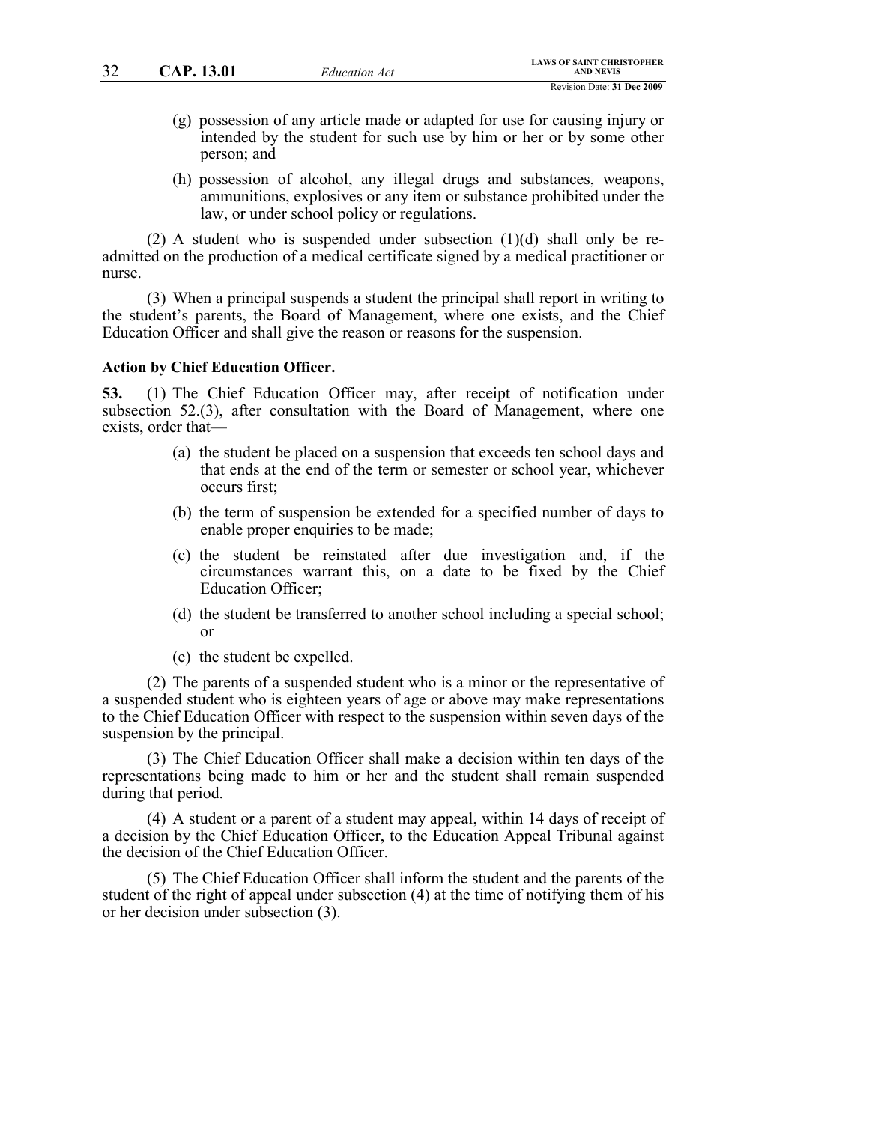- (g) possession of any article made or adapted for use for causing injury or intended by the student for such use by him or her or by some other person; and
- (h) possession of alcohol, any illegal drugs and substances, weapons, ammunitions, explosives or any item or substance prohibited under the law, or under school policy or regulations.

(2) A student who is suspended under subsection  $(1)(d)$  shall only be readmitted on the production of a medical certificate signed by a medical practitioner or nurse.

(3) When a principal suspends a student the principal shall report in writing to the student's parents, the Board of Management, where one exists, and the Chief Education Officer and shall give the reason or reasons for the suspension.

#### **Action by Chief Education Officer.**

**53.** (1) The Chief Education Officer may, after receipt of notification under subsection 52.(3), after consultation with the Board of Management, where one exists, order that—

- (a) the student be placed on a suspension that exceeds ten school days and that ends at the end of the term or semester or school year, whichever occurs first;
- (b) the term of suspension be extended for a specified number of days to enable proper enquiries to be made;
- (c) the student be reinstated after due investigation and, if the circumstances warrant this, on a date to be fixed by the Chief Education Officer;
- (d) the student be transferred to another school including a special school; or
- (e) the student be expelled.

(2) The parents of a suspended student who is a minor or the representative of a suspended student who is eighteen years of age or above may make representations to the Chief Education Officer with respect to the suspension within seven days of the suspension by the principal.

(3) The Chief Education Officer shall make a decision within ten days of the representations being made to him or her and the student shall remain suspended during that period.

(4) A student or a parent of a student may appeal, within 14 days of receipt of a decision by the Chief Education Officer, to the Education Appeal Tribunal against the decision of the Chief Education Officer.

(5) The Chief Education Officer shall inform the student and the parents of the student of the right of appeal under subsection (4) at the time of notifying them of his or her decision under subsection (3).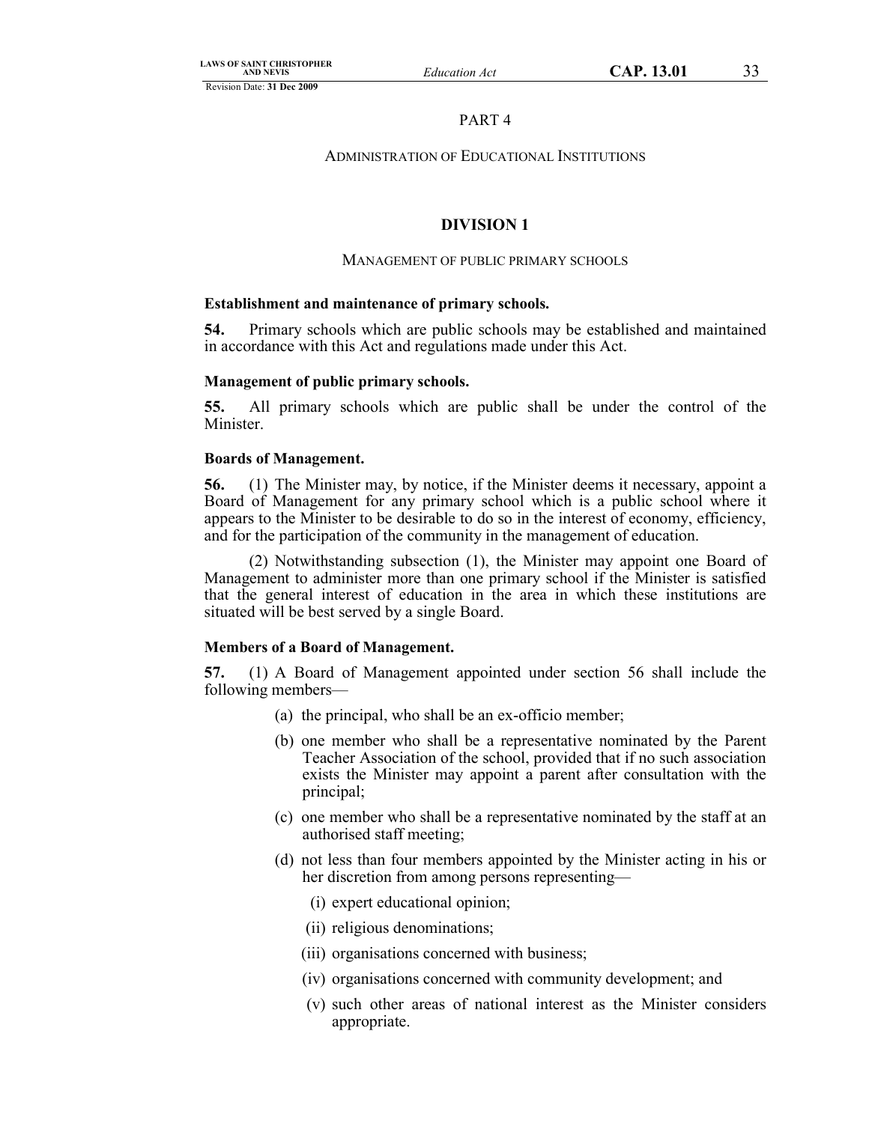# PART 4

# ADMINISTRATION OF EDUCATIONAL INSTITUTIONS

# **DIVISION 1**

# MANAGEMENT OF PUBLIC PRIMARY SCHOOLS

# **Establishment and maintenance of primary schools.**

**54.** Primary schools which are public schools may be established and maintained in accordance with this Act and regulations made under this Act.

# **Management of public primary schools.**

**55.** All primary schools which are public shall be under the control of the Minister.

# **Boards of Management.**

**56.** (1) The Minister may, by notice, if the Minister deems it necessary, appoint a Board of Management for any primary school which is a public school where it appears to the Minister to be desirable to do so in the interest of economy, efficiency, and for the participation of the community in the management of education.

(2) Notwithstanding subsection (1), the Minister may appoint one Board of Management to administer more than one primary school if the Minister is satisfied that the general interest of education in the area in which these institutions are situated will be best served by a single Board.

# **Members of a Board of Management.**

**57.** (1) A Board of Management appointed under section 56 shall include the following members—

- (a) the principal, who shall be an ex-officio member;
- (b) one member who shall be a representative nominated by the Parent Teacher Association of the school, provided that if no such association exists the Minister may appoint a parent after consultation with the principal;
- (c) one member who shall be a representative nominated by the staff at an authorised staff meeting;
- (d) not less than four members appointed by the Minister acting in his or her discretion from among persons representing—
	- (i) expert educational opinion;
	- (ii) religious denominations;
	- (iii) organisations concerned with business;
	- (iv) organisations concerned with community development; and
	- (v) such other areas of national interest as the Minister considers appropriate.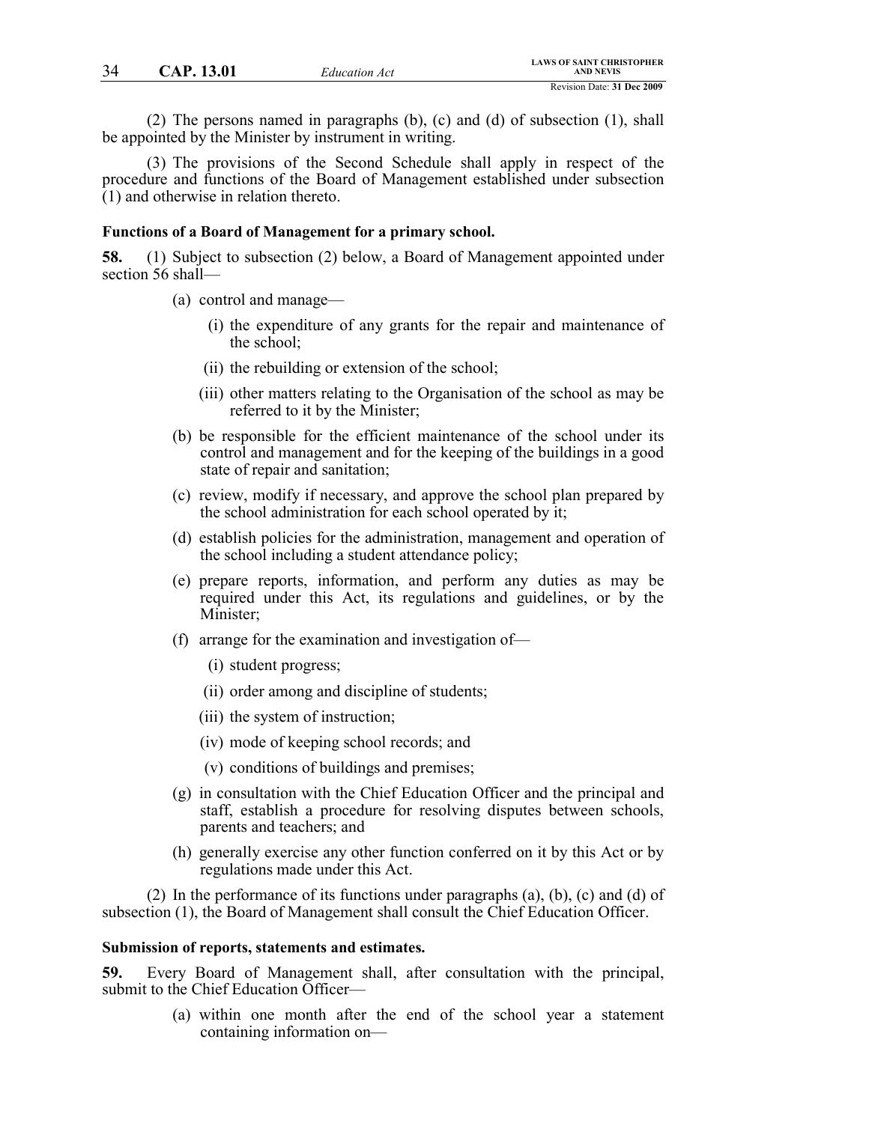(2) The persons named in paragraphs (b), (c) and (d) of subsection (1), shall be appointed by the Minister by instrument in writing.

(3) The provisions of the Second Schedule shall apply in respect of the procedure and functions of the Board of Management established under subsection (1) and otherwise in relation thereto.

#### **Functions of a Board of Management for a primary school.**

**58.** (1) Subject to subsection (2) below, a Board of Management appointed under section 56 shall—

- (a) control and manage—
	- (i) the expenditure of any grants for the repair and maintenance of the school;
	- (ii) the rebuilding or extension of the school;
	- (iii) other matters relating to the Organisation of the school as may be referred to it by the Minister;
- (b) be responsible for the efficient maintenance of the school under its control and management and for the keeping of the buildings in a good state of repair and sanitation;
- (c) review, modify if necessary, and approve the school plan prepared by the school administration for each school operated by it;
- (d) establish policies for the administration, management and operation of the school including a student attendance policy;
- (e) prepare reports, information, and perform any duties as may be required under this Act, its regulations and guidelines, or by the Minister;
- (f) arrange for the examination and investigation of—
	- (i) student progress;
	- (ii) order among and discipline of students;
	- (iii) the system of instruction;
	- (iv) mode of keeping school records; and
	- (v) conditions of buildings and premises;
- (g) in consultation with the Chief Education Officer and the principal and staff, establish a procedure for resolving disputes between schools, parents and teachers; and
- (h) generally exercise any other function conferred on it by this Act or by regulations made under this Act.

(2) In the performance of its functions under paragraphs (a), (b), (c) and (d) of subsection (1), the Board of Management shall consult the Chief Education Officer.

#### **Submission of reports, statements and estimates.**

**59.** Every Board of Management shall, after consultation with the principal, submit to the Chief Education Officer—

> (a) within one month after the end of the school year a statement containing information on—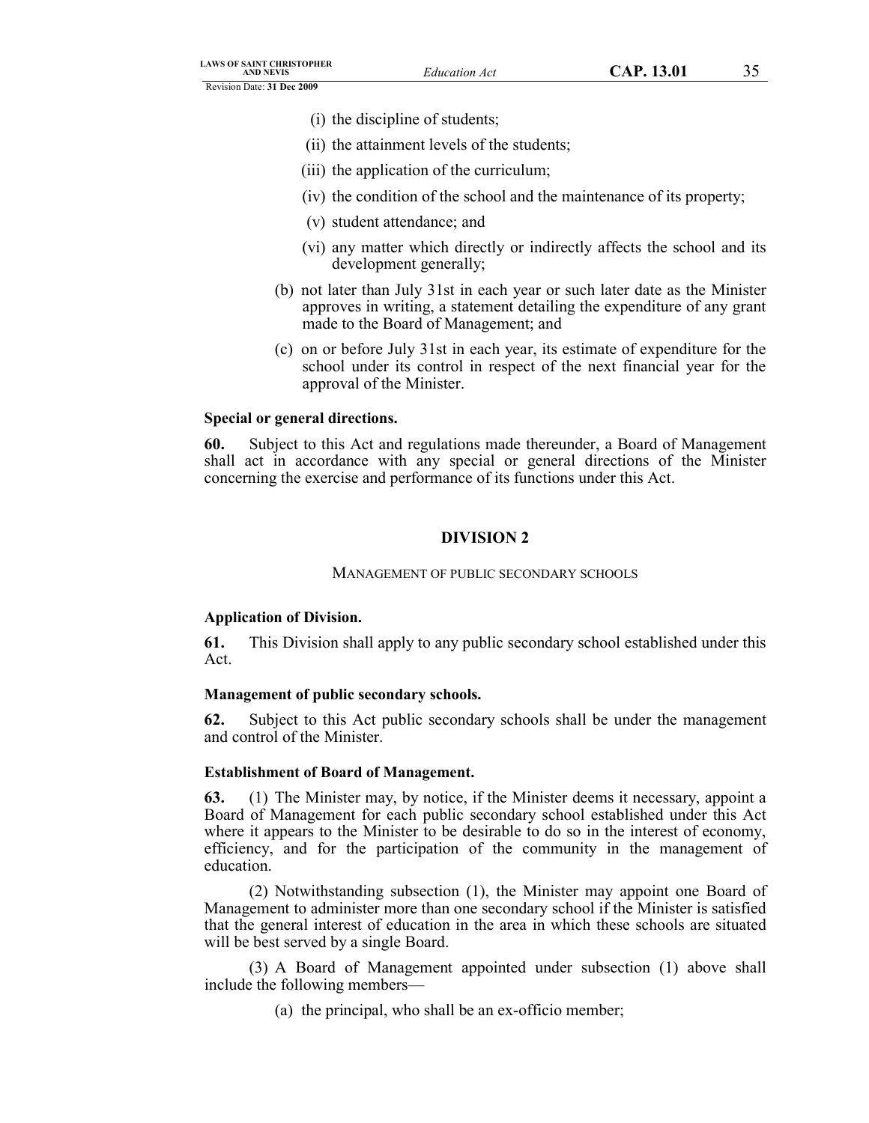- (i) the discipline of students;
- (ii) the attainment levels of the students;
- (iii) the application of the curriculum;
- (iv) the condition of the school and the maintenance of its property;
- (v) student attendance; and
- (vi) any matter which directly or indirectly affects the school and its development generally;
- (b) not later than July 31st in each year or such later date as the Minister approves in writing, a statement detailing the expenditure of any grant made to the Board of Management; and
- (c) on or before July 31st in each year, its estimate of expenditure for the school under its control in respect of the next financial year for the approval of the Minister.

### **Special or general directions.**

**60.** Subject to this Act and regulations made thereunder, a Board of Management shall act in accordance with any special or general directions of the Minister concerning the exercise and performance of its functions under this Act.

# **DIVISION 2**

### MANAGEMENT OF PUBLIC SECONDARY SCHOOLS

### **Application of Division.**

**61.** This Division shall apply to any public secondary school established under this Act.

### **Management of public secondary schools.**

**62.** Subject to this Act public secondary schools shall be under the management and control of the Minister.

### **Establishment of Board of Management.**

**63.** (1) The Minister may, by notice, if the Minister deems it necessary, appoint a Board of Management for each public secondary school established under this Act where it appears to the Minister to be desirable to do so in the interest of economy, efficiency, and for the participation of the community in the management of education.

(2) Notwithstanding subsection (1), the Minister may appoint one Board of Management to administer more than one secondary school if the Minister is satisfied that the general interest of education in the area in which these schools are situated will be best served by a single Board.

(3) A Board of Management appointed under subsection (1) above shall include the following members—

(a) the principal, who shall be an ex-officio member;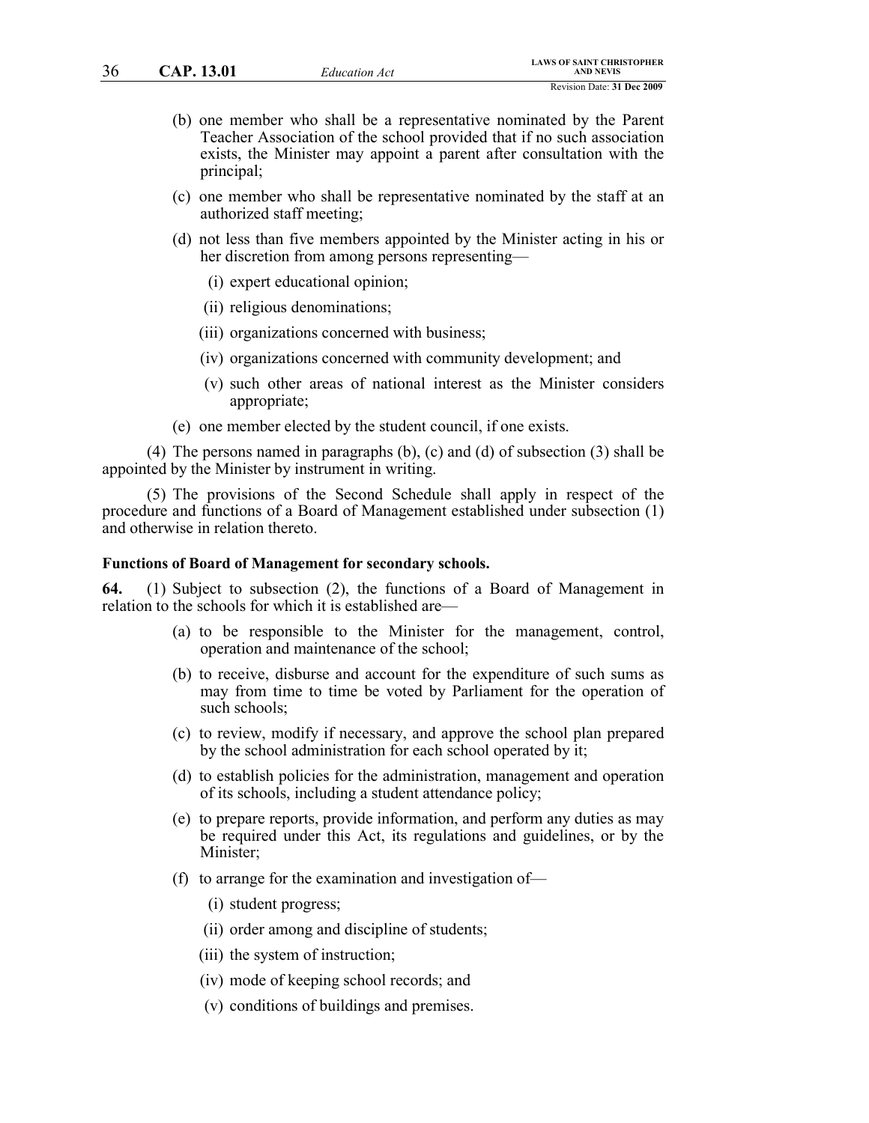- (b) one member who shall be a representative nominated by the Parent Teacher Association of the school provided that if no such association exists, the Minister may appoint a parent after consultation with the principal;
- (c) one member who shall be representative nominated by the staff at an authorized staff meeting;
- (d) not less than five members appointed by the Minister acting in his or her discretion from among persons representing—
	- (i) expert educational opinion;
	- (ii) religious denominations;
	- (iii) organizations concerned with business;
	- (iv) organizations concerned with community development; and
	- (v) such other areas of national interest as the Minister considers appropriate;
- (e) one member elected by the student council, if one exists.

(4) The persons named in paragraphs (b), (c) and (d) of subsection (3) shall be appointed by the Minister by instrument in writing.

(5) The provisions of the Second Schedule shall apply in respect of the procedure and functions of a Board of Management established under subsection (1) and otherwise in relation thereto.

#### **Functions of Board of Management for secondary schools.**

**64.** (1) Subject to subsection (2), the functions of a Board of Management in relation to the schools for which it is established are—

- (a) to be responsible to the Minister for the management, control, operation and maintenance of the school;
- (b) to receive, disburse and account for the expenditure of such sums as may from time to time be voted by Parliament for the operation of such schools;
- (c) to review, modify if necessary, and approve the school plan prepared by the school administration for each school operated by it;
- (d) to establish policies for the administration, management and operation of its schools, including a student attendance policy;
- (e) to prepare reports, provide information, and perform any duties as may be required under this Act, its regulations and guidelines, or by the Minister;
- (f) to arrange for the examination and investigation of—
	- (i) student progress;
	- (ii) order among and discipline of students;
	- (iii) the system of instruction;
	- (iv) mode of keeping school records; and
	- (v) conditions of buildings and premises.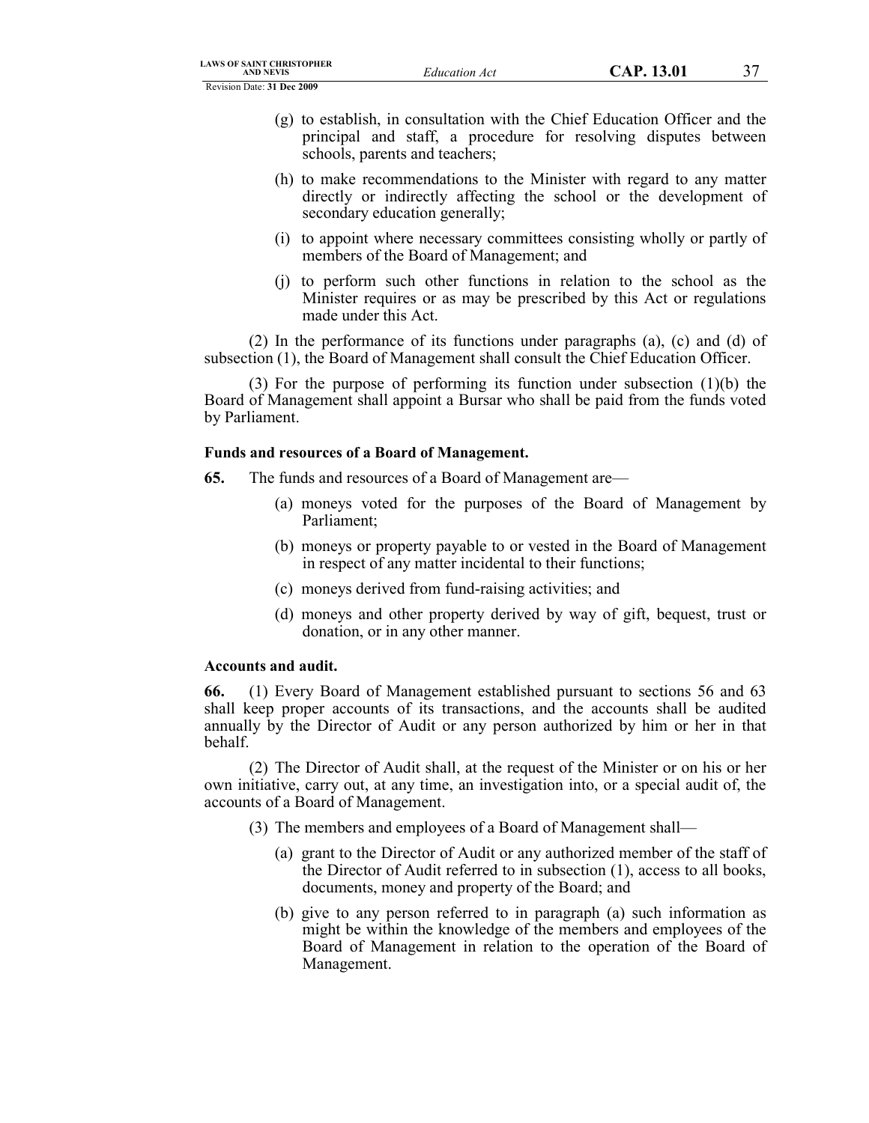- (g) to establish, in consultation with the Chief Education Officer and the principal and staff, a procedure for resolving disputes between schools, parents and teachers;
- (h) to make recommendations to the Minister with regard to any matter directly or indirectly affecting the school or the development of secondary education generally;
- (i) to appoint where necessary committees consisting wholly or partly of members of the Board of Management; and
- (j) to perform such other functions in relation to the school as the Minister requires or as may be prescribed by this Act or regulations made under this Act.

(2) In the performance of its functions under paragraphs (a), (c) and (d) of subsection (1), the Board of Management shall consult the Chief Education Officer.

(3) For the purpose of performing its function under subsection (1)(b) the Board of Management shall appoint a Bursar who shall be paid from the funds voted by Parliament.

# **Funds and resources of a Board of Management.**

- **65.** The funds and resources of a Board of Management are—
	- (a) moneys voted for the purposes of the Board of Management by Parliament;
	- (b) moneys or property payable to or vested in the Board of Management in respect of any matter incidental to their functions;
	- (c) moneys derived from fund-raising activities; and
	- (d) moneys and other property derived by way of gift, bequest, trust or donation, or in any other manner.

# **Accounts and audit.**

**66.** (1) Every Board of Management established pursuant to sections 56 and 63 shall keep proper accounts of its transactions, and the accounts shall be audited annually by the Director of Audit or any person authorized by him or her in that behalf.

(2) The Director of Audit shall, at the request of the Minister or on his or her own initiative, carry out, at any time, an investigation into, or a special audit of, the accounts of a Board of Management.

- (3) The members and employees of a Board of Management shall—
	- (a) grant to the Director of Audit or any authorized member of the staff of the Director of Audit referred to in subsection (1), access to all books, documents, money and property of the Board; and
	- (b) give to any person referred to in paragraph (a) such information as might be within the knowledge of the members and employees of the Board of Management in relation to the operation of the Board of Management.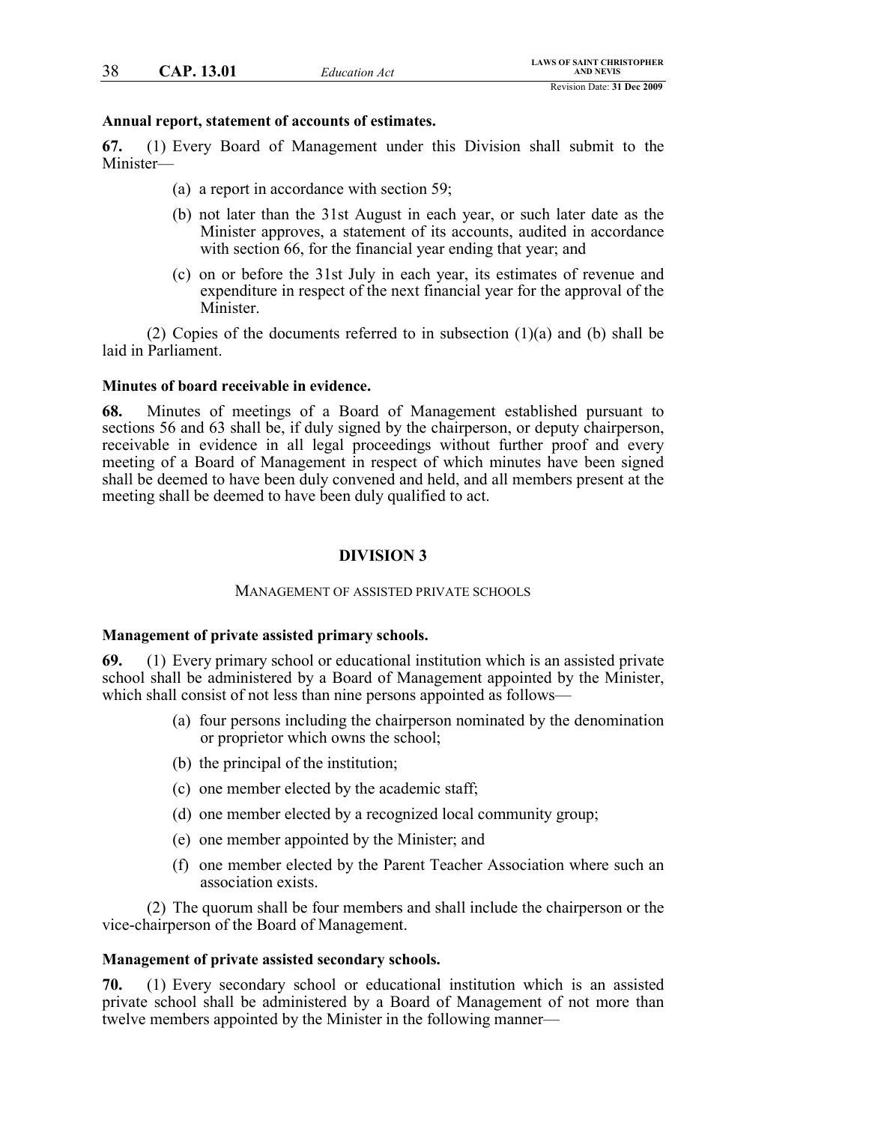# **Annual report, statement of accounts of estimates.**

**67.** (1) Every Board of Management under this Division shall submit to the Minister—

- (a) a report in accordance with section 59;
- (b) not later than the 31st August in each year, or such later date as the Minister approves, a statement of its accounts, audited in accordance with section 66, for the financial year ending that year; and
- (c) on or before the 31st July in each year, its estimates of revenue and expenditure in respect of the next financial year for the approval of the Minister.

(2) Copies of the documents referred to in subsection  $(1)(a)$  and  $(b)$  shall be laid in Parliament.

# **Minutes of board receivable in evidence.**

**68.** Minutes of meetings of a Board of Management established pursuant to sections 56 and 63 shall be, if duly signed by the chairperson, or deputy chairperson, receivable in evidence in all legal proceedings without further proof and every meeting of a Board of Management in respect of which minutes have been signed shall be deemed to have been duly convened and held, and all members present at the meeting shall be deemed to have been duly qualified to act.

# **DIVISION 3**

# MANAGEMENT OF ASSISTED PRIVATE SCHOOLS

# **Management of private assisted primary schools.**

**69.** (1) Every primary school or educational institution which is an assisted private school shall be administered by a Board of Management appointed by the Minister, which shall consist of not less than nine persons appointed as follows—

- (a) four persons including the chairperson nominated by the denomination or proprietor which owns the school;
- (b) the principal of the institution;
- (c) one member elected by the academic staff;
- (d) one member elected by a recognized local community group;
- (e) one member appointed by the Minister; and
- (f) one member elected by the Parent Teacher Association where such an association exists.

(2) The quorum shall be four members and shall include the chairperson or the vice-chairperson of the Board of Management.

# **Management of private assisted secondary schools.**

**70.** (1) Every secondary school or educational institution which is an assisted private school shall be administered by a Board of Management of not more than twelve members appointed by the Minister in the following manner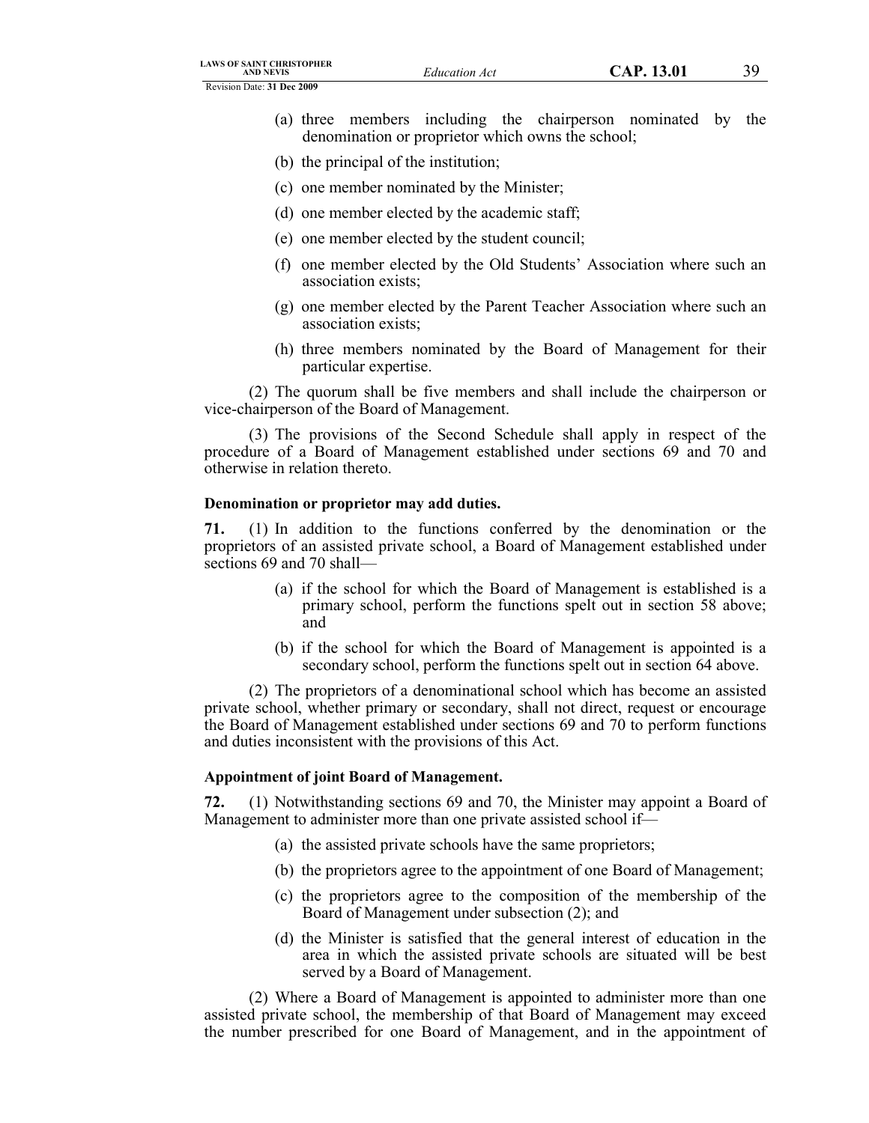Revision Date: **31 Dec 2009**

- (a) three members including the chairperson nominated by the denomination or proprietor which owns the school;
- (b) the principal of the institution;
- (c) one member nominated by the Minister;
- (d) one member elected by the academic staff;
- (e) one member elected by the student council;
- (f) one member elected by the Old Students' Association where such an association exists;
- (g) one member elected by the Parent Teacher Association where such an association exists;
- (h) three members nominated by the Board of Management for their particular expertise.

(2) The quorum shall be five members and shall include the chairperson or vice-chairperson of the Board of Management.

(3) The provisions of the Second Schedule shall apply in respect of the procedure of a Board of Management established under sections 69 and 70 and otherwise in relation thereto.

# **Denomination or proprietor may add duties.**

**71.** (1) In addition to the functions conferred by the denomination or the proprietors of an assisted private school, a Board of Management established under sections 69 and 70 shall—

- (a) if the school for which the Board of Management is established is a primary school, perform the functions spelt out in section 58 above; and
- (b) if the school for which the Board of Management is appointed is a secondary school, perform the functions spelt out in section 64 above.

(2) The proprietors of a denominational school which has become an assisted private school, whether primary or secondary, shall not direct, request or encourage the Board of Management established under sections 69 and 70 to perform functions and duties inconsistent with the provisions of this Act.

# **Appointment of joint Board of Management.**

**72.** (1) Notwithstanding sections 69 and 70, the Minister may appoint a Board of Management to administer more than one private assisted school if—

- (a) the assisted private schools have the same proprietors;
- (b) the proprietors agree to the appointment of one Board of Management;
- (c) the proprietors agree to the composition of the membership of the Board of Management under subsection (2); and
- (d) the Minister is satisfied that the general interest of education in the area in which the assisted private schools are situated will be best served by a Board of Management.

(2) Where a Board of Management is appointed to administer more than one assisted private school, the membership of that Board of Management may exceed the number prescribed for one Board of Management, and in the appointment of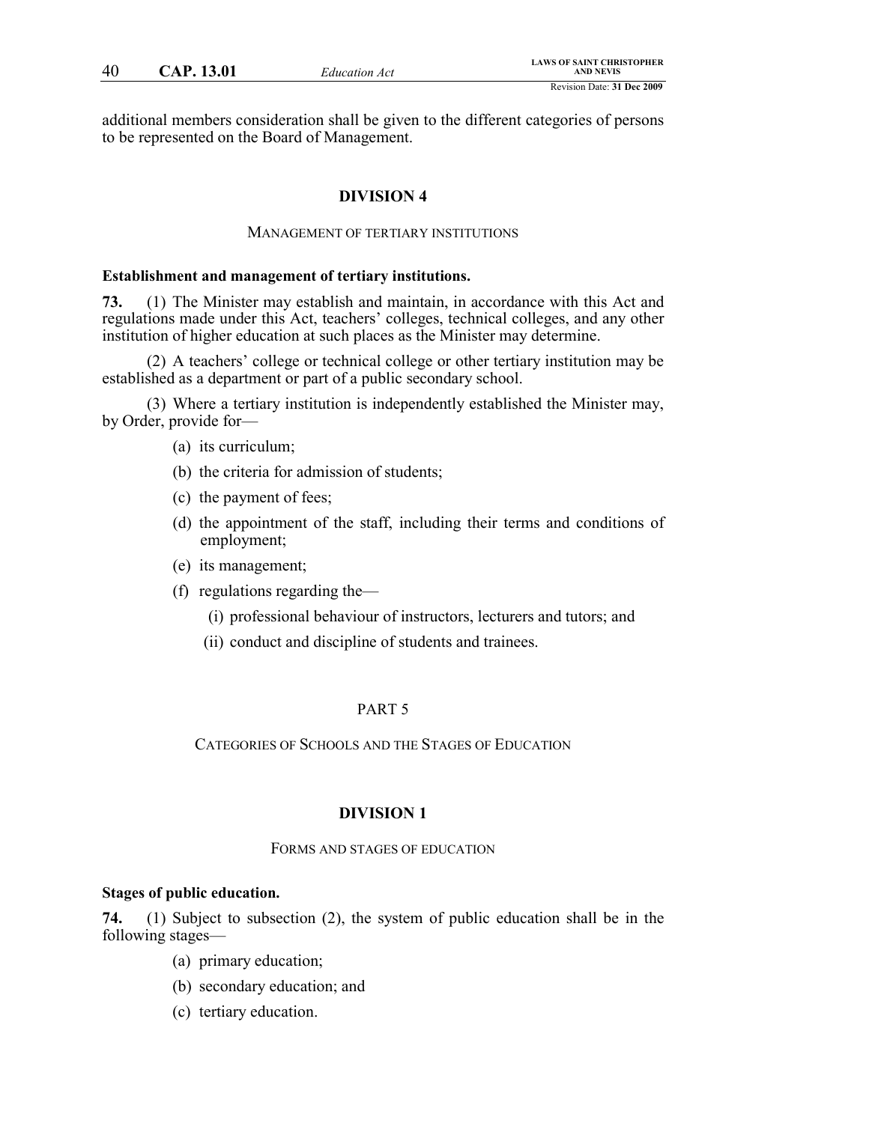additional members consideration shall be given to the different categories of persons to be represented on the Board of Management.

# **DIVISION 4**

### MANAGEMENT OF TERTIARY INSTITUTIONS

#### **Establishment and management of tertiary institutions.**

**73.** (1) The Minister may establish and maintain, in accordance with this Act and regulations made under this Act, teachers' colleges, technical colleges, and any other institution of higher education at such places as the Minister may determine.

(2) A teachers' college or technical college or other tertiary institution may be established as a department or part of a public secondary school.

(3) Where a tertiary institution is independently established the Minister may, by Order, provide for—

- (a) its curriculum;
- (b) the criteria for admission of students;
- (c) the payment of fees;
- (d) the appointment of the staff, including their terms and conditions of employment;
- (e) its management;
- (f) regulations regarding the—
	- (i) professional behaviour of instructors, lecturers and tutors; and
	- (ii) conduct and discipline of students and trainees.

# PART 5

CATEGORIES OF SCHOOLS AND THE STAGES OF EDUCATION

## **DIVISION 1**

#### FORMS AND STAGES OF EDUCATION

### **Stages of public education.**

**74.** (1) Subject to subsection (2), the system of public education shall be in the following stages—

- (a) primary education;
- (b) secondary education; and
- (c) tertiary education.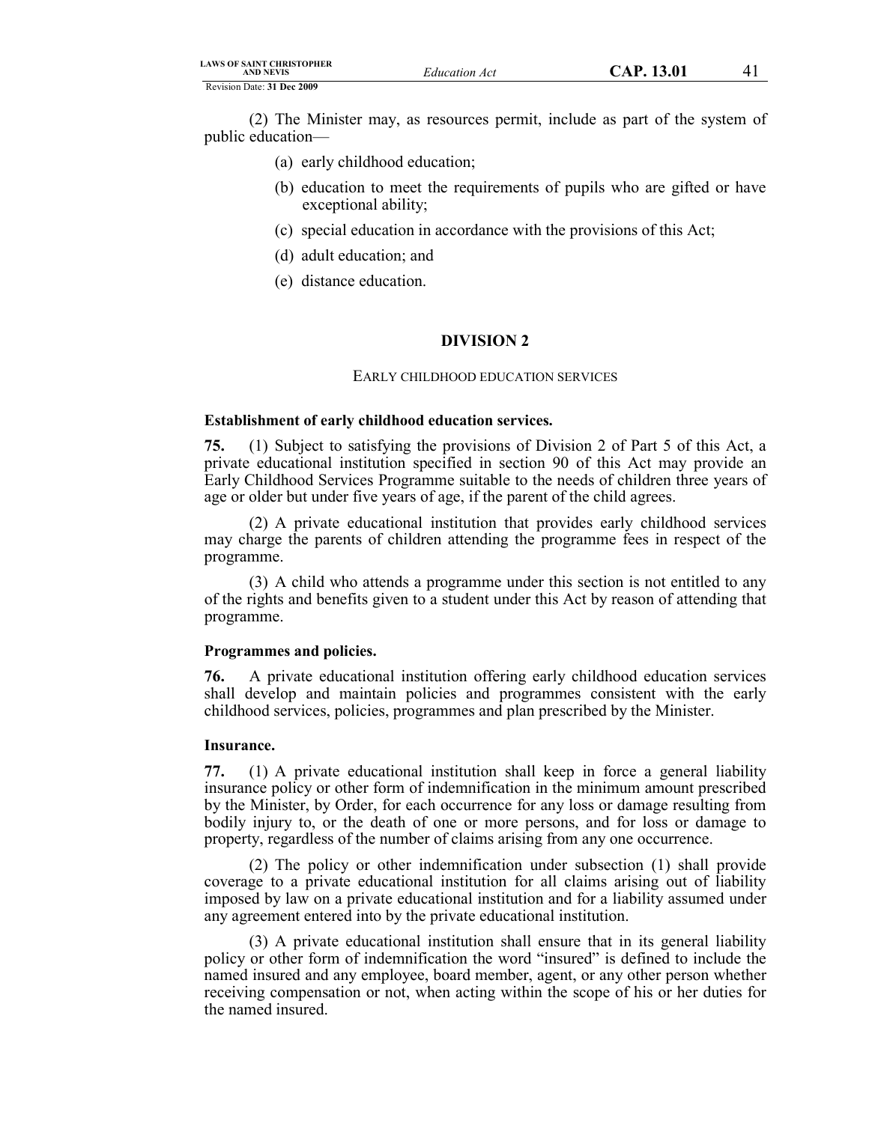| <b>LAWS OF SAINT CHRISTOPHER</b><br><b>AND NEVIS</b> | Education Act | CAP. 13.01 |  |
|------------------------------------------------------|---------------|------------|--|
| Revision Date: 31 Dec 2009                           |               |            |  |

(2) The Minister may, as resources permit, include as part of the system of public education—

- (a) early childhood education;
- (b) education to meet the requirements of pupils who are gifted or have exceptional ability;
- (c) special education in accordance with the provisions of this Act;
- (d) adult education; and
- (e) distance education.

# **DIVISION 2**

#### EARLY CHILDHOOD EDUCATION SERVICES

### **Establishment of early childhood education services.**

**75.** (1) Subject to satisfying the provisions of Division 2 of Part 5 of this Act, a private educational institution specified in section 90 of this Act may provide an Early Childhood Services Programme suitable to the needs of children three years of age or older but under five years of age, if the parent of the child agrees.

(2) A private educational institution that provides early childhood services may charge the parents of children attending the programme fees in respect of the programme.

(3) A child who attends a programme under this section is not entitled to any of the rights and benefits given to a student under this Act by reason of attending that programme.

# **Programmes and policies.**

**76.** A private educational institution offering early childhood education services shall develop and maintain policies and programmes consistent with the early childhood services, policies, programmes and plan prescribed by the Minister.

#### **Insurance.**

**77.** (1) A private educational institution shall keep in force a general liability insurance policy or other form of indemnification in the minimum amount prescribed by the Minister, by Order, for each occurrence for any loss or damage resulting from bodily injury to, or the death of one or more persons, and for loss or damage to property, regardless of the number of claims arising from any one occurrence.

(2) The policy or other indemnification under subsection (1) shall provide coverage to a private educational institution for all claims arising out of liability imposed by law on a private educational institution and for a liability assumed under any agreement entered into by the private educational institution.

(3) A private educational institution shall ensure that in its general liability policy or other form of indemnification the word "insured" is defined to include the named insured and any employee, board member, agent, or any other person whether receiving compensation or not, when acting within the scope of his or her duties for the named insured.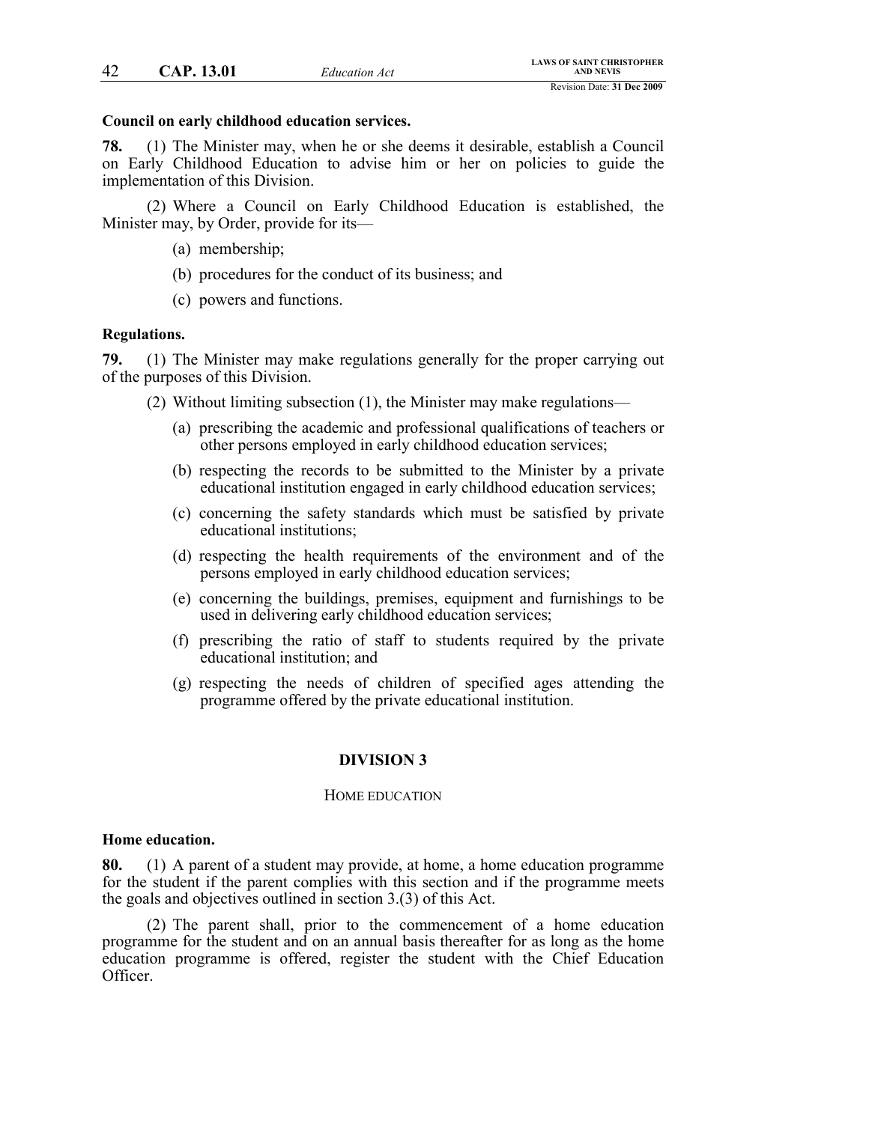### **Council on early childhood education services.**

**78.** (1) The Minister may, when he or she deems it desirable, establish a Council on Early Childhood Education to advise him or her on policies to guide the implementation of this Division.

(2) Where a Council on Early Childhood Education is established, the Minister may, by Order, provide for its—

- (a) membership;
- (b) procedures for the conduct of its business; and
- (c) powers and functions.

### **Regulations.**

**79.** (1) The Minister may make regulations generally for the proper carrying out of the purposes of this Division.

(2) Without limiting subsection (1), the Minister may make regulations—

- (a) prescribing the academic and professional qualifications of teachers or other persons employed in early childhood education services;
- (b) respecting the records to be submitted to the Minister by a private educational institution engaged in early childhood education services;
- (c) concerning the safety standards which must be satisfied by private educational institutions;
- (d) respecting the health requirements of the environment and of the persons employed in early childhood education services;
- (e) concerning the buildings, premises, equipment and furnishings to be used in delivering early childhood education services;
- (f) prescribing the ratio of staff to students required by the private educational institution; and
- (g) respecting the needs of children of specified ages attending the programme offered by the private educational institution.

# **DIVISION 3**

### HOME EDUCATION

#### **Home education.**

**80.** (1) A parent of a student may provide, at home, a home education programme for the student if the parent complies with this section and if the programme meets the goals and objectives outlined in section 3.(3) of this Act.

(2) The parent shall, prior to the commencement of a home education programme for the student and on an annual basis thereafter for as long as the home education programme is offered, register the student with the Chief Education Officer.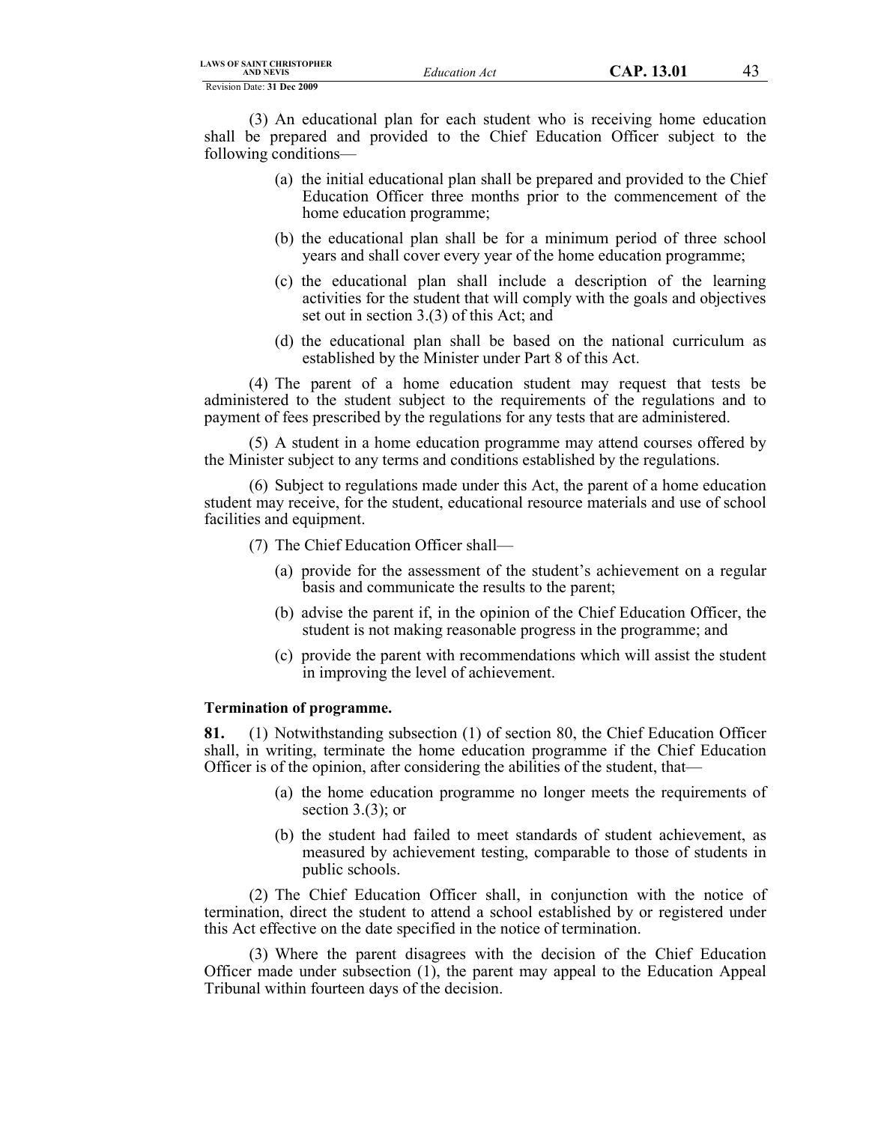| LAWS OF SAINT CHRISTOPHER<br><b>AND NEVIS</b> |
|-----------------------------------------------|
| Revision Date: 31 Dec 2009                    |

(3) An educational plan for each student who is receiving home education shall be prepared and provided to the Chief Education Officer subject to the following conditions—

- (a) the initial educational plan shall be prepared and provided to the Chief Education Officer three months prior to the commencement of the home education programme;
- (b) the educational plan shall be for a minimum period of three school years and shall cover every year of the home education programme;
- (c) the educational plan shall include a description of the learning activities for the student that will comply with the goals and objectives set out in section 3.(3) of this Act; and
- (d) the educational plan shall be based on the national curriculum as established by the Minister under Part 8 of this Act.

(4) The parent of a home education student may request that tests be administered to the student subject to the requirements of the regulations and to payment of fees prescribed by the regulations for any tests that are administered.

(5) A student in a home education programme may attend courses offered by the Minister subject to any terms and conditions established by the regulations.

(6) Subject to regulations made under this Act, the parent of a home education student may receive, for the student, educational resource materials and use of school facilities and equipment.

(7) The Chief Education Officer shall—

- (a) provide for the assessment of the student's achievement on a regular basis and communicate the results to the parent;
- (b) advise the parent if, in the opinion of the Chief Education Officer, the student is not making reasonable progress in the programme; and
- (c) provide the parent with recommendations which will assist the student in improving the level of achievement.

#### **Termination of programme.**

**81.** (1) Notwithstanding subsection (1) of section 80, the Chief Education Officer shall, in writing, terminate the home education programme if the Chief Education Officer is of the opinion, after considering the abilities of the student, that—

- (a) the home education programme no longer meets the requirements of section 3.(3); or
- (b) the student had failed to meet standards of student achievement, as measured by achievement testing, comparable to those of students in public schools.

(2) The Chief Education Officer shall, in conjunction with the notice of termination, direct the student to attend a school established by or registered under this Act effective on the date specified in the notice of termination.

(3) Where the parent disagrees with the decision of the Chief Education Officer made under subsection (1), the parent may appeal to the Education Appeal Tribunal within fourteen days of the decision.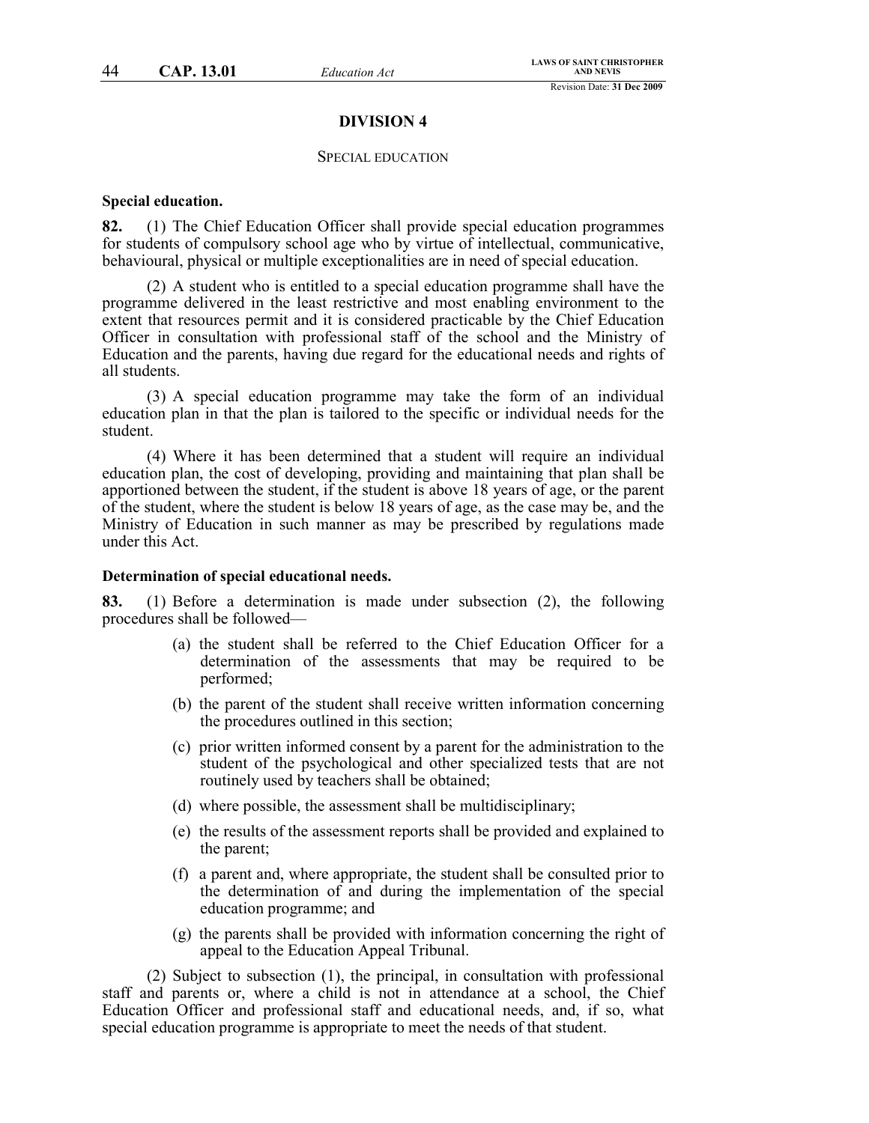### **DIVISION 4**

### SPECIAL EDUCATION

### **Special education.**

**82.** (1) The Chief Education Officer shall provide special education programmes for students of compulsory school age who by virtue of intellectual, communicative, behavioural, physical or multiple exceptionalities are in need of special education.

(2) A student who is entitled to a special education programme shall have the programme delivered in the least restrictive and most enabling environment to the extent that resources permit and it is considered practicable by the Chief Education Officer in consultation with professional staff of the school and the Ministry of Education and the parents, having due regard for the educational needs and rights of all students.

(3) A special education programme may take the form of an individual education plan in that the plan is tailored to the specific or individual needs for the student.

(4) Where it has been determined that a student will require an individual education plan, the cost of developing, providing and maintaining that plan shall be apportioned between the student, if the student is above 18 years of age, or the parent of the student, where the student is below 18 years of age, as the case may be, and the Ministry of Education in such manner as may be prescribed by regulations made under this Act.

### **Determination of special educational needs.**

**83.** (1) Before a determination is made under subsection (2), the following procedures shall be followed—

- (a) the student shall be referred to the Chief Education Officer for a determination of the assessments that may be required to be performed;
- (b) the parent of the student shall receive written information concerning the procedures outlined in this section;
- (c) prior written informed consent by a parent for the administration to the student of the psychological and other specialized tests that are not routinely used by teachers shall be obtained;
- (d) where possible, the assessment shall be multidisciplinary;
- (e) the results of the assessment reports shall be provided and explained to the parent;
- (f) a parent and, where appropriate, the student shall be consulted prior to the determination of and during the implementation of the special education programme; and
- (g) the parents shall be provided with information concerning the right of appeal to the Education Appeal Tribunal.

(2) Subject to subsection (1), the principal, in consultation with professional staff and parents or, where a child is not in attendance at a school, the Chief Education Officer and professional staff and educational needs, and, if so, what special education programme is appropriate to meet the needs of that student.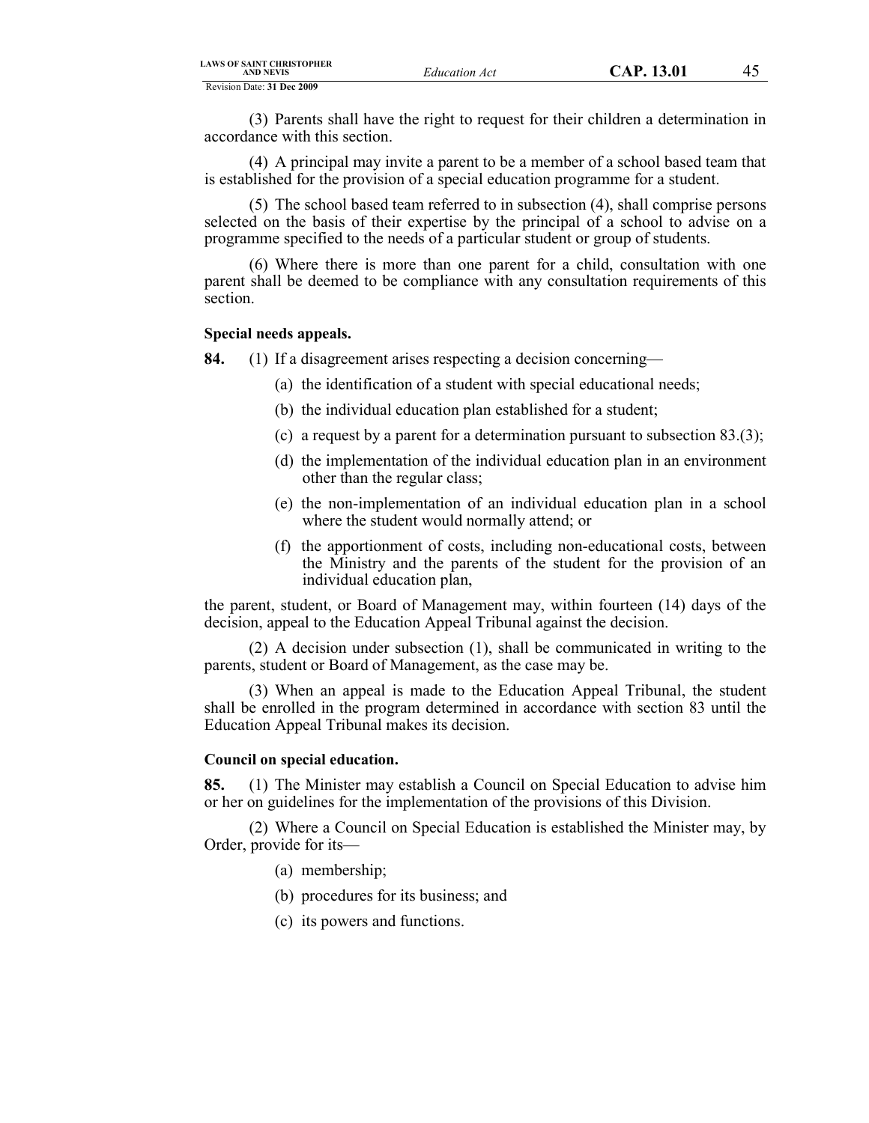| <b>LAWS OF SAINT CHRISTOPHER</b><br><b>AND NEVIS</b> |  |  |  |
|------------------------------------------------------|--|--|--|
| Revision Date: 31 Dec 2009                           |  |  |  |

(3) Parents shall have the right to request for their children a determination in accordance with this section.

(4) A principal may invite a parent to be a member of a school based team that is established for the provision of a special education programme for a student.

(5) The school based team referred to in subsection (4), shall comprise persons selected on the basis of their expertise by the principal of a school to advise on a programme specified to the needs of a particular student or group of students.

(6) Where there is more than one parent for a child, consultation with one parent shall be deemed to be compliance with any consultation requirements of this section.

### **Special needs appeals.**

**84.** (1) If a disagreement arises respecting a decision concerning—

- (a) the identification of a student with special educational needs;
- (b) the individual education plan established for a student;
- (c) a request by a parent for a determination pursuant to subsection 83.(3);
- (d) the implementation of the individual education plan in an environment other than the regular class;
- (e) the non-implementation of an individual education plan in a school where the student would normally attend; or
- (f) the apportionment of costs, including non-educational costs, between the Ministry and the parents of the student for the provision of an individual education plan,

the parent, student, or Board of Management may, within fourteen (14) days of the decision, appeal to the Education Appeal Tribunal against the decision.

(2) A decision under subsection (1), shall be communicated in writing to the parents, student or Board of Management, as the case may be.

(3) When an appeal is made to the Education Appeal Tribunal, the student shall be enrolled in the program determined in accordance with section 83 until the Education Appeal Tribunal makes its decision.

#### **Council on special education.**

**85.** (1) The Minister may establish a Council on Special Education to advise him or her on guidelines for the implementation of the provisions of this Division.

(2) Where a Council on Special Education is established the Minister may, by Order, provide for its—

- (a) membership;
- (b) procedures for its business; and
- (c) its powers and functions.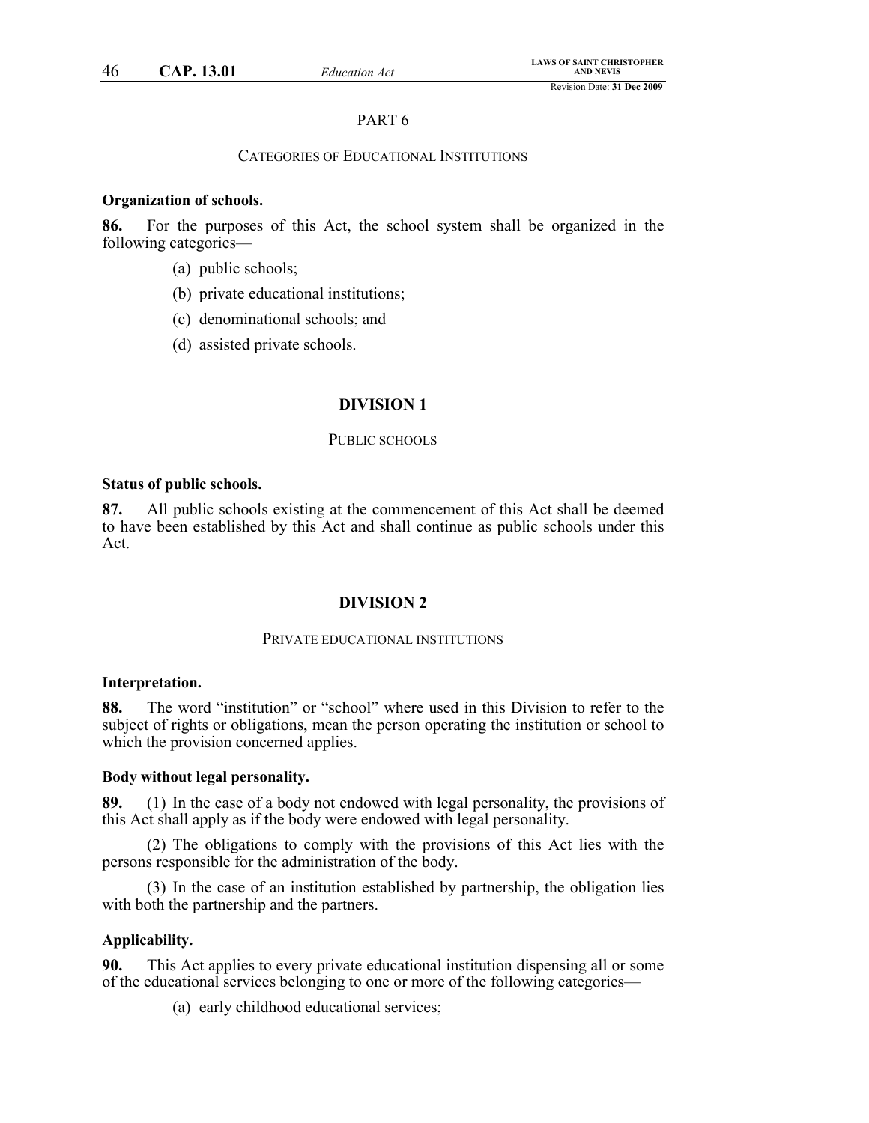# PART 6

# CATEGORIES OF EDUCATIONAL INSTITUTIONS

### **Organization of schools.**

**86.** For the purposes of this Act, the school system shall be organized in the following categories—

- (a) public schools;
- (b) private educational institutions;
- (c) denominational schools; and
- (d) assisted private schools.

# **DIVISION 1**

### PUBLIC SCHOOLS

# **Status of public schools.**

**87.** All public schools existing at the commencement of this Act shall be deemed to have been established by this Act and shall continue as public schools under this Act.

## **DIVISION 2**

### PRIVATE EDUCATIONAL INSTITUTIONS

#### **Interpretation.**

**88.** The word "institution" or "school" where used in this Division to refer to the subject of rights or obligations, mean the person operating the institution or school to which the provision concerned applies.

#### **Body without legal personality.**

**89.** (1) In the case of a body not endowed with legal personality, the provisions of this Act shall apply as if the body were endowed with legal personality.

(2) The obligations to comply with the provisions of this Act lies with the persons responsible for the administration of the body.

(3) In the case of an institution established by partnership, the obligation lies with both the partnership and the partners.

### **Applicability.**

**90.** This Act applies to every private educational institution dispensing all or some of the educational services belonging to one or more of the following categories—

(a) early childhood educational services;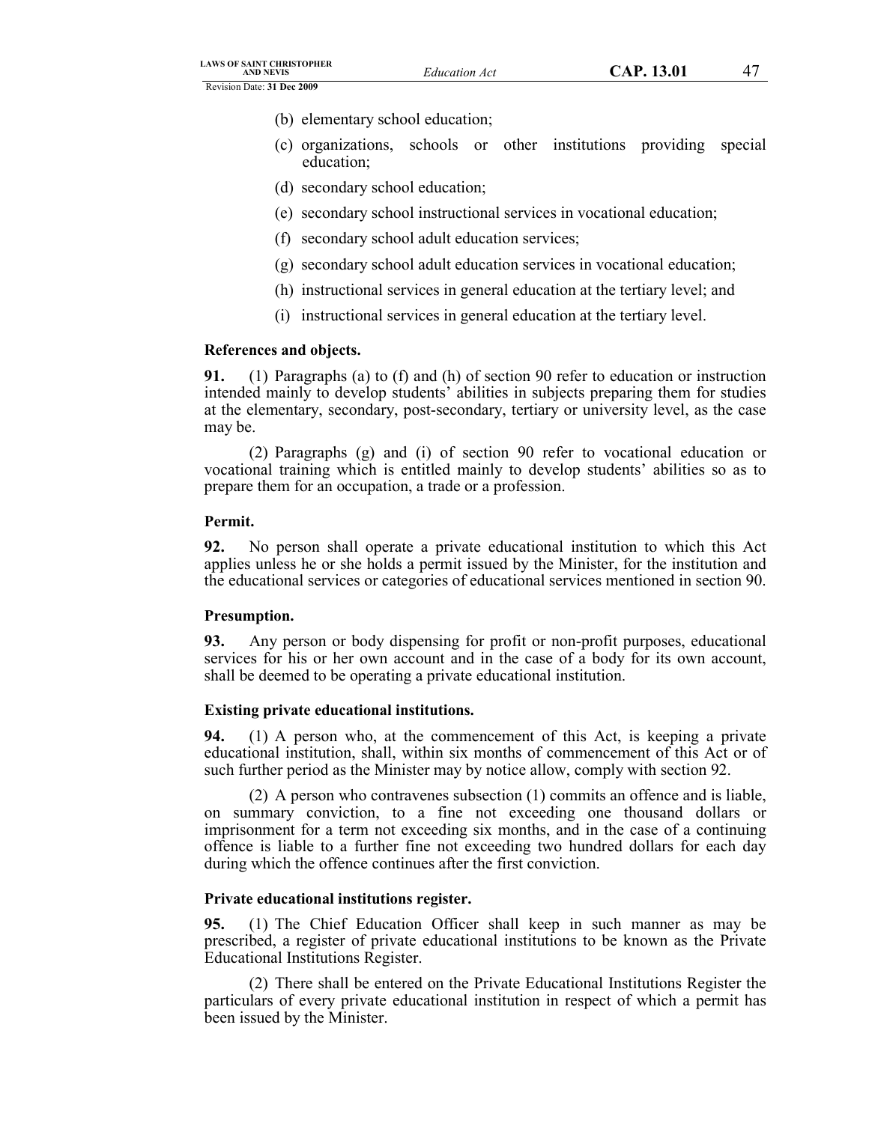- (b) elementary school education;
- (c) organizations, schools or other institutions providing special education;
- (d) secondary school education;
- (e) secondary school instructional services in vocational education;
- (f) secondary school adult education services;
- (g) secondary school adult education services in vocational education;
- (h) instructional services in general education at the tertiary level; and
- (i) instructional services in general education at the tertiary level.

# **References and objects.**

**91.** (1) Paragraphs (a) to (f) and (h) of section 90 refer to education or instruction intended mainly to develop students' abilities in subjects preparing them for studies at the elementary, secondary, post-secondary, tertiary or university level, as the case may be.

(2) Paragraphs (g) and (i) of section 90 refer to vocational education or vocational training which is entitled mainly to develop students' abilities so as to prepare them for an occupation, a trade or a profession.

# **Permit.**

**92.** No person shall operate a private educational institution to which this Act applies unless he or she holds a permit issued by the Minister, for the institution and the educational services or categories of educational services mentioned in section 90.

# **Presumption.**

**93.** Any person or body dispensing for profit or non-profit purposes, educational services for his or her own account and in the case of a body for its own account, shall be deemed to be operating a private educational institution.

# **Existing private educational institutions.**

**94.** (1) A person who, at the commencement of this Act, is keeping a private educational institution, shall, within six months of commencement of this Act or of such further period as the Minister may by notice allow, comply with section 92.

(2) A person who contravenes subsection (1) commits an offence and is liable, on summary conviction, to a fine not exceeding one thousand dollars or imprisonment for a term not exceeding six months, and in the case of a continuing offence is liable to a further fine not exceeding two hundred dollars for each day during which the offence continues after the first conviction.

# **Private educational institutions register.**

**95.** (1) The Chief Education Officer shall keep in such manner as may be prescribed, a register of private educational institutions to be known as the Private Educational Institutions Register.

(2) There shall be entered on the Private Educational Institutions Register the particulars of every private educational institution in respect of which a permit has been issued by the Minister.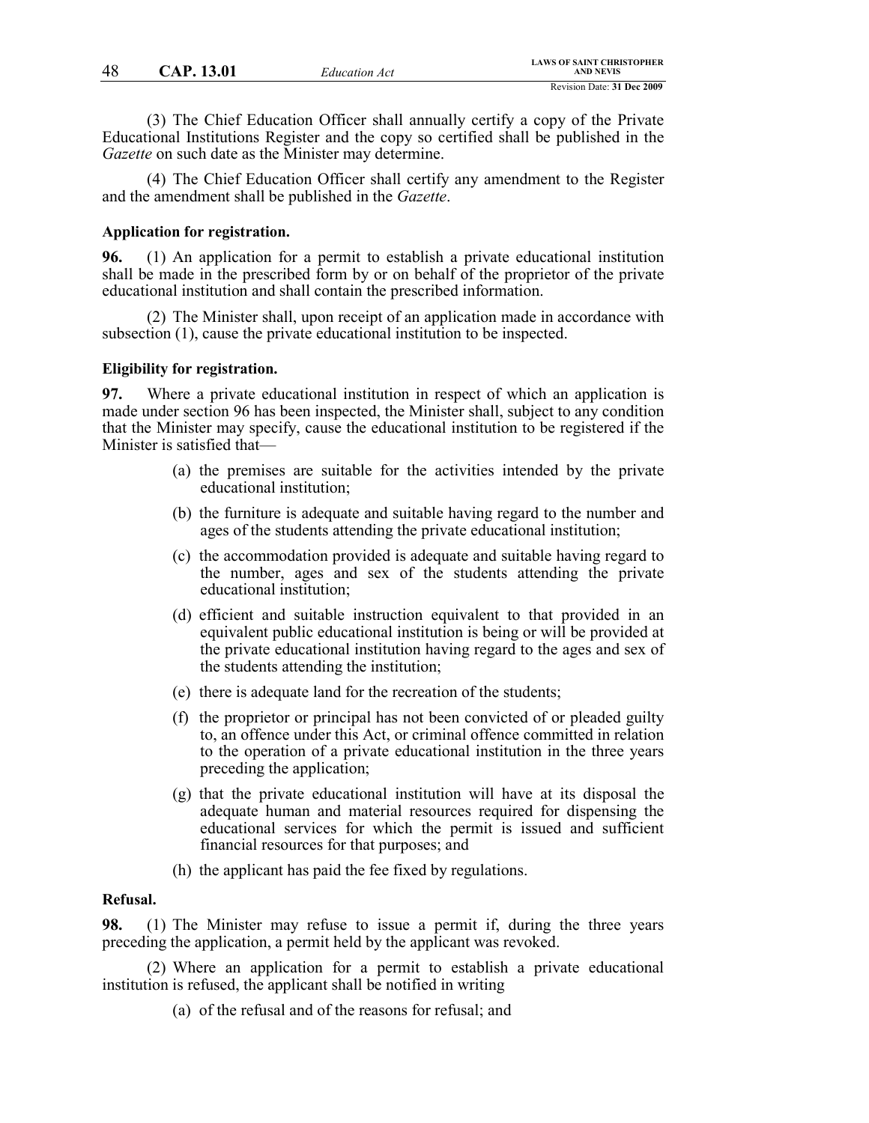(3) The Chief Education Officer shall annually certify a copy of the Private Educational Institutions Register and the copy so certified shall be published in the *Gazette* on such date as the Minister may determine.

(4) The Chief Education Officer shall certify any amendment to the Register and the amendment shall be published in the *Gazette*.

### **Application for registration.**

**96.** (1) An application for a permit to establish a private educational institution shall be made in the prescribed form by or on behalf of the proprietor of the private educational institution and shall contain the prescribed information.

(2) The Minister shall, upon receipt of an application made in accordance with subsection (1), cause the private educational institution to be inspected.

### **Eligibility for registration.**

**97.** Where a private educational institution in respect of which an application is made under section 96 has been inspected, the Minister shall, subject to any condition that the Minister may specify, cause the educational institution to be registered if the Minister is satisfied that—

- (a) the premises are suitable for the activities intended by the private educational institution;
- (b) the furniture is adequate and suitable having regard to the number and ages of the students attending the private educational institution;
- (c) the accommodation provided is adequate and suitable having regard to the number, ages and sex of the students attending the private educational institution;
- (d) efficient and suitable instruction equivalent to that provided in an equivalent public educational institution is being or will be provided at the private educational institution having regard to the ages and sex of the students attending the institution;
- (e) there is adequate land for the recreation of the students;
- (f) the proprietor or principal has not been convicted of or pleaded guilty to, an offence under this Act, or criminal offence committed in relation to the operation of a private educational institution in the three years preceding the application;
- (g) that the private educational institution will have at its disposal the adequate human and material resources required for dispensing the educational services for which the permit is issued and sufficient financial resources for that purposes; and
- (h) the applicant has paid the fee fixed by regulations.

## **Refusal.**

**98.** (1) The Minister may refuse to issue a permit if, during the three years preceding the application, a permit held by the applicant was revoked.

(2) Where an application for a permit to establish a private educational institution is refused, the applicant shall be notified in writing

(a) of the refusal and of the reasons for refusal; and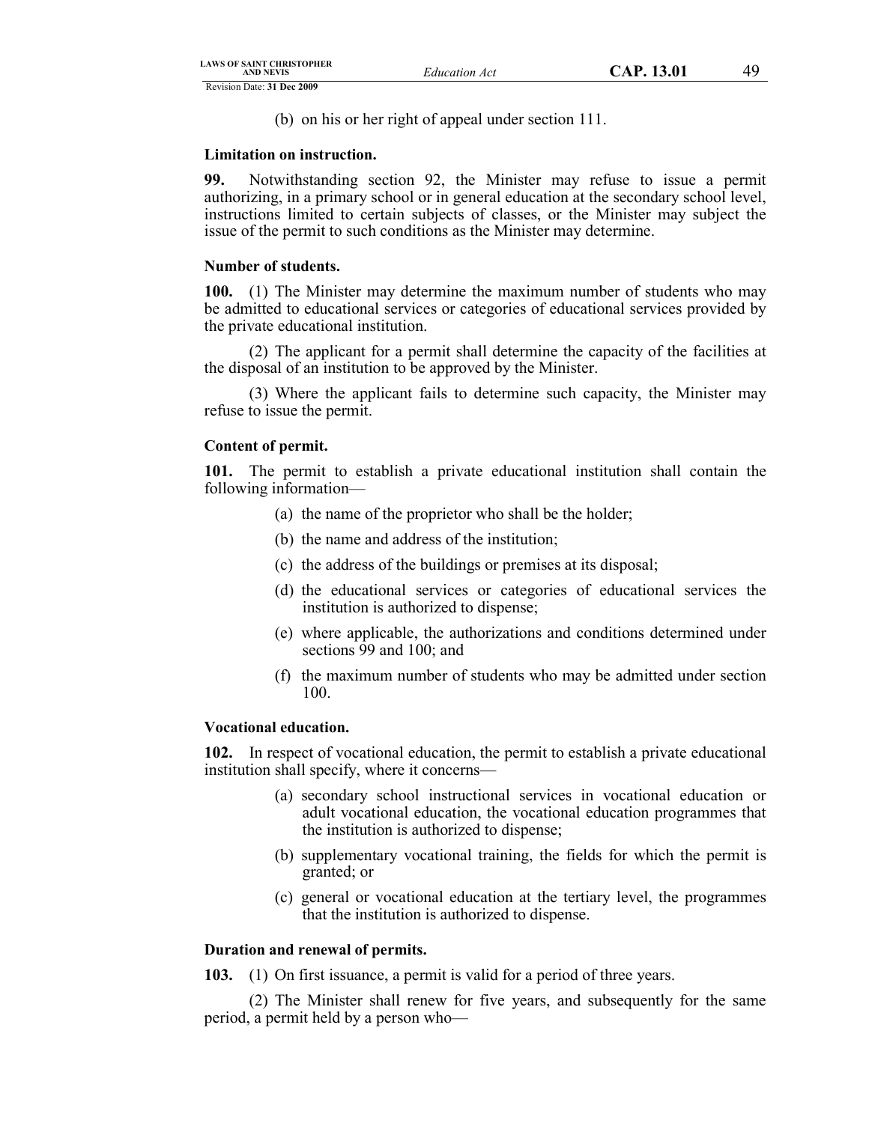(b) on his or her right of appeal under section 111.

# **Limitation on instruction.**

**99.** Notwithstanding section 92, the Minister may refuse to issue a permit authorizing, in a primary school or in general education at the secondary school level, instructions limited to certain subjects of classes, or the Minister may subject the issue of the permit to such conditions as the Minister may determine.

# **Number of students.**

**100.** (1) The Minister may determine the maximum number of students who may be admitted to educational services or categories of educational services provided by the private educational institution.

(2) The applicant for a permit shall determine the capacity of the facilities at the disposal of an institution to be approved by the Minister.

(3) Where the applicant fails to determine such capacity, the Minister may refuse to issue the permit.

# **Content of permit.**

**101.** The permit to establish a private educational institution shall contain the following information—

- (a) the name of the proprietor who shall be the holder;
- (b) the name and address of the institution;
- (c) the address of the buildings or premises at its disposal;
- (d) the educational services or categories of educational services the institution is authorized to dispense;
- (e) where applicable, the authorizations and conditions determined under sections 99 and 100; and
- (f) the maximum number of students who may be admitted under section 100.

# **Vocational education.**

**102.** In respect of vocational education, the permit to establish a private educational institution shall specify, where it concerns—

- (a) secondary school instructional services in vocational education or adult vocational education, the vocational education programmes that the institution is authorized to dispense;
- (b) supplementary vocational training, the fields for which the permit is granted; or
- (c) general or vocational education at the tertiary level, the programmes that the institution is authorized to dispense.

# **Duration and renewal of permits.**

**103.** (1) On first issuance, a permit is valid for a period of three years.

(2) The Minister shall renew for five years, and subsequently for the same period, a permit held by a person who—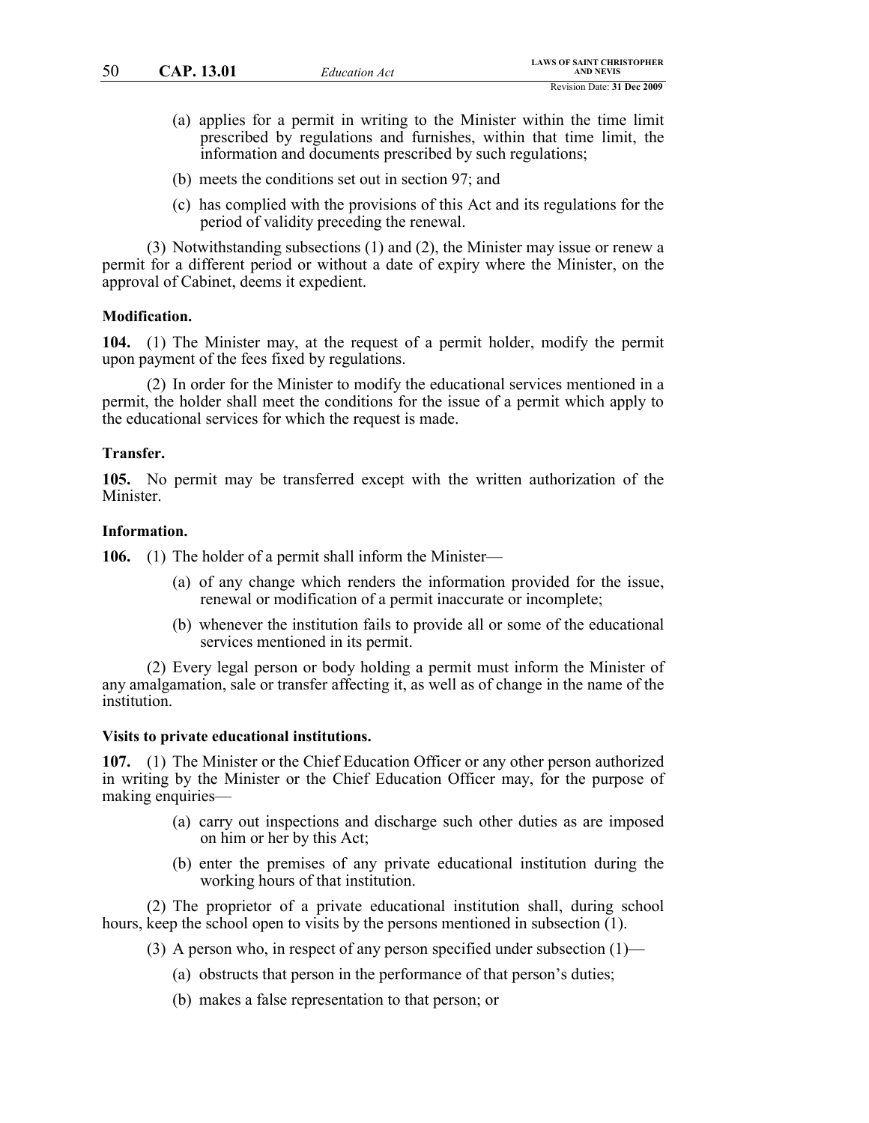- (a) applies for a permit in writing to the Minister within the time limit prescribed by regulations and furnishes, within that time limit, the information and documents prescribed by such regulations;
- (b) meets the conditions set out in section 97; and
- (c) has complied with the provisions of this Act and its regulations for the period of validity preceding the renewal.

(3) Notwithstanding subsections (1) and (2), the Minister may issue or renew a permit for a different period or without a date of expiry where the Minister, on the approval of Cabinet, deems it expedient.

### **Modification.**

**104.** (1) The Minister may, at the request of a permit holder, modify the permit upon payment of the fees fixed by regulations.

(2) In order for the Minister to modify the educational services mentioned in a permit, the holder shall meet the conditions for the issue of a permit which apply to the educational services for which the request is made.

#### **Transfer.**

**105.** No permit may be transferred except with the written authorization of the Minister.

#### **Information.**

**106.** (1) The holder of a permit shall inform the Minister—

- (a) of any change which renders the information provided for the issue, renewal or modification of a permit inaccurate or incomplete;
- (b) whenever the institution fails to provide all or some of the educational services mentioned in its permit.

(2) Every legal person or body holding a permit must inform the Minister of any amalgamation, sale or transfer affecting it, as well as of change in the name of the institution.

### **Visits to private educational institutions.**

**107.** (1) The Minister or the Chief Education Officer or any other person authorized in writing by the Minister or the Chief Education Officer may, for the purpose of making enquiries—

- (a) carry out inspections and discharge such other duties as are imposed on him or her by this Act;
- (b) enter the premises of any private educational institution during the working hours of that institution.

(2) The proprietor of a private educational institution shall, during school hours, keep the school open to visits by the persons mentioned in subsection  $(1)$ .

- (3) A person who, in respect of any person specified under subsection  $(1)$ 
	- (a) obstructs that person in the performance of that person's duties;
	- (b) makes a false representation to that person; or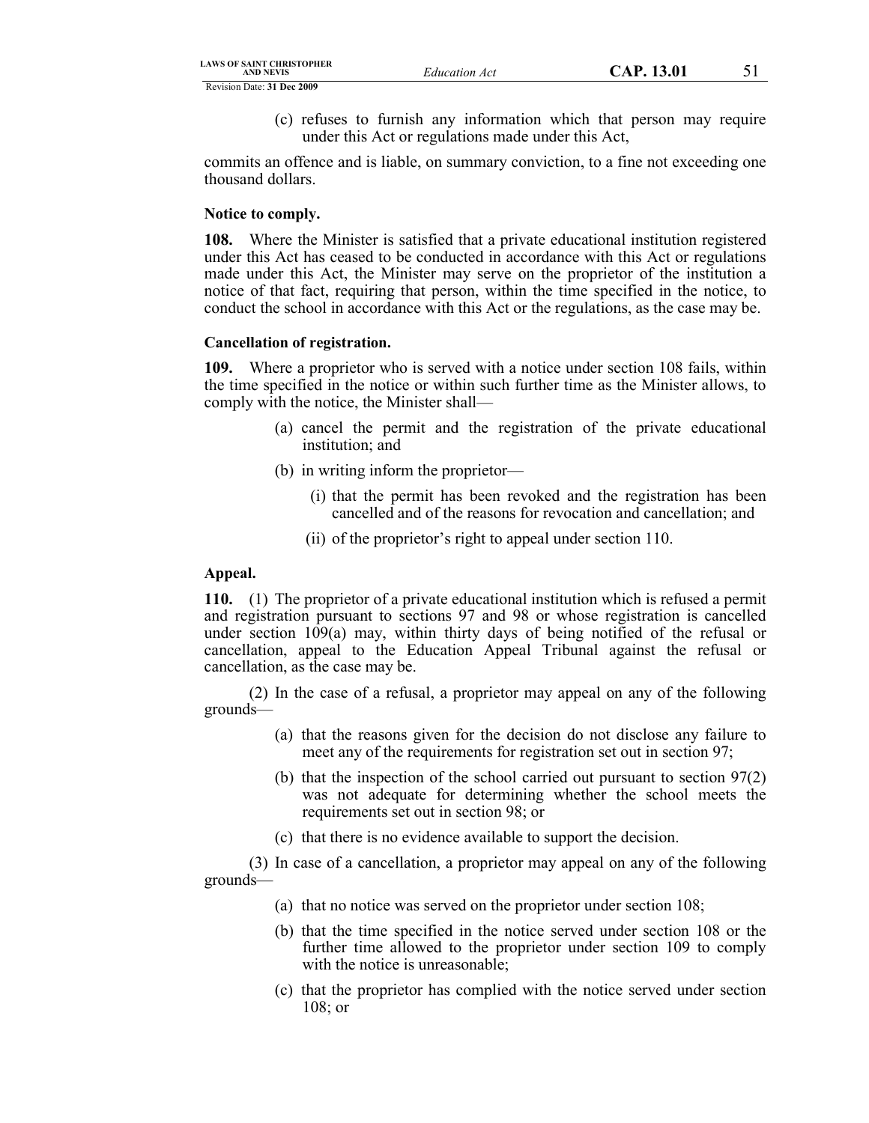(c) refuses to furnish any information which that person may require under this Act or regulations made under this Act,

commits an offence and is liable, on summary conviction, to a fine not exceeding one thousand dollars.

# **Notice to comply.**

**108.** Where the Minister is satisfied that a private educational institution registered under this Act has ceased to be conducted in accordance with this Act or regulations made under this Act, the Minister may serve on the proprietor of the institution a notice of that fact, requiring that person, within the time specified in the notice, to conduct the school in accordance with this Act or the regulations, as the case may be.

# **Cancellation of registration.**

**109.** Where a proprietor who is served with a notice under section 108 fails, within the time specified in the notice or within such further time as the Minister allows, to comply with the notice, the Minister shall—

- (a) cancel the permit and the registration of the private educational institution; and
- (b) in writing inform the proprietor—
	- (i) that the permit has been revoked and the registration has been cancelled and of the reasons for revocation and cancellation; and
	- (ii) of the proprietor's right to appeal under section 110.

# **Appeal.**

**110.** (1) The proprietor of a private educational institution which is refused a permit and registration pursuant to sections 97 and 98 or whose registration is cancelled under section 109(a) may, within thirty days of being notified of the refusal or cancellation, appeal to the Education Appeal Tribunal against the refusal or cancellation, as the case may be.

(2) In the case of a refusal, a proprietor may appeal on any of the following grounds—

- (a) that the reasons given for the decision do not disclose any failure to meet any of the requirements for registration set out in section 97;
- (b) that the inspection of the school carried out pursuant to section 97(2) was not adequate for determining whether the school meets the requirements set out in section 98; or
- (c) that there is no evidence available to support the decision.

(3) In case of a cancellation, a proprietor may appeal on any of the following grounds—

- (a) that no notice was served on the proprietor under section 108;
- (b) that the time specified in the notice served under section 108 or the further time allowed to the proprietor under section 109 to comply with the notice is unreasonable;
- (c) that the proprietor has complied with the notice served under section 108; or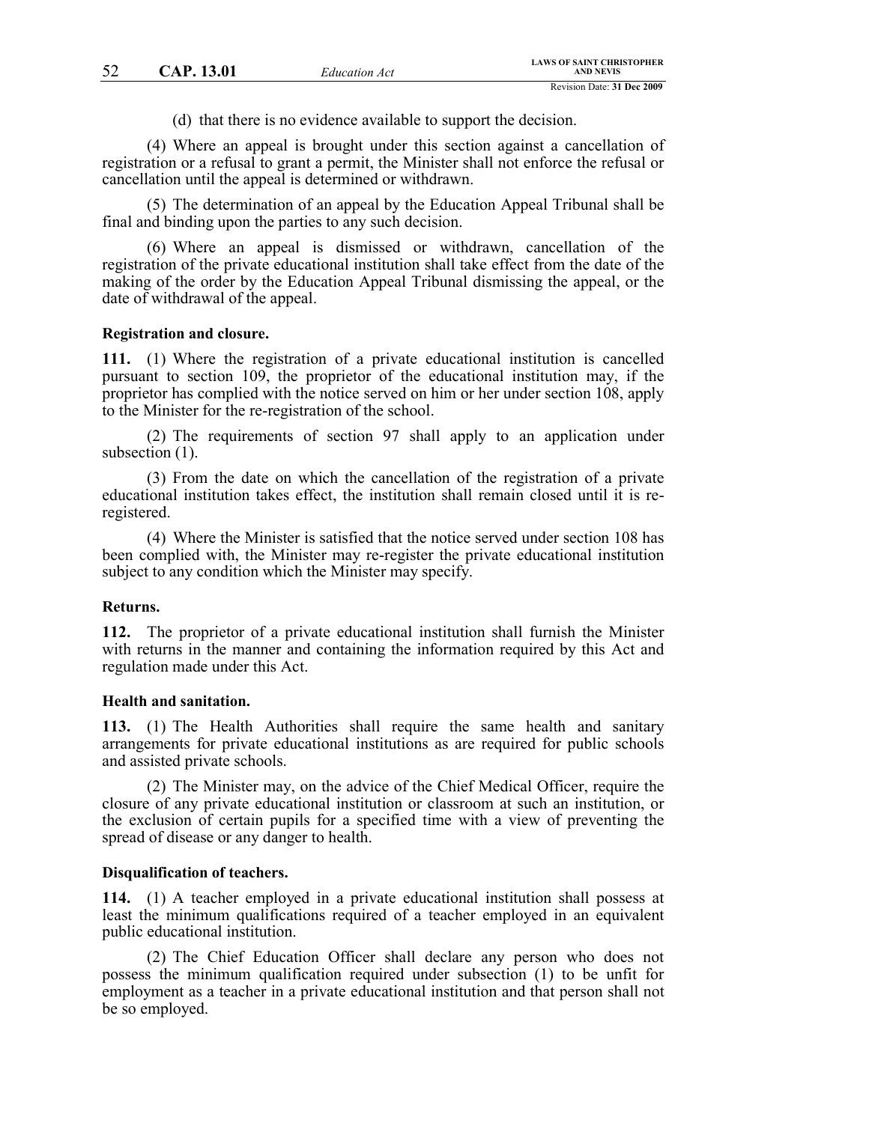(d) that there is no evidence available to support the decision.

(4) Where an appeal is brought under this section against a cancellation of registration or a refusal to grant a permit, the Minister shall not enforce the refusal or cancellation until the appeal is determined or withdrawn.

(5) The determination of an appeal by the Education Appeal Tribunal shall be final and binding upon the parties to any such decision.

(6) Where an appeal is dismissed or withdrawn, cancellation of the registration of the private educational institution shall take effect from the date of the making of the order by the Education Appeal Tribunal dismissing the appeal, or the date of withdrawal of the appeal.

#### **Registration and closure.**

**111.** (1) Where the registration of a private educational institution is cancelled pursuant to section 109, the proprietor of the educational institution may, if the proprietor has complied with the notice served on him or her under section 108, apply to the Minister for the re-registration of the school.

(2) The requirements of section 97 shall apply to an application under subsection  $(1)$ .

(3) From the date on which the cancellation of the registration of a private educational institution takes effect, the institution shall remain closed until it is reregistered.

(4) Where the Minister is satisfied that the notice served under section 108 has been complied with, the Minister may re-register the private educational institution subject to any condition which the Minister may specify.

# **Returns.**

**112.** The proprietor of a private educational institution shall furnish the Minister with returns in the manner and containing the information required by this Act and regulation made under this Act.

### **Health and sanitation.**

**113.** (1) The Health Authorities shall require the same health and sanitary arrangements for private educational institutions as are required for public schools and assisted private schools.

(2) The Minister may, on the advice of the Chief Medical Officer, require the closure of any private educational institution or classroom at such an institution, or the exclusion of certain pupils for a specified time with a view of preventing the spread of disease or any danger to health.

### **Disqualification of teachers.**

**114.** (1) A teacher employed in a private educational institution shall possess at least the minimum qualifications required of a teacher employed in an equivalent public educational institution.

(2) The Chief Education Officer shall declare any person who does not possess the minimum qualification required under subsection (1) to be unfit for employment as a teacher in a private educational institution and that person shall not be so employed.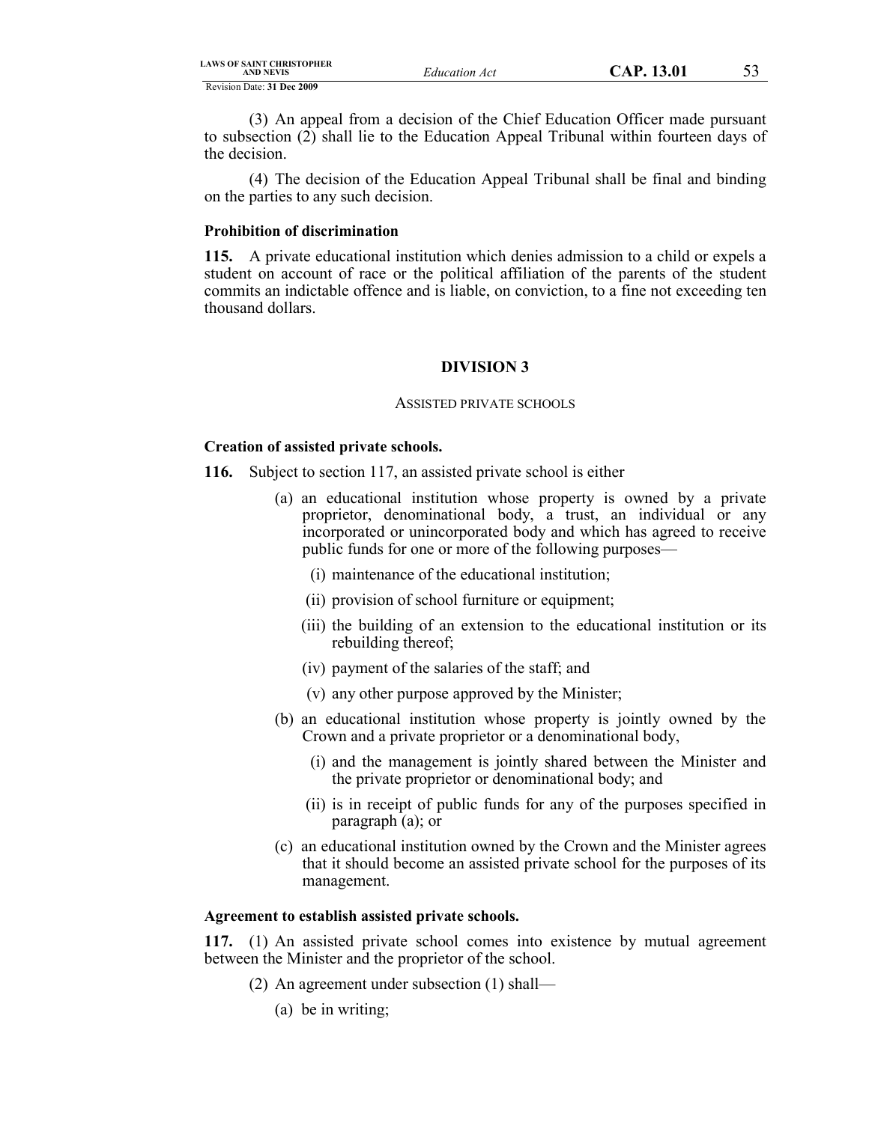| LAWS OF SAINT CHRISTOPHER<br><b>AND NEVIS</b> | Education Act |
|-----------------------------------------------|---------------|
| Revision Date: 31 Dec 2009                    |               |

(3) An appeal from a decision of the Chief Education Officer made pursuant to subsection (2) shall lie to the Education Appeal Tribunal within fourteen days of the decision.

(4) The decision of the Education Appeal Tribunal shall be final and binding on the parties to any such decision.

### **Prohibition of discrimination**

**115.** A private educational institution which denies admission to a child or expels a student on account of race or the political affiliation of the parents of the student commits an indictable offence and is liable, on conviction, to a fine not exceeding ten thousand dollars.

# **DIVISION 3**

#### ASSISTED PRIVATE SCHOOLS

# **Creation of assisted private schools.**

- **116.** Subject to section 117, an assisted private school is either
	- (a) an educational institution whose property is owned by a private proprietor, denominational body, a trust, an individual or any incorporated or unincorporated body and which has agreed to receive public funds for one or more of the following purposes—
		- (i) maintenance of the educational institution;
		- (ii) provision of school furniture or equipment;
		- (iii) the building of an extension to the educational institution or its rebuilding thereof;
		- (iv) payment of the salaries of the staff; and
		- (v) any other purpose approved by the Minister;
	- (b) an educational institution whose property is jointly owned by the Crown and a private proprietor or a denominational body,
		- (i) and the management is jointly shared between the Minister and the private proprietor or denominational body; and
		- (ii) is in receipt of public funds for any of the purposes specified in paragraph (a); or
	- (c) an educational institution owned by the Crown and the Minister agrees that it should become an assisted private school for the purposes of its management.

# **Agreement to establish assisted private schools.**

**117.** (1) An assisted private school comes into existence by mutual agreement between the Minister and the proprietor of the school.

- (2) An agreement under subsection (1) shall—
	- (a) be in writing;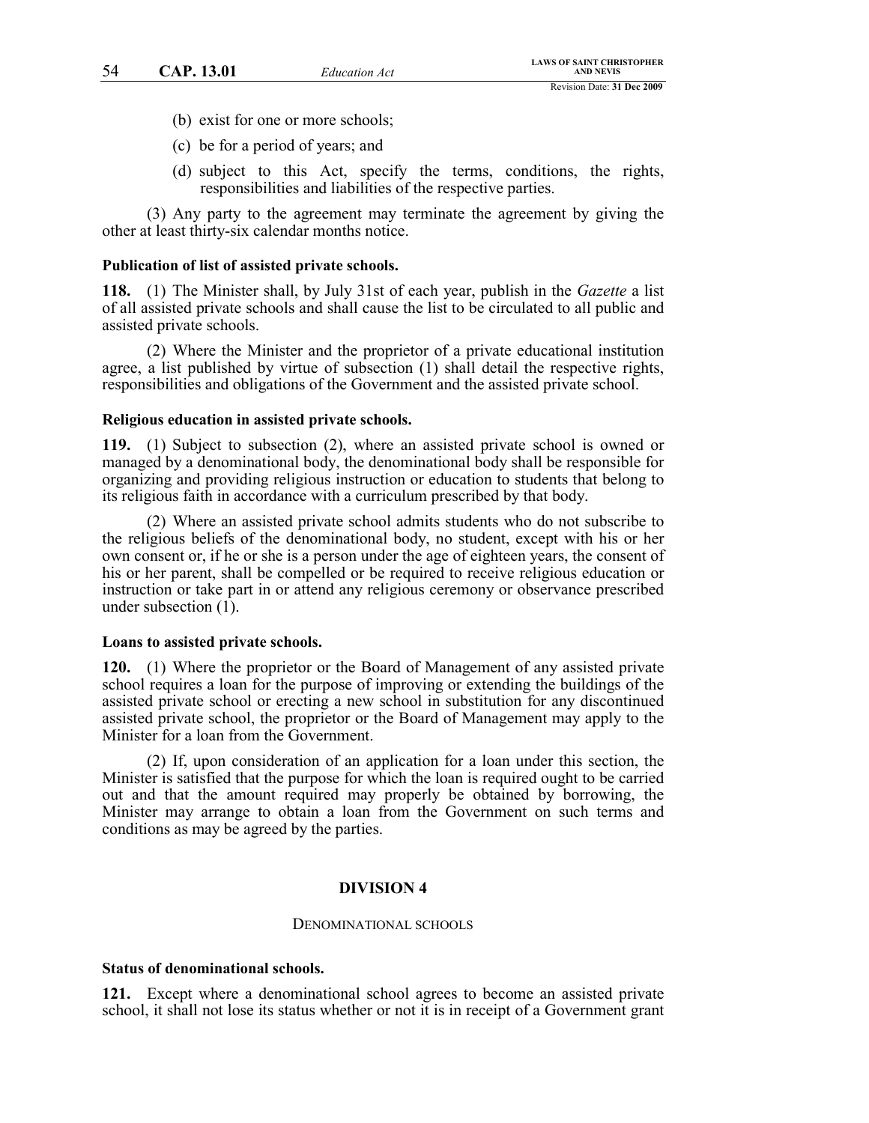- (b) exist for one or more schools;
- (c) be for a period of years; and
- (d) subject to this Act, specify the terms, conditions, the rights, responsibilities and liabilities of the respective parties.

(3) Any party to the agreement may terminate the agreement by giving the other at least thirty-six calendar months notice.

#### **Publication of list of assisted private schools.**

**118.** (1) The Minister shall, by July 31st of each year, publish in the *Gazette* a list of all assisted private schools and shall cause the list to be circulated to all public and assisted private schools.

(2) Where the Minister and the proprietor of a private educational institution agree, a list published by virtue of subsection (1) shall detail the respective rights, responsibilities and obligations of the Government and the assisted private school.

### **Religious education in assisted private schools.**

**119.** (1) Subject to subsection (2), where an assisted private school is owned or managed by a denominational body, the denominational body shall be responsible for organizing and providing religious instruction or education to students that belong to its religious faith in accordance with a curriculum prescribed by that body.

(2) Where an assisted private school admits students who do not subscribe to the religious beliefs of the denominational body, no student, except with his or her own consent or, if he or she is a person under the age of eighteen years, the consent of his or her parent, shall be compelled or be required to receive religious education or instruction or take part in or attend any religious ceremony or observance prescribed under subsection (1).

#### **Loans to assisted private schools.**

**120.** (1) Where the proprietor or the Board of Management of any assisted private school requires a loan for the purpose of improving or extending the buildings of the assisted private school or erecting a new school in substitution for any discontinued assisted private school, the proprietor or the Board of Management may apply to the Minister for a loan from the Government.

(2) If, upon consideration of an application for a loan under this section, the Minister is satisfied that the purpose for which the loan is required ought to be carried out and that the amount required may properly be obtained by borrowing, the Minister may arrange to obtain a loan from the Government on such terms and conditions as may be agreed by the parties.

# **DIVISION 4**

#### DENOMINATIONAL SCHOOLS

### **Status of denominational schools.**

**121.** Except where a denominational school agrees to become an assisted private school, it shall not lose its status whether or not it is in receipt of a Government grant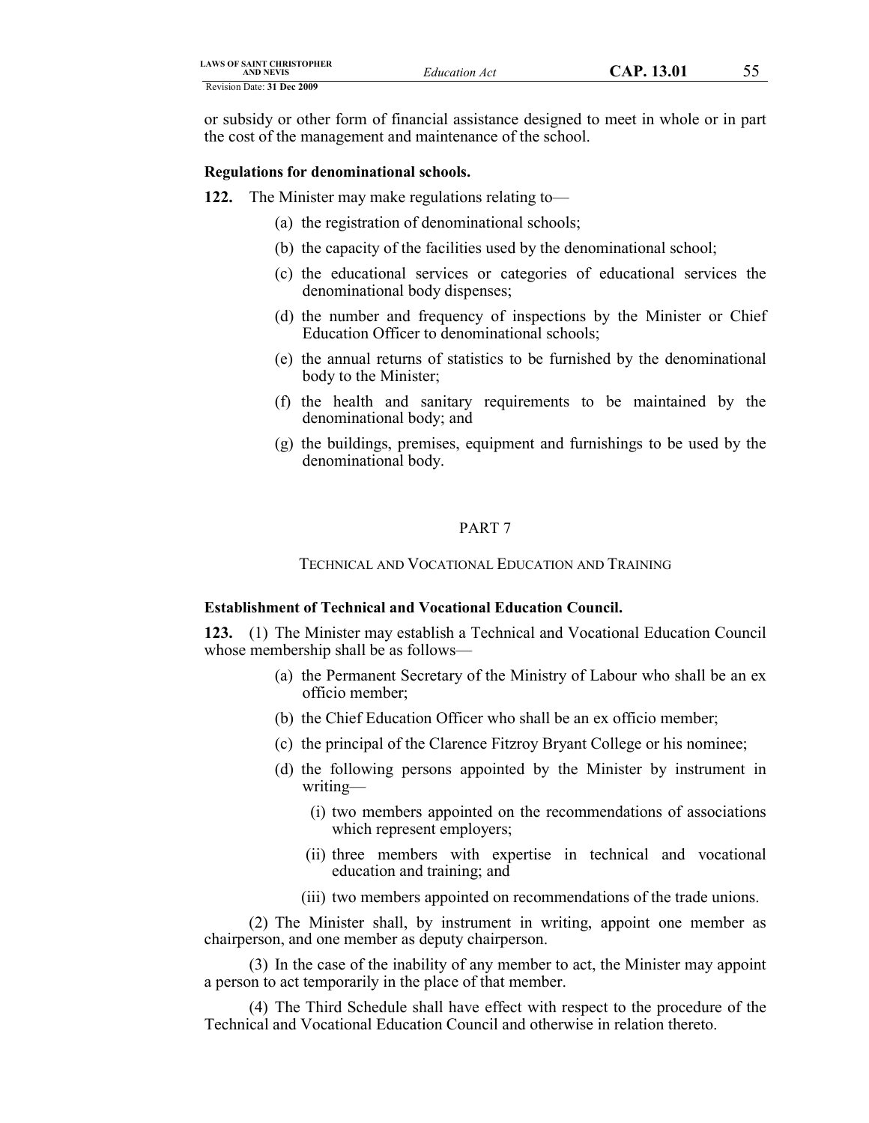| <b>LAWS OF SAINT CHRISTOPHER</b><br>AND NEVIS | <b>Education Act</b> | CAP. 13.01 | ັບ |
|-----------------------------------------------|----------------------|------------|----|
| Revision Date: 31 Dec 2009                    |                      |            |    |

or subsidy or other form of financial assistance designed to meet in whole or in part the cost of the management and maintenance of the school.

# **Regulations for denominational schools.**

- **122.** The Minister may make regulations relating to—
	- (a) the registration of denominational schools;
	- (b) the capacity of the facilities used by the denominational school;
	- (c) the educational services or categories of educational services the denominational body dispenses;
	- (d) the number and frequency of inspections by the Minister or Chief Education Officer to denominational schools;
	- (e) the annual returns of statistics to be furnished by the denominational body to the Minister;
	- (f) the health and sanitary requirements to be maintained by the denominational body; and
	- (g) the buildings, premises, equipment and furnishings to be used by the denominational body.

#### PART 7

# TECHNICAL AND VOCATIONAL EDUCATION AND TRAINING

# **Establishment of Technical and Vocational Education Council.**

**123.** (1) The Minister may establish a Technical and Vocational Education Council whose membership shall be as follows—

- (a) the Permanent Secretary of the Ministry of Labour who shall be an ex officio member;
- (b) the Chief Education Officer who shall be an ex officio member;
- (c) the principal of the Clarence Fitzroy Bryant College or his nominee;
- (d) the following persons appointed by the Minister by instrument in writing—
	- (i) two members appointed on the recommendations of associations which represent employers;
	- (ii) three members with expertise in technical and vocational education and training; and
	- (iii) two members appointed on recommendations of the trade unions.

(2) The Minister shall, by instrument in writing, appoint one member as chairperson, and one member as deputy chairperson.

(3) In the case of the inability of any member to act, the Minister may appoint a person to act temporarily in the place of that member.

(4) The Third Schedule shall have effect with respect to the procedure of the Technical and Vocational Education Council and otherwise in relation thereto.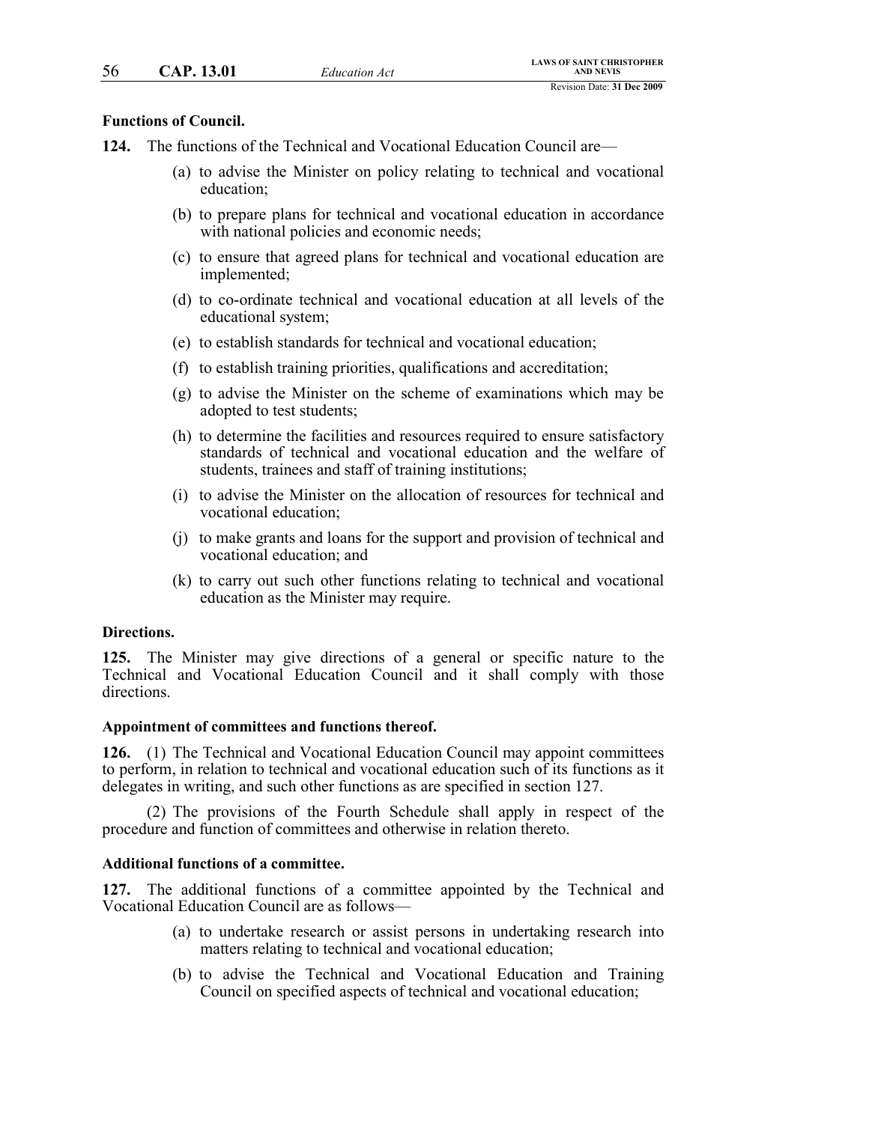### **Functions of Council.**

- **124.** The functions of the Technical and Vocational Education Council are—
	- (a) to advise the Minister on policy relating to technical and vocational education;
	- (b) to prepare plans for technical and vocational education in accordance with national policies and economic needs;
	- (c) to ensure that agreed plans for technical and vocational education are implemented;
	- (d) to co-ordinate technical and vocational education at all levels of the educational system;
	- (e) to establish standards for technical and vocational education;
	- (f) to establish training priorities, qualifications and accreditation;
	- (g) to advise the Minister on the scheme of examinations which may be adopted to test students;
	- (h) to determine the facilities and resources required to ensure satisfactory standards of technical and vocational education and the welfare of students, trainees and staff of training institutions;
	- (i) to advise the Minister on the allocation of resources for technical and vocational education;
	- (j) to make grants and loans for the support and provision of technical and vocational education; and
	- (k) to carry out such other functions relating to technical and vocational education as the Minister may require.

### **Directions.**

**125.** The Minister may give directions of a general or specific nature to the Technical and Vocational Education Council and it shall comply with those directions.

#### **Appointment of committees and functions thereof.**

**126.** (1) The Technical and Vocational Education Council may appoint committees to perform, in relation to technical and vocational education such of its functions as it delegates in writing, and such other functions as are specified in section 127.

(2) The provisions of the Fourth Schedule shall apply in respect of the procedure and function of committees and otherwise in relation thereto.

### **Additional functions of a committee.**

**127.** The additional functions of a committee appointed by the Technical and Vocational Education Council are as follows—

- (a) to undertake research or assist persons in undertaking research into matters relating to technical and vocational education;
- (b) to advise the Technical and Vocational Education and Training Council on specified aspects of technical and vocational education;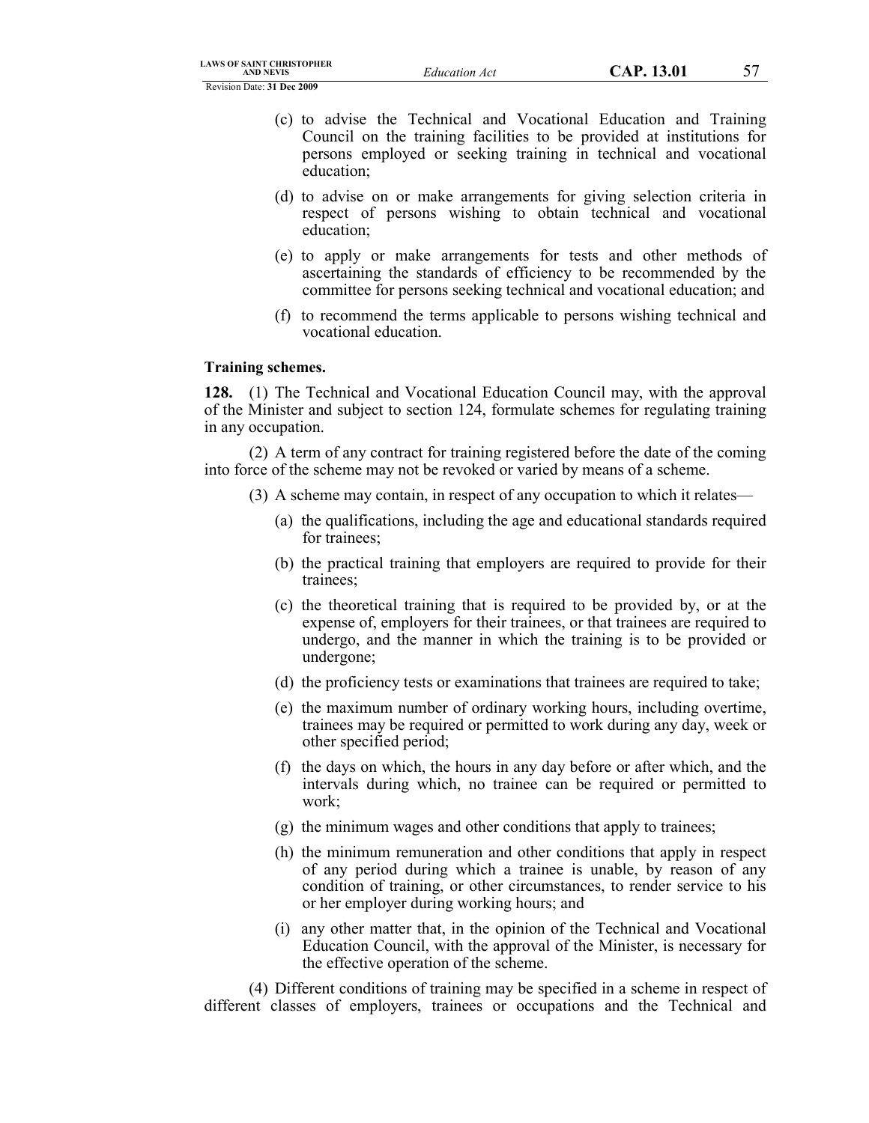- (c) to advise the Technical and Vocational Education and Training Council on the training facilities to be provided at institutions for persons employed or seeking training in technical and vocational education;
- (d) to advise on or make arrangements for giving selection criteria in respect of persons wishing to obtain technical and vocational education;
- (e) to apply or make arrangements for tests and other methods of ascertaining the standards of efficiency to be recommended by the committee for persons seeking technical and vocational education; and
- (f) to recommend the terms applicable to persons wishing technical and vocational education.

# **Training schemes.**

**128.** (1) The Technical and Vocational Education Council may, with the approval of the Minister and subject to section 124, formulate schemes for regulating training in any occupation.

(2) A term of any contract for training registered before the date of the coming into force of the scheme may not be revoked or varied by means of a scheme.

- (3) A scheme may contain, in respect of any occupation to which it relates—
	- (a) the qualifications, including the age and educational standards required for trainees;
	- (b) the practical training that employers are required to provide for their trainees;
	- (c) the theoretical training that is required to be provided by, or at the expense of, employers for their trainees, or that trainees are required to undergo, and the manner in which the training is to be provided or undergone;
	- (d) the proficiency tests or examinations that trainees are required to take;
	- (e) the maximum number of ordinary working hours, including overtime, trainees may be required or permitted to work during any day, week or other specified period;
	- (f) the days on which, the hours in any day before or after which, and the intervals during which, no trainee can be required or permitted to work;
	- (g) the minimum wages and other conditions that apply to trainees;
	- (h) the minimum remuneration and other conditions that apply in respect of any period during which a trainee is unable, by reason of any condition of training, or other circumstances, to render service to his or her employer during working hours; and
	- (i) any other matter that, in the opinion of the Technical and Vocational Education Council, with the approval of the Minister, is necessary for the effective operation of the scheme.

(4) Different conditions of training may be specified in a scheme in respect of different classes of employers, trainees or occupations and the Technical and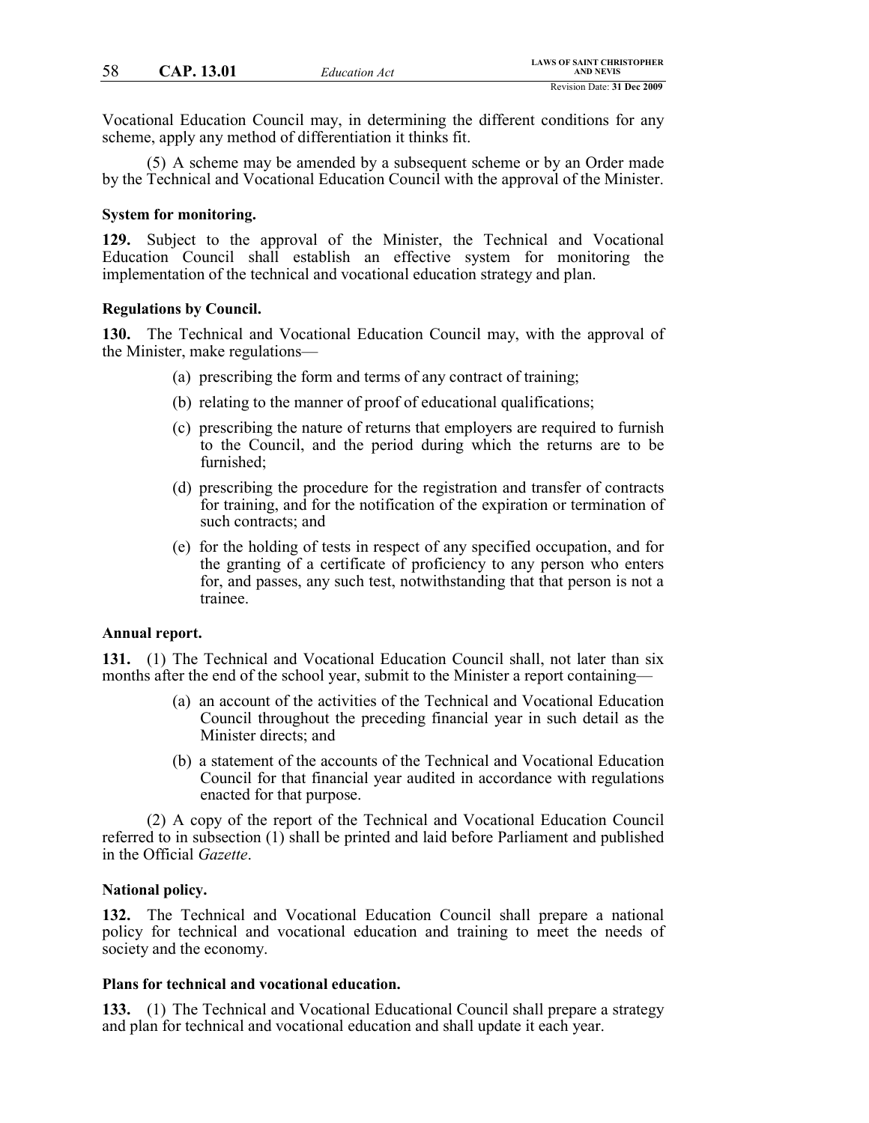Vocational Education Council may, in determining the different conditions for any scheme, apply any method of differentiation it thinks fit.

(5) A scheme may be amended by a subsequent scheme or by an Order made by the Technical and Vocational Education Council with the approval of the Minister.

### **System for monitoring.**

**129.** Subject to the approval of the Minister, the Technical and Vocational Education Council shall establish an effective system for monitoring the implementation of the technical and vocational education strategy and plan.

#### **Regulations by Council.**

**130.** The Technical and Vocational Education Council may, with the approval of the Minister, make regulations—

- (a) prescribing the form and terms of any contract of training;
- (b) relating to the manner of proof of educational qualifications;
- (c) prescribing the nature of returns that employers are required to furnish to the Council, and the period during which the returns are to be furnished;
- (d) prescribing the procedure for the registration and transfer of contracts for training, and for the notification of the expiration or termination of such contracts; and
- (e) for the holding of tests in respect of any specified occupation, and for the granting of a certificate of proficiency to any person who enters for, and passes, any such test, notwithstanding that that person is not a trainee.

### **Annual report.**

**131.** (1) The Technical and Vocational Education Council shall, not later than six months after the end of the school year, submit to the Minister a report containing—

- (a) an account of the activities of the Technical and Vocational Education Council throughout the preceding financial year in such detail as the Minister directs; and
- (b) a statement of the accounts of the Technical and Vocational Education Council for that financial year audited in accordance with regulations enacted for that purpose.

(2) A copy of the report of the Technical and Vocational Education Council referred to in subsection (1) shall be printed and laid before Parliament and published in the Official *Gazette*.

### **National policy.**

**132.** The Technical and Vocational Education Council shall prepare a national policy for technical and vocational education and training to meet the needs of society and the economy.

### **Plans for technical and vocational education.**

**133.** (1) The Technical and Vocational Educational Council shall prepare a strategy and plan for technical and vocational education and shall update it each year.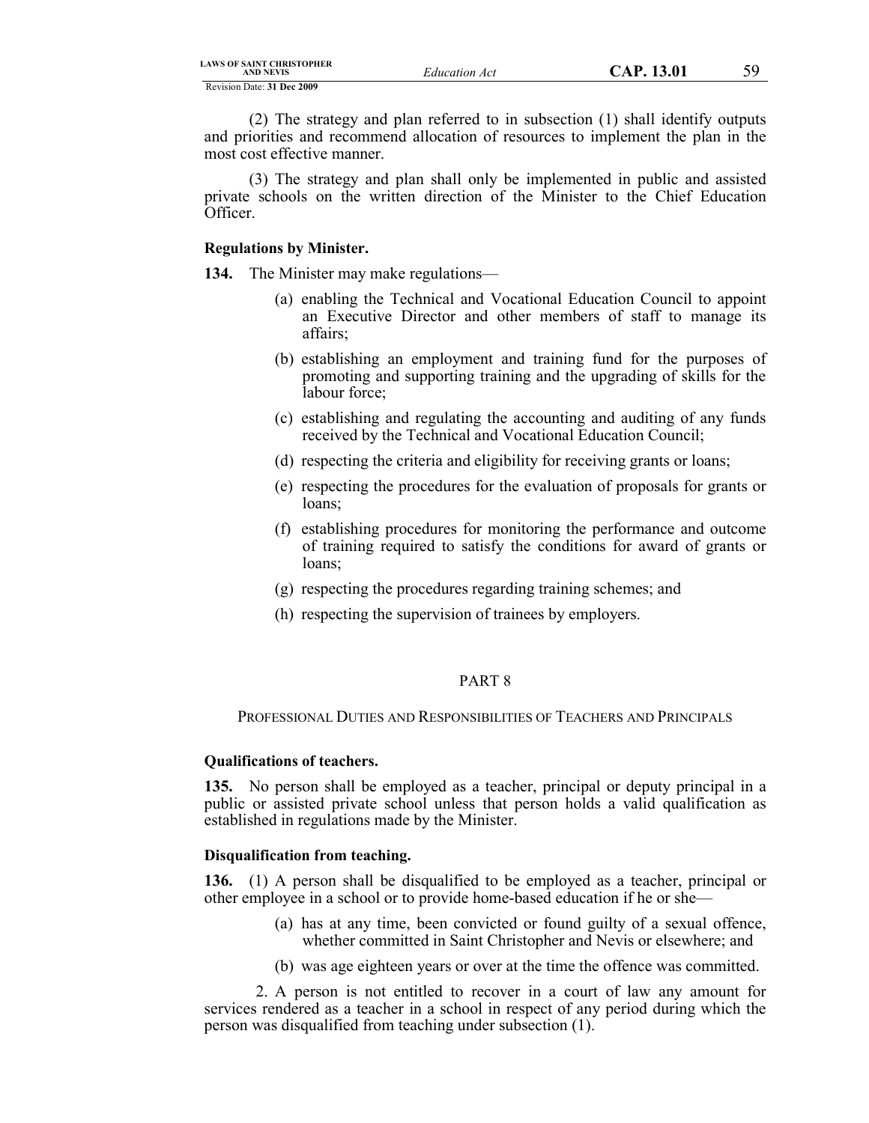(2) The strategy and plan referred to in subsection (1) shall identify outputs and priorities and recommend allocation of resources to implement the plan in the most cost effective manner.

(3) The strategy and plan shall only be implemented in public and assisted private schools on the written direction of the Minister to the Chief Education Officer.

### **Regulations by Minister.**

**134.** The Minister may make regulations—

- (a) enabling the Technical and Vocational Education Council to appoint an Executive Director and other members of staff to manage its affairs;
- (b) establishing an employment and training fund for the purposes of promoting and supporting training and the upgrading of skills for the labour force;
- (c) establishing and regulating the accounting and auditing of any funds received by the Technical and Vocational Education Council;
- (d) respecting the criteria and eligibility for receiving grants or loans;
- (e) respecting the procedures for the evaluation of proposals for grants or loans;
- (f) establishing procedures for monitoring the performance and outcome of training required to satisfy the conditions for award of grants or loans;
- (g) respecting the procedures regarding training schemes; and
- (h) respecting the supervision of trainees by employers.

### PART 8

PROFESSIONAL DUTIES AND RESPONSIBILITIES OF TEACHERS AND PRINCIPALS

# **Qualifications of teachers.**

**135.** No person shall be employed as a teacher, principal or deputy principal in a public or assisted private school unless that person holds a valid qualification as established in regulations made by the Minister.

# **Disqualification from teaching.**

**136.** (1) A person shall be disqualified to be employed as a teacher, principal or other employee in a school or to provide home-based education if he or she—

- (a) has at any time, been convicted or found guilty of a sexual offence, whether committed in Saint Christopher and Nevis or elsewhere; and
- (b) was age eighteen years or over at the time the offence was committed.

2. A person is not entitled to recover in a court of law any amount for services rendered as a teacher in a school in respect of any period during which the person was disqualified from teaching under subsection (1).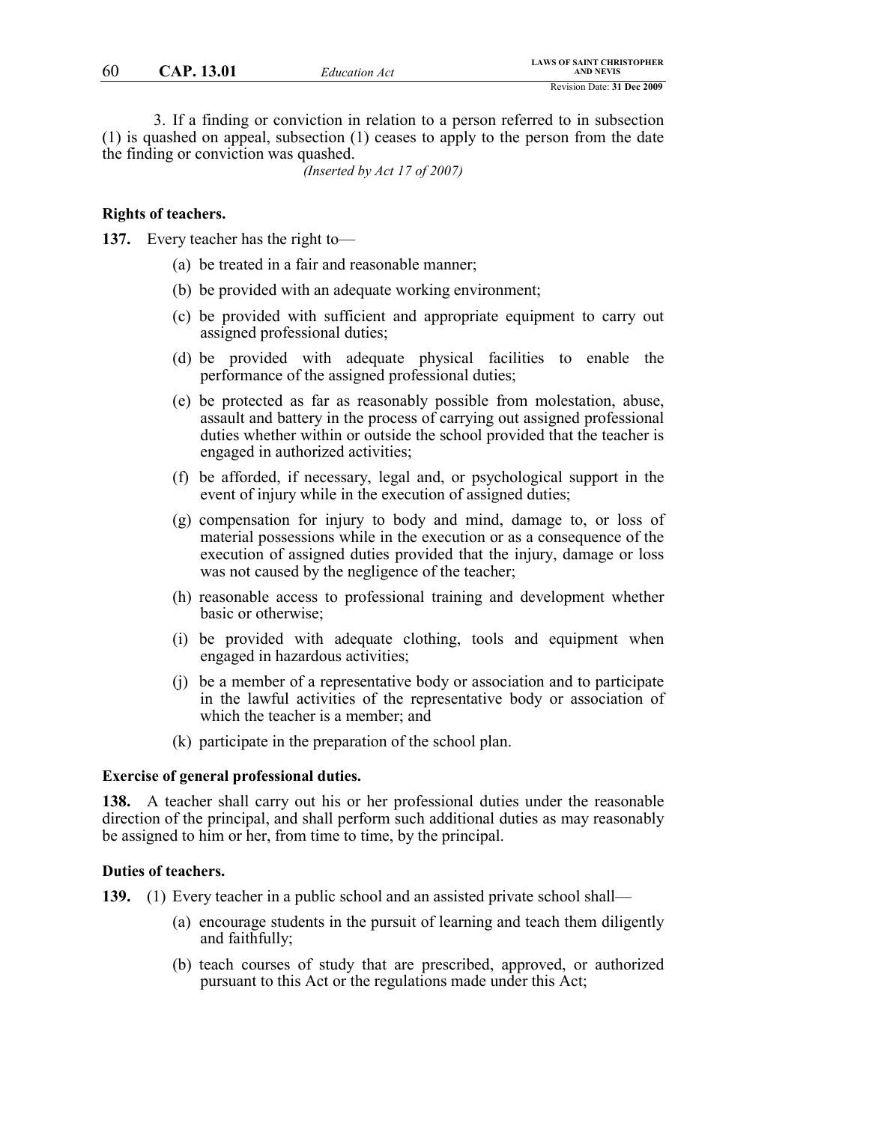3. If a finding or conviction in relation to a person referred to in subsection (1) is quashed on appeal, subsection (1) ceases to apply to the person from the date the finding or conviction was quashed.

*(Inserted by Act 17 of 2007)*

# **Rights of teachers.**

**137.** Every teacher has the right to—

- (a) be treated in a fair and reasonable manner;
- (b) be provided with an adequate working environment;
- (c) be provided with sufficient and appropriate equipment to carry out assigned professional duties;
- (d) be provided with adequate physical facilities to enable the performance of the assigned professional duties;
- (e) be protected as far as reasonably possible from molestation, abuse, assault and battery in the process of carrying out assigned professional duties whether within or outside the school provided that the teacher is engaged in authorized activities;
- (f) be afforded, if necessary, legal and, or psychological support in the event of injury while in the execution of assigned duties;
- (g) compensation for injury to body and mind, damage to, or loss of material possessions while in the execution or as a consequence of the execution of assigned duties provided that the injury, damage or loss was not caused by the negligence of the teacher;
- (h) reasonable access to professional training and development whether basic or otherwise;
- (i) be provided with adequate clothing, tools and equipment when engaged in hazardous activities;
- (j) be a member of a representative body or association and to participate in the lawful activities of the representative body or association of which the teacher is a member; and
- (k) participate in the preparation of the school plan.

### **Exercise of general professional duties.**

**138.** A teacher shall carry out his or her professional duties under the reasonable direction of the principal, and shall perform such additional duties as may reasonably be assigned to him or her, from time to time, by the principal.

#### **Duties of teachers.**

**139.** (1) Every teacher in a public school and an assisted private school shall—

- (a) encourage students in the pursuit of learning and teach them diligently and faithfully;
- (b) teach courses of study that are prescribed, approved, or authorized pursuant to this Act or the regulations made under this Act;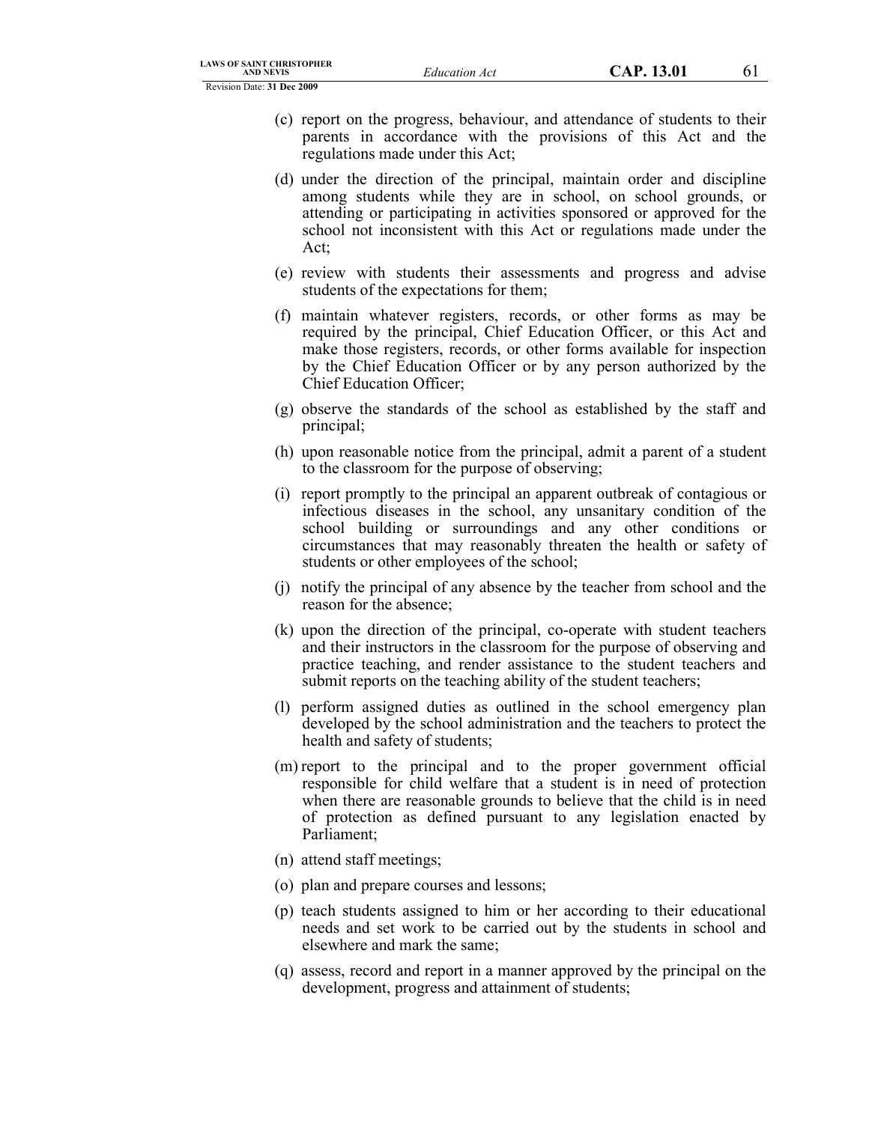- (c) report on the progress, behaviour, and attendance of students to their parents in accordance with the provisions of this Act and the regulations made under this Act;
- (d) under the direction of the principal, maintain order and discipline among students while they are in school, on school grounds, or attending or participating in activities sponsored or approved for the school not inconsistent with this Act or regulations made under the Act;
- (e) review with students their assessments and progress and advise students of the expectations for them;
- (f) maintain whatever registers, records, or other forms as may be required by the principal, Chief Education Officer, or this Act and make those registers, records, or other forms available for inspection by the Chief Education Officer or by any person authorized by the Chief Education Officer;
- (g) observe the standards of the school as established by the staff and principal;
- (h) upon reasonable notice from the principal, admit a parent of a student to the classroom for the purpose of observing;
- (i) report promptly to the principal an apparent outbreak of contagious or infectious diseases in the school, any unsanitary condition of the school building or surroundings and any other conditions or circumstances that may reasonably threaten the health or safety of students or other employees of the school;
- (j) notify the principal of any absence by the teacher from school and the reason for the absence;
- (k) upon the direction of the principal, co-operate with student teachers and their instructors in the classroom for the purpose of observing and practice teaching, and render assistance to the student teachers and submit reports on the teaching ability of the student teachers;
- (l) perform assigned duties as outlined in the school emergency plan developed by the school administration and the teachers to protect the health and safety of students;
- (m) report to the principal and to the proper government official responsible for child welfare that a student is in need of protection when there are reasonable grounds to believe that the child is in need of protection as defined pursuant to any legislation enacted by Parliament;
- (n) attend staff meetings;
- (o) plan and prepare courses and lessons;
- (p) teach students assigned to him or her according to their educational needs and set work to be carried out by the students in school and elsewhere and mark the same;
- (q) assess, record and report in a manner approved by the principal on the development, progress and attainment of students;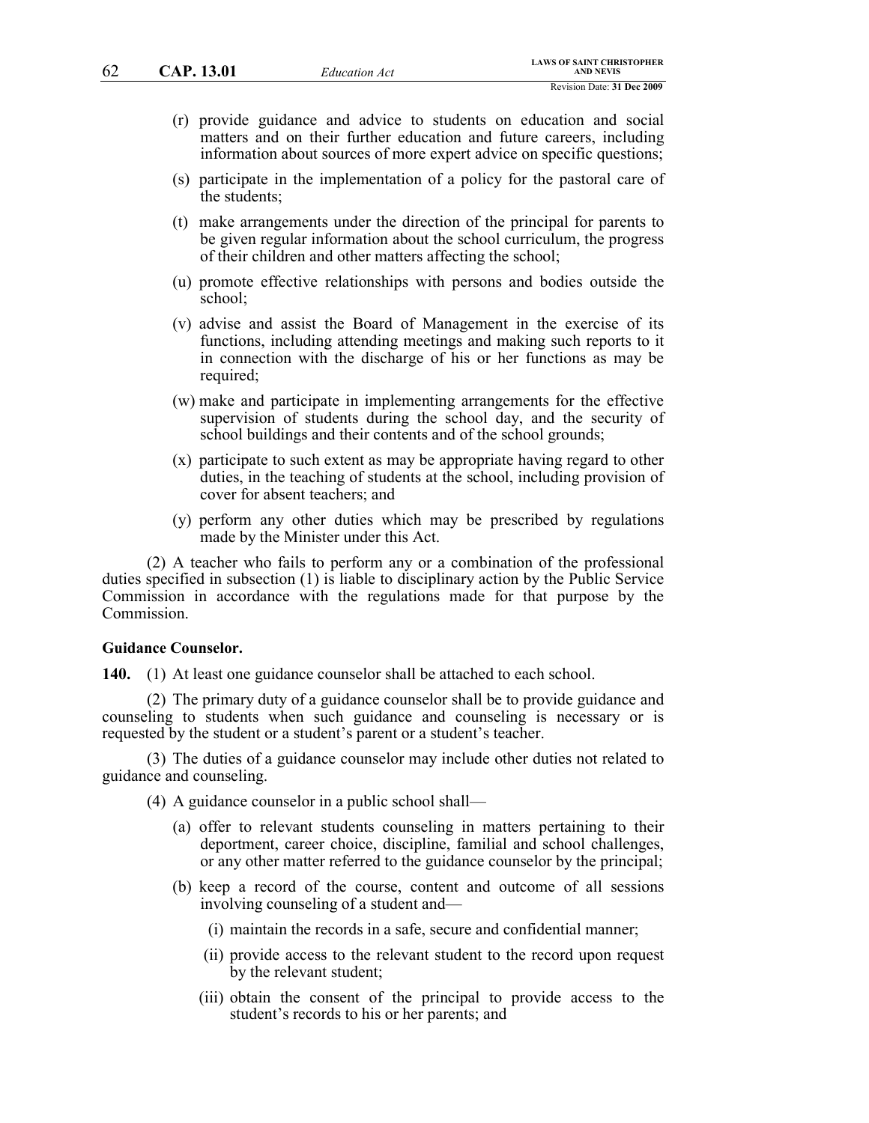- (r) provide guidance and advice to students on education and social matters and on their further education and future careers, including information about sources of more expert advice on specific questions;
- (s) participate in the implementation of a policy for the pastoral care of the students;
- (t) make arrangements under the direction of the principal for parents to be given regular information about the school curriculum, the progress of their children and other matters affecting the school;
- (u) promote effective relationships with persons and bodies outside the school;
- (v) advise and assist the Board of Management in the exercise of its functions, including attending meetings and making such reports to it in connection with the discharge of his or her functions as may be required;
- (w) make and participate in implementing arrangements for the effective supervision of students during the school day, and the security of school buildings and their contents and of the school grounds;
- (x) participate to such extent as may be appropriate having regard to other duties, in the teaching of students at the school, including provision of cover for absent teachers; and
- (y) perform any other duties which may be prescribed by regulations made by the Minister under this Act.

(2) A teacher who fails to perform any or a combination of the professional duties specified in subsection (1) is liable to disciplinary action by the Public Service Commission in accordance with the regulations made for that purpose by the Commission.

### **Guidance Counselor.**

**140.** (1) At least one guidance counselor shall be attached to each school.

(2) The primary duty of a guidance counselor shall be to provide guidance and counseling to students when such guidance and counseling is necessary or is requested by the student or a student's parent or a student's teacher.

(3) The duties of a guidance counselor may include other duties not related to guidance and counseling.

(4) A guidance counselor in a public school shall—

- (a) offer to relevant students counseling in matters pertaining to their deportment, career choice, discipline, familial and school challenges, or any other matter referred to the guidance counselor by the principal;
- (b) keep a record of the course, content and outcome of all sessions involving counseling of a student and—
	- (i) maintain the records in a safe, secure and confidential manner;
	- (ii) provide access to the relevant student to the record upon request by the relevant student;
	- (iii) obtain the consent of the principal to provide access to the student's records to his or her parents; and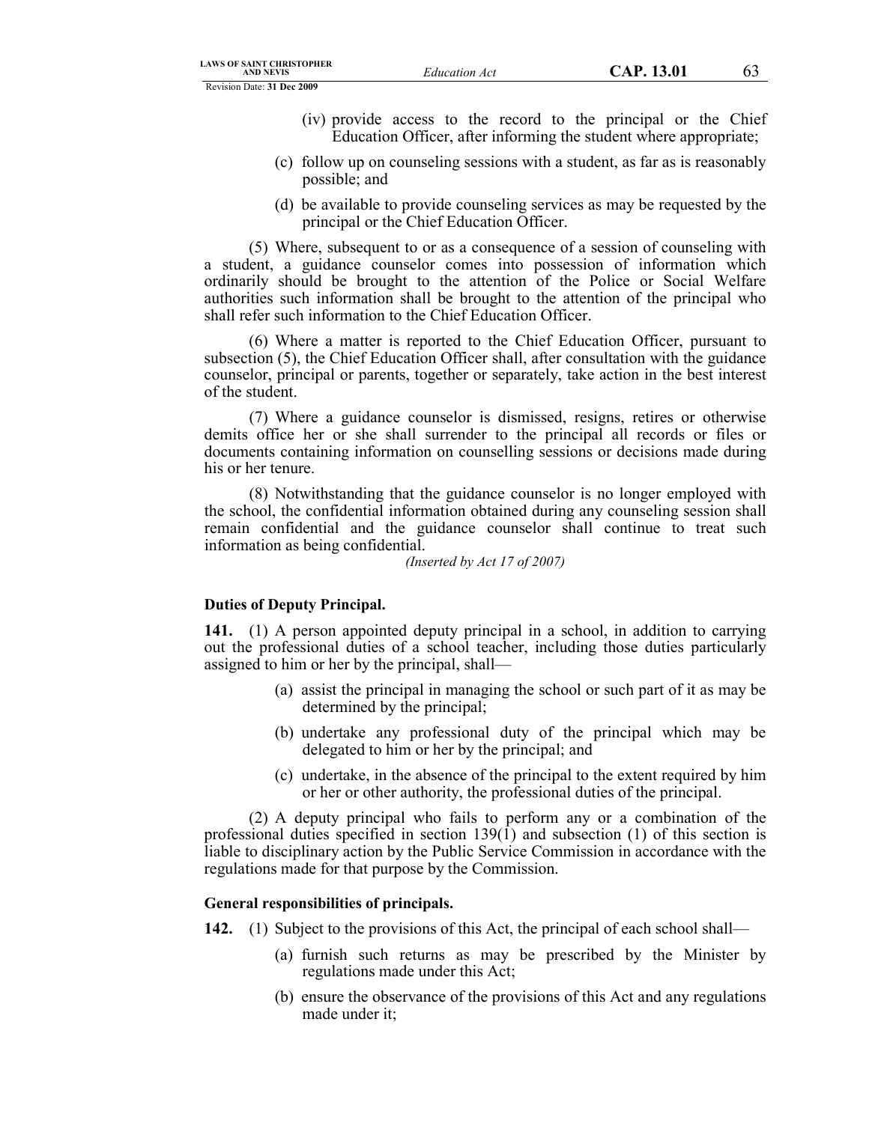- (iv) provide access to the record to the principal or the Chief Education Officer, after informing the student where appropriate;
- (c) follow up on counseling sessions with a student, as far as is reasonably possible; and
- (d) be available to provide counseling services as may be requested by the principal or the Chief Education Officer.

(5) Where, subsequent to or as a consequence of a session of counseling with a student, a guidance counselor comes into possession of information which ordinarily should be brought to the attention of the Police or Social Welfare authorities such information shall be brought to the attention of the principal who shall refer such information to the Chief Education Officer.

(6) Where a matter is reported to the Chief Education Officer, pursuant to subsection (5), the Chief Education Officer shall, after consultation with the guidance counselor, principal or parents, together or separately, take action in the best interest of the student.

(7) Where a guidance counselor is dismissed, resigns, retires or otherwise demits office her or she shall surrender to the principal all records or files or documents containing information on counselling sessions or decisions made during his or her tenure.

(8) Notwithstanding that the guidance counselor is no longer employed with the school, the confidential information obtained during any counseling session shall remain confidential and the guidance counselor shall continue to treat such information as being confidential.

*(Inserted by Act 17 of 2007)*

# **Duties of Deputy Principal.**

**141.** (1) A person appointed deputy principal in a school, in addition to carrying out the professional duties of a school teacher, including those duties particularly assigned to him or her by the principal, shall—

- (a) assist the principal in managing the school or such part of it as may be determined by the principal;
- (b) undertake any professional duty of the principal which may be delegated to him or her by the principal; and
- (c) undertake, in the absence of the principal to the extent required by him or her or other authority, the professional duties of the principal.

(2) A deputy principal who fails to perform any or a combination of the professional duties specified in section 139(1) and subsection (1) of this section is liable to disciplinary action by the Public Service Commission in accordance with the regulations made for that purpose by the Commission.

# **General responsibilities of principals.**

**142.** (1) Subject to the provisions of this Act, the principal of each school shall—

- (a) furnish such returns as may be prescribed by the Minister by regulations made under this Act;
- (b) ensure the observance of the provisions of this Act and any regulations made under it;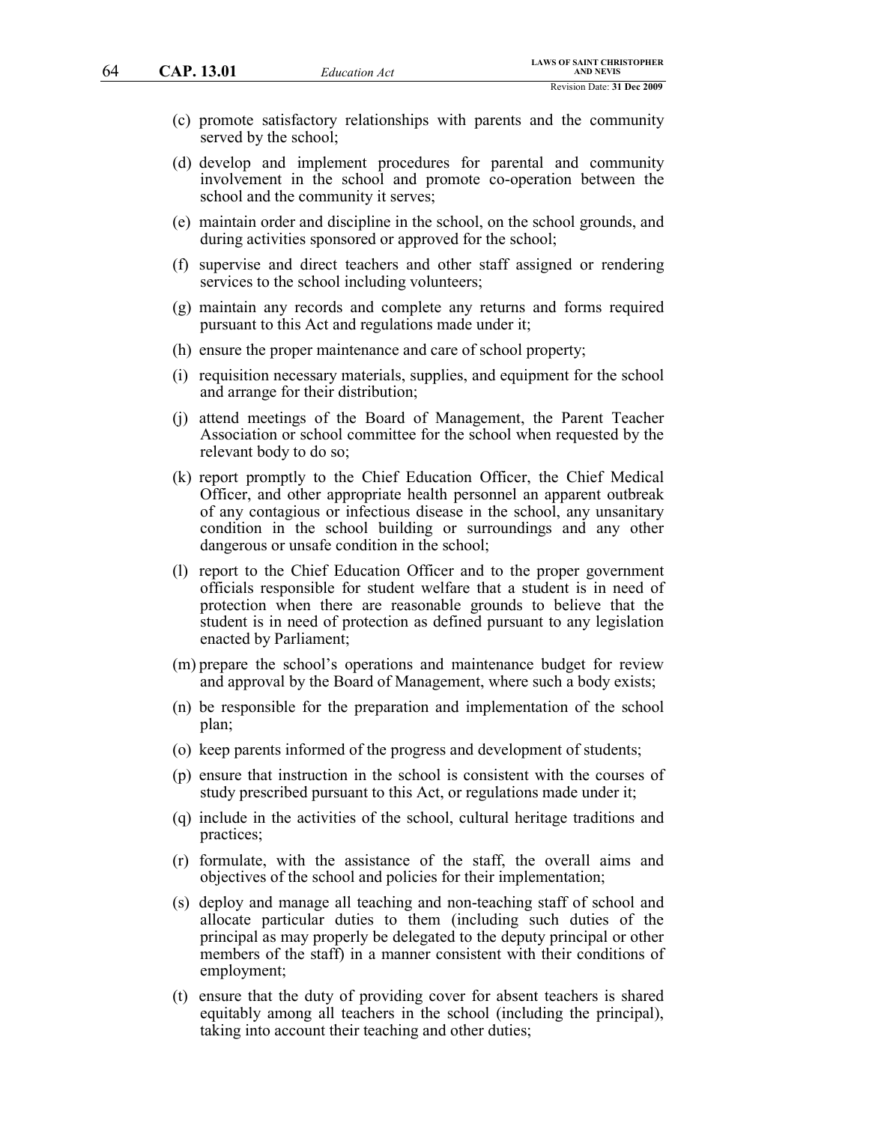- (c) promote satisfactory relationships with parents and the community served by the school;
- (d) develop and implement procedures for parental and community involvement in the school and promote co-operation between the school and the community it serves;
- (e) maintain order and discipline in the school, on the school grounds, and during activities sponsored or approved for the school;
- (f) supervise and direct teachers and other staff assigned or rendering services to the school including volunteers;
- (g) maintain any records and complete any returns and forms required pursuant to this Act and regulations made under it;
- (h) ensure the proper maintenance and care of school property;
- (i) requisition necessary materials, supplies, and equipment for the school and arrange for their distribution;
- (j) attend meetings of the Board of Management, the Parent Teacher Association or school committee for the school when requested by the relevant body to do so;
- (k) report promptly to the Chief Education Officer, the Chief Medical Officer, and other appropriate health personnel an apparent outbreak of any contagious or infectious disease in the school, any unsanitary condition in the school building or surroundings and any other dangerous or unsafe condition in the school;
- (l) report to the Chief Education Officer and to the proper government officials responsible for student welfare that a student is in need of protection when there are reasonable grounds to believe that the student is in need of protection as defined pursuant to any legislation enacted by Parliament;
- (m) prepare the school's operations and maintenance budget for review and approval by the Board of Management, where such a body exists;
- (n) be responsible for the preparation and implementation of the school plan;
- (o) keep parents informed of the progress and development of students;
- (p) ensure that instruction in the school is consistent with the courses of study prescribed pursuant to this Act, or regulations made under it;
- (q) include in the activities of the school, cultural heritage traditions and practices;
- (r) formulate, with the assistance of the staff, the overall aims and objectives of the school and policies for their implementation;
- (s) deploy and manage all teaching and non-teaching staff of school and allocate particular duties to them (including such duties of the principal as may properly be delegated to the deputy principal or other members of the staff) in a manner consistent with their conditions of employment;
- (t) ensure that the duty of providing cover for absent teachers is shared equitably among all teachers in the school (including the principal), taking into account their teaching and other duties;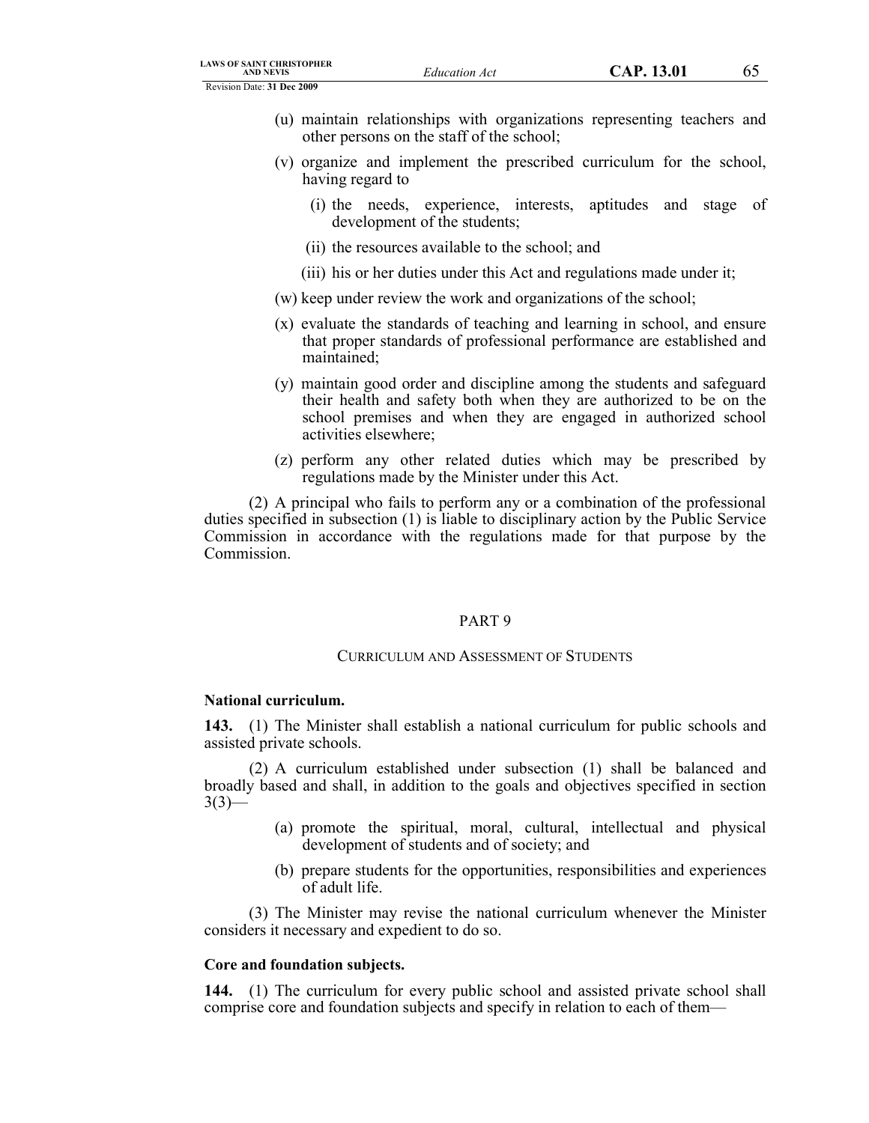- (u) maintain relationships with organizations representing teachers and other persons on the staff of the school;
- (v) organize and implement the prescribed curriculum for the school, having regard to
	- (i) the needs, experience, interests, aptitudes and stage of development of the students;
	- (ii) the resources available to the school; and
	- (iii) his or her duties under this Act and regulations made under it;
- (w) keep under review the work and organizations of the school;
- (x) evaluate the standards of teaching and learning in school, and ensure that proper standards of professional performance are established and maintained;
- (y) maintain good order and discipline among the students and safeguard their health and safety both when they are authorized to be on the school premises and when they are engaged in authorized school activities elsewhere;
- (z) perform any other related duties which may be prescribed by regulations made by the Minister under this Act.

(2) A principal who fails to perform any or a combination of the professional duties specified in subsection (1) is liable to disciplinary action by the Public Service Commission in accordance with the regulations made for that purpose by the Commission.

# PART 9

# CURRICULUM AND ASSESSMENT OF STUDENTS

# **National curriculum.**

**143.** (1) The Minister shall establish a national curriculum for public schools and assisted private schools.

(2) A curriculum established under subsection (1) shall be balanced and broadly based and shall, in addition to the goals and objectives specified in section  $3(3)$ —

- (a) promote the spiritual, moral, cultural, intellectual and physical development of students and of society; and
- (b) prepare students for the opportunities, responsibilities and experiences of adult life.

(3) The Minister may revise the national curriculum whenever the Minister considers it necessary and expedient to do so.

# **Core and foundation subjects.**

**144.** (1) The curriculum for every public school and assisted private school shall comprise core and foundation subjects and specify in relation to each of them—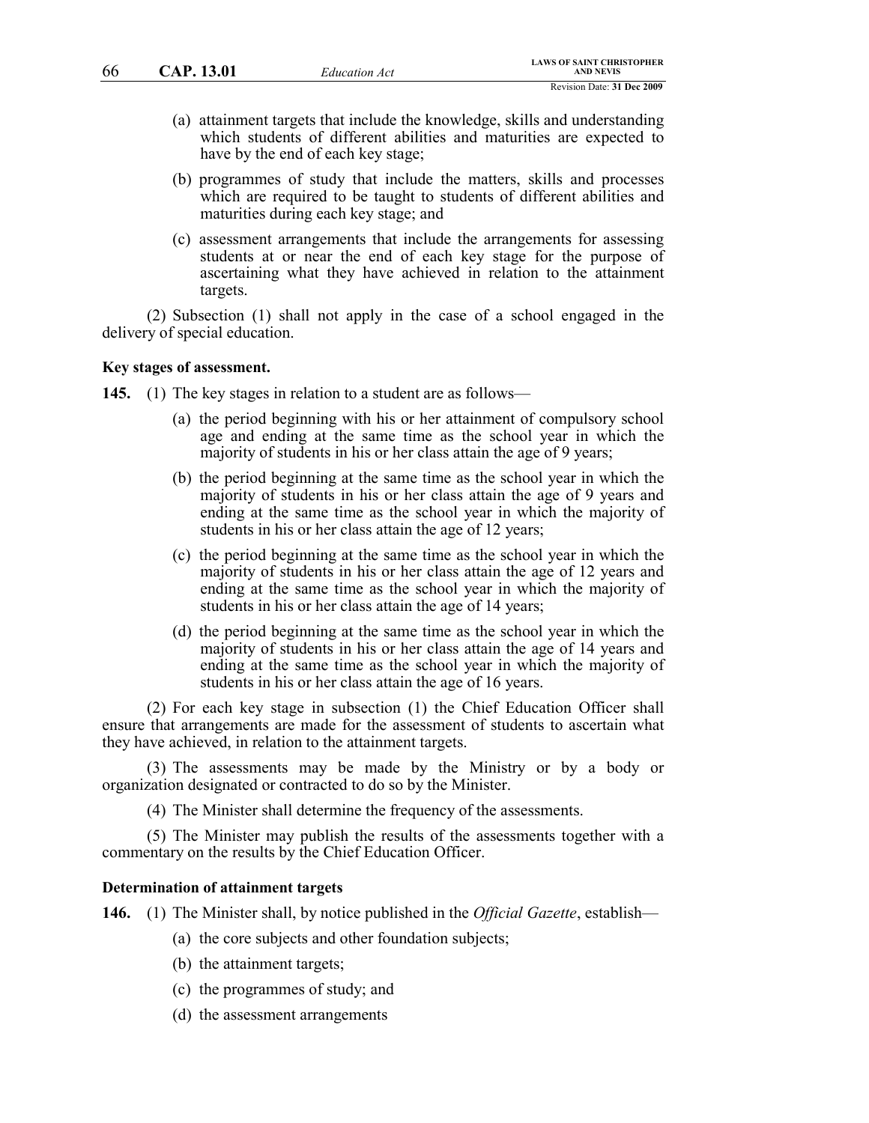- (a) attainment targets that include the knowledge, skills and understanding which students of different abilities and maturities are expected to have by the end of each key stage;
- (b) programmes of study that include the matters, skills and processes which are required to be taught to students of different abilities and maturities during each key stage; and
- (c) assessment arrangements that include the arrangements for assessing students at or near the end of each key stage for the purpose of ascertaining what they have achieved in relation to the attainment targets.

(2) Subsection (1) shall not apply in the case of a school engaged in the delivery of special education.

### **Key stages of assessment.**

**145.** (1) The key stages in relation to a student are as follows—

- (a) the period beginning with his or her attainment of compulsory school age and ending at the same time as the school year in which the majority of students in his or her class attain the age of 9 years;
- (b) the period beginning at the same time as the school year in which the majority of students in his or her class attain the age of 9 years and ending at the same time as the school year in which the majority of students in his or her class attain the age of 12 years;
- (c) the period beginning at the same time as the school year in which the majority of students in his or her class attain the age of 12 years and ending at the same time as the school year in which the majority of students in his or her class attain the age of 14 years;
- (d) the period beginning at the same time as the school year in which the majority of students in his or her class attain the age of 14 years and ending at the same time as the school year in which the majority of students in his or her class attain the age of 16 years.

(2) For each key stage in subsection (1) the Chief Education Officer shall ensure that arrangements are made for the assessment of students to ascertain what they have achieved, in relation to the attainment targets.

(3) The assessments may be made by the Ministry or by a body or organization designated or contracted to do so by the Minister.

(4) The Minister shall determine the frequency of the assessments.

(5) The Minister may publish the results of the assessments together with a commentary on the results by the Chief Education Officer.

# **Determination of attainment targets**

**146.** (1) The Minister shall, by notice published in the *Official Gazette*, establish—

- (a) the core subjects and other foundation subjects;
- (b) the attainment targets;
- (c) the programmes of study; and
- (d) the assessment arrangements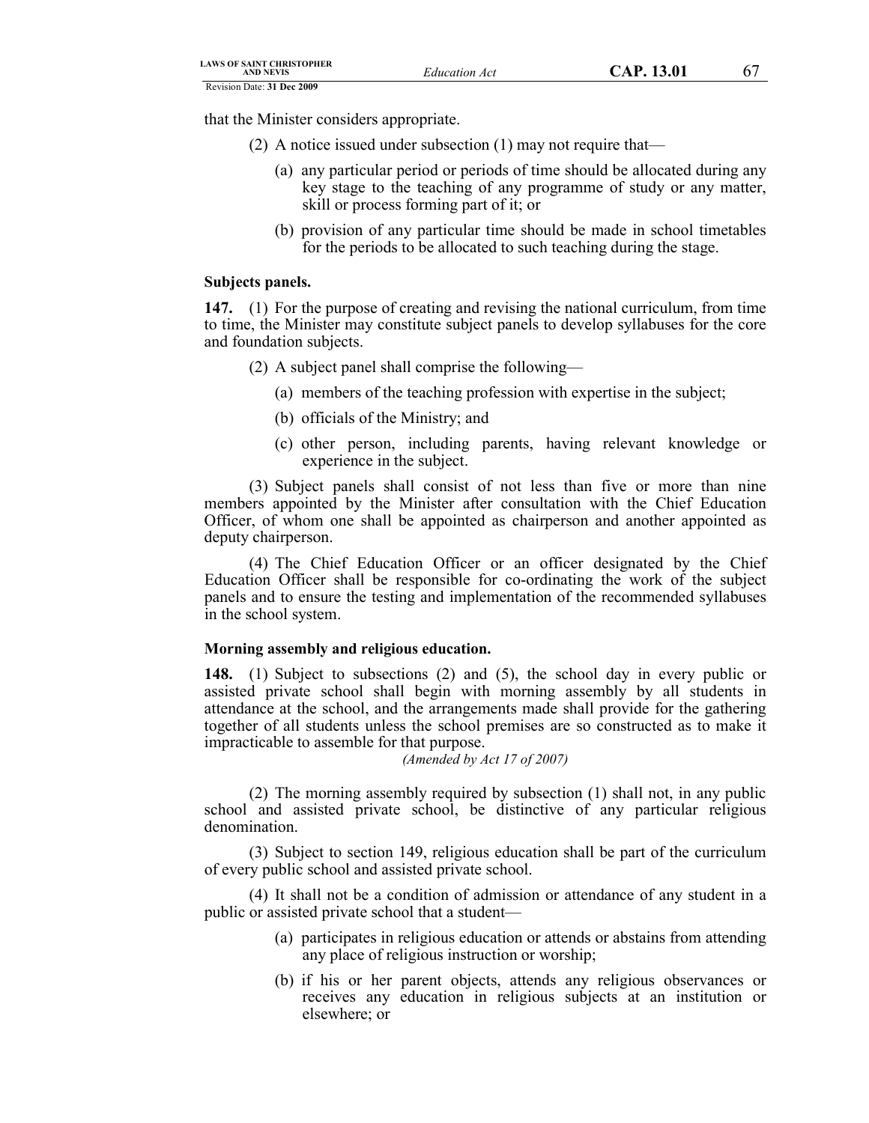that the Minister considers appropriate.

- (2) A notice issued under subsection (1) may not require that—
	- (a) any particular period or periods of time should be allocated during any key stage to the teaching of any programme of study or any matter, skill or process forming part of it; or
	- (b) provision of any particular time should be made in school timetables for the periods to be allocated to such teaching during the stage.

# **Subjects panels.**

**147.** (1) For the purpose of creating and revising the national curriculum, from time to time, the Minister may constitute subject panels to develop syllabuses for the core and foundation subjects.

- (2) A subject panel shall comprise the following—
	- (a) members of the teaching profession with expertise in the subject;
	- (b) officials of the Ministry; and
	- (c) other person, including parents, having relevant knowledge or experience in the subject.

(3) Subject panels shall consist of not less than five or more than nine members appointed by the Minister after consultation with the Chief Education Officer, of whom one shall be appointed as chairperson and another appointed as deputy chairperson.

(4) The Chief Education Officer or an officer designated by the Chief Education Officer shall be responsible for co-ordinating the work of the subject panels and to ensure the testing and implementation of the recommended syllabuses in the school system.

# **Morning assembly and religious education.**

**148.** (1) Subject to subsections (2) and (5), the school day in every public or assisted private school shall begin with morning assembly by all students in attendance at the school, and the arrangements made shall provide for the gathering together of all students unless the school premises are so constructed as to make it impracticable to assemble for that purpose.

*(Amended by Act 17 of 2007)*

(2) The morning assembly required by subsection (1) shall not, in any public school and assisted private school, be distinctive of any particular religious denomination.

(3) Subject to section 149, religious education shall be part of the curriculum of every public school and assisted private school.

(4) It shall not be a condition of admission or attendance of any student in a public or assisted private school that a student—

- (a) participates in religious education or attends or abstains from attending any place of religious instruction or worship;
- (b) if his or her parent objects, attends any religious observances or receives any education in religious subjects at an institution or elsewhere; or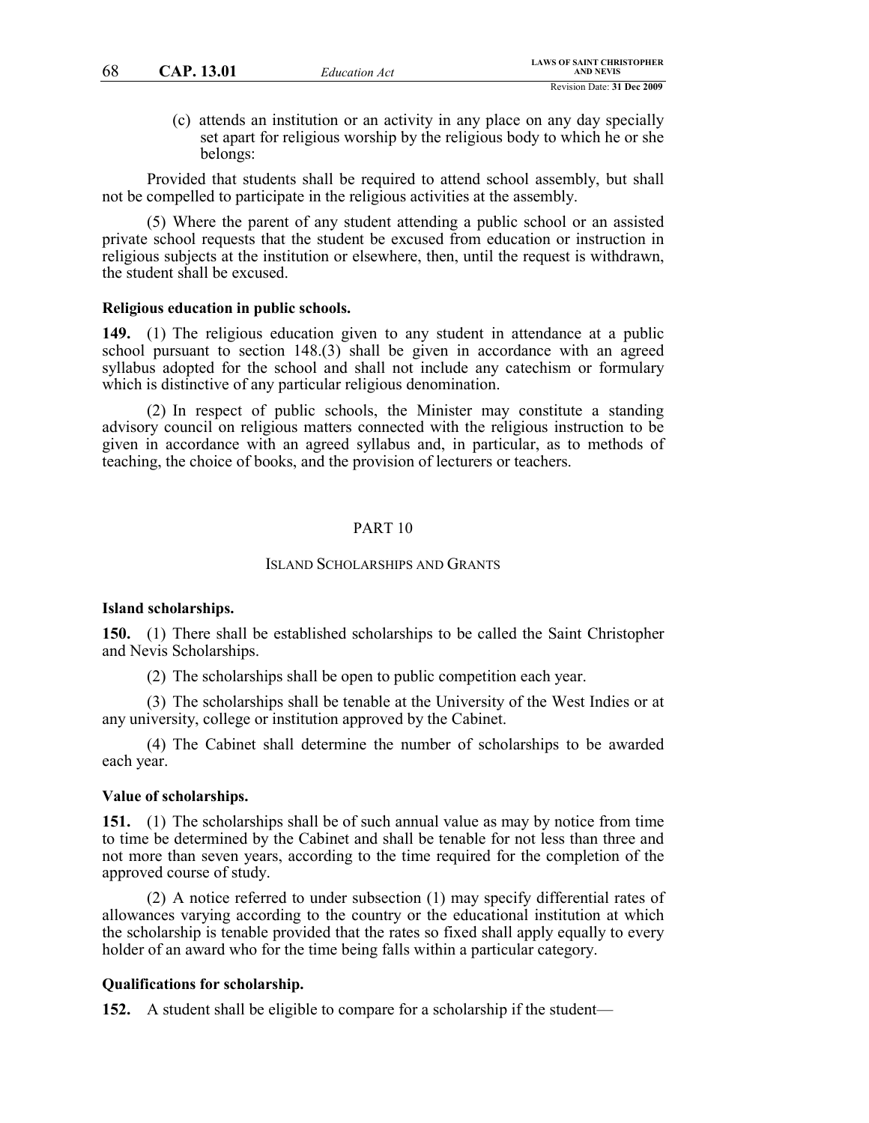(c) attends an institution or an activity in any place on any day specially set apart for religious worship by the religious body to which he or she belongs:

Provided that students shall be required to attend school assembly, but shall not be compelled to participate in the religious activities at the assembly.

(5) Where the parent of any student attending a public school or an assisted private school requests that the student be excused from education or instruction in religious subjects at the institution or elsewhere, then, until the request is withdrawn, the student shall be excused.

#### **Religious education in public schools.**

**149.** (1) The religious education given to any student in attendance at a public school pursuant to section 148.(3) shall be given in accordance with an agreed syllabus adopted for the school and shall not include any catechism or formulary which is distinctive of any particular religious denomination.

(2) In respect of public schools, the Minister may constitute a standing advisory council on religious matters connected with the religious instruction to be given in accordance with an agreed syllabus and, in particular, as to methods of teaching, the choice of books, and the provision of lecturers or teachers.

### PART 10

#### ISLAND SCHOLARSHIPS AND GRANTS

### **Island scholarships.**

**150.** (1) There shall be established scholarships to be called the Saint Christopher and Nevis Scholarships.

(2) The scholarships shall be open to public competition each year.

(3) The scholarships shall be tenable at the University of the West Indies or at any university, college or institution approved by the Cabinet.

(4) The Cabinet shall determine the number of scholarships to be awarded each year.

#### **Value of scholarships.**

**151.** (1) The scholarships shall be of such annual value as may by notice from time to time be determined by the Cabinet and shall be tenable for not less than three and not more than seven years, according to the time required for the completion of the approved course of study.

(2) A notice referred to under subsection (1) may specify differential rates of allowances varying according to the country or the educational institution at which the scholarship is tenable provided that the rates so fixed shall apply equally to every holder of an award who for the time being falls within a particular category.

### **Qualifications for scholarship.**

**152.** A student shall be eligible to compare for a scholarship if the student—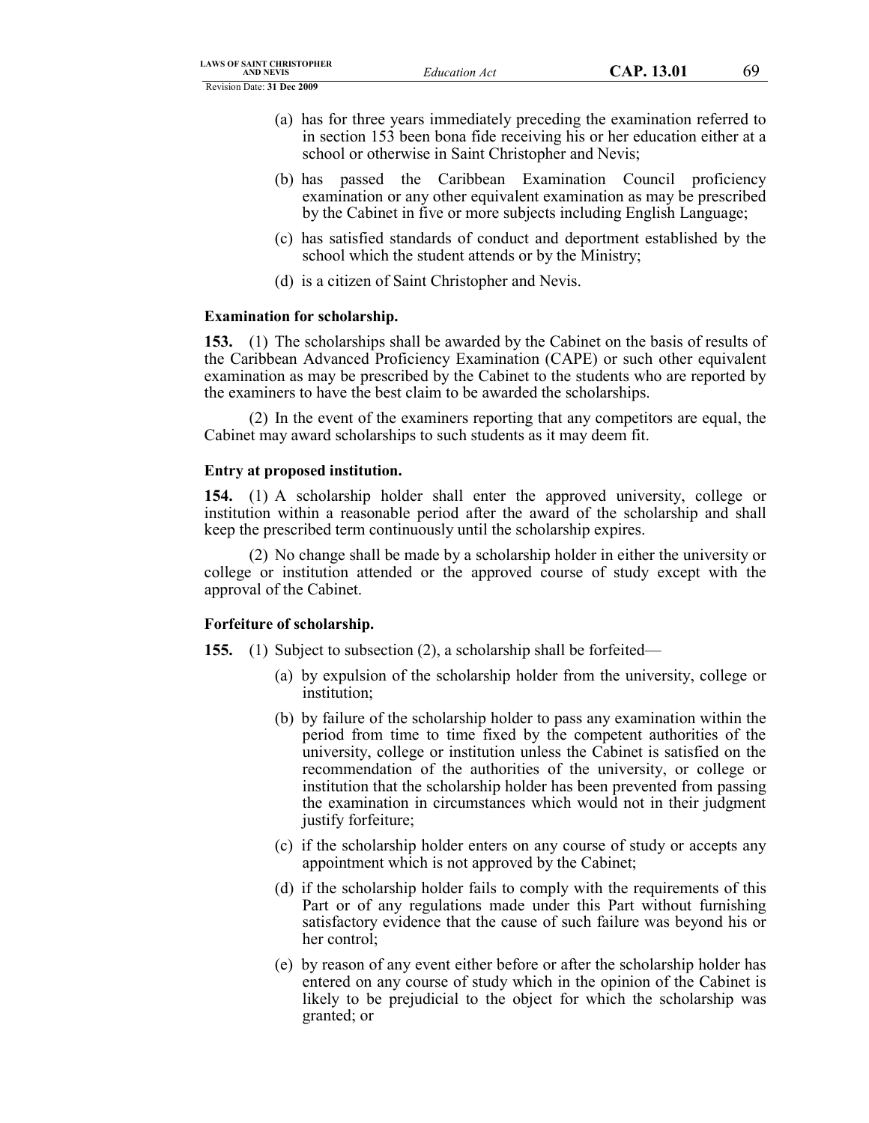- (a) has for three years immediately preceding the examination referred to in section 153 been bona fide receiving his or her education either at a school or otherwise in Saint Christopher and Nevis;
- (b) has passed the Caribbean Examination Council proficiency examination or any other equivalent examination as may be prescribed by the Cabinet in five or more subjects including English Language;
- (c) has satisfied standards of conduct and deportment established by the school which the student attends or by the Ministry;
- (d) is a citizen of Saint Christopher and Nevis.

# **Examination for scholarship.**

**153.** (1) The scholarships shall be awarded by the Cabinet on the basis of results of the Caribbean Advanced Proficiency Examination (CAPE) or such other equivalent examination as may be prescribed by the Cabinet to the students who are reported by the examiners to have the best claim to be awarded the scholarships.

(2) In the event of the examiners reporting that any competitors are equal, the Cabinet may award scholarships to such students as it may deem fit.

# **Entry at proposed institution.**

**154.** (1) A scholarship holder shall enter the approved university, college or institution within a reasonable period after the award of the scholarship and shall keep the prescribed term continuously until the scholarship expires.

(2) No change shall be made by a scholarship holder in either the university or college or institution attended or the approved course of study except with the approval of the Cabinet.

# **Forfeiture of scholarship.**

**155.** (1) Subject to subsection (2), a scholarship shall be forfeited—

- (a) by expulsion of the scholarship holder from the university, college or institution;
- (b) by failure of the scholarship holder to pass any examination within the period from time to time fixed by the competent authorities of the university, college or institution unless the Cabinet is satisfied on the recommendation of the authorities of the university, or college or institution that the scholarship holder has been prevented from passing the examination in circumstances which would not in their judgment justify forfeiture;
- (c) if the scholarship holder enters on any course of study or accepts any appointment which is not approved by the Cabinet;
- (d) if the scholarship holder fails to comply with the requirements of this Part or of any regulations made under this Part without furnishing satisfactory evidence that the cause of such failure was beyond his or her control;
- (e) by reason of any event either before or after the scholarship holder has entered on any course of study which in the opinion of the Cabinet is likely to be prejudicial to the object for which the scholarship was granted; or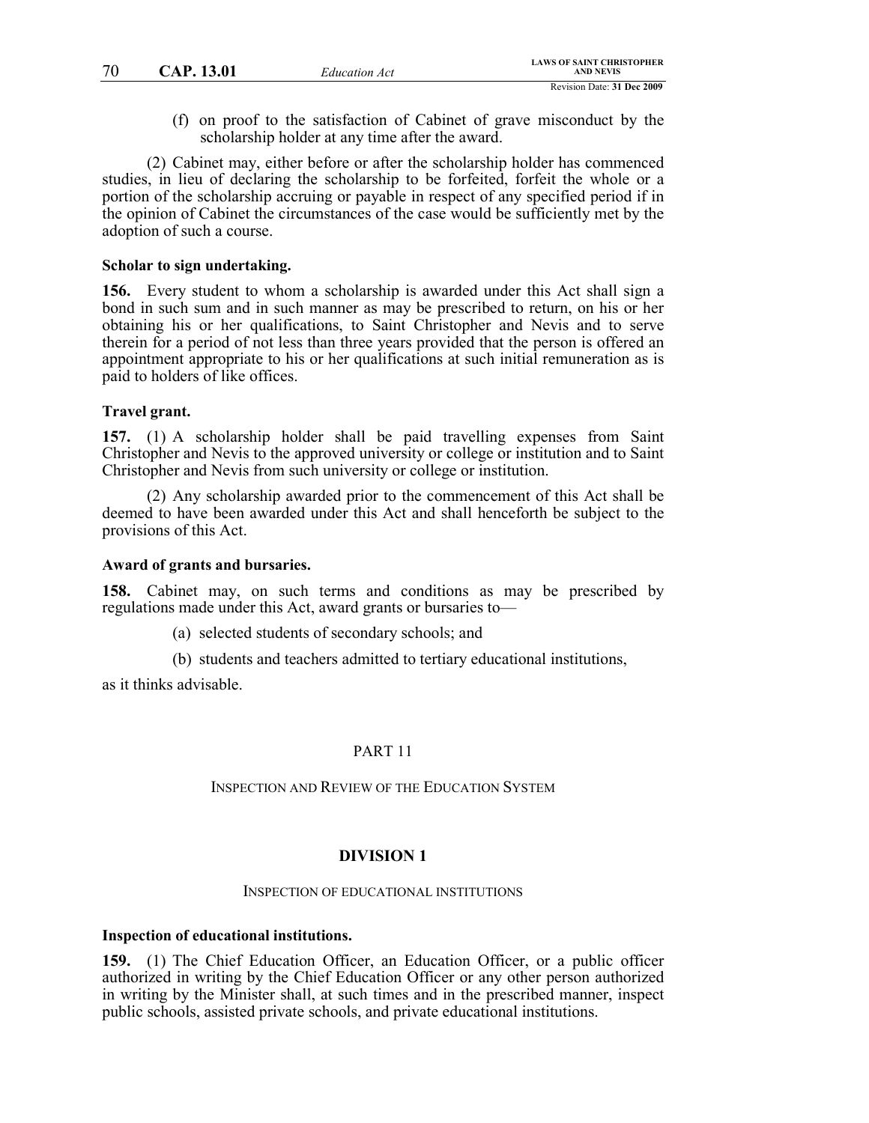(f) on proof to the satisfaction of Cabinet of grave misconduct by the scholarship holder at any time after the award.

(2) Cabinet may, either before or after the scholarship holder has commenced studies, in lieu of declaring the scholarship to be forfeited, forfeit the whole or a portion of the scholarship accruing or payable in respect of any specified period if in the opinion of Cabinet the circumstances of the case would be sufficiently met by the adoption of such a course.

### **Scholar to sign undertaking.**

**156.** Every student to whom a scholarship is awarded under this Act shall sign a bond in such sum and in such manner as may be prescribed to return, on his or her obtaining his or her qualifications, to Saint Christopher and Nevis and to serve therein for a period of not less than three years provided that the person is offered an appointment appropriate to his or her qualifications at such initial remuneration as is paid to holders of like offices.

### **Travel grant.**

**157.** (1) A scholarship holder shall be paid travelling expenses from Saint Christopher and Nevis to the approved university or college or institution and to Saint Christopher and Nevis from such university or college or institution.

(2) Any scholarship awarded prior to the commencement of this Act shall be deemed to have been awarded under this Act and shall henceforth be subject to the provisions of this Act.

#### **Award of grants and bursaries.**

**158.** Cabinet may, on such terms and conditions as may be prescribed by regulations made under this Act, award grants or bursaries to—

(a) selected students of secondary schools; and

(b) students and teachers admitted to tertiary educational institutions,

as it thinks advisable.

# PART 11

# INSPECTION AND REVIEW OF THE EDUCATION SYSTEM

#### **DIVISION 1**

#### INSPECTION OF EDUCATIONAL INSTITUTIONS

### **Inspection of educational institutions.**

**159.** (1) The Chief Education Officer, an Education Officer, or a public officer authorized in writing by the Chief Education Officer or any other person authorized in writing by the Minister shall, at such times and in the prescribed manner, inspect public schools, assisted private schools, and private educational institutions.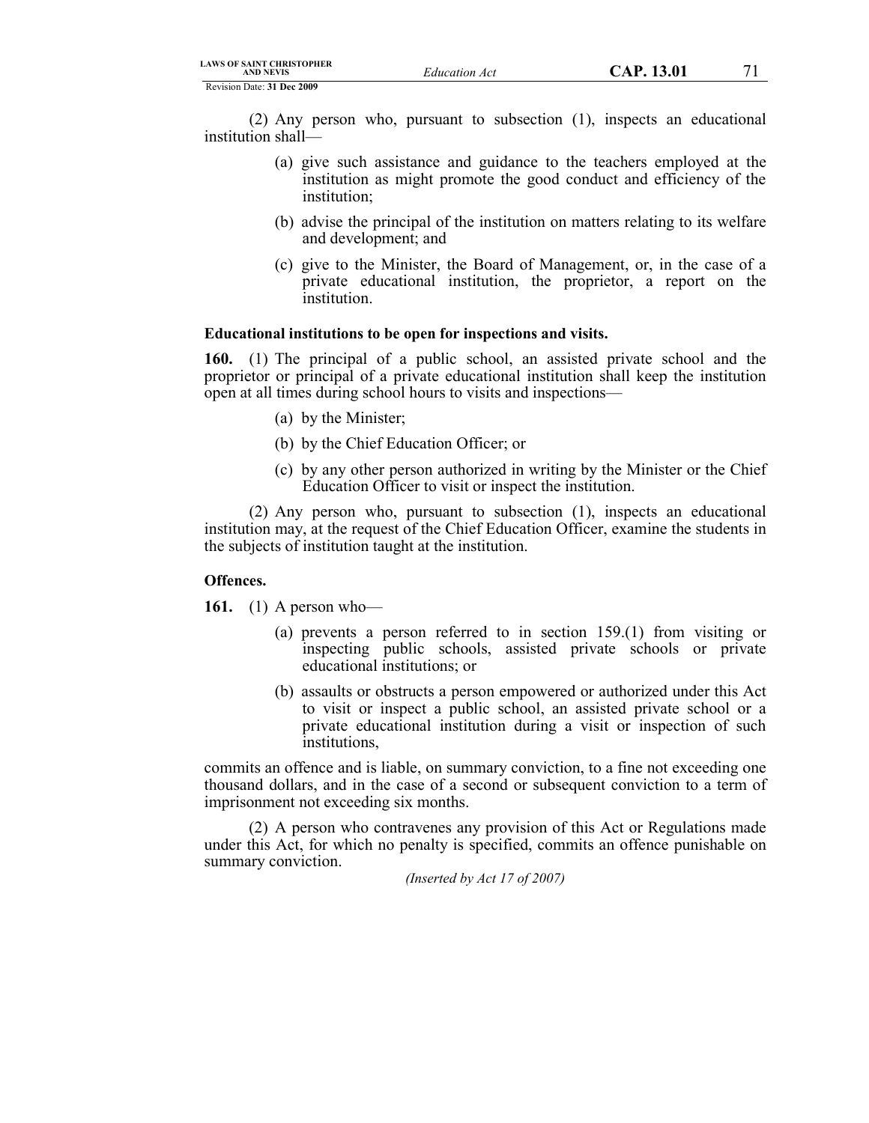(2) Any person who, pursuant to subsection (1), inspects an educational institution shall—

- (a) give such assistance and guidance to the teachers employed at the institution as might promote the good conduct and efficiency of the institution;
- (b) advise the principal of the institution on matters relating to its welfare and development; and
- (c) give to the Minister, the Board of Management, or, in the case of a private educational institution, the proprietor, a report on the institution.

#### **Educational institutions to be open for inspections and visits.**

**160.** (1) The principal of a public school, an assisted private school and the proprietor or principal of a private educational institution shall keep the institution open at all times during school hours to visits and inspections—

- (a) by the Minister;
- (b) by the Chief Education Officer; or
- (c) by any other person authorized in writing by the Minister or the Chief Education Officer to visit or inspect the institution.

(2) Any person who, pursuant to subsection (1), inspects an educational institution may, at the request of the Chief Education Officer, examine the students in the subjects of institution taught at the institution.

# **Offences.**

**161.** (1) A person who—

- (a) prevents a person referred to in section 159.(1) from visiting or inspecting public schools, assisted private schools or private educational institutions; or
- (b) assaults or obstructs a person empowered or authorized under this Act to visit or inspect a public school, an assisted private school or a private educational institution during a visit or inspection of such institutions,

commits an offence and is liable, on summary conviction, to a fine not exceeding one thousand dollars, and in the case of a second or subsequent conviction to a term of imprisonment not exceeding six months.

(2) A person who contravenes any provision of this Act or Regulations made under this Act, for which no penalty is specified, commits an offence punishable on summary conviction.

*(Inserted by Act 17 of 2007)*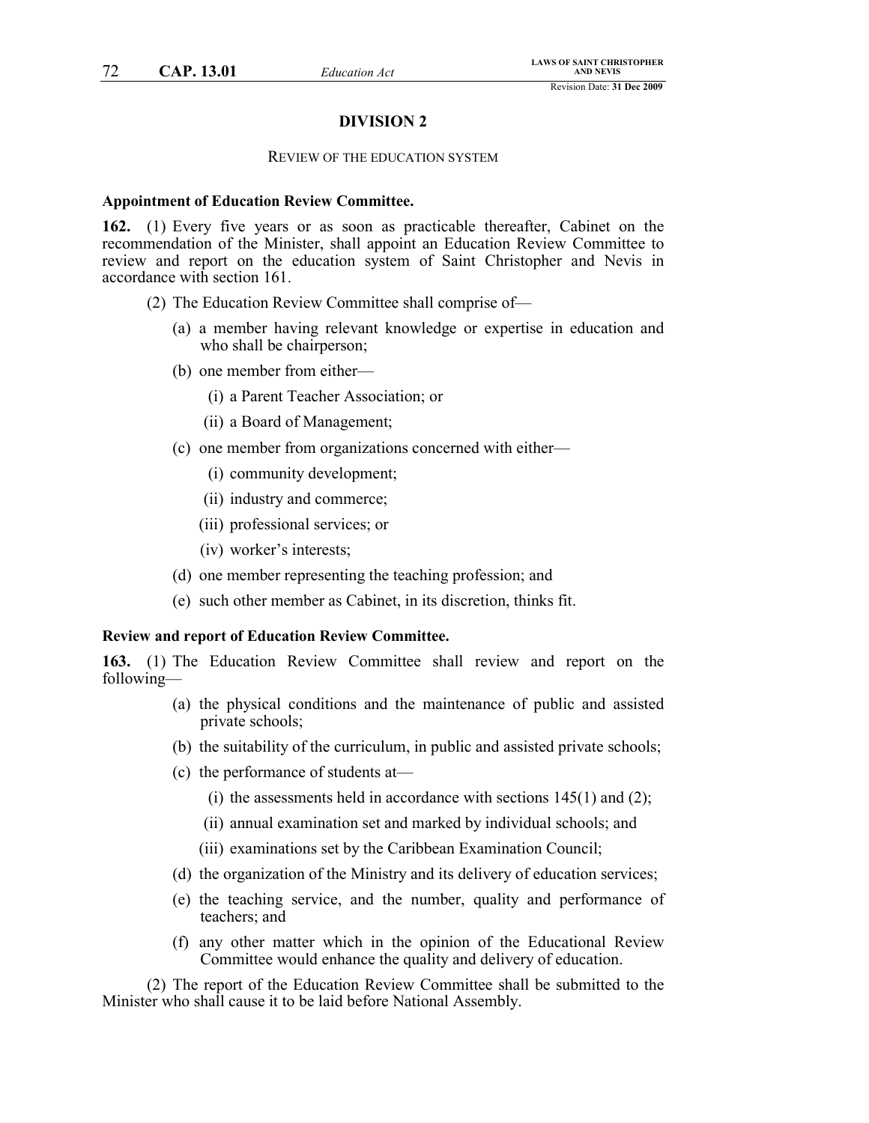# **DIVISION 2**

### REVIEW OF THE EDUCATION SYSTEM

#### **Appointment of Education Review Committee.**

**162.** (1) Every five years or as soon as practicable thereafter, Cabinet on the recommendation of the Minister, shall appoint an Education Review Committee to review and report on the education system of Saint Christopher and Nevis in accordance with section 161.

(2) The Education Review Committee shall comprise of—

- (a) a member having relevant knowledge or expertise in education and who shall be chairperson;
- (b) one member from either—
	- (i) a Parent Teacher Association; or
	- (ii) a Board of Management;
- (c) one member from organizations concerned with either—
	- (i) community development;
	- (ii) industry and commerce;
	- (iii) professional services; or
	- (iv) worker's interests;
- (d) one member representing the teaching profession; and
- (e) such other member as Cabinet, in its discretion, thinks fit.

#### **Review and report of Education Review Committee.**

**163.** (1) The Education Review Committee shall review and report on the following—

- (a) the physical conditions and the maintenance of public and assisted private schools;
- (b) the suitability of the curriculum, in public and assisted private schools;
- (c) the performance of students at—
	- (i) the assessments held in accordance with sections  $145(1)$  and  $(2)$ ;
	- (ii) annual examination set and marked by individual schools; and
	- (iii) examinations set by the Caribbean Examination Council;
- (d) the organization of the Ministry and its delivery of education services;
- (e) the teaching service, and the number, quality and performance of teachers; and
- (f) any other matter which in the opinion of the Educational Review Committee would enhance the quality and delivery of education.

(2) The report of the Education Review Committee shall be submitted to the Minister who shall cause it to be laid before National Assembly.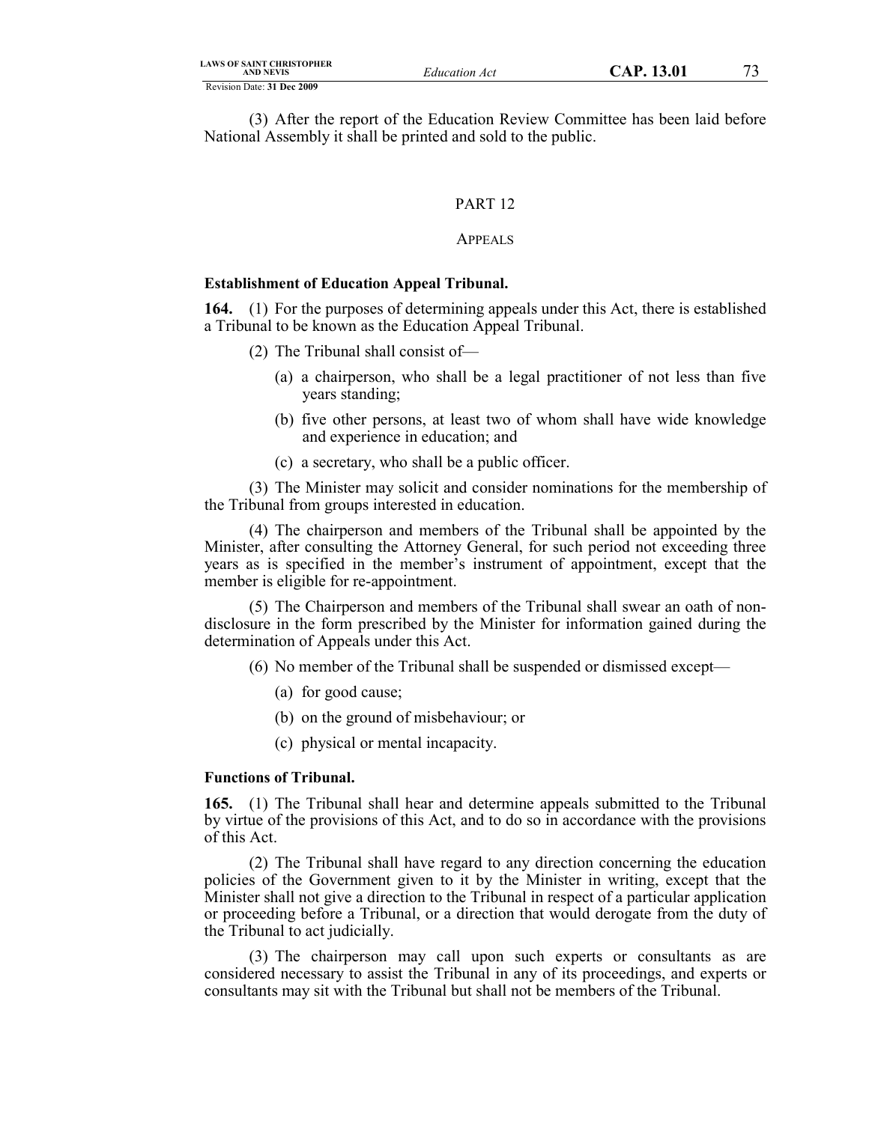(3) After the report of the Education Review Committee has been laid before National Assembly it shall be printed and sold to the public.

### PART 12

#### APPEALS

#### **Establishment of Education Appeal Tribunal.**

**164.** (1) For the purposes of determining appeals under this Act, there is established a Tribunal to be known as the Education Appeal Tribunal.

- (2) The Tribunal shall consist of—
	- (a) a chairperson, who shall be a legal practitioner of not less than five years standing;
	- (b) five other persons, at least two of whom shall have wide knowledge and experience in education; and
	- (c) a secretary, who shall be a public officer.

(3) The Minister may solicit and consider nominations for the membership of the Tribunal from groups interested in education.

(4) The chairperson and members of the Tribunal shall be appointed by the Minister, after consulting the Attorney General, for such period not exceeding three years as is specified in the member's instrument of appointment, except that the member is eligible for re-appointment.

(5) The Chairperson and members of the Tribunal shall swear an oath of nondisclosure in the form prescribed by the Minister for information gained during the determination of Appeals under this Act.

(6) No member of the Tribunal shall be suspended or dismissed except—

- (a) for good cause;
- (b) on the ground of misbehaviour; or
- (c) physical or mental incapacity.

#### **Functions of Tribunal.**

**165.** (1) The Tribunal shall hear and determine appeals submitted to the Tribunal by virtue of the provisions of this Act, and to do so in accordance with the provisions of this Act.

(2) The Tribunal shall have regard to any direction concerning the education policies of the Government given to it by the Minister in writing, except that the Minister shall not give a direction to the Tribunal in respect of a particular application or proceeding before a Tribunal, or a direction that would derogate from the duty of the Tribunal to act judicially.

(3) The chairperson may call upon such experts or consultants as are considered necessary to assist the Tribunal in any of its proceedings, and experts or consultants may sit with the Tribunal but shall not be members of the Tribunal.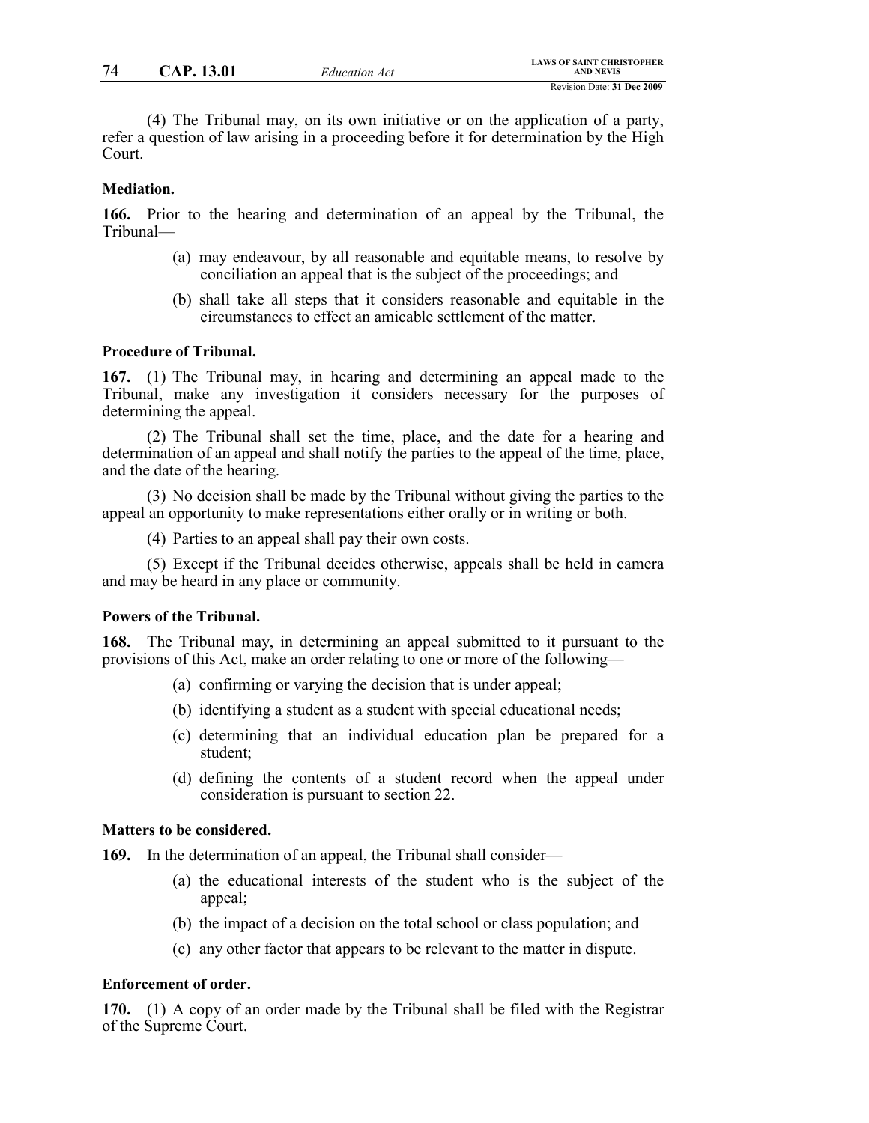(4) The Tribunal may, on its own initiative or on the application of a party, refer a question of law arising in a proceeding before it for determination by the High Court.

#### **Mediation.**

**166.** Prior to the hearing and determination of an appeal by the Tribunal, the Tribunal—

- (a) may endeavour, by all reasonable and equitable means, to resolve by conciliation an appeal that is the subject of the proceedings; and
- (b) shall take all steps that it considers reasonable and equitable in the circumstances to effect an amicable settlement of the matter.

### **Procedure of Tribunal.**

**167.** (1) The Tribunal may, in hearing and determining an appeal made to the Tribunal, make any investigation it considers necessary for the purposes of determining the appeal.

(2) The Tribunal shall set the time, place, and the date for a hearing and determination of an appeal and shall notify the parties to the appeal of the time, place, and the date of the hearing.

(3) No decision shall be made by the Tribunal without giving the parties to the appeal an opportunity to make representations either orally or in writing or both.

(4) Parties to an appeal shall pay their own costs.

(5) Except if the Tribunal decides otherwise, appeals shall be held in camera and may be heard in any place or community.

## **Powers of the Tribunal.**

**168.** The Tribunal may, in determining an appeal submitted to it pursuant to the provisions of this Act, make an order relating to one or more of the following—

- (a) confirming or varying the decision that is under appeal;
- (b) identifying a student as a student with special educational needs;
- (c) determining that an individual education plan be prepared for a student;
- (d) defining the contents of a student record when the appeal under consideration is pursuant to section 22.

#### **Matters to be considered.**

**169.** In the determination of an appeal, the Tribunal shall consider—

- (a) the educational interests of the student who is the subject of the appeal;
- (b) the impact of a decision on the total school or class population; and
- (c) any other factor that appears to be relevant to the matter in dispute.

## **Enforcement of order.**

**170.** (1) A copy of an order made by the Tribunal shall be filed with the Registrar of the Supreme Court.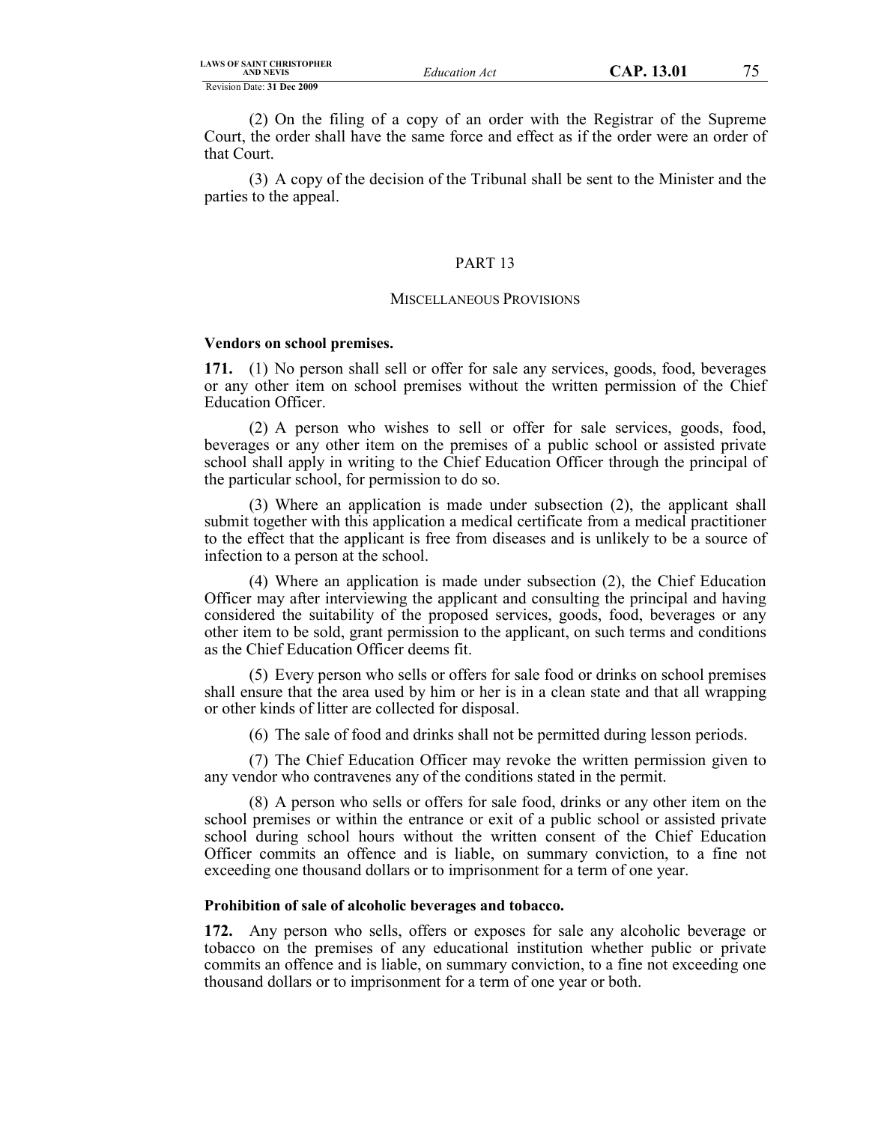(2) On the filing of a copy of an order with the Registrar of the Supreme Court, the order shall have the same force and effect as if the order were an order of that Court.

(3) A copy of the decision of the Tribunal shall be sent to the Minister and the parties to the appeal.

#### PART 13

#### MISCELLANEOUS PROVISIONS

## **Vendors on school premises.**

**171.** (1) No person shall sell or offer for sale any services, goods, food, beverages or any other item on school premises without the written permission of the Chief Education Officer.

(2) A person who wishes to sell or offer for sale services, goods, food, beverages or any other item on the premises of a public school or assisted private school shall apply in writing to the Chief Education Officer through the principal of the particular school, for permission to do so.

(3) Where an application is made under subsection (2), the applicant shall submit together with this application a medical certificate from a medical practitioner to the effect that the applicant is free from diseases and is unlikely to be a source of infection to a person at the school.

(4) Where an application is made under subsection (2), the Chief Education Officer may after interviewing the applicant and consulting the principal and having considered the suitability of the proposed services, goods, food, beverages or any other item to be sold, grant permission to the applicant, on such terms and conditions as the Chief Education Officer deems fit.

(5) Every person who sells or offers for sale food or drinks on school premises shall ensure that the area used by him or her is in a clean state and that all wrapping or other kinds of litter are collected for disposal.

(6) The sale of food and drinks shall not be permitted during lesson periods.

(7) The Chief Education Officer may revoke the written permission given to any vendor who contravenes any of the conditions stated in the permit.

(8) A person who sells or offers for sale food, drinks or any other item on the school premises or within the entrance or exit of a public school or assisted private school during school hours without the written consent of the Chief Education Officer commits an offence and is liable, on summary conviction, to a fine not exceeding one thousand dollars or to imprisonment for a term of one year.

#### **Prohibition of sale of alcoholic beverages and tobacco.**

**172.** Any person who sells, offers or exposes for sale any alcoholic beverage or tobacco on the premises of any educational institution whether public or private commits an offence and is liable, on summary conviction, to a fine not exceeding one thousand dollars or to imprisonment for a term of one year or both.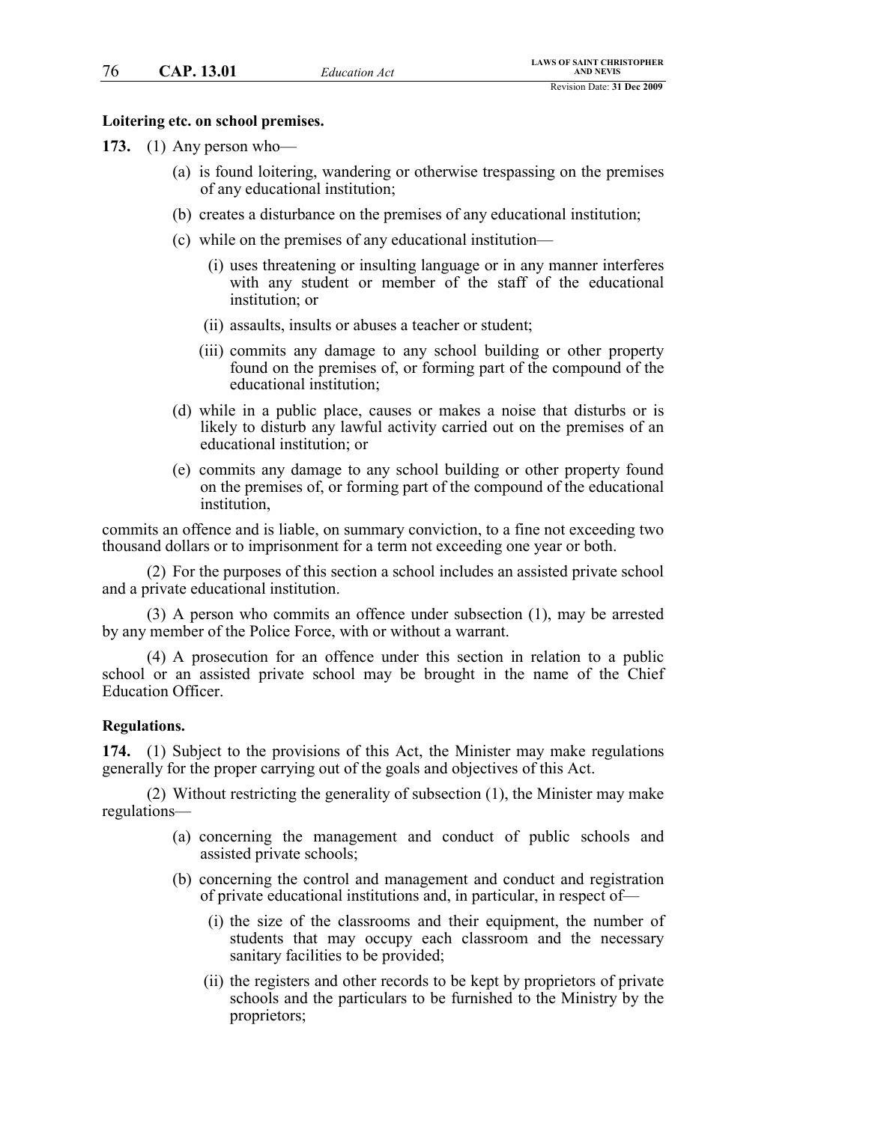#### **Loitering etc. on school premises.**

**173.** (1) Any person who—

- (a) is found loitering, wandering or otherwise trespassing on the premises of any educational institution;
- (b) creates a disturbance on the premises of any educational institution;
- (c) while on the premises of any educational institution—
	- (i) uses threatening or insulting language or in any manner interferes with any student or member of the staff of the educational institution; or
	- (ii) assaults, insults or abuses a teacher or student;
	- (iii) commits any damage to any school building or other property found on the premises of, or forming part of the compound of the educational institution;
- (d) while in a public place, causes or makes a noise that disturbs or is likely to disturb any lawful activity carried out on the premises of an educational institution; or
- (e) commits any damage to any school building or other property found on the premises of, or forming part of the compound of the educational institution,

commits an offence and is liable, on summary conviction, to a fine not exceeding two thousand dollars or to imprisonment for a term not exceeding one year or both.

(2) For the purposes of this section a school includes an assisted private school and a private educational institution.

(3) A person who commits an offence under subsection (1), may be arrested by any member of the Police Force, with or without a warrant.

(4) A prosecution for an offence under this section in relation to a public school or an assisted private school may be brought in the name of the Chief Education Officer.

#### **Regulations.**

**174.** (1) Subject to the provisions of this Act, the Minister may make regulations generally for the proper carrying out of the goals and objectives of this Act.

(2) Without restricting the generality of subsection (1), the Minister may make regulations—

- (a) concerning the management and conduct of public schools and assisted private schools;
- (b) concerning the control and management and conduct and registration of private educational institutions and, in particular, in respect of—
	- (i) the size of the classrooms and their equipment, the number of students that may occupy each classroom and the necessary sanitary facilities to be provided;
	- (ii) the registers and other records to be kept by proprietors of private schools and the particulars to be furnished to the Ministry by the proprietors;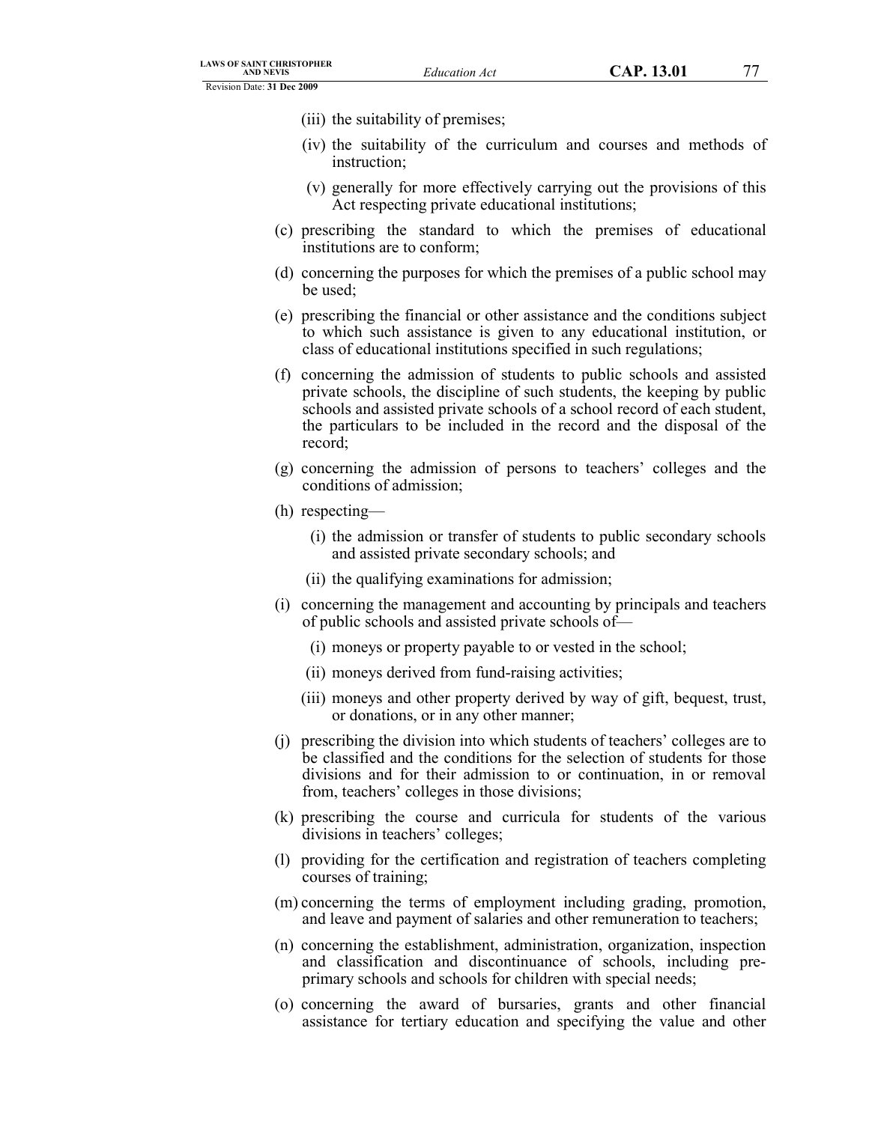- (iii) the suitability of premises;
- (iv) the suitability of the curriculum and courses and methods of instruction;
- (v) generally for more effectively carrying out the provisions of this Act respecting private educational institutions;
- (c) prescribing the standard to which the premises of educational institutions are to conform;
- (d) concerning the purposes for which the premises of a public school may be used;
- (e) prescribing the financial or other assistance and the conditions subject to which such assistance is given to any educational institution, or class of educational institutions specified in such regulations;
- (f) concerning the admission of students to public schools and assisted private schools, the discipline of such students, the keeping by public schools and assisted private schools of a school record of each student, the particulars to be included in the record and the disposal of the record;
- (g) concerning the admission of persons to teachers' colleges and the conditions of admission;
- (h) respecting—
	- (i) the admission or transfer of students to public secondary schools and assisted private secondary schools; and
	- (ii) the qualifying examinations for admission;
- (i) concerning the management and accounting by principals and teachers of public schools and assisted private schools of—
	- (i) moneys or property payable to or vested in the school;
	- (ii) moneys derived from fund-raising activities;
	- (iii) moneys and other property derived by way of gift, bequest, trust, or donations, or in any other manner;
- (j) prescribing the division into which students of teachers' colleges are to be classified and the conditions for the selection of students for those divisions and for their admission to or continuation, in or removal from, teachers' colleges in those divisions;
- (k) prescribing the course and curricula for students of the various divisions in teachers' colleges;
- (l) providing for the certification and registration of teachers completing courses of training;
- (m) concerning the terms of employment including grading, promotion, and leave and payment of salaries and other remuneration to teachers;
- (n) concerning the establishment, administration, organization, inspection and classification and discontinuance of schools, including preprimary schools and schools for children with special needs;
- (o) concerning the award of bursaries, grants and other financial assistance for tertiary education and specifying the value and other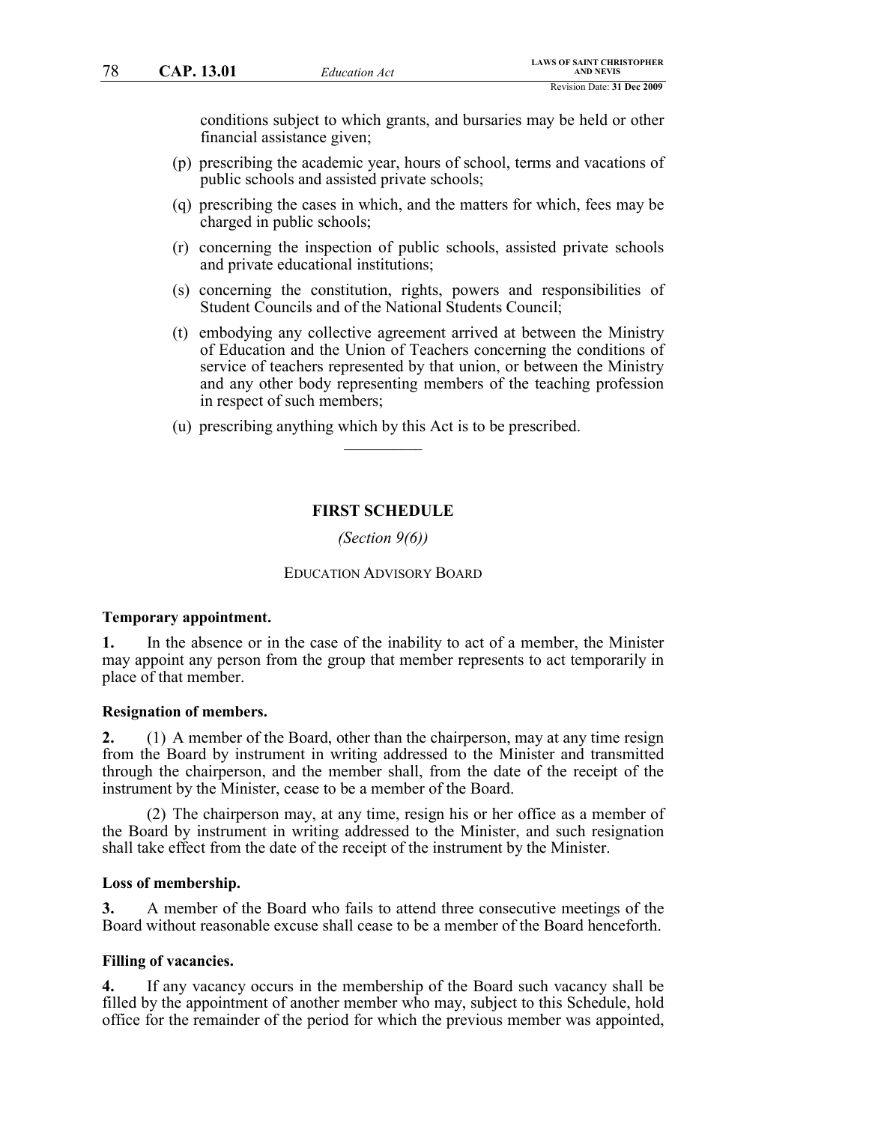conditions subject to which grants, and bursaries may be held or other financial assistance given;

- (p) prescribing the academic year, hours of school, terms and vacations of public schools and assisted private schools;
- (q) prescribing the cases in which, and the matters for which, fees may be charged in public schools;
- (r) concerning the inspection of public schools, assisted private schools and private educational institutions;
- (s) concerning the constitution, rights, powers and responsibilities of Student Councils and of the National Students Council;
- (t) embodying any collective agreement arrived at between the Ministry of Education and the Union of Teachers concerning the conditions of service of teachers represented by that union, or between the Ministry and any other body representing members of the teaching profession in respect of such members;
- (u) prescribing anything which by this Act is to be prescribed.  $\frac{1}{2}$

#### **FIRST SCHEDULE**

*(Section 9(6))*

#### EDUCATION ADVISORY BOARD

#### **Temporary appointment.**

**1.** In the absence or in the case of the inability to act of a member, the Minister may appoint any person from the group that member represents to act temporarily in place of that member.

#### **Resignation of members.**

**2.** (1) A member of the Board, other than the chairperson, may at any time resign from the Board by instrument in writing addressed to the Minister and transmitted through the chairperson, and the member shall, from the date of the receipt of the instrument by the Minister, cease to be a member of the Board.

(2) The chairperson may, at any time, resign his or her office as a member of the Board by instrument in writing addressed to the Minister, and such resignation shall take effect from the date of the receipt of the instrument by the Minister.

#### **Loss of membership.**

**3.** A member of the Board who fails to attend three consecutive meetings of the Board without reasonable excuse shall cease to be a member of the Board henceforth.

#### **Filling of vacancies.**

**4.** If any vacancy occurs in the membership of the Board such vacancy shall be filled by the appointment of another member who may, subject to this Schedule, hold office for the remainder of the period for which the previous member was appointed,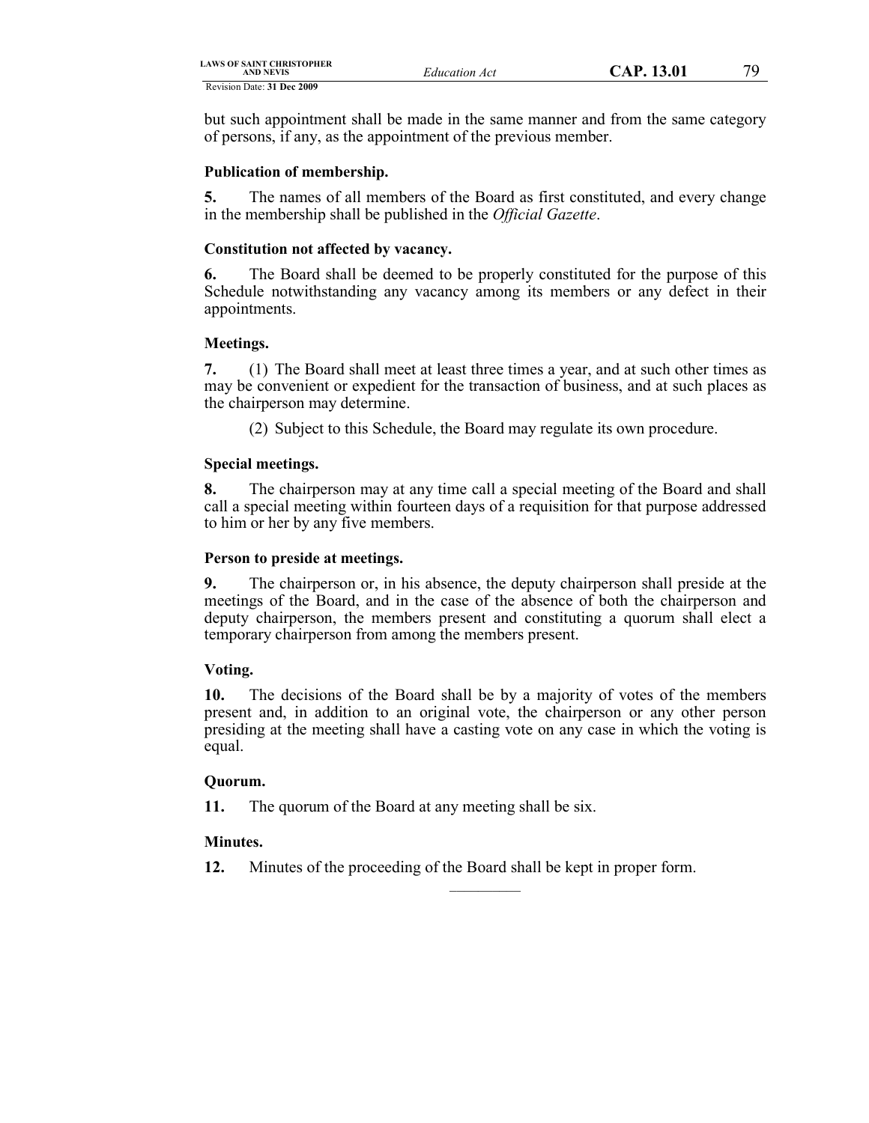| LAWS OF SAINT CHRISTOPHER<br><b>AND NEVIS</b> | Education Act | CAP. 13.01 | 70 |
|-----------------------------------------------|---------------|------------|----|
| Revision Date: 31 Dec 2009                    |               |            |    |

but such appointment shall be made in the same manner and from the same category of persons, if any, as the appointment of the previous member.

# **Publication of membership.**

**5.** The names of all members of the Board as first constituted, and every change in the membership shall be published in the *Official Gazette*.

# **Constitution not affected by vacancy.**

**6.** The Board shall be deemed to be properly constituted for the purpose of this Schedule notwithstanding any vacancy among its members or any defect in their appointments.

## **Meetings.**

**7.** (1) The Board shall meet at least three times a year, and at such other times as may be convenient or expedient for the transaction of business, and at such places as the chairperson may determine.

(2) Subject to this Schedule, the Board may regulate its own procedure.

# **Special meetings.**

**8.** The chairperson may at any time call a special meeting of the Board and shall call a special meeting within fourteen days of a requisition for that purpose addressed to him or her by any five members.

# **Person to preside at meetings.**

**9.** The chairperson or, in his absence, the deputy chairperson shall preside at the meetings of the Board, and in the case of the absence of both the chairperson and deputy chairperson, the members present and constituting a quorum shall elect a temporary chairperson from among the members present.

# **Voting.**

**10.** The decisions of the Board shall be by a majority of votes of the members present and, in addition to an original vote, the chairperson or any other person presiding at the meeting shall have a casting vote on any case in which the voting is equal.

 $\mathcal{L}$  , we have the set of  $\mathcal{L}$ 

## **Quorum.**

**11.** The quorum of the Board at any meeting shall be six.

# **Minutes.**

**12.** Minutes of the proceeding of the Board shall be kept in proper form.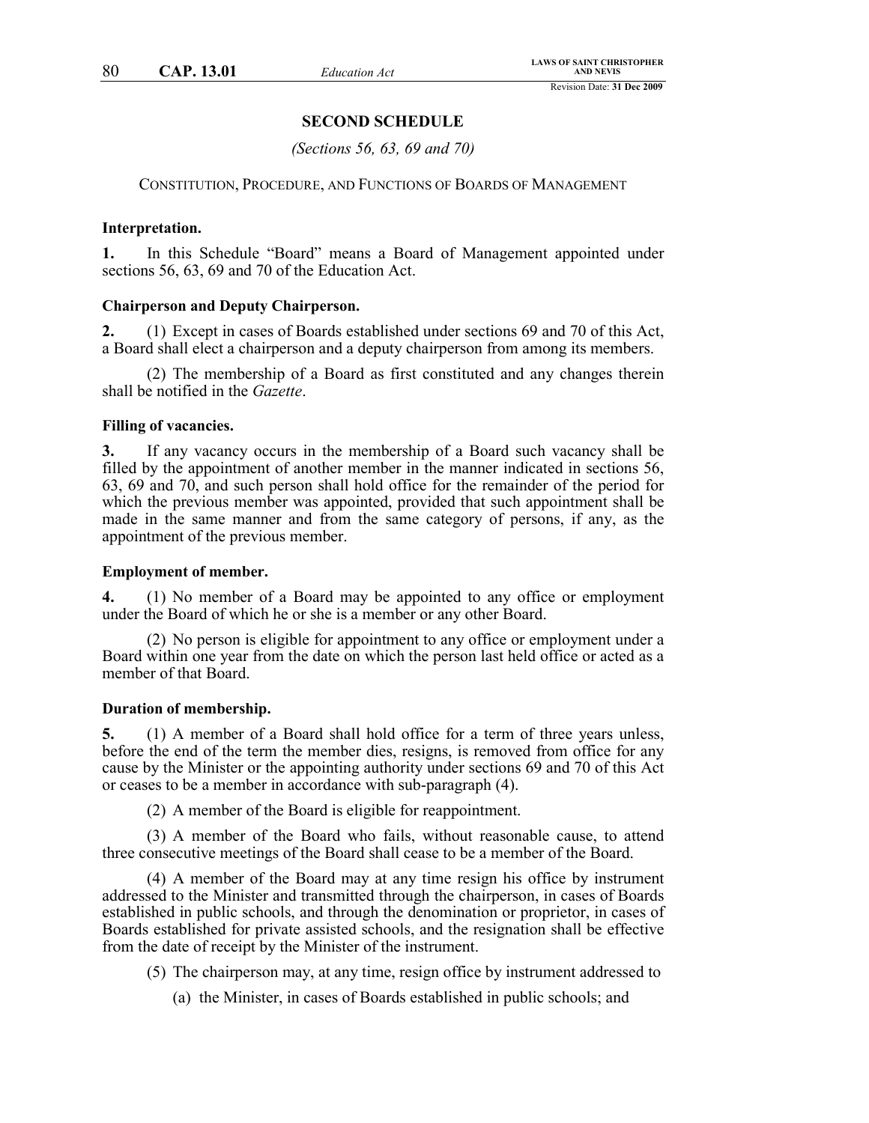### **SECOND SCHEDULE**

*(Sections 56, 63, 69 and 70)*

CONSTITUTION, PROCEDURE, AND FUNCTIONS OF BOARDS OF MANAGEMENT

#### **Interpretation.**

**1.** In this Schedule "Board" means a Board of Management appointed under sections 56, 63, 69 and 70 of the Education Act.

#### **Chairperson and Deputy Chairperson.**

**2.** (1) Except in cases of Boards established under sections 69 and 70 of this Act, a Board shall elect a chairperson and a deputy chairperson from among its members.

(2) The membership of a Board as first constituted and any changes therein shall be notified in the *Gazette*.

#### **Filling of vacancies.**

**3.** If any vacancy occurs in the membership of a Board such vacancy shall be filled by the appointment of another member in the manner indicated in sections 56, 63, 69 and 70, and such person shall hold office for the remainder of the period for which the previous member was appointed, provided that such appointment shall be made in the same manner and from the same category of persons, if any, as the appointment of the previous member.

### **Employment of member.**

**4.** (1) No member of a Board may be appointed to any office or employment under the Board of which he or she is a member or any other Board.

(2) No person is eligible for appointment to any office or employment under a Board within one year from the date on which the person last held office or acted as a member of that Board.

#### **Duration of membership.**

**5.** (1) A member of a Board shall hold office for a term of three years unless, before the end of the term the member dies, resigns, is removed from office for any cause by the Minister or the appointing authority under sections 69 and 70 of this Act or ceases to be a member in accordance with sub-paragraph (4).

(2) A member of the Board is eligible for reappointment.

(3) A member of the Board who fails, without reasonable cause, to attend three consecutive meetings of the Board shall cease to be a member of the Board.

(4) A member of the Board may at any time resign his office by instrument addressed to the Minister and transmitted through the chairperson, in cases of Boards established in public schools, and through the denomination or proprietor, in cases of Boards established for private assisted schools, and the resignation shall be effective from the date of receipt by the Minister of the instrument.

- (5) The chairperson may, at any time, resign office by instrument addressed to
	- (a) the Minister, in cases of Boards established in public schools; and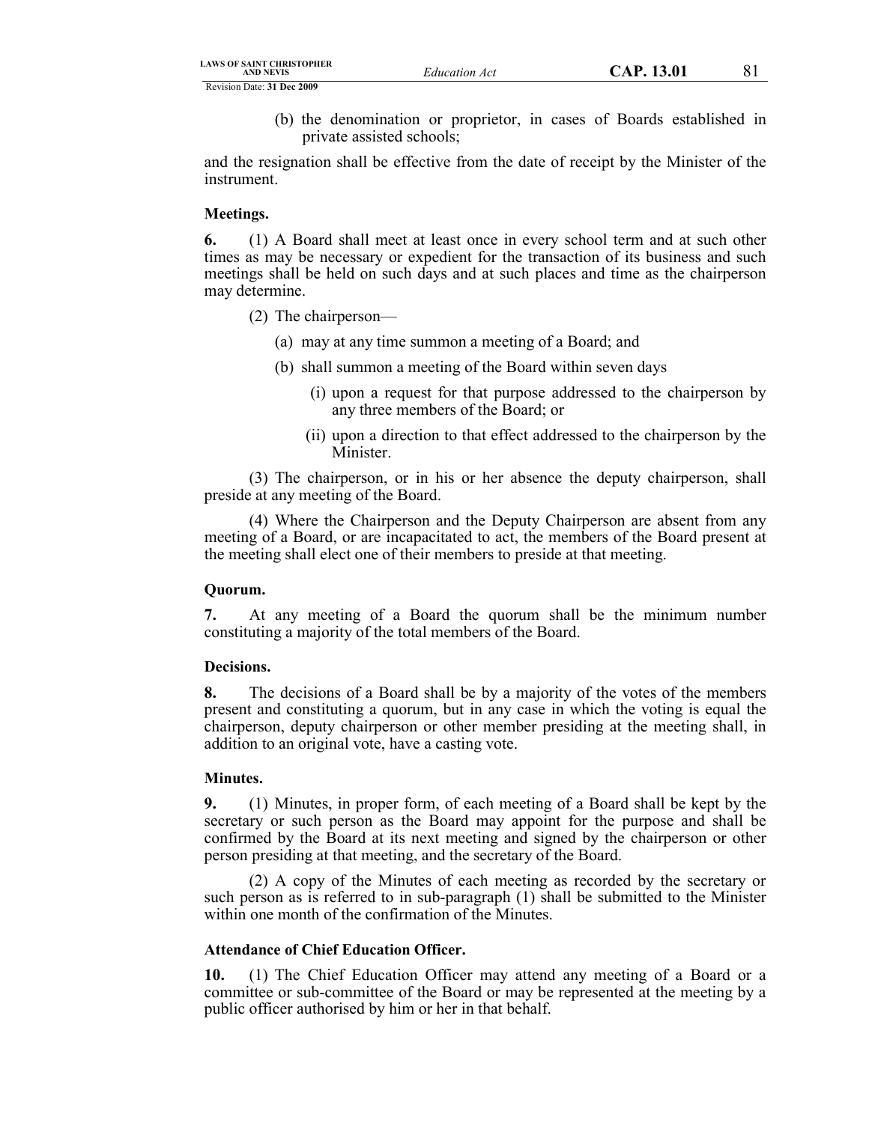(b) the denomination or proprietor, in cases of Boards established in private assisted schools;

and the resignation shall be effective from the date of receipt by the Minister of the instrument.

### **Meetings.**

**6.** (1) A Board shall meet at least once in every school term and at such other times as may be necessary or expedient for the transaction of its business and such meetings shall be held on such days and at such places and time as the chairperson may determine.

- (2) The chairperson—
	- (a) may at any time summon a meeting of a Board; and
	- (b) shall summon a meeting of the Board within seven days
		- (i) upon a request for that purpose addressed to the chairperson by any three members of the Board; or
		- (ii) upon a direction to that effect addressed to the chairperson by the Minister.

(3) The chairperson, or in his or her absence the deputy chairperson, shall preside at any meeting of the Board.

(4) Where the Chairperson and the Deputy Chairperson are absent from any meeting of a Board, or are incapacitated to act, the members of the Board present at the meeting shall elect one of their members to preside at that meeting.

## **Quorum.**

**7.** At any meeting of a Board the quorum shall be the minimum number constituting a majority of the total members of the Board.

## **Decisions.**

**8.** The decisions of a Board shall be by a majority of the votes of the members present and constituting a quorum, but in any case in which the voting is equal the chairperson, deputy chairperson or other member presiding at the meeting shall, in addition to an original vote, have a casting vote.

## **Minutes.**

**9.** (1) Minutes, in proper form, of each meeting of a Board shall be kept by the secretary or such person as the Board may appoint for the purpose and shall be confirmed by the Board at its next meeting and signed by the chairperson or other person presiding at that meeting, and the secretary of the Board.

(2) A copy of the Minutes of each meeting as recorded by the secretary or such person as is referred to in sub-paragraph (1) shall be submitted to the Minister within one month of the confirmation of the Minutes.

## **Attendance of Chief Education Officer.**

**10.** (1) The Chief Education Officer may attend any meeting of a Board or a committee or sub-committee of the Board or may be represented at the meeting by a public officer authorised by him or her in that behalf.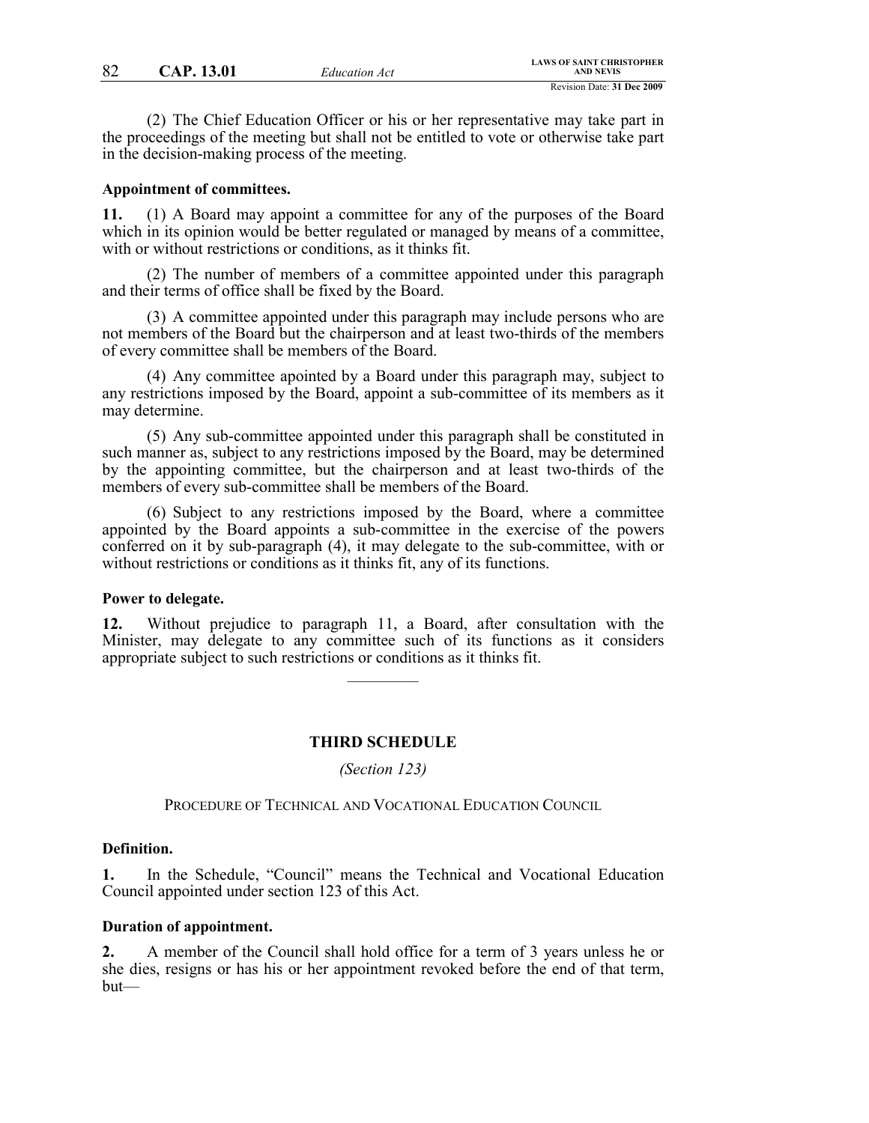(2) The Chief Education Officer or his or her representative may take part in the proceedings of the meeting but shall not be entitled to vote or otherwise take part in the decision-making process of the meeting.

#### **Appointment of committees.**

**11.** (1) A Board may appoint a committee for any of the purposes of the Board which in its opinion would be better regulated or managed by means of a committee, with or without restrictions or conditions, as it thinks fit.

(2) The number of members of a committee appointed under this paragraph and their terms of office shall be fixed by the Board.

(3) A committee appointed under this paragraph may include persons who are not members of the Board but the chairperson and at least two-thirds of the members of every committee shall be members of the Board.

(4) Any committee apointed by a Board under this paragraph may, subject to any restrictions imposed by the Board, appoint a sub-committee of its members as it may determine.

(5) Any sub-committee appointed under this paragraph shall be constituted in such manner as, subject to any restrictions imposed by the Board, may be determined by the appointing committee, but the chairperson and at least two-thirds of the members of every sub-committee shall be members of the Board.

(6) Subject to any restrictions imposed by the Board, where a committee appointed by the Board appoints a sub-committee in the exercise of the powers conferred on it by sub-paragraph (4), it may delegate to the sub-committee, with or without restrictions or conditions as it thinks fit, any of its functions.

#### **Power to delegate.**

**12.** Without prejudice to paragraph 11, a Board, after consultation with the Minister, may delegate to any committee such of its functions as it considers appropriate subject to such restrictions or conditions as it thinks fit.

 $\mathcal{L}$  , we have the set of  $\mathcal{L}$ 

#### **THIRD SCHEDULE**

*(Section 123)*

PROCEDURE OF TECHNICAL AND VOCATIONAL EDUCATION COUNCIL

#### **Definition.**

**1.** In the Schedule, "Council" means the Technical and Vocational Education Council appointed under section 123 of this Act.

#### **Duration of appointment.**

**2.** A member of the Council shall hold office for a term of 3 years unless he or she dies, resigns or has his or her appointment revoked before the end of that term, but—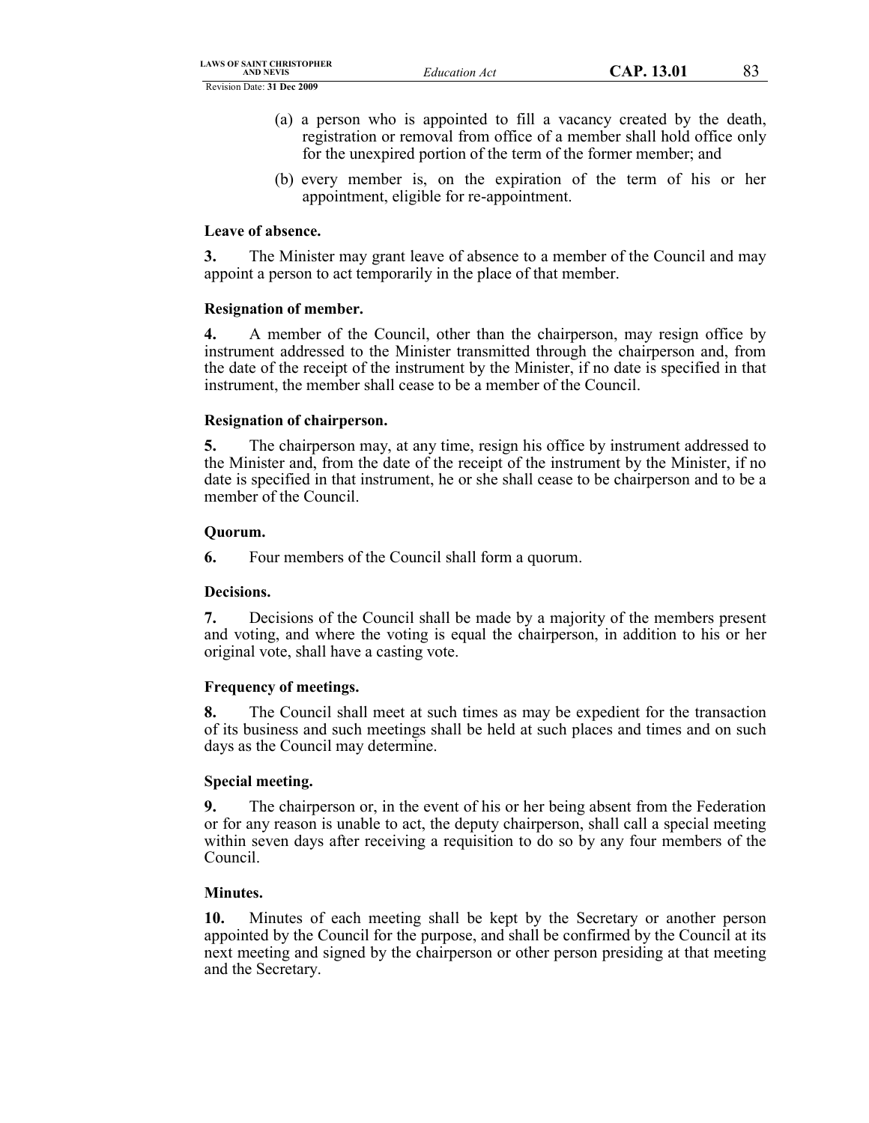- (a) a person who is appointed to fill a vacancy created by the death, registration or removal from office of a member shall hold office only for the unexpired portion of the term of the former member; and
- (b) every member is, on the expiration of the term of his or her appointment, eligible for re-appointment.

## **Leave of absence.**

**3.** The Minister may grant leave of absence to a member of the Council and may appoint a person to act temporarily in the place of that member.

### **Resignation of member.**

**4.** A member of the Council, other than the chairperson, may resign office by instrument addressed to the Minister transmitted through the chairperson and, from the date of the receipt of the instrument by the Minister, if no date is specified in that instrument, the member shall cease to be a member of the Council.

### **Resignation of chairperson.**

**5.** The chairperson may, at any time, resign his office by instrument addressed to the Minister and, from the date of the receipt of the instrument by the Minister, if no date is specified in that instrument, he or she shall cease to be chairperson and to be a member of the Council.

### **Quorum.**

**6.** Four members of the Council shall form a quorum.

## **Decisions.**

**7.** Decisions of the Council shall be made by a majority of the members present and voting, and where the voting is equal the chairperson, in addition to his or her original vote, shall have a casting vote.

## **Frequency of meetings.**

**8.** The Council shall meet at such times as may be expedient for the transaction of its business and such meetings shall be held at such places and times and on such days as the Council may determine.

## **Special meeting.**

**9.** The chairperson or, in the event of his or her being absent from the Federation or for any reason is unable to act, the deputy chairperson, shall call a special meeting within seven days after receiving a requisition to do so by any four members of the Council.

## **Minutes.**

**10.** Minutes of each meeting shall be kept by the Secretary or another person appointed by the Council for the purpose, and shall be confirmed by the Council at its next meeting and signed by the chairperson or other person presiding at that meeting and the Secretary.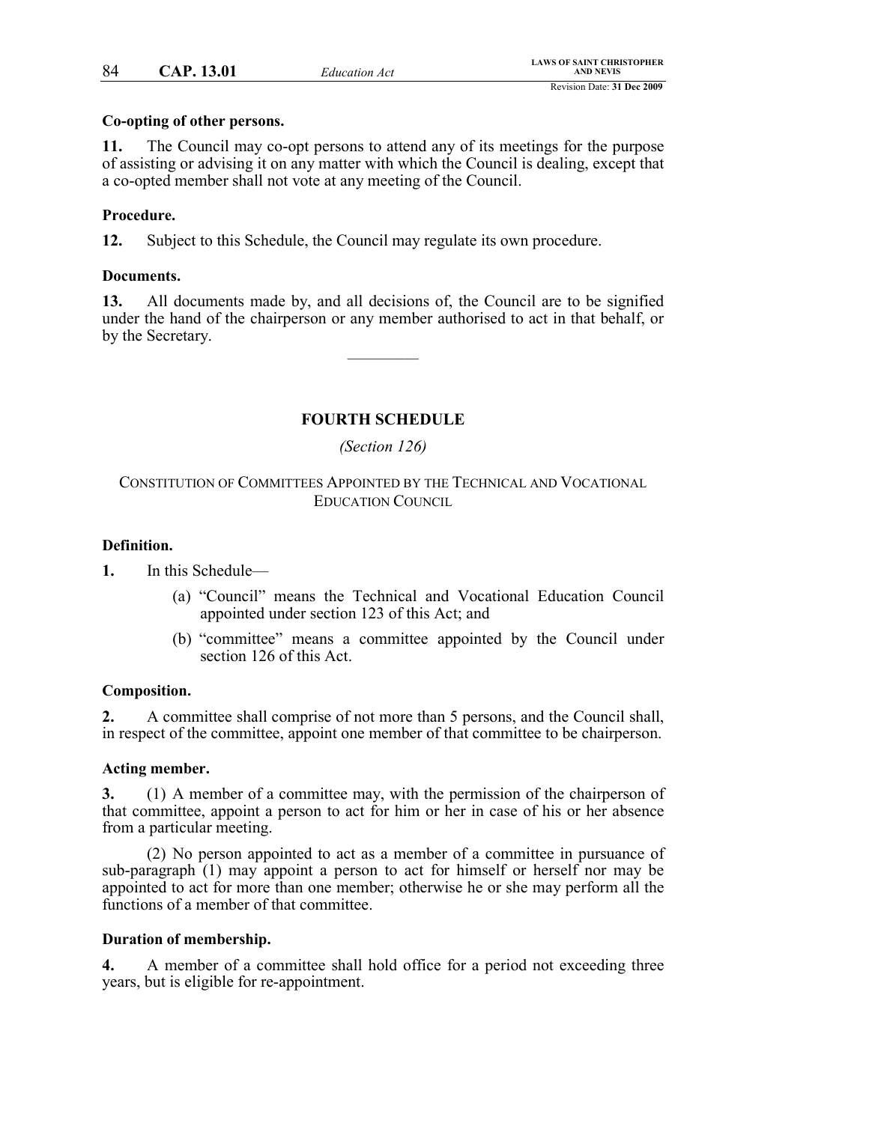### **Co-opting of other persons.**

**11.** The Council may co-opt persons to attend any of its meetings for the purpose of assisting or advising it on any matter with which the Council is dealing, except that a co-opted member shall not vote at any meeting of the Council.

## **Procedure.**

**12.** Subject to this Schedule, the Council may regulate its own procedure.

### **Documents.**

**13.** All documents made by, and all decisions of, the Council are to be signified under the hand of the chairperson or any member authorised to act in that behalf, or by the Secretary.

 $\mathcal{L}$  , we have the set of  $\mathcal{L}$ 

# **FOURTH SCHEDULE**

### *(Section 126)*

## CONSTITUTION OF COMMITTEES APPOINTED BY THE TECHNICAL AND VOCATIONAL EDUCATION COUNCIL

## **Definition.**

**1.** In this Schedule—

- (a) "Council" means the Technical and Vocational Education Council appointed under section 123 of this Act; and
- (b) "committee" means a committee appointed by the Council under section 126 of this Act.

## **Composition.**

**2.** A committee shall comprise of not more than 5 persons, and the Council shall, in respect of the committee, appoint one member of that committee to be chairperson.

#### **Acting member.**

**3.** (1) A member of a committee may, with the permission of the chairperson of that committee, appoint a person to act for him or her in case of his or her absence from a particular meeting.

(2) No person appointed to act as a member of a committee in pursuance of sub-paragraph (1) may appoint a person to act for himself or herself nor may be appointed to act for more than one member; otherwise he or she may perform all the functions of a member of that committee.

#### **Duration of membership.**

**4.** A member of a committee shall hold office for a period not exceeding three years, but is eligible for re-appointment.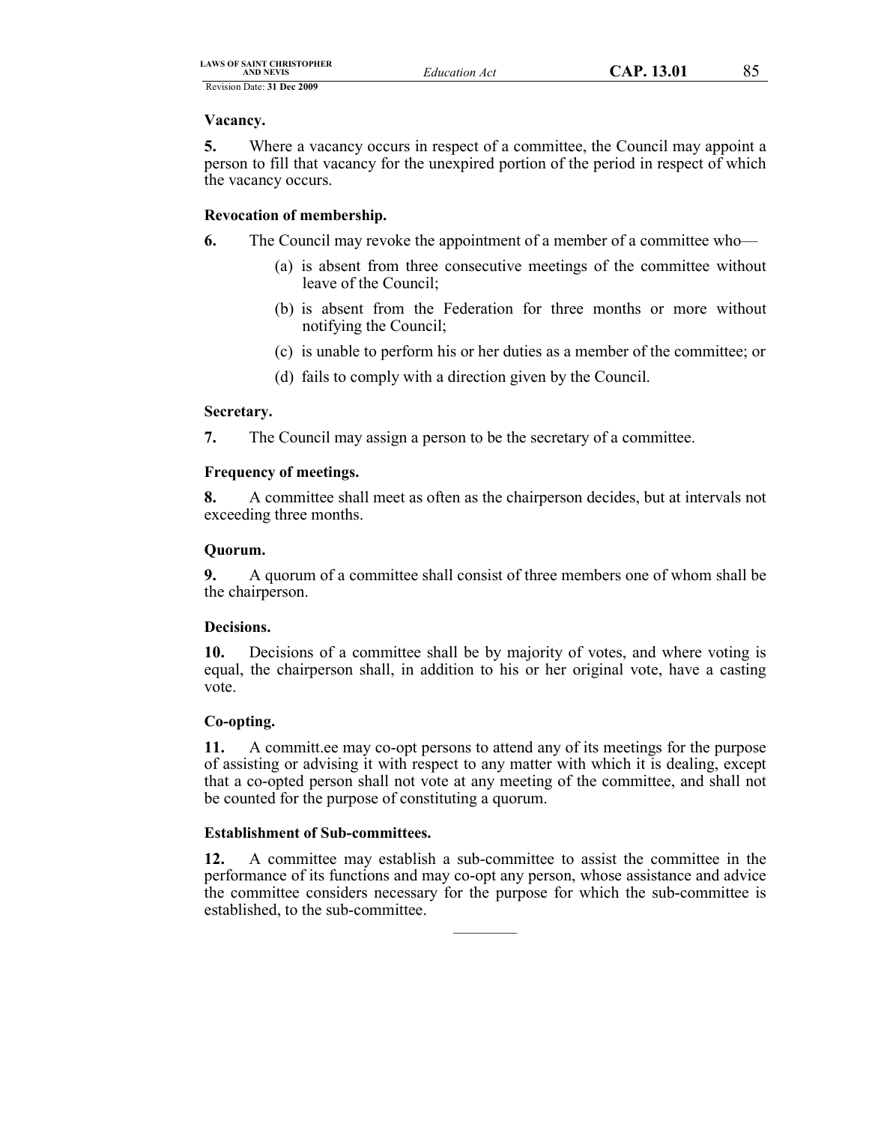**Vacancy.**

**5.** Where a vacancy occurs in respect of a committee, the Council may appoint a person to fill that vacancy for the unexpired portion of the period in respect of which the vacancy occurs.

# **Revocation of membership.**

- **6.** The Council may revoke the appointment of a member of a committee who—
	- (a) is absent from three consecutive meetings of the committee without leave of the Council;
	- (b) is absent from the Federation for three months or more without notifying the Council;
	- (c) is unable to perform his or her duties as a member of the committee; or
	- (d) fails to comply with a direction given by the Council.

# **Secretary.**

**7.** The Council may assign a person to be the secretary of a committee.

# **Frequency of meetings.**

**8.** A committee shall meet as often as the chairperson decides, but at intervals not exceeding three months.

# **Quorum.**

**9.** A quorum of a committee shall consist of three members one of whom shall be the chairperson.

# **Decisions.**

**10.** Decisions of a committee shall be by majority of votes, and where voting is equal, the chairperson shall, in addition to his or her original vote, have a casting vote.

# **Co-opting.**

**11.** A committ.ee may co-opt persons to attend any of its meetings for the purpose of assisting or advising it with respect to any matter with which it is dealing, except that a co-opted person shall not vote at any meeting of the committee, and shall not be counted for the purpose of constituting a quorum.

# **Establishment of Sub-committees.**

**12.** A committee may establish a sub-committee to assist the committee in the performance of its functions and may co-opt any person, whose assistance and advice the committee considers necessary for the purpose for which the sub-committee is established, to the sub-committee.

 $\mathcal{L}$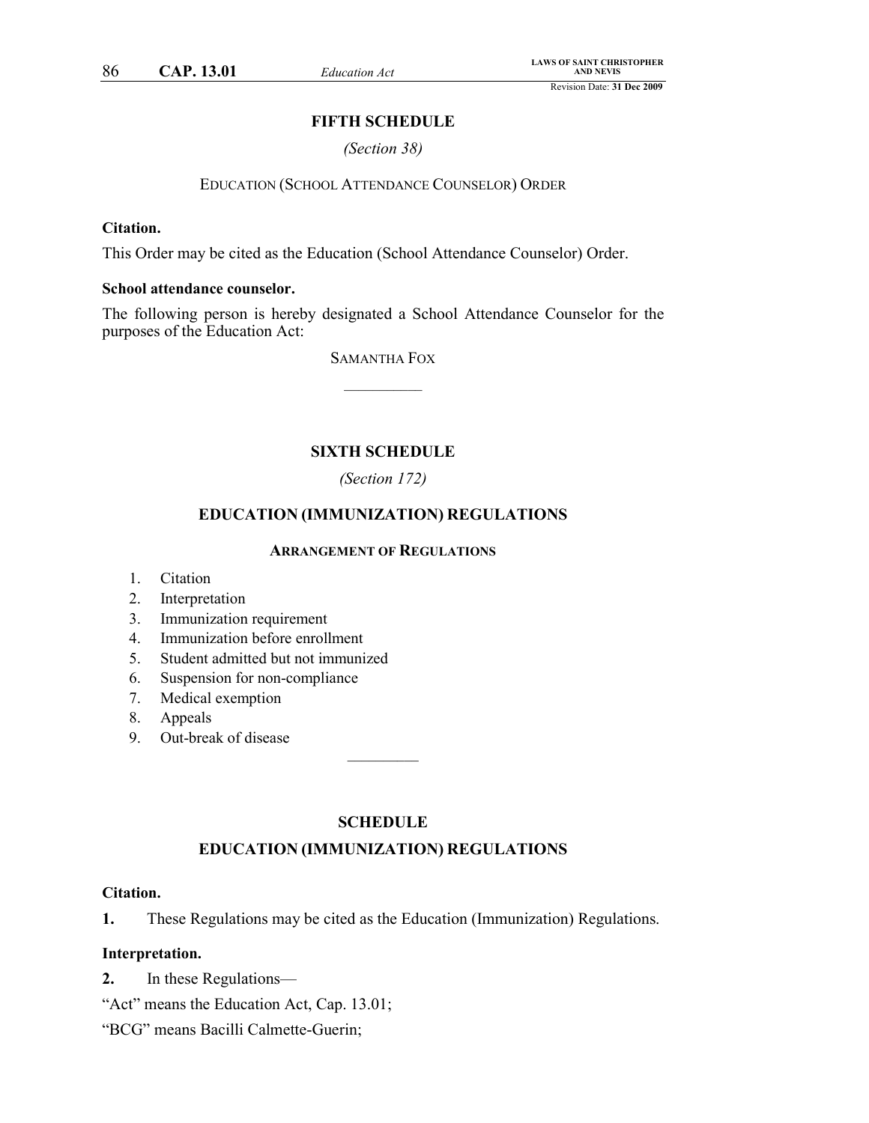## **FIFTH SCHEDULE**

*(Section 38)*

#### EDUCATION (SCHOOL ATTENDANCE COUNSELOR) ORDER

### **Citation.**

This Order may be cited as the Education (School Attendance Counselor) Order.

## **School attendance counselor.**

The following person is hereby designated a School Attendance Counselor for the purposes of the Education Act:

> SAMANTHA FOX  $\frac{1}{2}$

# **SIXTH SCHEDULE**

## *(Section 172)*

## **EDUCATION (IMMUNIZATION) REGULATIONS**

#### **ARRANGEMENT OF REGULATIONS**

- 1. Citation
- 2. Interpretation
- 3. Immunization requirement
- 4. Immunization before enrollment
- 5. Student admitted but not immunized
- 6. Suspension for non-compliance
- 7. Medical exemption
- 8. Appeals
- 9. Out-break of disease

### **SCHEDULE**

 $\mathcal{L}=\mathcal{L}$ 

## **EDUCATION (IMMUNIZATION) REGULATIONS**

#### **Citation.**

**1.** These Regulations may be cited as the Education (Immunization) Regulations.

#### **Interpretation.**

- **2.** In these Regulations—
- "Act" means the Education Act, Cap. 13.01;

"BCG" means Bacilli Calmette-Guerin;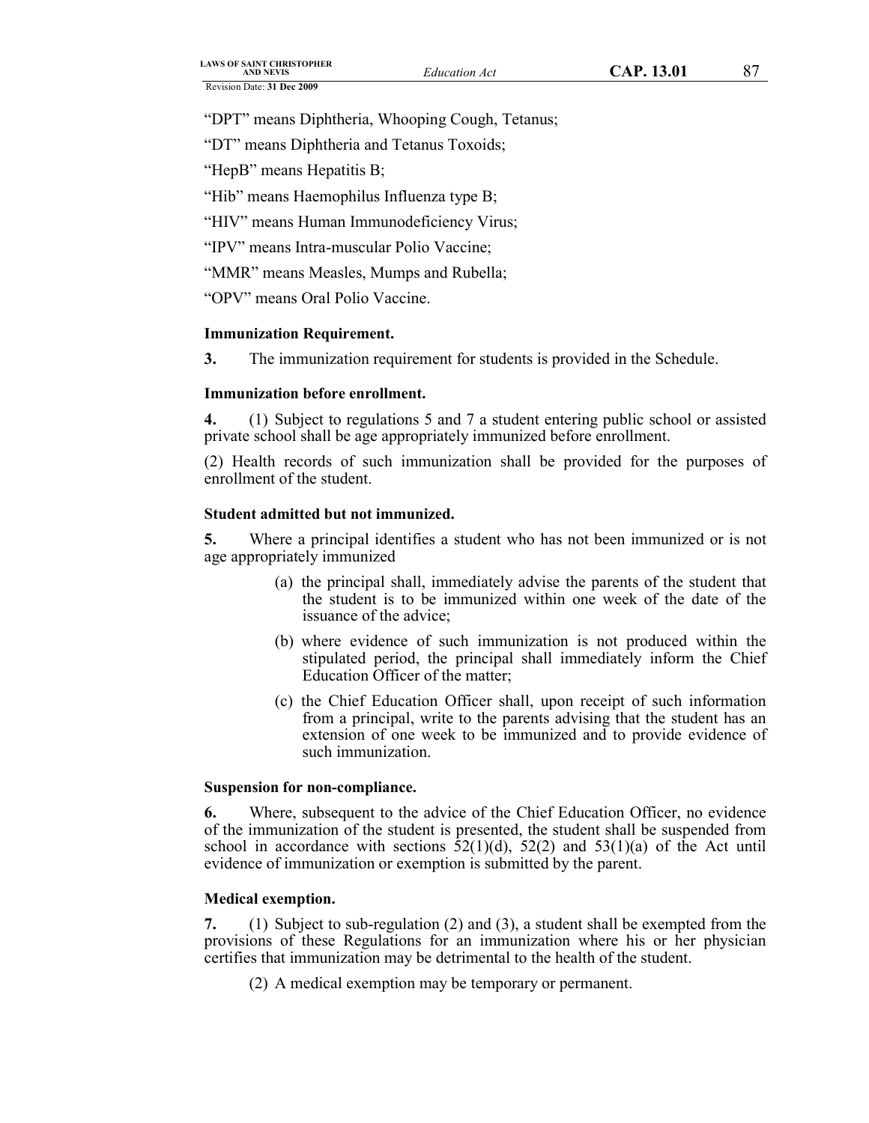"DPT" means Diphtheria, Whooping Cough, Tetanus;

"DT" means Diphtheria and Tetanus Toxoids;

"HepB" means Hepatitis B;

"Hib" means Haemophilus Influenza type B;

"HIV" means Human Immunodeficiency Virus;

"IPV" means Intra-muscular Polio Vaccine;

"MMR" means Measles, Mumps and Rubella;

"OPV" means Oral Polio Vaccine.

# **Immunization Requirement.**

**3.** The immunization requirement for students is provided in the Schedule.

# **Immunization before enrollment.**

**4.** (1) Subject to regulations 5 and 7 a student entering public school or assisted private school shall be age appropriately immunized before enrollment.

(2) Health records of such immunization shall be provided for the purposes of enrollment of the student.

## **Student admitted but not immunized.**

**5.** Where a principal identifies a student who has not been immunized or is not age appropriately immunized

- (a) the principal shall, immediately advise the parents of the student that the student is to be immunized within one week of the date of the issuance of the advice;
- (b) where evidence of such immunization is not produced within the stipulated period, the principal shall immediately inform the Chief Education Officer of the matter;
- (c) the Chief Education Officer shall, upon receipt of such information from a principal, write to the parents advising that the student has an extension of one week to be immunized and to provide evidence of such immunization.

## **Suspension for non-compliance.**

**6.** Where, subsequent to the advice of the Chief Education Officer, no evidence of the immunization of the student is presented, the student shall be suspended from school in accordance with sections  $52(1)(d)$ ,  $52(2)$  and  $53(1)(a)$  of the Act until evidence of immunization or exemption is submitted by the parent.

## **Medical exemption.**

**7.** (1) Subject to sub-regulation (2) and (3), a student shall be exempted from the provisions of these Regulations for an immunization where his or her physician certifies that immunization may be detrimental to the health of the student.

(2) A medical exemption may be temporary or permanent.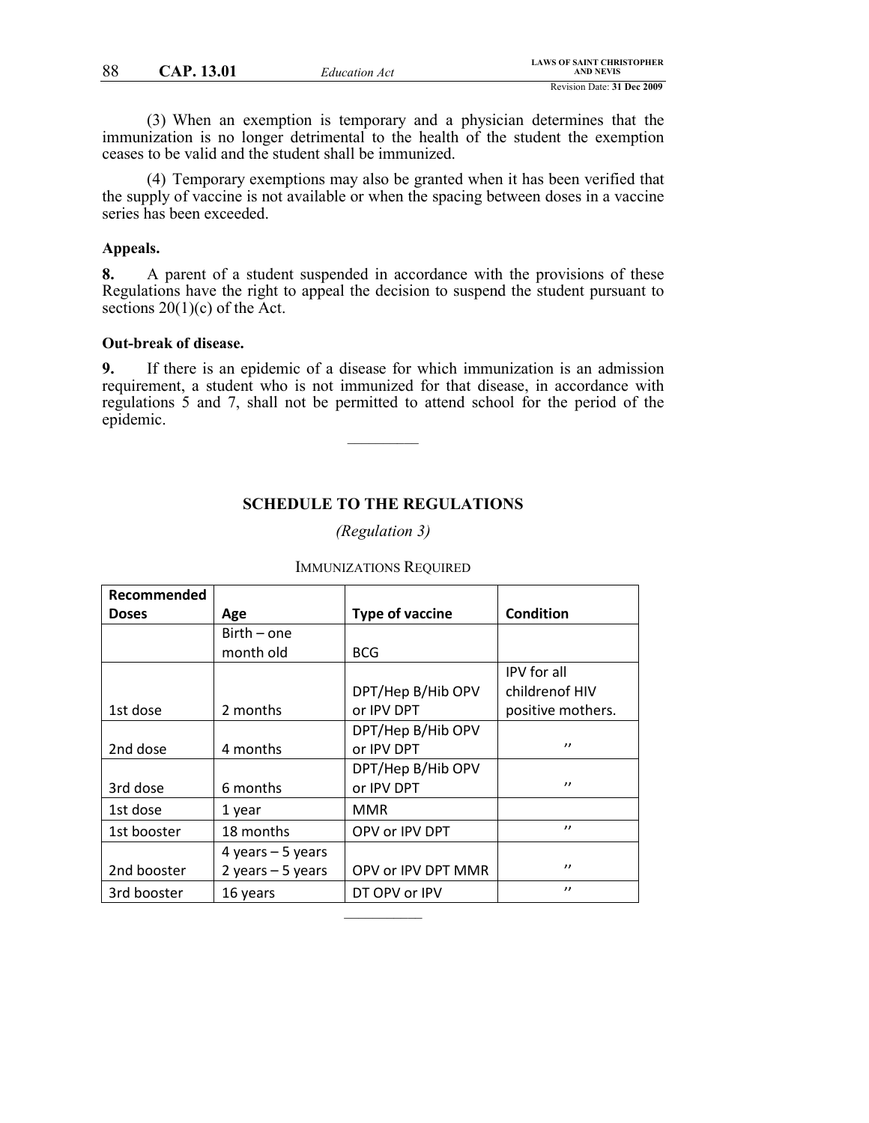(3) When an exemption is temporary and a physician determines that the immunization is no longer detrimental to the health of the student the exemption ceases to be valid and the student shall be immunized.

(4) Temporary exemptions may also be granted when it has been verified that the supply of vaccine is not available or when the spacing between doses in a vaccine series has been exceeded.

## **Appeals.**

**8.** A parent of a student suspended in accordance with the provisions of these Regulations have the right to appeal the decision to suspend the student pursuant to sections  $20(1)(c)$  of the Act.

#### **Out-break of disease.**

**9.** If there is an epidemic of a disease for which immunization is an admission requirement, a student who is not immunized for that disease, in accordance with regulations 5 and 7, shall not be permitted to attend school for the period of the epidemic.

 $\mathcal{L}$  , we have the set of  $\mathcal{L}$ 

### **SCHEDULE TO THE REGULATIONS**

*(Regulation 3)*

| Recommended  |                    |                        |                   |
|--------------|--------------------|------------------------|-------------------|
| <b>Doses</b> | Age                | <b>Type of vaccine</b> | <b>Condition</b>  |
|              | $Birth - one$      |                        |                   |
|              | month old          | <b>BCG</b>             |                   |
|              |                    |                        | IPV for all       |
|              |                    | DPT/Hep B/Hib OPV      | childrenof HIV    |
| 1st dose     | 2 months           | or IPV DPT             | positive mothers. |
|              |                    | DPT/Hep B/Hib OPV      |                   |
| 2nd dose     | 4 months           | or IPV DPT             | $^{\prime}$       |
|              |                    | DPT/Hep B/Hib OPV      |                   |
| 3rd dose     | 6 months           | or IPV DPT             | $^{\prime}$       |
| 1st dose     | 1 year             | <b>MMR</b>             |                   |
| 1st booster  | 18 months          | OPV or IPV DPT         | $^{\prime}$       |
|              | 4 years $-5$ years |                        |                   |
| 2nd booster  | 2 years $-5$ years | OPV or IPV DPT MMR     | $^{\prime}$       |
| 3rd booster  | 16 years           | DT OPV or IPV          | $^{\prime}$       |

 $\mathcal{L}$  and  $\mathcal{L}$ 

#### IMMUNIZATIONS REQUIRED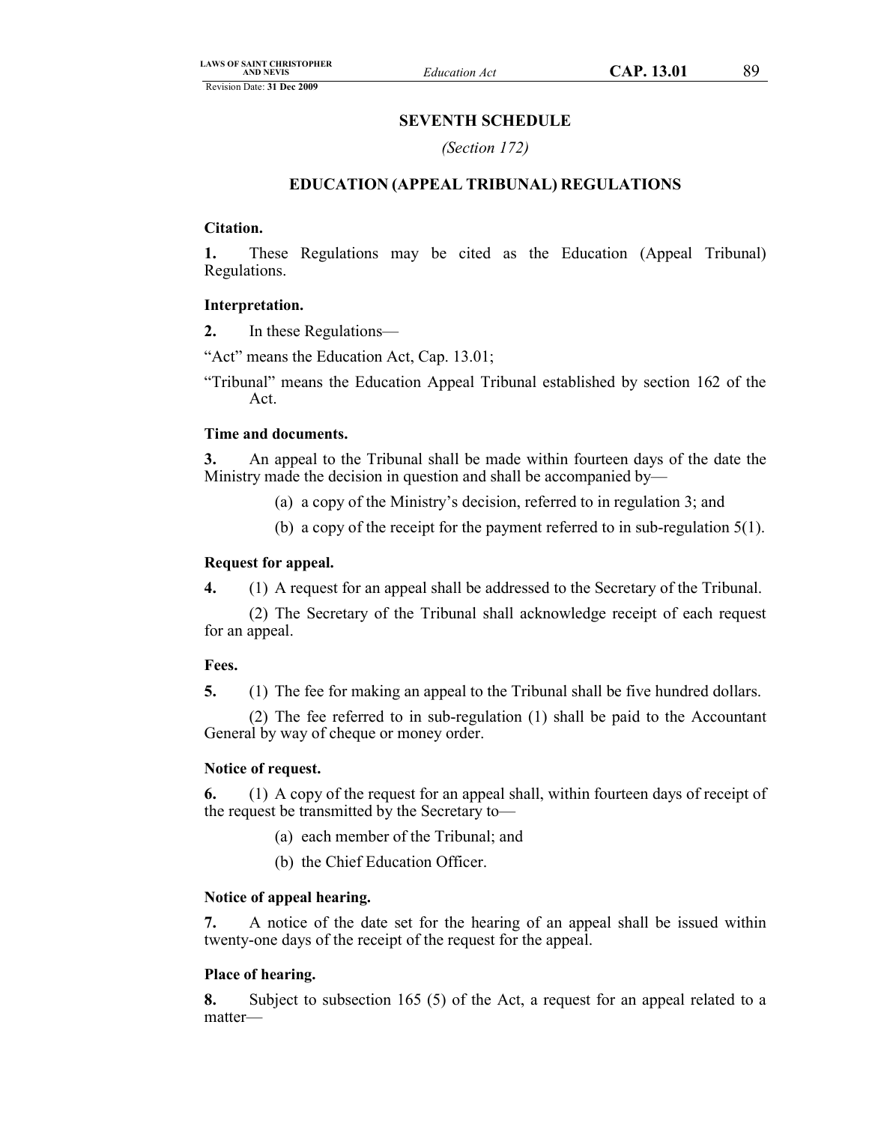### **SEVENTH SCHEDULE**

*(Section 172)*

# **EDUCATION (APPEAL TRIBUNAL) REGULATIONS**

#### **Citation.**

**1.** These Regulations may be cited as the Education (Appeal Tribunal) Regulations.

#### **Interpretation.**

**2.** In these Regulations—

"Act" means the Education Act, Cap. 13.01;

"Tribunal" means the Education Appeal Tribunal established by section 162 of the Act.

#### **Time and documents.**

**3.** An appeal to the Tribunal shall be made within fourteen days of the date the Ministry made the decision in question and shall be accompanied by—

(a) a copy of the Ministry's decision, referred to in regulation 3; and

(b) a copy of the receipt for the payment referred to in sub-regulation 5(1).

#### **Request for appeal.**

**4.** (1) A request for an appeal shall be addressed to the Secretary of the Tribunal.

(2) The Secretary of the Tribunal shall acknowledge receipt of each request for an appeal.

#### **Fees.**

**5.** (1) The fee for making an appeal to the Tribunal shall be five hundred dollars.

(2) The fee referred to in sub-regulation (1) shall be paid to the Accountant General by way of cheque or money order.

#### **Notice of request.**

**6.** (1) A copy of the request for an appeal shall, within fourteen days of receipt of the request be transmitted by the Secretary to—

- (a) each member of the Tribunal; and
- (b) the Chief Education Officer.

#### **Notice of appeal hearing.**

**7.** A notice of the date set for the hearing of an appeal shall be issued within twenty-one days of the receipt of the request for the appeal.

#### **Place of hearing.**

**8.** Subject to subsection 165 (5) of the Act, a request for an appeal related to a matter—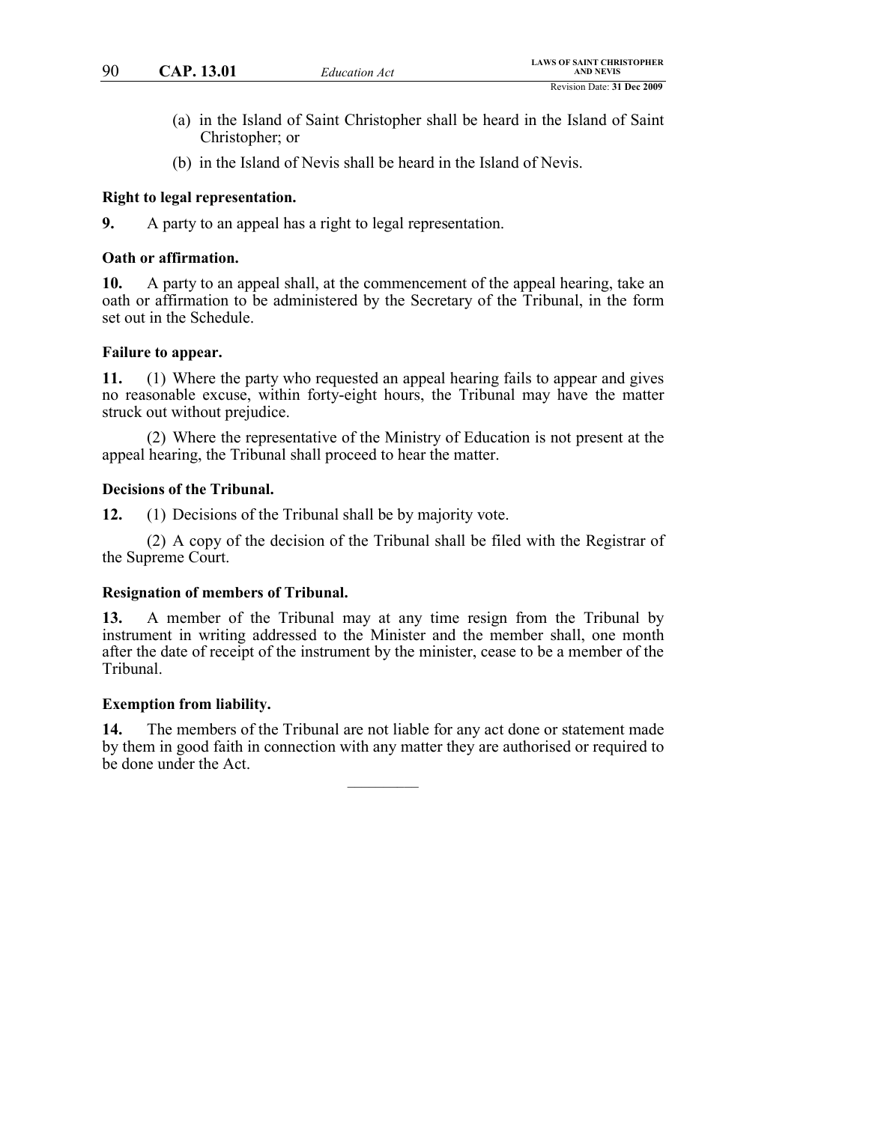- (a) in the Island of Saint Christopher shall be heard in the Island of Saint Christopher; or
- (b) in the Island of Nevis shall be heard in the Island of Nevis.

### **Right to legal representation.**

**9.** A party to an appeal has a right to legal representation.

### **Oath or affirmation.**

**10.** A party to an appeal shall, at the commencement of the appeal hearing, take an oath or affirmation to be administered by the Secretary of the Tribunal, in the form set out in the Schedule.

### **Failure to appear.**

**11.** (1) Where the party who requested an appeal hearing fails to appear and gives no reasonable excuse, within forty-eight hours, the Tribunal may have the matter struck out without prejudice.

(2) Where the representative of the Ministry of Education is not present at the appeal hearing, the Tribunal shall proceed to hear the matter.

### **Decisions of the Tribunal.**

**12.** (1) Decisions of the Tribunal shall be by majority vote.

(2) A copy of the decision of the Tribunal shall be filed with the Registrar of the Supreme Court.

## **Resignation of members of Tribunal.**

**13.** A member of the Tribunal may at any time resign from the Tribunal by instrument in writing addressed to the Minister and the member shall, one month after the date of receipt of the instrument by the minister, cease to be a member of the Tribunal.

#### **Exemption from liability.**

**14.** The members of the Tribunal are not liable for any act done or statement made by them in good faith in connection with any matter they are authorised or required to be done under the Act.

 $\mathcal{L}$  , we have the set of  $\mathcal{L}$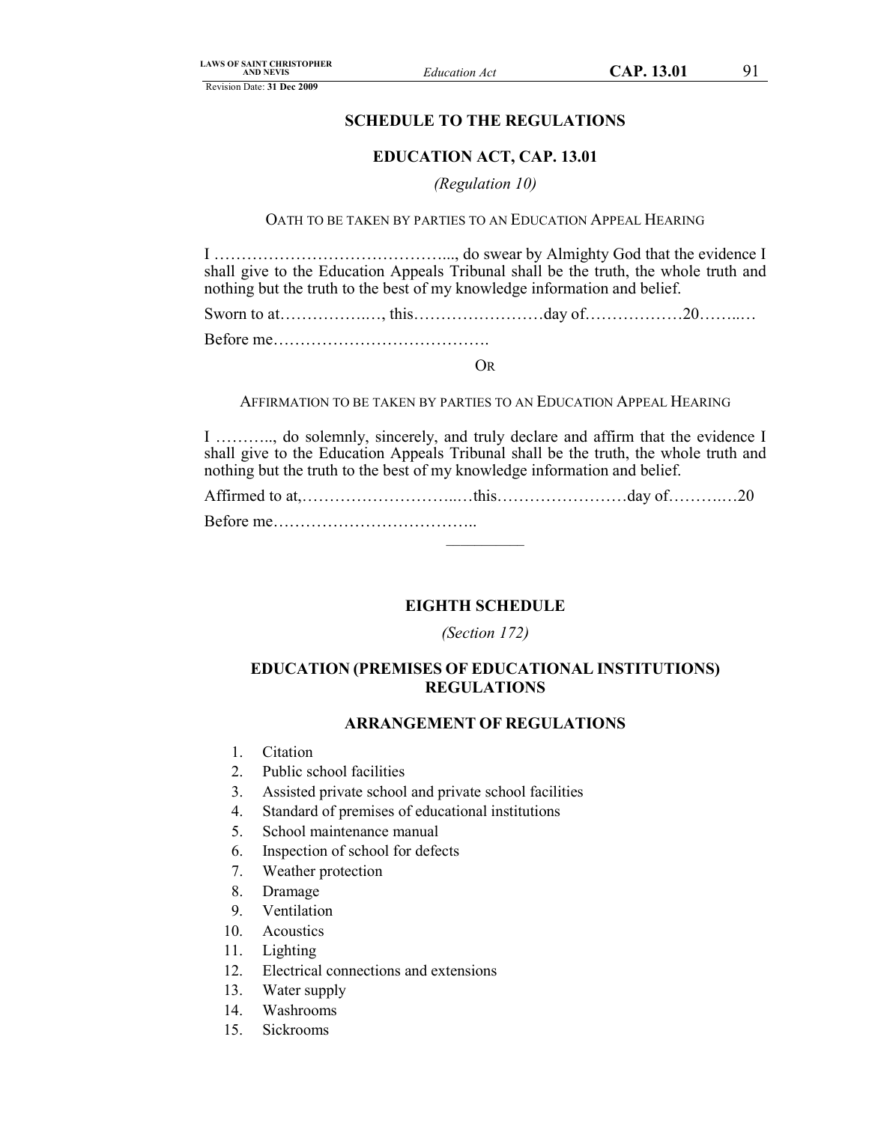Revision Date: **31 Dec 2009**

# **SCHEDULE TO THE REGULATIONS**

### **EDUCATION ACT, CAP. 13.01**

#### *(Regulation 10)*

OATH TO BE TAKEN BY PARTIES TO AN EDUCATION APPEAL HEARING

I ……………………………………..., do swear by Almighty God that the evidence I shall give to the Education Appeals Tribunal shall be the truth, the whole truth and nothing but the truth to the best of my knowledge information and belief.

Sworn to at…………….…, this……………………day of………………20……..…

Before me………………………………….

## OR

AFFIRMATION TO BE TAKEN BY PARTIES TO AN EDUCATION APPEAL HEARING

I ……….., do solemnly, sincerely, and truly declare and affirm that the evidence I shall give to the Education Appeals Tribunal shall be the truth, the whole truth and nothing but the truth to the best of my knowledge information and belief.

Affirmed to at,………………………..…this……………………day of……….…20 Before me………………………………..

 $\mathcal{L}$  and  $\mathcal{L}$ 

**EIGHTH SCHEDULE**

*(Section 172)*

# **EDUCATION (PREMISES OF EDUCATIONAL INSTITUTIONS) REGULATIONS**

#### **ARRANGEMENT OF REGULATIONS**

- 1. Citation
- 2. Public school facilities
- 3. Assisted private school and private school facilities
- 4. Standard of premises of educational institutions
- 5. School maintenance manual
- 6. Inspection of school for defects
- 7. Weather protection
- 8. Dramage
- 9. Ventilation
- 10. Acoustics
- 11. Lighting
- 12. Electrical connections and extensions
- 13. Water supply
- 14. Washrooms
- 15. Sickrooms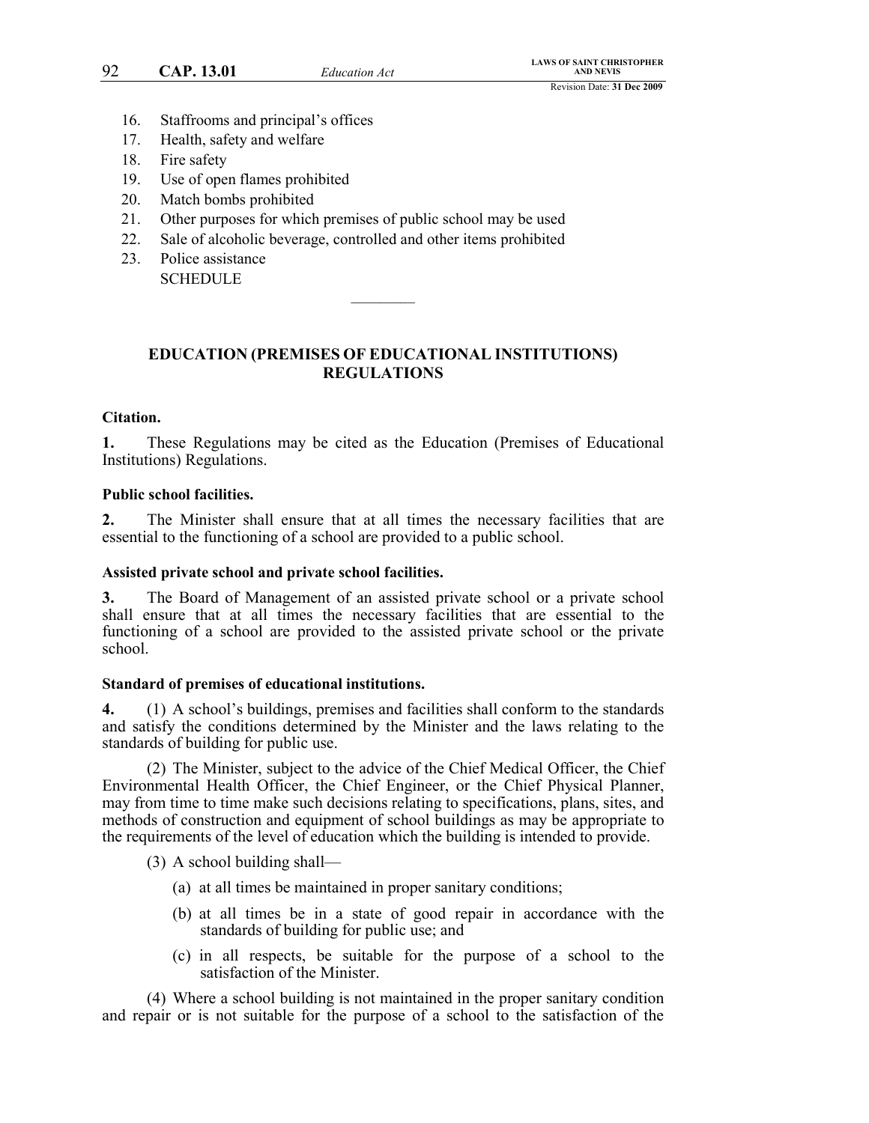- 16. Staffrooms and principal's offices
- 17. Health, safety and welfare
- 18. Fire safety
- 19. Use of open flames prohibited
- 20. Match bombs prohibited
- 21. Other purposes for which premises of public school may be used
- 22. Sale of alcoholic beverage, controlled and other items prohibited
- 23. Police assistance **SCHEDULE**

# **EDUCATION (PREMISES OF EDUCATIONAL INSTITUTIONS) REGULATIONS**

 $\frac{1}{2}$ 

#### **Citation.**

**1.** These Regulations may be cited as the Education (Premises of Educational Institutions) Regulations.

#### **Public school facilities.**

**2.** The Minister shall ensure that at all times the necessary facilities that are essential to the functioning of a school are provided to a public school.

#### **Assisted private school and private school facilities.**

**3.** The Board of Management of an assisted private school or a private school shall ensure that at all times the necessary facilities that are essential to the functioning of a school are provided to the assisted private school or the private school.

#### **Standard of premises of educational institutions.**

**4.** (1) A school's buildings, premises and facilities shall conform to the standards and satisfy the conditions determined by the Minister and the laws relating to the standards of building for public use.

(2) The Minister, subject to the advice of the Chief Medical Officer, the Chief Environmental Health Officer, the Chief Engineer, or the Chief Physical Planner, may from time to time make such decisions relating to specifications, plans, sites, and methods of construction and equipment of school buildings as may be appropriate to the requirements of the level of education which the building is intended to provide.

- (3) A school building shall—
	- (a) at all times be maintained in proper sanitary conditions;
	- (b) at all times be in a state of good repair in accordance with the standards of building for public use; and
	- (c) in all respects, be suitable for the purpose of a school to the satisfaction of the Minister.

(4) Where a school building is not maintained in the proper sanitary condition and repair or is not suitable for the purpose of a school to the satisfaction of the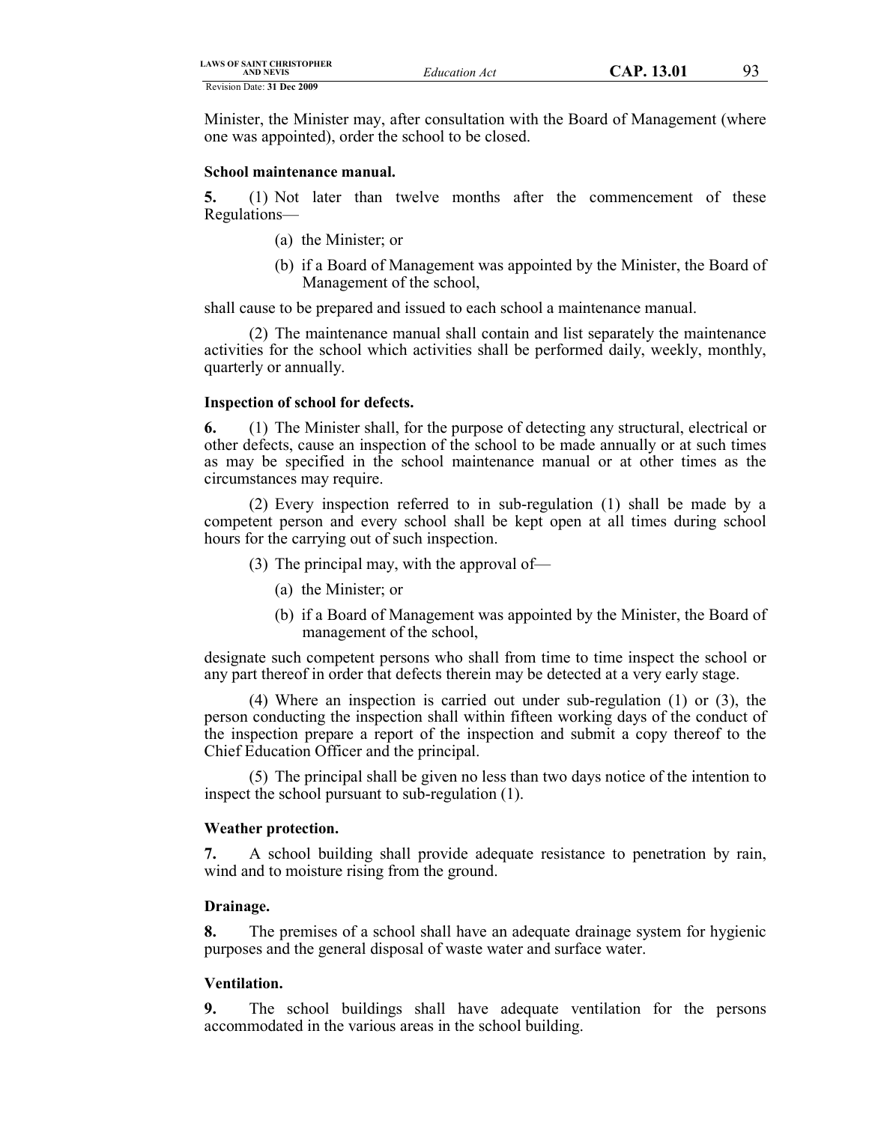| <b>LAWS OF SAINT CHRISTOPHER</b><br><b>AND NEVIS</b> | Education Act | CAP. 13.01 |  |
|------------------------------------------------------|---------------|------------|--|
| Revision Date: 31 Dec 2009                           |               |            |  |

Minister, the Minister may, after consultation with the Board of Management (where one was appointed), order the school to be closed.

#### **School maintenance manual.**

**5.** (1) Not later than twelve months after the commencement of these Regulations—

- (a) the Minister; or
- (b) if a Board of Management was appointed by the Minister, the Board of Management of the school,

shall cause to be prepared and issued to each school a maintenance manual.

(2) The maintenance manual shall contain and list separately the maintenance activities for the school which activities shall be performed daily, weekly, monthly, quarterly or annually.

## **Inspection of school for defects.**

**6.** (1) The Minister shall, for the purpose of detecting any structural, electrical or other defects, cause an inspection of the school to be made annually or at such times as may be specified in the school maintenance manual or at other times as the circumstances may require.

(2) Every inspection referred to in sub-regulation (1) shall be made by a competent person and every school shall be kept open at all times during school hours for the carrying out of such inspection.

- (3) The principal may, with the approval of—
	- (a) the Minister; or
	- (b) if a Board of Management was appointed by the Minister, the Board of management of the school,

designate such competent persons who shall from time to time inspect the school or any part thereof in order that defects therein may be detected at a very early stage.

(4) Where an inspection is carried out under sub-regulation (1) or (3), the person conducting the inspection shall within fifteen working days of the conduct of the inspection prepare a report of the inspection and submit a copy thereof to the Chief Education Officer and the principal.

(5) The principal shall be given no less than two days notice of the intention to inspect the school pursuant to sub-regulation (1).

## **Weather protection.**

**7.** A school building shall provide adequate resistance to penetration by rain, wind and to moisture rising from the ground.

## **Drainage.**

**8.** The premises of a school shall have an adequate drainage system for hygienic purposes and the general disposal of waste water and surface water.

## **Ventilation.**

**9.** The school buildings shall have adequate ventilation for the persons accommodated in the various areas in the school building.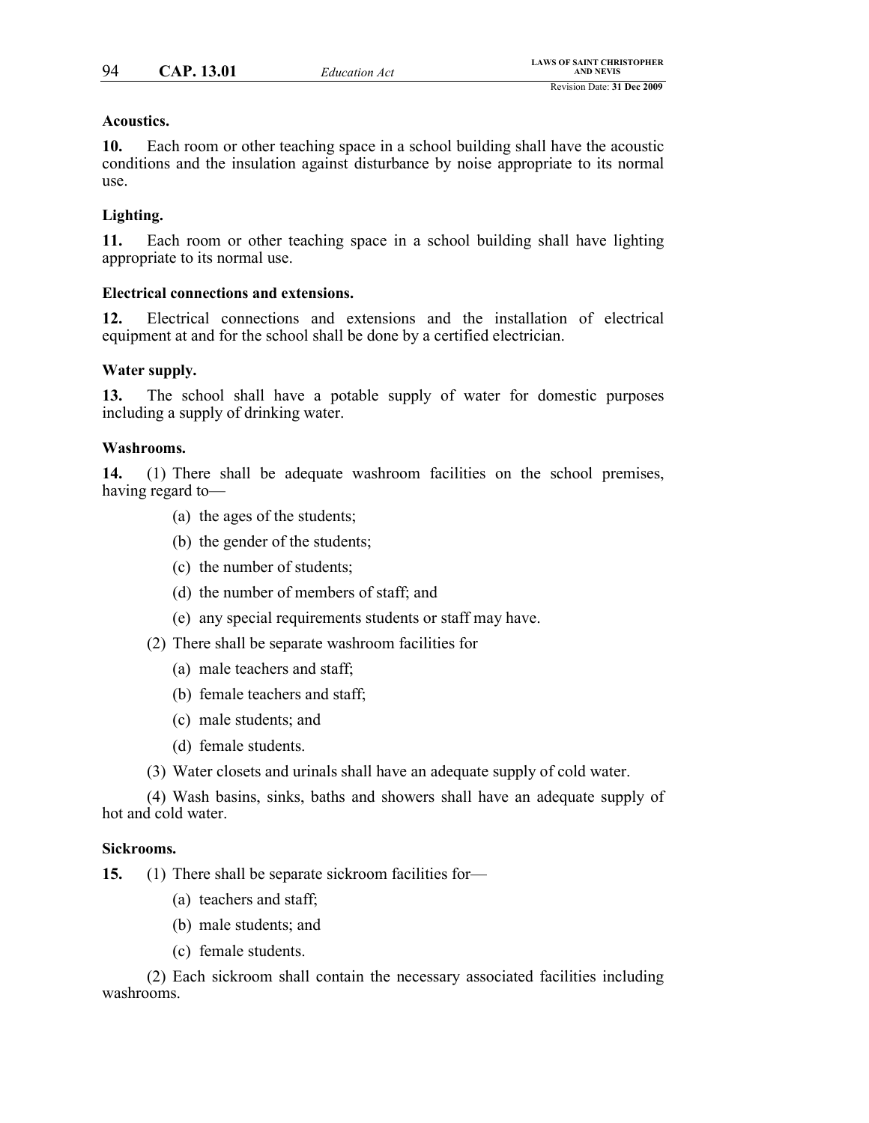## **Acoustics.**

**10.** Each room or other teaching space in a school building shall have the acoustic conditions and the insulation against disturbance by noise appropriate to its normal use.

## **Lighting.**

**11.** Each room or other teaching space in a school building shall have lighting appropriate to its normal use.

## **Electrical connections and extensions.**

**12.** Electrical connections and extensions and the installation of electrical equipment at and for the school shall be done by a certified electrician.

## **Water supply.**

**13.** The school shall have a potable supply of water for domestic purposes including a supply of drinking water.

## **Washrooms.**

**14.** (1) There shall be adequate washroom facilities on the school premises, having regard to—

- (a) the ages of the students;
- (b) the gender of the students;
- (c) the number of students;
- (d) the number of members of staff; and
- (e) any special requirements students or staff may have.
- (2) There shall be separate washroom facilities for
	- (a) male teachers and staff;
	- (b) female teachers and staff;
	- (c) male students; and
	- (d) female students.
- (3) Water closets and urinals shall have an adequate supply of cold water.

(4) Wash basins, sinks, baths and showers shall have an adequate supply of hot and cold water.

## **Sickrooms.**

**15.** (1) There shall be separate sickroom facilities for—

- (a) teachers and staff;
- (b) male students; and
- (c) female students.

(2) Each sickroom shall contain the necessary associated facilities including washrooms.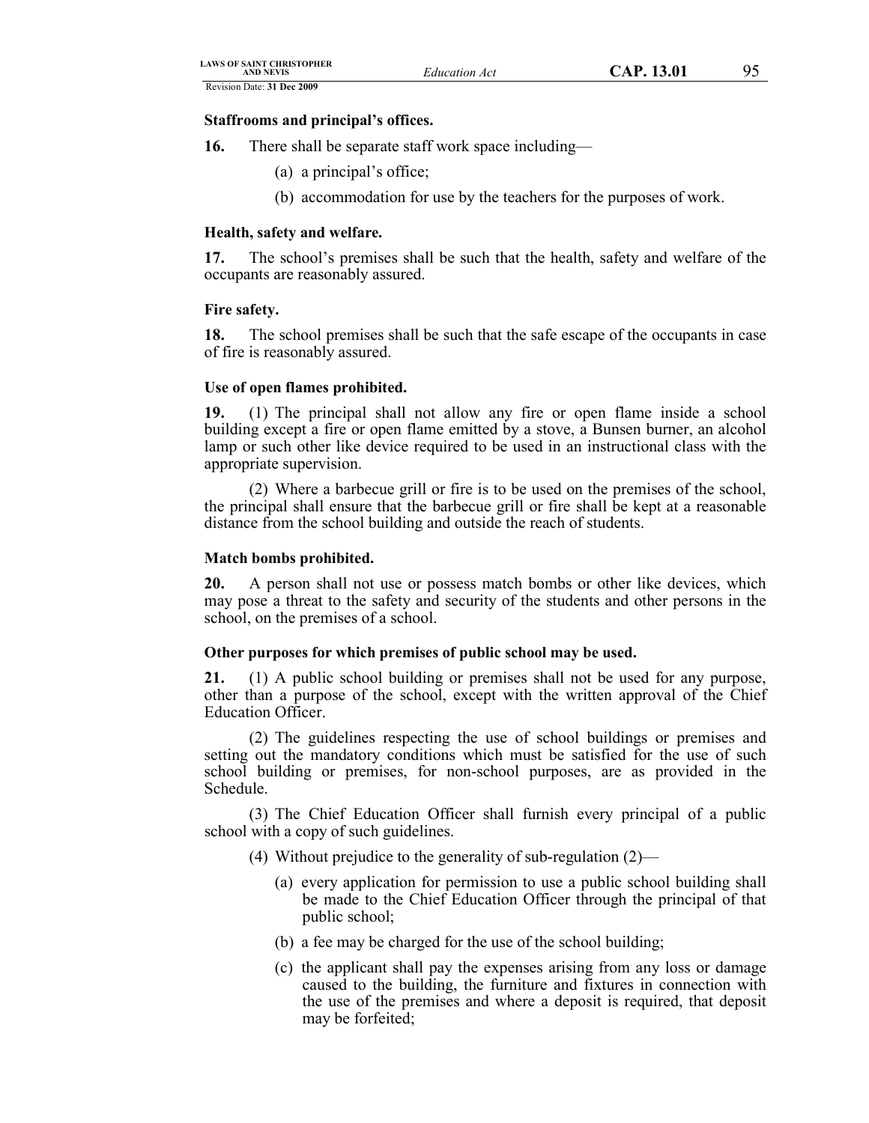Revision Date: **31 Dec 2009**

## **Staffrooms and principal's offices.**

- **16.** There shall be separate staff work space including—
	- (a) a principal's office;
	- (b) accommodation for use by the teachers for the purposes of work.

## **Health, safety and welfare.**

**17.** The school's premises shall be such that the health, safety and welfare of the occupants are reasonably assured.

### **Fire safety.**

**18.** The school premises shall be such that the safe escape of the occupants in case of fire is reasonably assured.

### **Use of open flames prohibited.**

**19.** (1) The principal shall not allow any fire or open flame inside a school building except a fire or open flame emitted by a stove, a Bunsen burner, an alcohol lamp or such other like device required to be used in an instructional class with the appropriate supervision.

(2) Where a barbecue grill or fire is to be used on the premises of the school, the principal shall ensure that the barbecue grill or fire shall be kept at a reasonable distance from the school building and outside the reach of students.

## **Match bombs prohibited.**

**20.** A person shall not use or possess match bombs or other like devices, which may pose a threat to the safety and security of the students and other persons in the school, on the premises of a school.

## **Other purposes for which premises of public school may be used.**

**21.** (1) A public school building or premises shall not be used for any purpose, other than a purpose of the school, except with the written approval of the Chief Education Officer.

(2) The guidelines respecting the use of school buildings or premises and setting out the mandatory conditions which must be satisfied for the use of such school building or premises, for non-school purposes, are as provided in the Schedule.

(3) The Chief Education Officer shall furnish every principal of a public school with a copy of such guidelines.

- (4) Without prejudice to the generality of sub-regulation (2)—
	- (a) every application for permission to use a public school building shall be made to the Chief Education Officer through the principal of that public school;
	- (b) a fee may be charged for the use of the school building;
	- (c) the applicant shall pay the expenses arising from any loss or damage caused to the building, the furniture and fixtures in connection with the use of the premises and where a deposit is required, that deposit may be forfeited;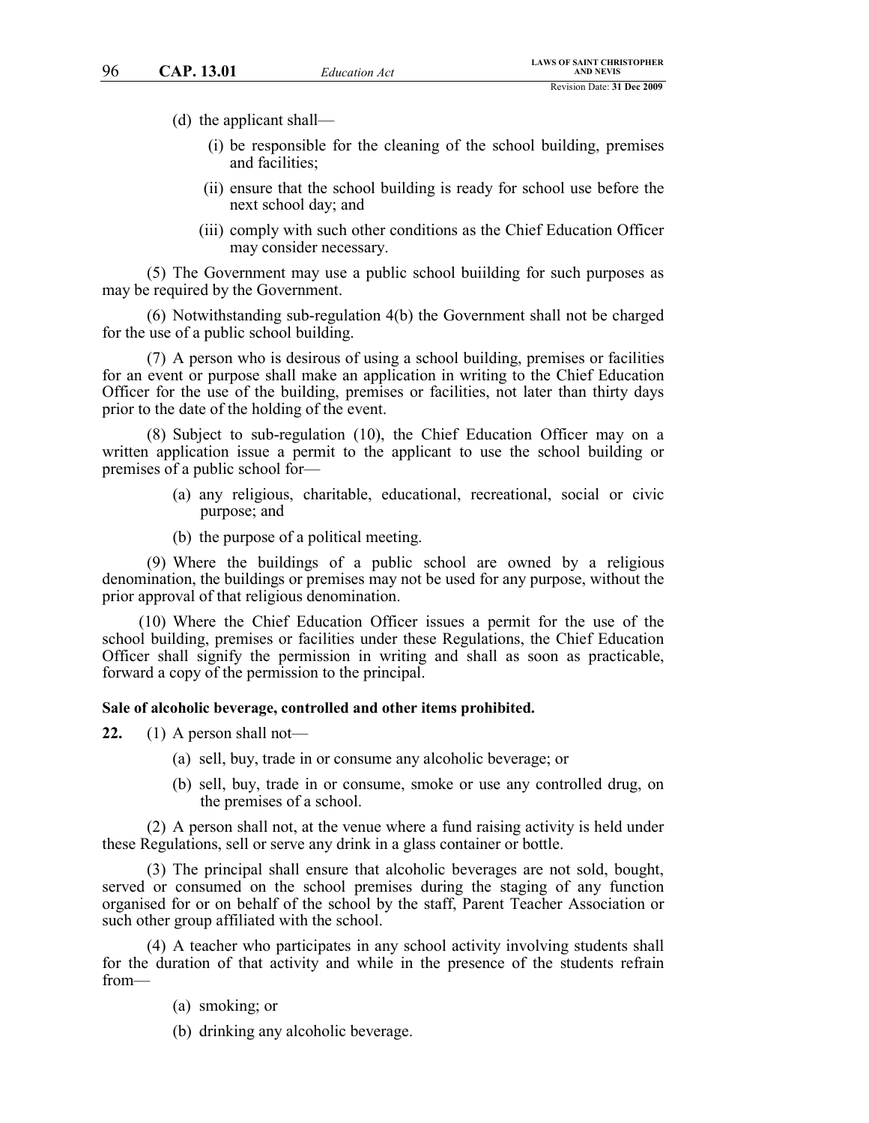(d) the applicant shall—

- (i) be responsible for the cleaning of the school building, premises and facilities;
- (ii) ensure that the school building is ready for school use before the next school day; and
- (iii) comply with such other conditions as the Chief Education Officer may consider necessary.

(5) The Government may use a public school buiilding for such purposes as may be required by the Government.

(6) Notwithstanding sub-regulation 4(b) the Government shall not be charged for the use of a public school building.

(7) A person who is desirous of using a school building, premises or facilities for an event or purpose shall make an application in writing to the Chief Education Officer for the use of the building, premises or facilities, not later than thirty days prior to the date of the holding of the event.

(8) Subject to sub-regulation (10), the Chief Education Officer may on a written application issue a permit to the applicant to use the school building or premises of a public school for—

- (a) any religious, charitable, educational, recreational, social or civic purpose; and
- (b) the purpose of a political meeting.

(9) Where the buildings of a public school are owned by a religious denomination, the buildings or premises may not be used for any purpose, without the prior approval of that religious denomination.

(10) Where the Chief Education Officer issues a permit for the use of the school building, premises or facilities under these Regulations, the Chief Education Officer shall signify the permission in writing and shall as soon as practicable, forward a copy of the permission to the principal.

#### **Sale of alcoholic beverage, controlled and other items prohibited.**

**22.** (1) A person shall not—

- (a) sell, buy, trade in or consume any alcoholic beverage; or
- (b) sell, buy, trade in or consume, smoke or use any controlled drug, on the premises of a school.

(2) A person shall not, at the venue where a fund raising activity is held under these Regulations, sell or serve any drink in a glass container or bottle.

(3) The principal shall ensure that alcoholic beverages are not sold, bought, served or consumed on the school premises during the staging of any function organised for or on behalf of the school by the staff, Parent Teacher Association or such other group affiliated with the school.

(4) A teacher who participates in any school activity involving students shall for the duration of that activity and while in the presence of the students refrain from—

(a) smoking; or

(b) drinking any alcoholic beverage.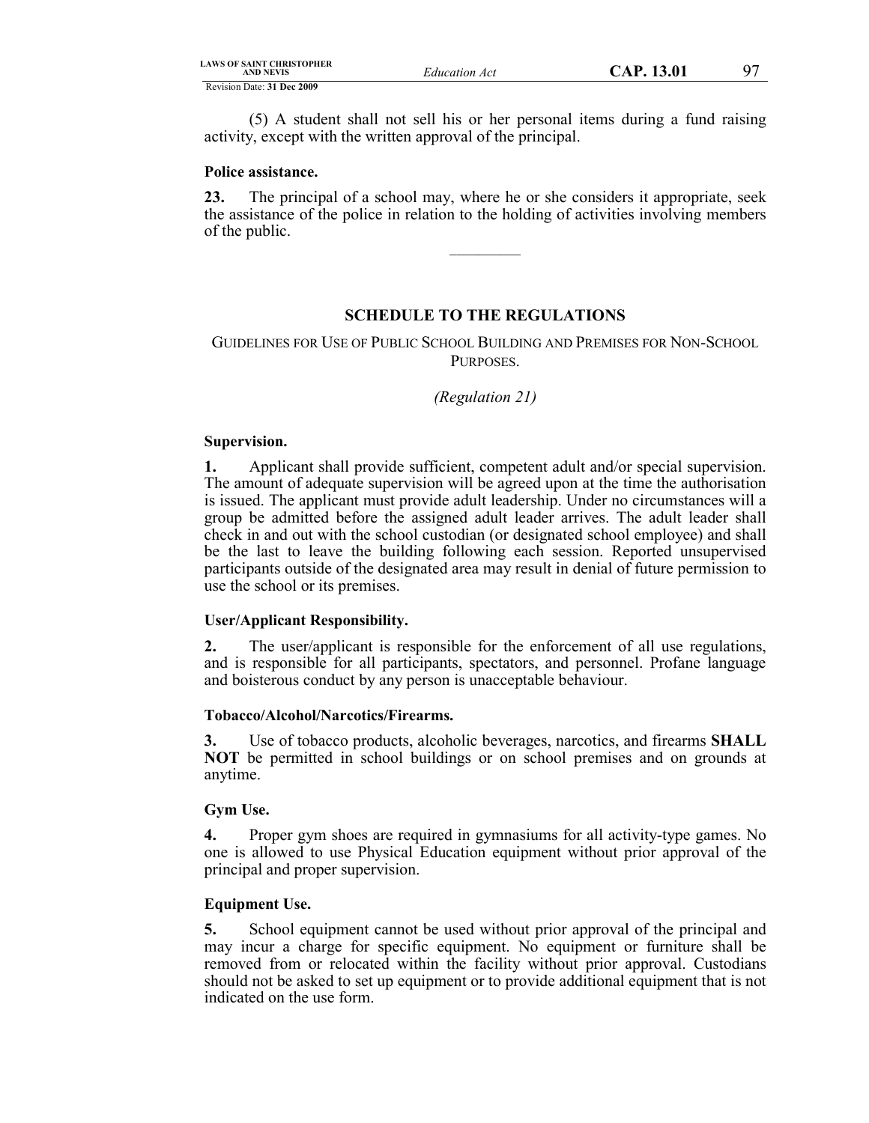| LAWS OF SAINT CHRISTOPHER<br>AND NEVIS | <b>Education Act</b> |  |
|----------------------------------------|----------------------|--|
| Revision Date: 31 Dec 2009             |                      |  |

(5) A student shall not sell his or her personal items during a fund raising activity, except with the written approval of the principal.

## **Police assistance.**

**23.** The principal of a school may, where he or she considers it appropriate, seek the assistance of the police in relation to the holding of activities involving members of the public.

 $\mathcal{L}$  , we have the set of  $\mathcal{L}$ 

# **SCHEDULE TO THE REGULATIONS**

# GUIDELINES FOR USE OF PUBLIC SCHOOL BUILDING AND PREMISES FOR NON-SCHOOL PURPOSES.

# *(Regulation 21)*

## **Supervision.**

**1.** Applicant shall provide sufficient, competent adult and/or special supervision. The amount of adequate supervision will be agreed upon at the time the authorisation is issued. The applicant must provide adult leadership. Under no circumstances will a group be admitted before the assigned adult leader arrives. The adult leader shall check in and out with the school custodian (or designated school employee) and shall be the last to leave the building following each session. Reported unsupervised participants outside of the designated area may result in denial of future permission to use the school or its premises.

## **User/Applicant Responsibility.**

**2.** The user/applicant is responsible for the enforcement of all use regulations, and is responsible for all participants, spectators, and personnel. Profane language and boisterous conduct by any person is unacceptable behaviour.

## **Tobacco/Alcohol/Narcotics/Firearms.**

**3.** Use of tobacco products, alcoholic beverages, narcotics, and firearms **SHALL NOT** be permitted in school buildings or on school premises and on grounds at anytime.

## **Gym Use.**

**4.** Proper gym shoes are required in gymnasiums for all activity-type games. No one is allowed to use Physical Education equipment without prior approval of the principal and proper supervision.

## **Equipment Use.**

**5.** School equipment cannot be used without prior approval of the principal and may incur a charge for specific equipment. No equipment or furniture shall be removed from or relocated within the facility without prior approval. Custodians should not be asked to set up equipment or to provide additional equipment that is not indicated on the use form.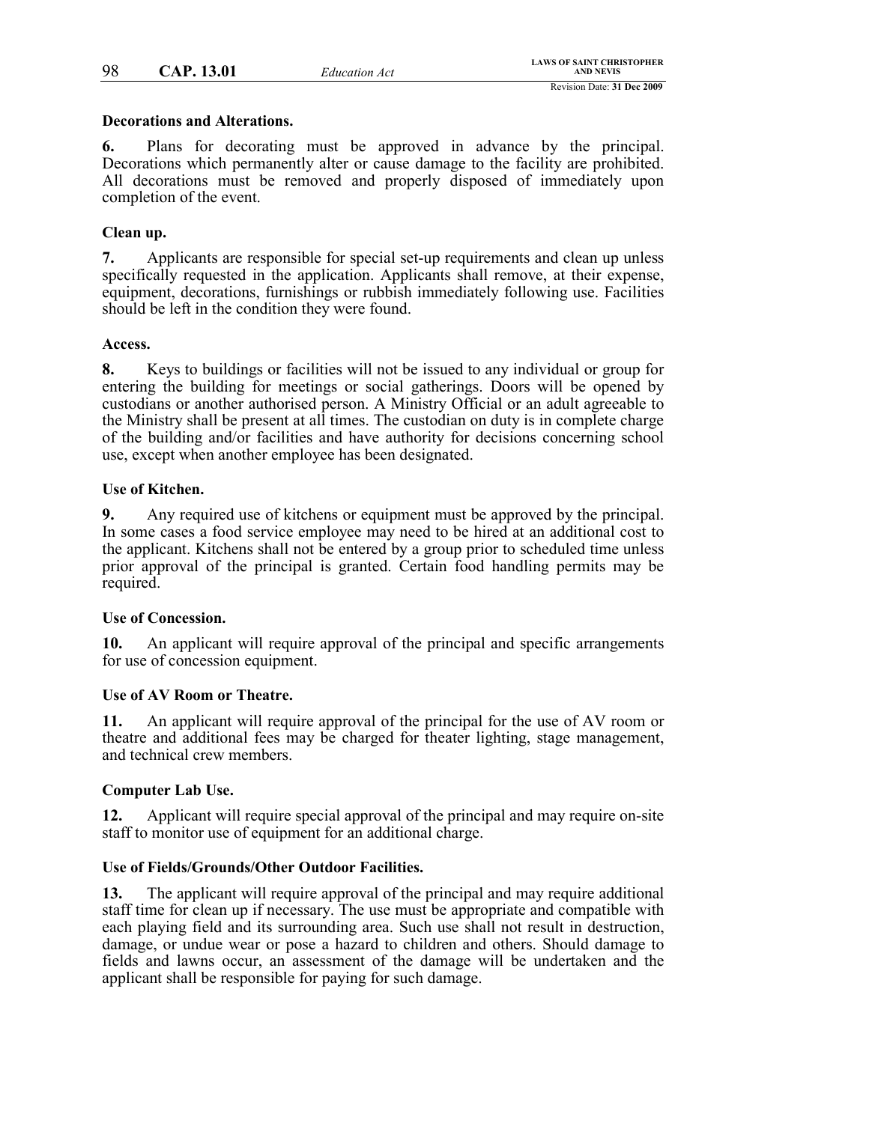#### **Decorations and Alterations.**

**6.** Plans for decorating must be approved in advance by the principal. Decorations which permanently alter or cause damage to the facility are prohibited. All decorations must be removed and properly disposed of immediately upon completion of the event.

#### **Clean up.**

**7.** Applicants are responsible for special set-up requirements and clean up unless specifically requested in the application. Applicants shall remove, at their expense, equipment, decorations, furnishings or rubbish immediately following use. Facilities should be left in the condition they were found.

#### **Access.**

**8.** Keys to buildings or facilities will not be issued to any individual or group for entering the building for meetings or social gatherings. Doors will be opened by custodians or another authorised person. A Ministry Official or an adult agreeable to the Ministry shall be present at all times. The custodian on duty is in complete charge of the building and/or facilities and have authority for decisions concerning school use, except when another employee has been designated.

### **Use of Kitchen.**

**9.** Any required use of kitchens or equipment must be approved by the principal. In some cases a food service employee may need to be hired at an additional cost to the applicant. Kitchens shall not be entered by a group prior to scheduled time unless prior approval of the principal is granted. Certain food handling permits may be required.

#### **Use of Concession.**

**10.** An applicant will require approval of the principal and specific arrangements for use of concession equipment.

#### **Use of AV Room or Theatre.**

**11.** An applicant will require approval of the principal for the use of AV room or theatre and additional fees may be charged for theater lighting, stage management, and technical crew members.

#### **Computer Lab Use.**

**12.** Applicant will require special approval of the principal and may require on-site staff to monitor use of equipment for an additional charge.

#### **Use of Fields/Grounds/Other Outdoor Facilities.**

**13.** The applicant will require approval of the principal and may require additional staff time for clean up if necessary. The use must be appropriate and compatible with each playing field and its surrounding area. Such use shall not result in destruction, damage, or undue wear or pose a hazard to children and others. Should damage to fields and lawns occur, an assessment of the damage will be undertaken and the applicant shall be responsible for paying for such damage.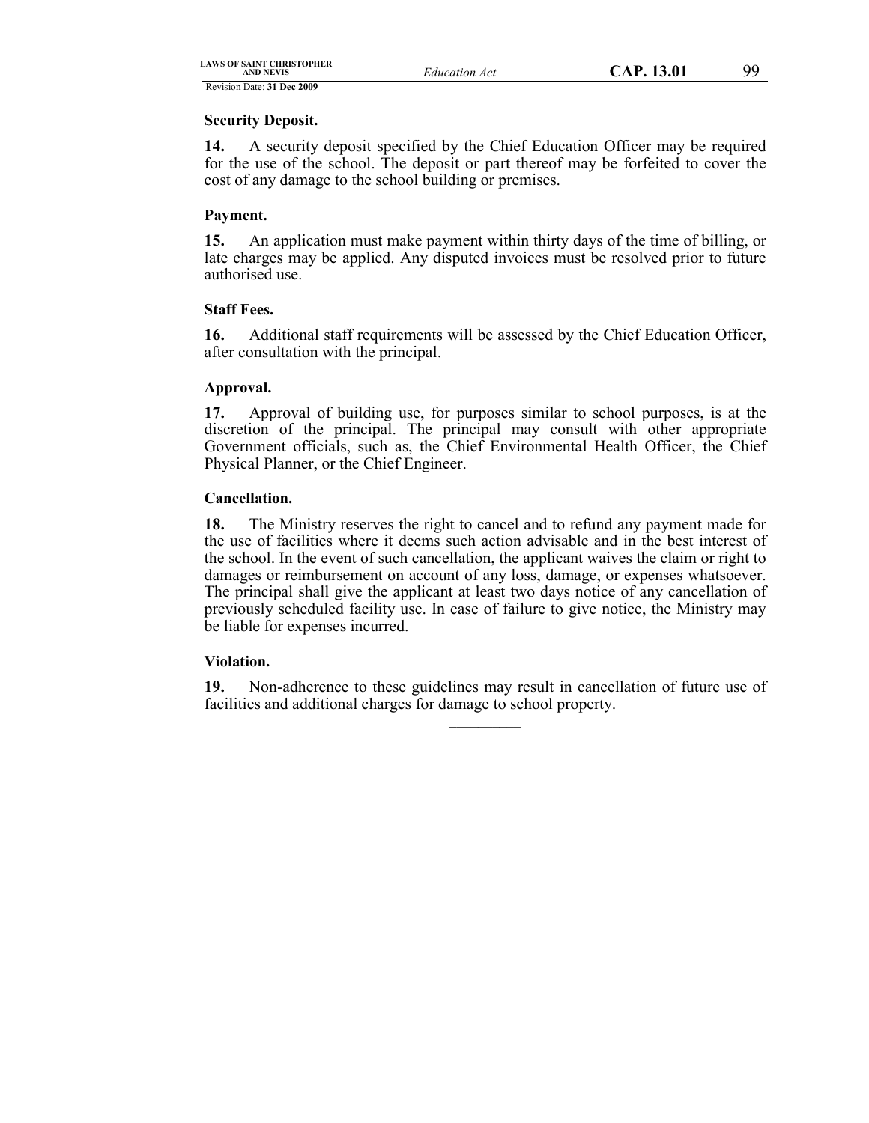Revision Date: **31 Dec 2009 Security Deposit.**

**14.** A security deposit specified by the Chief Education Officer may be required for the use of the school. The deposit or part thereof may be forfeited to cover the cost of any damage to the school building or premises.

# **Payment.**

**15.** An application must make payment within thirty days of the time of billing, or late charges may be applied. Any disputed invoices must be resolved prior to future authorised use.

# **Staff Fees.**

**16.** Additional staff requirements will be assessed by the Chief Education Officer, after consultation with the principal.

## **Approval.**

**17.** Approval of building use, for purposes similar to school purposes, is at the discretion of the principal. The principal may consult with other appropriate Government officials, such as, the Chief Environmental Health Officer, the Chief Physical Planner, or the Chief Engineer.

# **Cancellation.**

**18.** The Ministry reserves the right to cancel and to refund any payment made for the use of facilities where it deems such action advisable and in the best interest of the school. In the event of such cancellation, the applicant waives the claim or right to damages or reimbursement on account of any loss, damage, or expenses whatsoever. The principal shall give the applicant at least two days notice of any cancellation of previously scheduled facility use. In case of failure to give notice, the Ministry may be liable for expenses incurred.

# **Violation.**

**19.** Non-adherence to these guidelines may result in cancellation of future use of facilities and additional charges for damage to school property.  $\mathcal{L}=\mathcal{L}$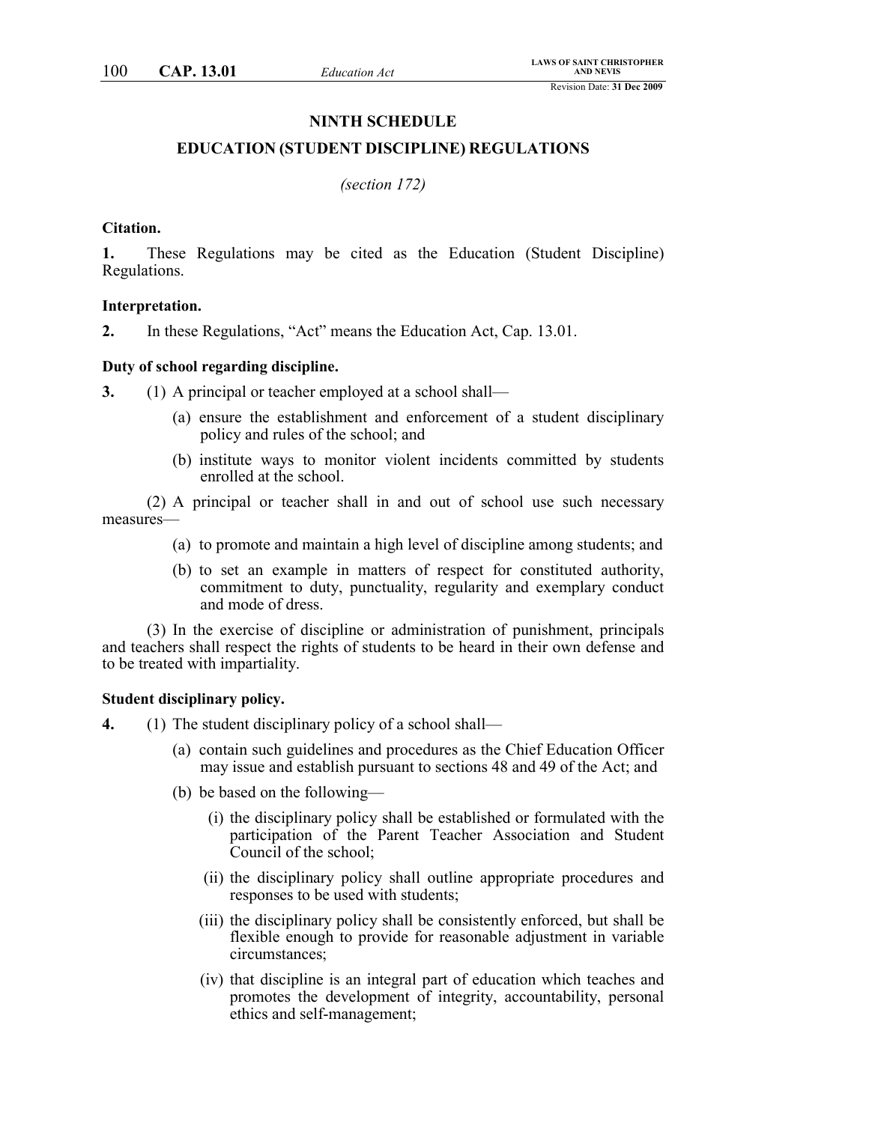#### **NINTH SCHEDULE**

#### **EDUCATION (STUDENT DISCIPLINE) REGULATIONS**

*(section 172)*

#### **Citation.**

**1.** These Regulations may be cited as the Education (Student Discipline) Regulations.

#### **Interpretation.**

**2.** In these Regulations, "Act" means the Education Act, Cap. 13.01.

#### **Duty of school regarding discipline.**

**3.** (1) A principal or teacher employed at a school shall—

- (a) ensure the establishment and enforcement of a student disciplinary policy and rules of the school; and
- (b) institute ways to monitor violent incidents committed by students enrolled at the school.

(2) A principal or teacher shall in and out of school use such necessary measures—

- (a) to promote and maintain a high level of discipline among students; and
- (b) to set an example in matters of respect for constituted authority, commitment to duty, punctuality, regularity and exemplary conduct and mode of dress.

(3) In the exercise of discipline or administration of punishment, principals and teachers shall respect the rights of students to be heard in their own defense and to be treated with impartiality.

#### **Student disciplinary policy.**

- **4.** (1) The student disciplinary policy of a school shall—
	- (a) contain such guidelines and procedures as the Chief Education Officer may issue and establish pursuant to sections 48 and 49 of the Act; and
	- (b) be based on the following—
		- (i) the disciplinary policy shall be established or formulated with the participation of the Parent Teacher Association and Student Council of the school;
		- (ii) the disciplinary policy shall outline appropriate procedures and responses to be used with students;
		- (iii) the disciplinary policy shall be consistently enforced, but shall be flexible enough to provide for reasonable adjustment in variable circumstances;
		- (iv) that discipline is an integral part of education which teaches and promotes the development of integrity, accountability, personal ethics and self-management;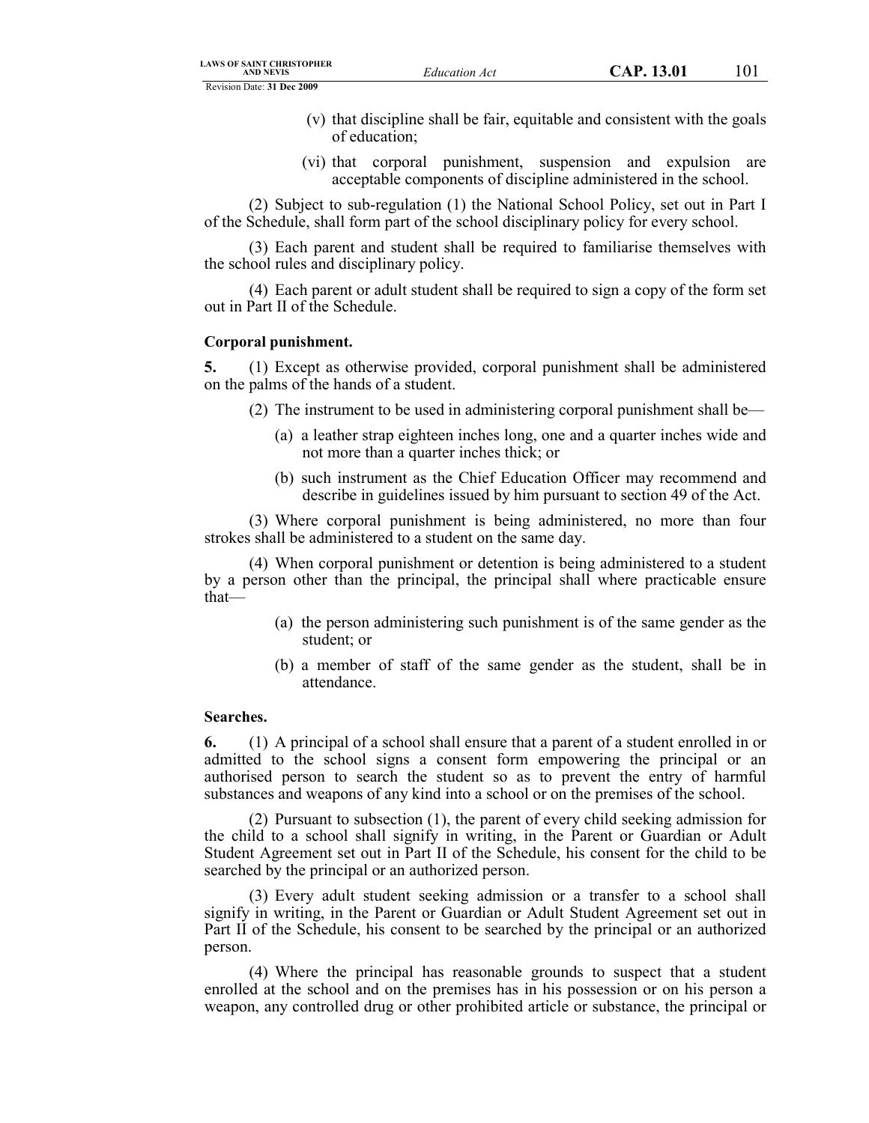Revision Date: **31 Dec 2009**

- (v) that discipline shall be fair, equitable and consistent with the goals of education;
- (vi) that corporal punishment, suspension and expulsion are acceptable components of discipline administered in the school.

(2) Subject to sub-regulation (1) the National School Policy, set out in Part I of the Schedule, shall form part of the school disciplinary policy for every school.

(3) Each parent and student shall be required to familiarise themselves with the school rules and disciplinary policy.

(4) Each parent or adult student shall be required to sign a copy of the form set out in Part II of the Schedule.

#### **Corporal punishment.**

**5.** (1) Except as otherwise provided, corporal punishment shall be administered on the palms of the hands of a student.

- (2) The instrument to be used in administering corporal punishment shall be—
	- (a) a leather strap eighteen inches long, one and a quarter inches wide and not more than a quarter inches thick; or
	- (b) such instrument as the Chief Education Officer may recommend and describe in guidelines issued by him pursuant to section 49 of the Act.

(3) Where corporal punishment is being administered, no more than four strokes shall be administered to a student on the same day.

(4) When corporal punishment or detention is being administered to a student by a person other than the principal, the principal shall where practicable ensure that—

- (a) the person administering such punishment is of the same gender as the student; or
- (b) a member of staff of the same gender as the student, shall be in attendance.

#### **Searches.**

**6.** (1) A principal of a school shall ensure that a parent of a student enrolled in or admitted to the school signs a consent form empowering the principal or an authorised person to search the student so as to prevent the entry of harmful substances and weapons of any kind into a school or on the premises of the school.

(2) Pursuant to subsection (1), the parent of every child seeking admission for the child to a school shall signify in writing, in the Parent or Guardian or Adult Student Agreement set out in Part II of the Schedule, his consent for the child to be searched by the principal or an authorized person.

(3) Every adult student seeking admission or a transfer to a school shall signify in writing, in the Parent or Guardian or Adult Student Agreement set out in Part II of the Schedule, his consent to be searched by the principal or an authorized person.

(4) Where the principal has reasonable grounds to suspect that a student enrolled at the school and on the premises has in his possession or on his person a weapon, any controlled drug or other prohibited article or substance, the principal or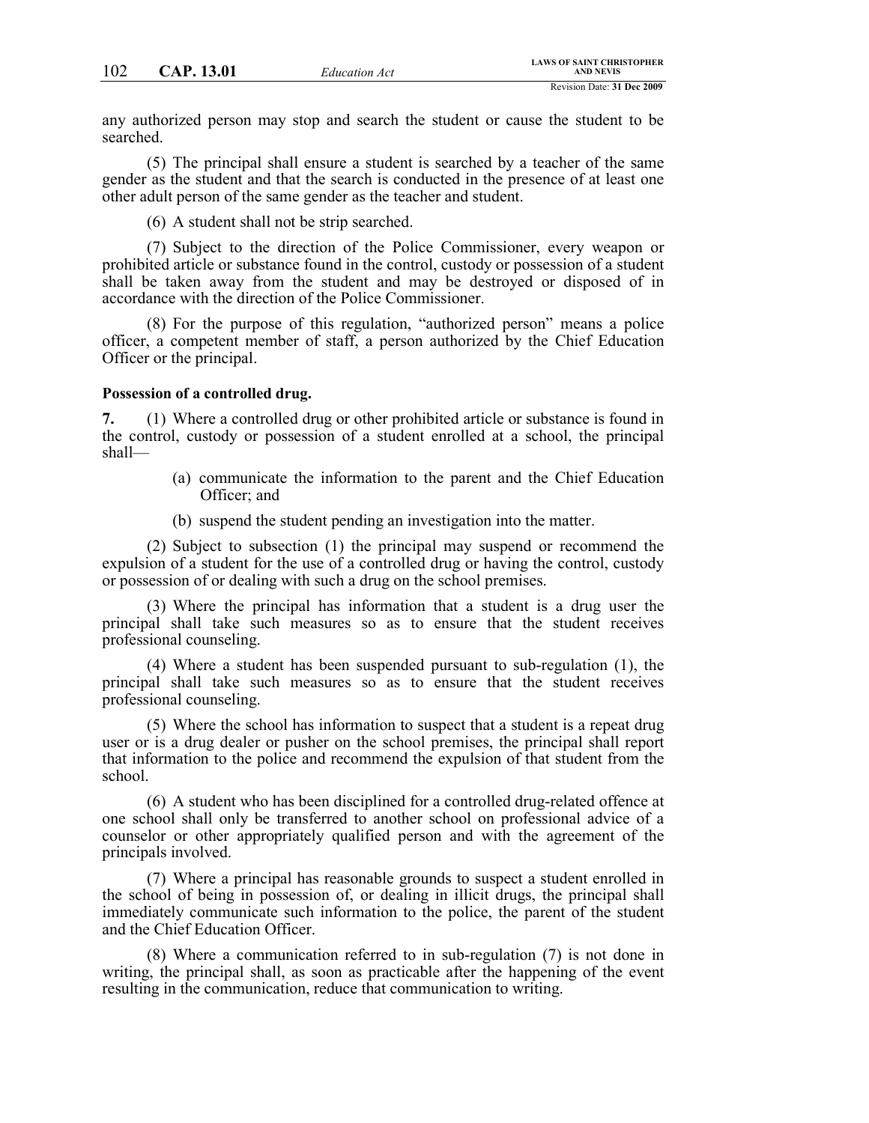any authorized person may stop and search the student or cause the student to be searched.

(5) The principal shall ensure a student is searched by a teacher of the same gender as the student and that the search is conducted in the presence of at least one other adult person of the same gender as the teacher and student.

(6) A student shall not be strip searched.

(7) Subject to the direction of the Police Commissioner, every weapon or prohibited article or substance found in the control, custody or possession of a student shall be taken away from the student and may be destroyed or disposed of in accordance with the direction of the Police Commissioner.

(8) For the purpose of this regulation, "authorized person" means a police officer, a competent member of staff, a person authorized by the Chief Education Officer or the principal.

#### **Possession of a controlled drug.**

**7.** (1) Where a controlled drug or other prohibited article or substance is found in the control, custody or possession of a student enrolled at a school, the principal shall—

- (a) communicate the information to the parent and the Chief Education Officer; and
- (b) suspend the student pending an investigation into the matter.

(2) Subject to subsection (1) the principal may suspend or recommend the expulsion of a student for the use of a controlled drug or having the control, custody or possession of or dealing with such a drug on the school premises.

(3) Where the principal has information that a student is a drug user the principal shall take such measures so as to ensure that the student receives professional counseling.

(4) Where a student has been suspended pursuant to sub-regulation (1), the principal shall take such measures so as to ensure that the student receives professional counseling.

(5) Where the school has information to suspect that a student is a repeat drug user or is a drug dealer or pusher on the school premises, the principal shall report that information to the police and recommend the expulsion of that student from the school.

(6) A student who has been disciplined for a controlled drug-related offence at one school shall only be transferred to another school on professional advice of a counselor or other appropriately qualified person and with the agreement of the principals involved.

(7) Where a principal has reasonable grounds to suspect a student enrolled in the school of being in possession of, or dealing in illicit drugs, the principal shall immediately communicate such information to the police, the parent of the student and the Chief Education Officer.

(8) Where a communication referred to in sub-regulation (7) is not done in writing, the principal shall, as soon as practicable after the happening of the event resulting in the communication, reduce that communication to writing.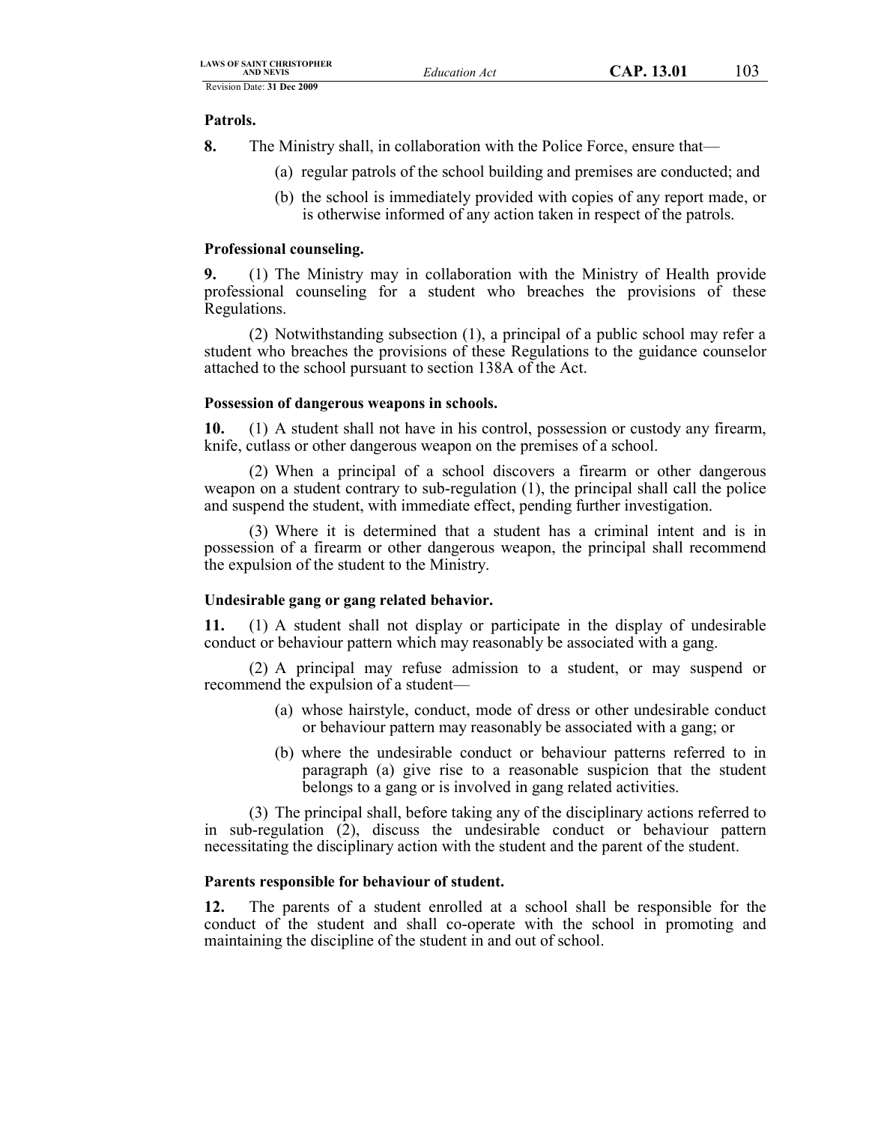### **Patrols.**

- **8.** The Ministry shall, in collaboration with the Police Force, ensure that—
	- (a) regular patrols of the school building and premises are conducted; and
	- (b) the school is immediately provided with copies of any report made, or is otherwise informed of any action taken in respect of the patrols.

## **Professional counseling.**

**9.** (1) The Ministry may in collaboration with the Ministry of Health provide professional counseling for a student who breaches the provisions of these Regulations.

(2) Notwithstanding subsection (1), a principal of a public school may refer a student who breaches the provisions of these Regulations to the guidance counselor attached to the school pursuant to section 138A of the Act.

## **Possession of dangerous weapons in schools.**

**10.** (1) A student shall not have in his control, possession or custody any firearm, knife, cutlass or other dangerous weapon on the premises of a school.

(2) When a principal of a school discovers a firearm or other dangerous weapon on a student contrary to sub-regulation (1), the principal shall call the police and suspend the student, with immediate effect, pending further investigation.

(3) Where it is determined that a student has a criminal intent and is in possession of a firearm or other dangerous weapon, the principal shall recommend the expulsion of the student to the Ministry.

## **Undesirable gang or gang related behavior.**

**11.** (1) A student shall not display or participate in the display of undesirable conduct or behaviour pattern which may reasonably be associated with a gang.

(2) A principal may refuse admission to a student, or may suspend or recommend the expulsion of a student—

- (a) whose hairstyle, conduct, mode of dress or other undesirable conduct or behaviour pattern may reasonably be associated with a gang; or
- (b) where the undesirable conduct or behaviour patterns referred to in paragraph (a) give rise to a reasonable suspicion that the student belongs to a gang or is involved in gang related activities.

(3) The principal shall, before taking any of the disciplinary actions referred to in sub-regulation (2), discuss the undesirable conduct or behaviour pattern necessitating the disciplinary action with the student and the parent of the student.

## **Parents responsible for behaviour of student.**

**12.** The parents of a student enrolled at a school shall be responsible for the conduct of the student and shall co-operate with the school in promoting and maintaining the discipline of the student in and out of school.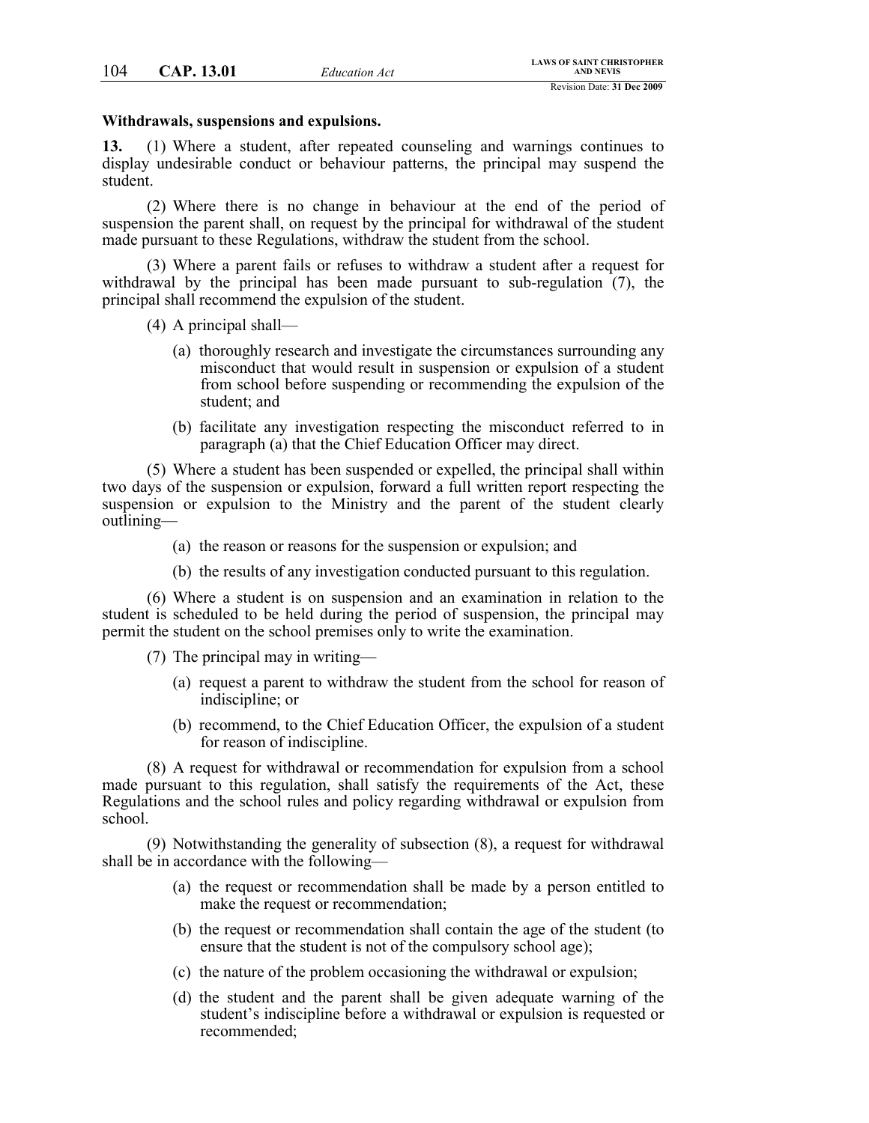#### **Withdrawals, suspensions and expulsions.**

**13.** (1) Where a student, after repeated counseling and warnings continues to display undesirable conduct or behaviour patterns, the principal may suspend the student.

(2) Where there is no change in behaviour at the end of the period of suspension the parent shall, on request by the principal for withdrawal of the student made pursuant to these Regulations, withdraw the student from the school.

(3) Where a parent fails or refuses to withdraw a student after a request for withdrawal by the principal has been made pursuant to sub-regulation (7), the principal shall recommend the expulsion of the student.

- (4) A principal shall—
	- (a) thoroughly research and investigate the circumstances surrounding any misconduct that would result in suspension or expulsion of a student from school before suspending or recommending the expulsion of the student; and
	- (b) facilitate any investigation respecting the misconduct referred to in paragraph (a) that the Chief Education Officer may direct.

(5) Where a student has been suspended or expelled, the principal shall within two days of the suspension or expulsion, forward a full written report respecting the suspension or expulsion to the Ministry and the parent of the student clearly outlining-

- (a) the reason or reasons for the suspension or expulsion; and
- (b) the results of any investigation conducted pursuant to this regulation.

(6) Where a student is on suspension and an examination in relation to the student is scheduled to be held during the period of suspension, the principal may permit the student on the school premises only to write the examination.

(7) The principal may in writing—

- (a) request a parent to withdraw the student from the school for reason of indiscipline; or
- (b) recommend, to the Chief Education Officer, the expulsion of a student for reason of indiscipline.

(8) A request for withdrawal or recommendation for expulsion from a school made pursuant to this regulation, shall satisfy the requirements of the Act, these Regulations and the school rules and policy regarding withdrawal or expulsion from school.

(9) Notwithstanding the generality of subsection (8), a request for withdrawal shall be in accordance with the following—

- (a) the request or recommendation shall be made by a person entitled to make the request or recommendation;
- (b) the request or recommendation shall contain the age of the student (to ensure that the student is not of the compulsory school age);
- (c) the nature of the problem occasioning the withdrawal or expulsion;
- (d) the student and the parent shall be given adequate warning of the student's indiscipline before a withdrawal or expulsion is requested or recommended;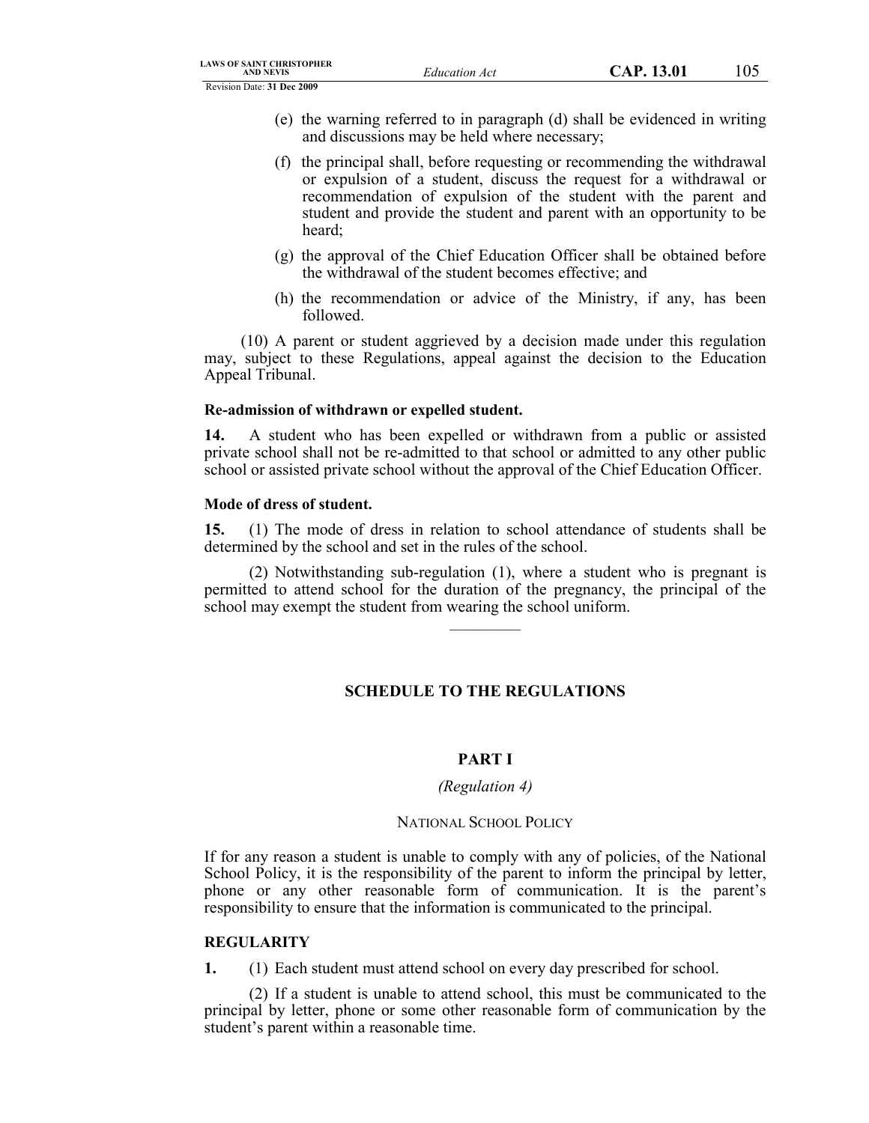- (e) the warning referred to in paragraph (d) shall be evidenced in writing and discussions may be held where necessary;
- (f) the principal shall, before requesting or recommending the withdrawal or expulsion of a student, discuss the request for a withdrawal or recommendation of expulsion of the student with the parent and student and provide the student and parent with an opportunity to be heard;
- (g) the approval of the Chief Education Officer shall be obtained before the withdrawal of the student becomes effective; and
- (h) the recommendation or advice of the Ministry, if any, has been followed.

(10) A parent or student aggrieved by a decision made under this regulation may, subject to these Regulations, appeal against the decision to the Education Appeal Tribunal.

### **Re-admission of withdrawn or expelled student.**

**14.** A student who has been expelled or withdrawn from a public or assisted private school shall not be re-admitted to that school or admitted to any other public school or assisted private school without the approval of the Chief Education Officer.

### **Mode of dress of student.**

**15.** (1) The mode of dress in relation to school attendance of students shall be determined by the school and set in the rules of the school.

(2) Notwithstanding sub-regulation (1), where a student who is pregnant is permitted to attend school for the duration of the pregnancy, the principal of the school may exempt the student from wearing the school uniform.

 $\mathcal{L}=\mathcal{L}$ 

# **SCHEDULE TO THE REGULATIONS**

#### **PART I**

#### *(Regulation 4)*

## NATIONAL SCHOOL POLICY

If for any reason a student is unable to comply with any of policies, of the National School Policy, it is the responsibility of the parent to inform the principal by letter, phone or any other reasonable form of communication. It is the parent's responsibility to ensure that the information is communicated to the principal.

#### **REGULARITY**

**1.** (1) Each student must attend school on every day prescribed for school.

(2) If a student is unable to attend school, this must be communicated to the principal by letter, phone or some other reasonable form of communication by the student's parent within a reasonable time.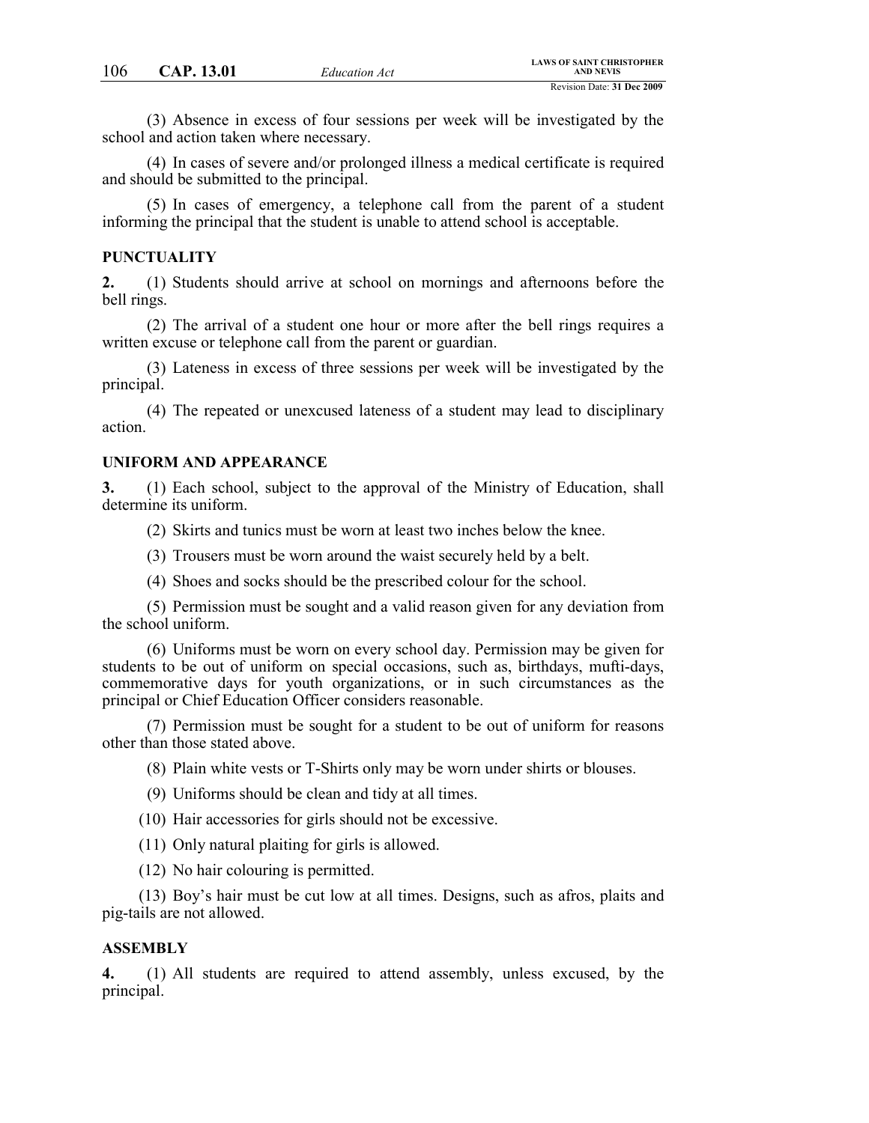(3) Absence in excess of four sessions per week will be investigated by the school and action taken where necessary.

(4) In cases of severe and/or prolonged illness a medical certificate is required and should be submitted to the principal.

(5) In cases of emergency, a telephone call from the parent of a student informing the principal that the student is unable to attend school is acceptable.

#### **PUNCTUALITY**

**2.** (1) Students should arrive at school on mornings and afternoons before the bell rings.

(2) The arrival of a student one hour or more after the bell rings requires a written excuse or telephone call from the parent or guardian.

(3) Lateness in excess of three sessions per week will be investigated by the principal.

(4) The repeated or unexcused lateness of a student may lead to disciplinary action.

#### **UNIFORM AND APPEARANCE**

**3.** (1) Each school, subject to the approval of the Ministry of Education, shall determine its uniform.

(2) Skirts and tunics must be worn at least two inches below the knee.

- (3) Trousers must be worn around the waist securely held by a belt.
- (4) Shoes and socks should be the prescribed colour for the school.

(5) Permission must be sought and a valid reason given for any deviation from the school uniform.

(6) Uniforms must be worn on every school day. Permission may be given for students to be out of uniform on special occasions, such as, birthdays, mufti-days, commemorative days for youth organizations, or in such circumstances as the principal or Chief Education Officer considers reasonable.

(7) Permission must be sought for a student to be out of uniform for reasons other than those stated above.

(8) Plain white vests or T-Shirts only may be worn under shirts or blouses.

(9) Uniforms should be clean and tidy at all times.

(10) Hair accessories for girls should not be excessive.

(11) Only natural plaiting for girls is allowed.

(12) No hair colouring is permitted.

(13) Boy's hair must be cut low at all times. Designs, such as afros, plaits and pig-tails are not allowed.

#### **ASSEMBLY**

**4.** (1) All students are required to attend assembly, unless excused, by the principal.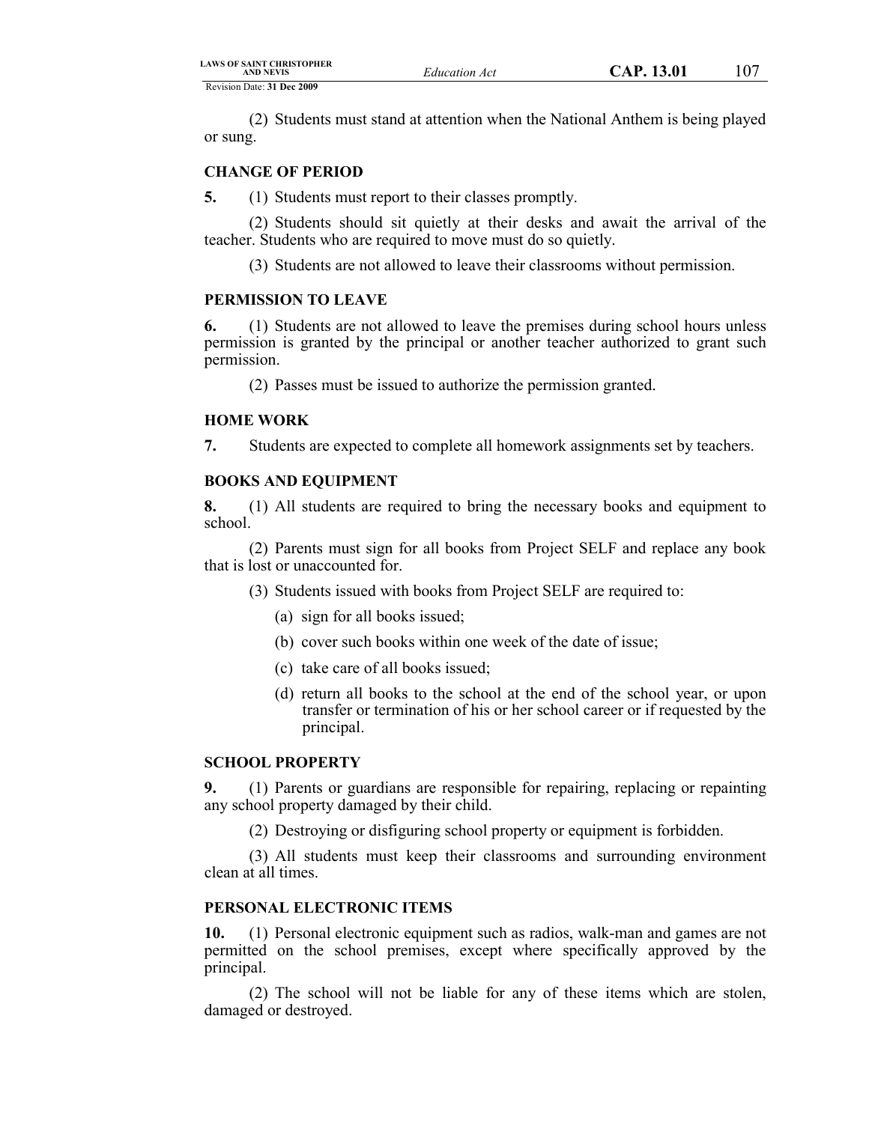(2) Students must stand at attention when the National Anthem is being played or sung.

### **CHANGE OF PERIOD**

**5.** (1) Students must report to their classes promptly.

(2) Students should sit quietly at their desks and await the arrival of the teacher. Students who are required to move must do so quietly.

(3) Students are not allowed to leave their classrooms without permission.

### **PERMISSION TO LEAVE**

**6.** (1) Students are not allowed to leave the premises during school hours unless permission is granted by the principal or another teacher authorized to grant such permission.

(2) Passes must be issued to authorize the permission granted.

## **HOME WORK**

**7.** Students are expected to complete all homework assignments set by teachers.

### **BOOKS AND EQUIPMENT**

**8.** (1) All students are required to bring the necessary books and equipment to school.

(2) Parents must sign for all books from Project SELF and replace any book that is lost or unaccounted for.

- (3) Students issued with books from Project SELF are required to:
	- (a) sign for all books issued;
	- (b) cover such books within one week of the date of issue;
	- (c) take care of all books issued;
	- (d) return all books to the school at the end of the school year, or upon transfer or termination of his or her school career or if requested by the principal.

#### **SCHOOL PROPERTY**

**9.** (1) Parents or guardians are responsible for repairing, replacing or repainting any school property damaged by their child.

(2) Destroying or disfiguring school property or equipment is forbidden.

(3) All students must keep their classrooms and surrounding environment clean at all times.

### **PERSONAL ELECTRONIC ITEMS**

**10.** (1) Personal electronic equipment such as radios, walk-man and games are not permitted on the school premises, except where specifically approved by the principal.

(2) The school will not be liable for any of these items which are stolen, damaged or destroyed.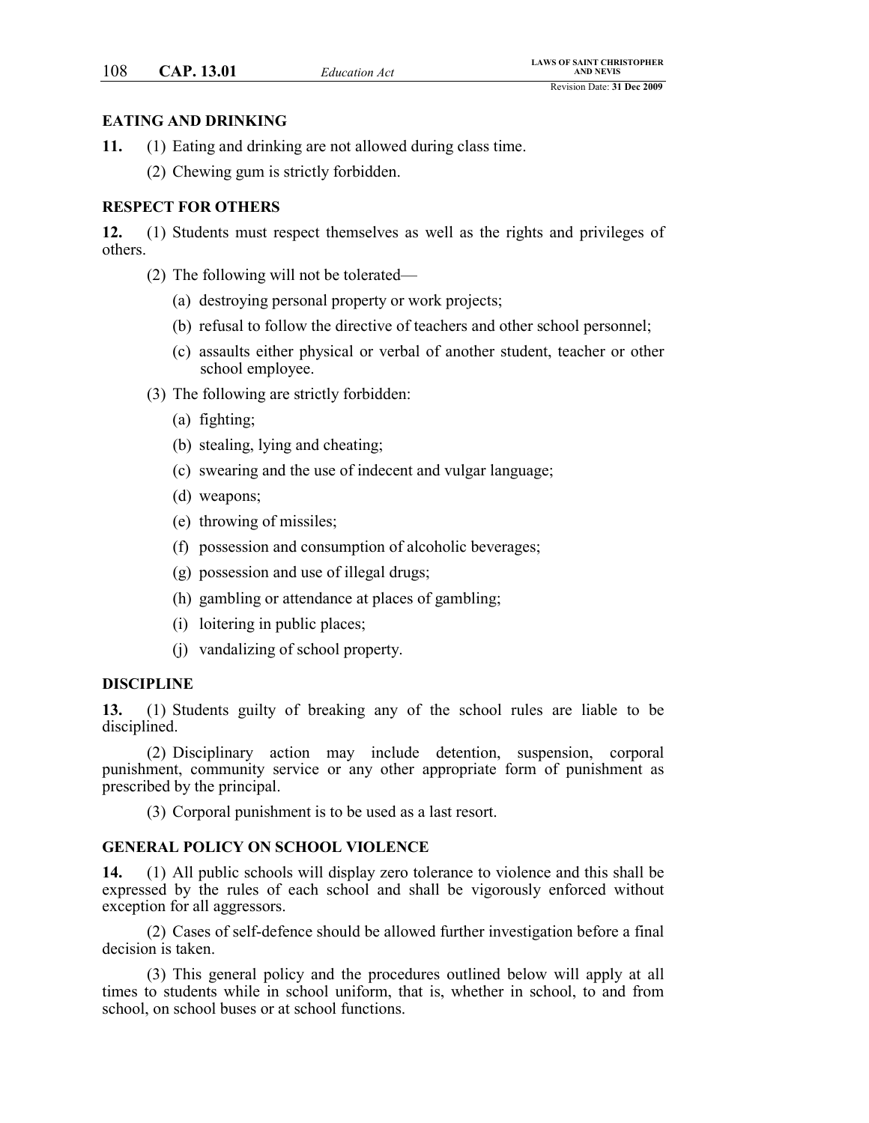#### **EATING AND DRINKING**

- **11.** (1) Eating and drinking are not allowed during class time.
	- (2) Chewing gum is strictly forbidden.

### **RESPECT FOR OTHERS**

**12.** (1) Students must respect themselves as well as the rights and privileges of others.

- (2) The following will not be tolerated—
	- (a) destroying personal property or work projects;
	- (b) refusal to follow the directive of teachers and other school personnel;
	- (c) assaults either physical or verbal of another student, teacher or other school employee.
- (3) The following are strictly forbidden:
	- (a) fighting;
	- (b) stealing, lying and cheating;
	- (c) swearing and the use of indecent and vulgar language;
	- (d) weapons;
	- (e) throwing of missiles;
	- (f) possession and consumption of alcoholic beverages;
	- (g) possession and use of illegal drugs;
	- (h) gambling or attendance at places of gambling;
	- (i) loitering in public places;
	- (j) vandalizing of school property.

#### **DISCIPLINE**

**13.** (1) Students guilty of breaking any of the school rules are liable to be disciplined.

(2) Disciplinary action may include detention, suspension, corporal punishment, community service or any other appropriate form of punishment as prescribed by the principal.

(3) Corporal punishment is to be used as a last resort.

#### **GENERAL POLICY ON SCHOOL VIOLENCE**

**14.** (1) All public schools will display zero tolerance to violence and this shall be expressed by the rules of each school and shall be vigorously enforced without exception for all aggressors.

(2) Cases of self-defence should be allowed further investigation before a final decision is taken.

(3) This general policy and the procedures outlined below will apply at all times to students while in school uniform, that is, whether in school, to and from school, on school buses or at school functions.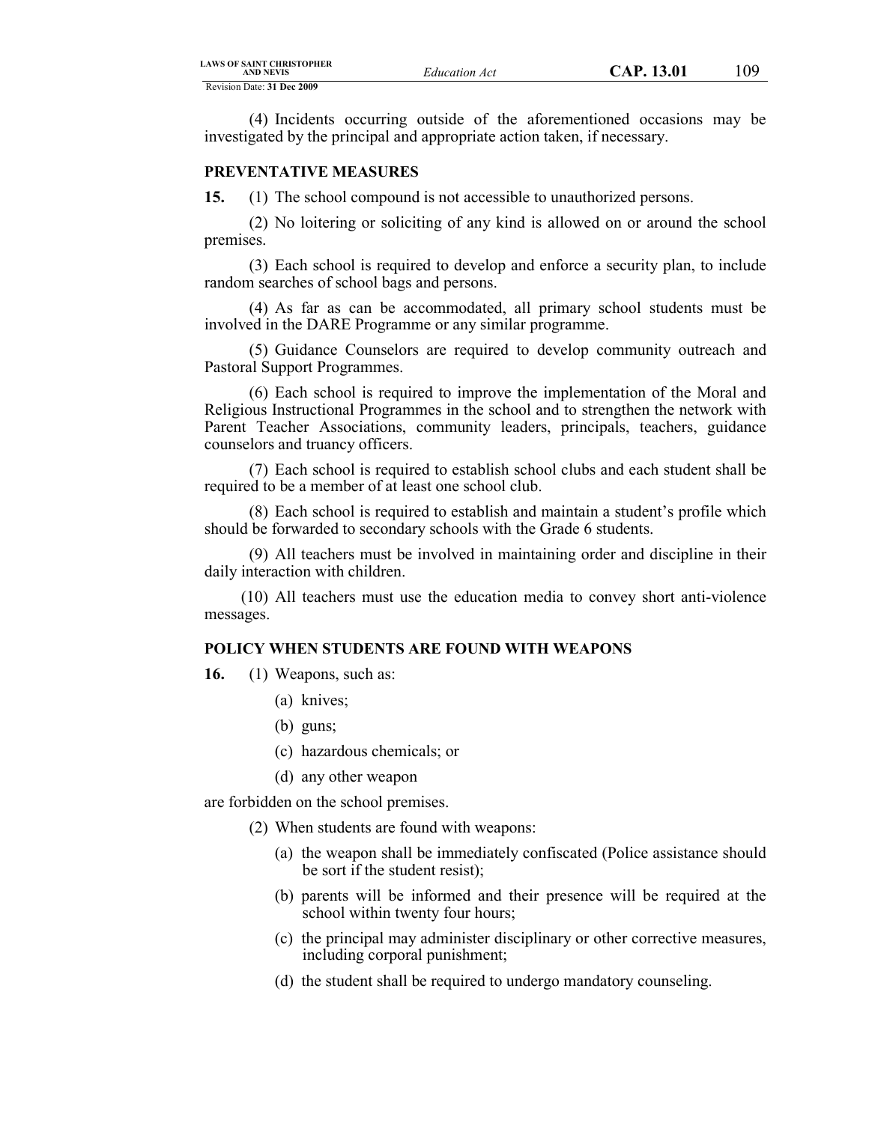(4) Incidents occurring outside of the aforementioned occasions may be investigated by the principal and appropriate action taken, if necessary.

### **PREVENTATIVE MEASURES**

**15.** (1) The school compound is not accessible to unauthorized persons.

(2) No loitering or soliciting of any kind is allowed on or around the school premises.

(3) Each school is required to develop and enforce a security plan, to include random searches of school bags and persons.

(4) As far as can be accommodated, all primary school students must be involved in the DARE Programme or any similar programme.

(5) Guidance Counselors are required to develop community outreach and Pastoral Support Programmes.

(6) Each school is required to improve the implementation of the Moral and Religious Instructional Programmes in the school and to strengthen the network with Parent Teacher Associations, community leaders, principals, teachers, guidance counselors and truancy officers.

(7) Each school is required to establish school clubs and each student shall be required to be a member of at least one school club.

(8) Each school is required to establish and maintain a student's profile which should be forwarded to secondary schools with the Grade 6 students.

(9) All teachers must be involved in maintaining order and discipline in their daily interaction with children.

(10) All teachers must use the education media to convey short anti-violence messages.

# **POLICY WHEN STUDENTS ARE FOUND WITH WEAPONS**

**16.** (1) Weapons, such as:

- (a) knives;
- (b) guns;
- (c) hazardous chemicals; or
- (d) any other weapon

are forbidden on the school premises.

- (2) When students are found with weapons:
	- (a) the weapon shall be immediately confiscated (Police assistance should be sort if the student resist);
	- (b) parents will be informed and their presence will be required at the school within twenty four hours;
	- (c) the principal may administer disciplinary or other corrective measures, including corporal punishment;
	- (d) the student shall be required to undergo mandatory counseling.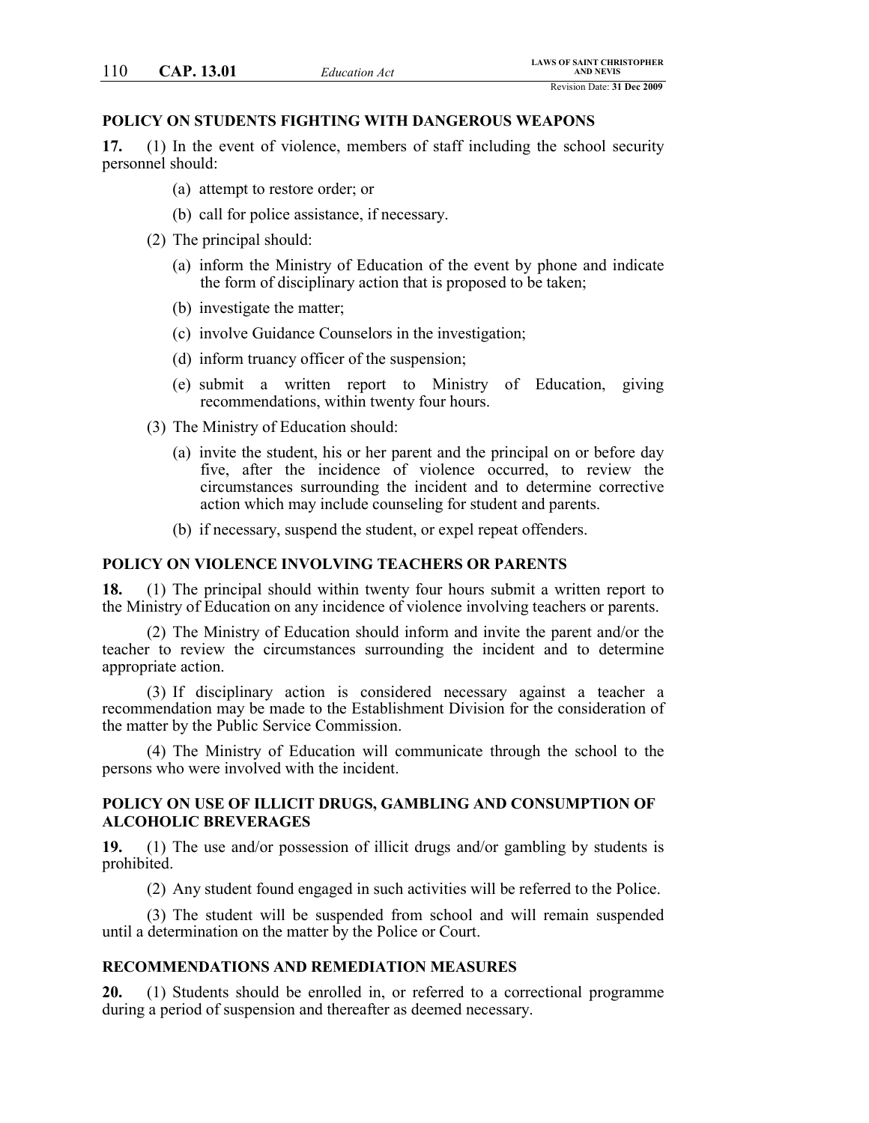#### **POLICY ON STUDENTS FIGHTING WITH DANGEROUS WEAPONS**

**17.** (1) In the event of violence, members of staff including the school security personnel should:

- (a) attempt to restore order; or
- (b) call for police assistance, if necessary.
- (2) The principal should:
	- (a) inform the Ministry of Education of the event by phone and indicate the form of disciplinary action that is proposed to be taken;
	- (b) investigate the matter;
	- (c) involve Guidance Counselors in the investigation;
	- (d) inform truancy officer of the suspension;
	- (e) submit a written report to Ministry of Education, giving recommendations, within twenty four hours.
- (3) The Ministry of Education should:
	- (a) invite the student, his or her parent and the principal on or before day five, after the incidence of violence occurred, to review the circumstances surrounding the incident and to determine corrective action which may include counseling for student and parents.
	- (b) if necessary, suspend the student, or expel repeat offenders.

### **POLICY ON VIOLENCE INVOLVING TEACHERS OR PARENTS**

**18.** (1) The principal should within twenty four hours submit a written report to the Ministry of Education on any incidence of violence involving teachers or parents.

(2) The Ministry of Education should inform and invite the parent and/or the teacher to review the circumstances surrounding the incident and to determine appropriate action.

(3) If disciplinary action is considered necessary against a teacher a recommendation may be made to the Establishment Division for the consideration of the matter by the Public Service Commission.

(4) The Ministry of Education will communicate through the school to the persons who were involved with the incident.

### **POLICY ON USE OF ILLICIT DRUGS, GAMBLING AND CONSUMPTION OF ALCOHOLIC BREVERAGES**

**19.** (1) The use and/or possession of illicit drugs and/or gambling by students is prohibited.

(2) Any student found engaged in such activities will be referred to the Police.

(3) The student will be suspended from school and will remain suspended until a determination on the matter by the Police or Court.

### **RECOMMENDATIONS AND REMEDIATION MEASURES**

**20.** (1) Students should be enrolled in, or referred to a correctional programme during a period of suspension and thereafter as deemed necessary.